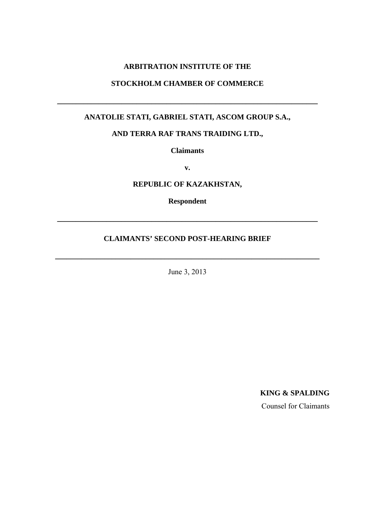# **ARBITRATION INSTITUTE OF THE**

# **STOCKHOLM CHAMBER OF COMMERCE**

\_\_\_\_\_\_\_\_\_\_\_\_\_\_\_\_\_\_\_\_\_\_\_\_\_\_\_\_\_\_\_\_\_\_\_\_\_\_\_\_\_\_\_\_\_\_\_\_\_\_\_\_\_\_\_\_\_\_\_\_\_\_\_\_\_\_\_\_\_

# **ANATOLIE STATI, GABRIEL STATI, ASCOM GROUP S.A.,**

# **AND TERRA RAF TRANS TRAIDING LTD.,**

**Claimants** 

**v.** 

**REPUBLIC OF KAZAKHSTAN,** 

**Respondent** 

\_\_\_\_\_\_\_\_\_\_\_\_\_\_\_\_\_\_\_\_\_\_\_\_\_\_\_\_\_\_\_\_\_\_\_\_\_\_\_\_\_\_\_\_\_\_\_\_\_\_\_\_\_\_\_\_\_\_\_\_\_\_\_\_\_\_\_\_\_

### **CLAIMANTS' SECOND POST-HEARING BRIEF**

\_\_\_\_\_\_\_\_\_\_\_\_\_\_\_\_\_\_\_\_\_\_\_\_\_\_\_\_\_\_\_\_\_\_\_\_\_\_\_\_\_\_\_\_\_\_\_\_\_\_\_\_\_\_\_\_\_\_\_\_\_\_\_\_\_\_\_\_\_\_

June 3, 2013

**KING & SPALDING** 

Counsel for Claimants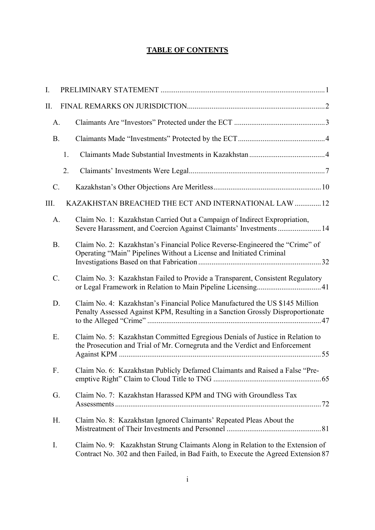# **TABLE OF CONTENTS**

| I.              |    |                                                                                                                                                                      |  |
|-----------------|----|----------------------------------------------------------------------------------------------------------------------------------------------------------------------|--|
| II.             |    |                                                                                                                                                                      |  |
| A.              |    |                                                                                                                                                                      |  |
| B.              |    |                                                                                                                                                                      |  |
|                 | 1. |                                                                                                                                                                      |  |
|                 | 2. |                                                                                                                                                                      |  |
| $\mathcal{C}$ . |    |                                                                                                                                                                      |  |
| III.            |    | KAZAKHSTAN BREACHED THE ECT AND INTERNATIONAL LAW  12                                                                                                                |  |
| A.              |    | Claim No. 1: Kazakhstan Carried Out a Campaign of Indirect Expropriation,<br>Severe Harassment, and Coercion Against Claimants' Investments  14                      |  |
| B.              |    | Claim No. 2: Kazakhstan's Financial Police Reverse-Engineered the "Crime" of<br>Operating "Main" Pipelines Without a License and Initiated Criminal                  |  |
| $\mathcal{C}$ . |    | Claim No. 3: Kazakhstan Failed to Provide a Transparent, Consistent Regulatory                                                                                       |  |
| D.              |    | Claim No. 4: Kazakhstan's Financial Police Manufactured the US \$145 Million<br>Penalty Assessed Against KPM, Resulting in a Sanction Grossly Disproportionate       |  |
| Ε.              |    | Claim No. 5: Kazakhstan Committed Egregious Denials of Justice in Relation to<br>the Prosecution and Trial of Mr. Cornegruta and the Verdict and Enforcement         |  |
| F.              |    | Claim No. 6: Kazakhstan Publicly Defamed Claimants and Raised a False "Pre-                                                                                          |  |
| G.              |    | Claim No. 7: Kazakhstan Harassed KPM and TNG with Groundless Tax                                                                                                     |  |
| H.              |    | Claim No. 8: Kazakhstan Ignored Claimants' Repeated Pleas About the                                                                                                  |  |
| I.              |    | Claim No. 9: Kazakhstan Strung Claimants Along in Relation to the Extension of<br>Contract No. 302 and then Failed, in Bad Faith, to Execute the Agreed Extension 87 |  |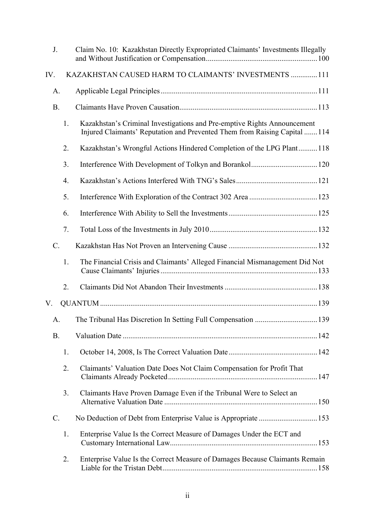| J.              |    | Claim No. 10: Kazakhstan Directly Expropriated Claimants' Investments Illegally                                                                        |  |
|-----------------|----|--------------------------------------------------------------------------------------------------------------------------------------------------------|--|
| IV.             |    | KAZAKHSTAN CAUSED HARM TO CLAIMANTS' INVESTMENTS  111                                                                                                  |  |
| A.              |    |                                                                                                                                                        |  |
| B.              |    |                                                                                                                                                        |  |
|                 | 1. | Kazakhstan's Criminal Investigations and Pre-emptive Rights Announcement<br>Injured Claimants' Reputation and Prevented Them from Raising Capital  114 |  |
|                 | 2. | Kazakhstan's Wrongful Actions Hindered Completion of the LPG Plant118                                                                                  |  |
|                 | 3. |                                                                                                                                                        |  |
|                 | 4. |                                                                                                                                                        |  |
|                 | 5. |                                                                                                                                                        |  |
|                 | 6. |                                                                                                                                                        |  |
|                 | 7. |                                                                                                                                                        |  |
| $\mathcal{C}$ . |    |                                                                                                                                                        |  |
|                 | 1. | The Financial Crisis and Claimants' Alleged Financial Mismanagement Did Not                                                                            |  |
|                 | 2. |                                                                                                                                                        |  |
| V.              |    |                                                                                                                                                        |  |
| A.              |    |                                                                                                                                                        |  |
| <b>B.</b>       |    |                                                                                                                                                        |  |
|                 | 1. |                                                                                                                                                        |  |
|                 | 2. | Claimants' Valuation Date Does Not Claim Compensation for Profit That                                                                                  |  |
|                 | 3. | Claimants Have Proven Damage Even if the Tribunal Were to Select an                                                                                    |  |
| C.              |    |                                                                                                                                                        |  |
|                 | 1. | Enterprise Value Is the Correct Measure of Damages Under the ECT and                                                                                   |  |
|                 | 2. | Enterprise Value Is the Correct Measure of Damages Because Claimants Remain                                                                            |  |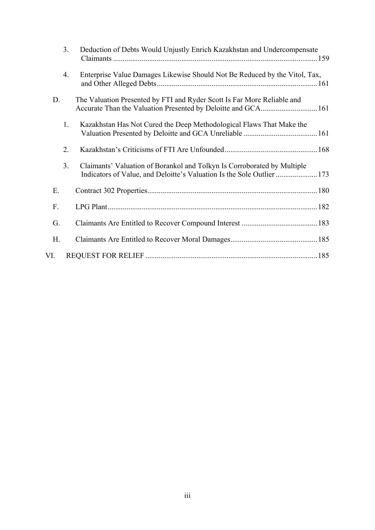|     | 3.             | Deduction of Debts Would Unjustly Enrich Kazakhstan and Undercompensate                                                                           |  |
|-----|----------------|---------------------------------------------------------------------------------------------------------------------------------------------------|--|
|     | 4.             | Enterprise Value Damages Likewise Should Not Be Reduced by the Vitol, Tax,                                                                        |  |
| D.  |                | The Valuation Presented by FTI and Ryder Scott Is Far More Reliable and                                                                           |  |
|     | 1.             | Kazakhstan Has Not Cured the Deep Methodological Flaws That Make the                                                                              |  |
|     | 2.             |                                                                                                                                                   |  |
|     | 3 <sub>1</sub> | Claimants' Valuation of Borankol and Tolkyn Is Corroborated by Multiple<br>Indicators of Value, and Deloitte's Valuation Is the Sole Outlier  173 |  |
| Ε.  |                |                                                                                                                                                   |  |
| F.  |                |                                                                                                                                                   |  |
| G.  |                |                                                                                                                                                   |  |
| H.  |                |                                                                                                                                                   |  |
| VI. |                |                                                                                                                                                   |  |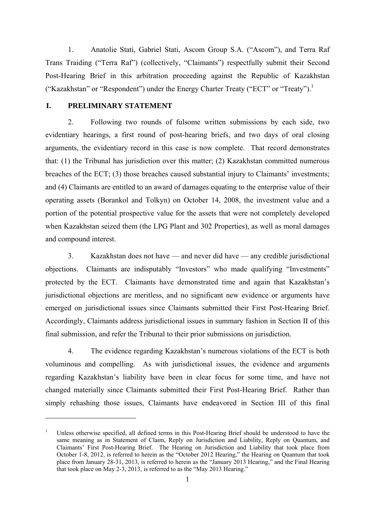1. Anatolie Stati, Gabriel Stati, Ascom Group S.A. ("Ascom"), and Terra Raf Trans Traiding ("Terra Raf") (collectively, "Claimants") respectfully submit their Second Post-Hearing Brief in this arbitration proceeding against the Republic of Kazakhstan ("Kazakhstan" or "Respondent") under the Energy Charter Treaty ("ECT" or "Treaty").<sup>1</sup>

### **I. PRELIMINARY STATEMENT**

1

2. Following two rounds of fulsome written submissions by each side, two evidentiary hearings, a first round of post-hearing briefs, and two days of oral closing arguments, the evidentiary record in this case is now complete. That record demonstrates that: (1) the Tribunal has jurisdiction over this matter; (2) Kazakhstan committed numerous breaches of the ECT; (3) those breaches caused substantial injury to Claimants' investments; and (4) Claimants are entitled to an award of damages equating to the enterprise value of their operating assets (Borankol and Tolkyn) on October 14, 2008, the investment value and a portion of the potential prospective value for the assets that were not completely developed when Kazakhstan seized them (the LPG Plant and 302 Properties), as well as moral damages and compound interest.

3. Kazakhstan does not have — and never did have — any credible jurisdictional objections. Claimants are indisputably "Investors" who made qualifying "Investments" protected by the ECT. Claimants have demonstrated time and again that Kazakhstan's jurisdictional objections are meritless, and no significant new evidence or arguments have emerged on jurisdictional issues since Claimants submitted their First Post-Hearing Brief. Accordingly, Claimants address jurisdictional issues in summary fashion in Section II of this final submission, and refer the Tribunal to their prior submissions on jurisdiction.

4. The evidence regarding Kazakhstan's numerous violations of the ECT is both voluminous and compelling. As with jurisdictional issues, the evidence and arguments regarding Kazakhstan's liability have been in clear focus for some time, and have not changed materially since Claimants submitted their First Post-Hearing Brief. Rather than simply rehashing those issues, Claimants have endeavored in Section III of this final

<sup>1</sup> Unless otherwise specified, all defined terms in this Post-Hearing Brief should be understood to have the same meaning as in Statement of Claim, Reply on Jurisdiction and Liability, Reply on Quantum, and Claimants' First Post-Hearing Brief. The Hearing on Jurisdiction and Liability that took place from October 1-8, 2012, is referred to herein as the "October 2012 Hearing," the Hearing on Quantum that took place from January 28-31, 2013, is referred to herein as the "January 2013 Hearing," and the Final Hearing that took place on May 2-3, 2013, is referred to as the "May 2013 Hearing."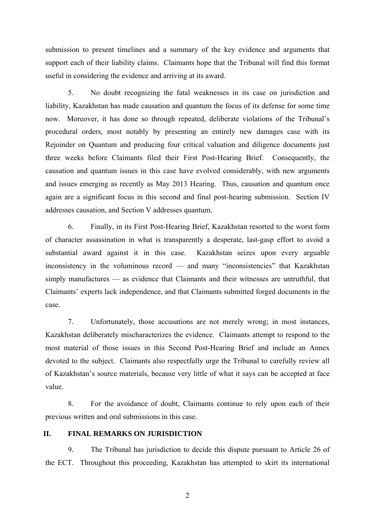submission to present timelines and a summary of the key evidence and arguments that support each of their liability claims. Claimants hope that the Tribunal will find this format useful in considering the evidence and arriving at its award.

5. No doubt recognizing the fatal weaknesses in its case on jurisdiction and liability, Kazakhstan has made causation and quantum the focus of its defense for some time now. Moreover, it has done so through repeated, deliberate violations of the Tribunal's procedural orders, most notably by presenting an entirely new damages case with its Rejoinder on Quantum and producing four critical valuation and diligence documents just three weeks before Claimants filed their First Post-Hearing Brief. Consequently, the causation and quantum issues in this case have evolved considerably, with new arguments and issues emerging as recently as May 2013 Hearing. Thus, causation and quantum once again are a significant focus in this second and final post-hearing submission. Section IV addresses causation, and Section V addresses quantum.

6. Finally, in its First Post-Hearing Brief, Kazakhstan resorted to the worst form of character assassination in what is transparently a desperate, last-gasp effort to avoid a substantial award against it in this case. Kazakhstan seizes upon every arguable inconsistency in the voluminous record — and many "inconsistencies" that Kazakhstan simply manufactures — as evidence that Claimants and their witnesses are untruthful, that Claimants' experts lack independence, and that Claimants submitted forged documents in the case.

7. Unfortunately, those accusations are not merely wrong; in most instances, Kazakhstan deliberately mischaracterizes the evidence. Claimants attempt to respond to the most material of those issues in this Second Post-Hearing Brief and include an Annex devoted to the subject. Claimants also respectfully urge the Tribunal to carefully review all of Kazakhstan's source materials, because very little of what it says can be accepted at face value.

8. For the avoidance of doubt, Claimants continue to rely upon each of their previous written and oral submissions in this case.

### **II. FINAL REMARKS ON JURISDICTION**

9. The Tribunal has jurisdiction to decide this dispute pursuant to Article 26 of the ECT. Throughout this proceeding, Kazakhstan has attempted to skirt its international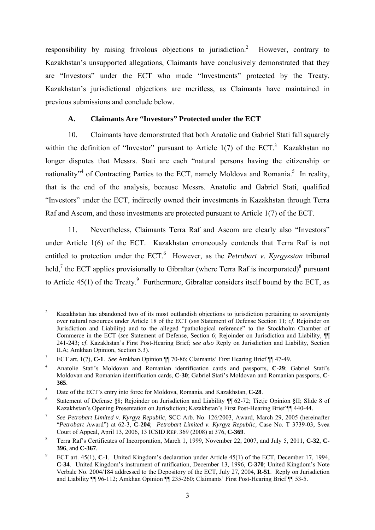responsibility by raising frivolous objections to jurisdiction.<sup>2</sup> However, contrary to Kazakhstan's unsupported allegations, Claimants have conclusively demonstrated that they are "Investors" under the ECT who made "Investments" protected by the Treaty. Kazakhstan's jurisdictional objections are meritless, as Claimants have maintained in previous submissions and conclude below.

### **A. Claimants Are "Investors" Protected under the ECT**

10. Claimants have demonstrated that both Anatolie and Gabriel Stati fall squarely within the definition of "Investor" pursuant to Article  $1(7)$  of the ECT.<sup>3</sup> Kazakhstan no longer disputes that Messrs. Stati are each "natural persons having the citizenship or nationality<sup>34</sup> of Contracting Parties to the ECT, namely Moldova and Romania.<sup>5</sup> In reality, that is the end of the analysis, because Messrs. Anatolie and Gabriel Stati, qualified "Investors" under the ECT, indirectly owned their investments in Kazakhstan through Terra Raf and Ascom, and those investments are protected pursuant to Article 1(7) of the ECT.

11. Nevertheless, Claimants Terra Raf and Ascom are clearly also "Investors" under Article 1(6) of the ECT. Kazakhstan erroneously contends that Terra Raf is not entitled to protection under the ECT.<sup>6</sup> However, as the *Petrobart v. Kyrgyzstan* tribunal held,<sup>7</sup> the ECT applies provisionally to Gibraltar (where Terra Raf is incorporated)<sup>8</sup> pursuant to Article  $45(1)$  of the Treaty.<sup>9</sup> Furthermore, Gibraltar considers itself bound by the ECT, as

<u>.</u>

<sup>2</sup> Kazakhstan has abandoned two of its most outlandish objections to jurisdiction pertaining to sovereignty over natural resources under Article 18 of the ECT (*see* Statement of Defense Section 11; *cf*. Rejoinder on Jurisdiction and Liability) and to the alleged "pathological reference" to the Stockholm Chamber of Commerce in the ECT (*see* Statement of Defense, Section 6; Rejoinder on Jurisdiction and Liability, ¶¶ 241-243; *cf*. Kazakhstan's First Post-Hearing Brief; *see also* Reply on Jurisdiction and Liability, Section II.A; Amkhan Opinion, Section 5.3).

<sup>3</sup> ECT art. 1(7), **C-1**. *See* Amkhan Opinion ¶¶ 70-86; Claimants' First Hearing Brief ¶¶ 47-49.

<sup>4</sup> Anatolie Stati's Moldovan and Romanian identification cards and passports, **C-29**; Gabriel Stati's Moldovan and Romanian identification cards, **C-30**; Gabriel Stati's Moldovan and Romanian passports, **C-365**.

<sup>5</sup> Date of the ECT's entry into force for Moldova, Romania, and Kazakhstan, **C-28**.

Statement of Defense §8; Rejoinder on Jurisdiction and Liability ¶ 62-72; Tietje Opinion §II; Slide 8 of Kazakhstan's Opening Presentation on Jurisdiction; Kazakhstan's First Post-Hearing Brief ¶¶ 440-44.

*See Petrobart Limited v. Kyrgyz Republic,* SCC Arb. No. 126/2003, Award, March 29, 2005 (hereinafter "*Petrobart* Award") at 62-3, **C-204**; *Petrobart Limited v. Kyrgyz Republic,* Case No. T 3739-03, Svea Court of Appeal, April 13, 2006, 13 ICSID REP. 369 (2008) at 376, **C-369**. 8

Terra Raf's Certificates of Incorporation, March 1, 1999, November 22, 2007, and July 5, 2011, **C-32**, **C-396**, and **C-367**.

<sup>9</sup> ECT art. 45(1), **C-1**. United Kingdom's declaration under Article 45(1) of the ECT, December 17, 1994, **C-34**. United Kingdom's instrument of ratification, December 13, 1996, **C-370**; United Kingdom's Note Verbale No. 2004/184 addressed to the Depository of the ECT, July 27, 2004, **R-51**. Reply on Jurisdiction and Liability ¶¶ 96-112; Amkhan Opinion ¶¶ 235-260; Claimants' First Post-Hearing Brief ¶¶ 53-5.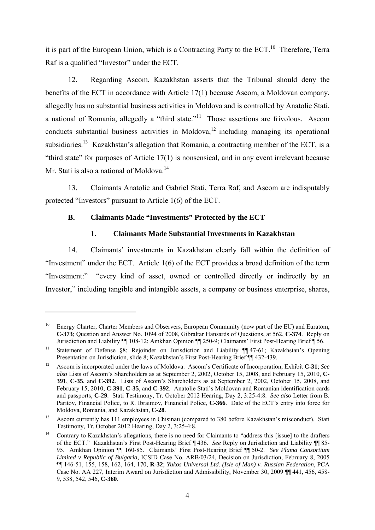it is part of the European Union, which is a Contracting Party to the  $ECT<sup>10</sup>$ . Therefore, Terra Raf is a qualified "Investor" under the ECT.

12. Regarding Ascom, Kazakhstan asserts that the Tribunal should deny the benefits of the ECT in accordance with Article 17(1) because Ascom, a Moldovan company, allegedly has no substantial business activities in Moldova and is controlled by Anatolie Stati, a national of Romania, allegedly a "third state."11 Those assertions are frivolous. Ascom conducts substantial business activities in Moldova,<sup>12</sup> including managing its operational subsidiaries.<sup>13</sup> Kazakhstan's allegation that Romania, a contracting member of the ECT, is a "third state" for purposes of Article 17(1) is nonsensical, and in any event irrelevant because Mr. Stati is also a national of Moldova.<sup>14</sup>

13. Claimants Anatolie and Gabriel Stati, Terra Raf, and Ascom are indisputably protected "Investors" pursuant to Article 1(6) of the ECT.

# **B. Claimants Made "Investments" Protected by the ECT**

1

### **1. Claimants Made Substantial Investments in Kazakhstan**

14. Claimants' investments in Kazakhstan clearly fall within the definition of "Investment" under the ECT. Article 1(6) of the ECT provides a broad definition of the term "Investment:" "every kind of asset, owned or controlled directly or indirectly by an Investor," including tangible and intangible assets, a company or business enterprise, shares,

<sup>10</sup> Energy Charter, Charter Members and Observers, European Community (now part of the EU) and Euratom, **C-373**; Question and Answer No. 1094 of 2008, Gibraltar Hansards of Questions, at 562, **C-374**. Reply on Jurisdiction and Liability ¶¶ 108-12; Amkhan Opinion ¶¶ 250-9; Claimants' First Post-Hearing Brief ¶ 56.

<sup>&</sup>lt;sup>11</sup> Statement of Defense §8; Rejoinder on Jurisdiction and Liability ¶¶ 47-61; Kazakhstan's Opening Presentation on Jurisdiction, slide 8; Kazakhstan's First Post-Hearing Brief ¶¶ 432-439.

<sup>12</sup> Ascom is incorporated under the laws of Moldova. Ascom's Certificate of Incorporation, Exhibit **C-31**; *See also* Lists of Ascom's Shareholders as at September 2, 2002, October 15, 2008, and February 15, 2010, **C-391**, **C-35**, and **C-392**. Lists of Ascom's Shareholders as at September 2, 2002, October 15, 2008, and February 15, 2010, **C-391**, **C-35**, and **C-392**. Anatolie Stati's Moldovan and Romanian identification cards and passports, **C-29**. Stati Testimony, Tr. October 2012 Hearing, Day 2, 3:25-4:8. *See also* Letter from B. Paritov, Financial Police, to R. Ibraimov, Financial Police, **C-366**. Date of the ECT's entry into force for

Moldova, Romania, and Kazakhstan, **C-28**.<br><sup>13</sup> Ascom currently has 111 employees in Chisinau (compared to 380 before Kazakhstan's misconduct). Stati Testimony, Tr. October 2012 Hearing, Day 2, 3:25-4:8.

<sup>&</sup>lt;sup>14</sup> Contrary to Kazakhstan's allegations, there is no need for Claimants to "address this [issue] to the drafters of the ECT." Kazakhstan's First Post-Hearing Brief ¶ 436. *See* Reply on Jurisdiction and Liability ¶¶ 85- 95. Amkhan Opinion ¶¶ 160-85. Claimants' First Post-Hearing Brief ¶¶ 50-2. *See Plama Consortium Limited v Republic of Bulgaria,* ICSID Case No. ARB/03/24, Decision on Jurisdiction, February 8, 2005 ¶¶ 146-51, 155, 158, 162, 164, 170, **R-32**; *Yukos Universal Ltd. (Isle of Man) v. Russian Federation*, PCA Case No. AA 227, Interim Award on Jurisdiction and Admissibility, November 30, 2009 ¶¶ 441, 456, 458- 9, 538, 542, 546, **C-360**.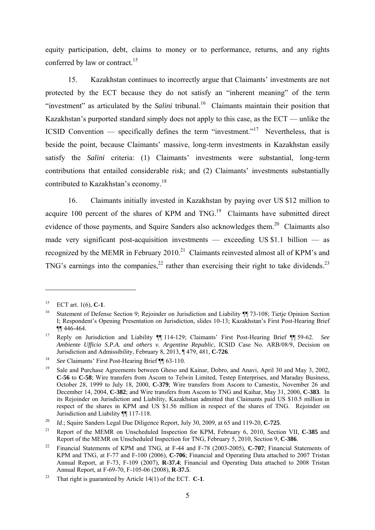equity participation, debt, claims to money or to performance, returns, and any rights conferred by law or contract.<sup>15</sup>

15. Kazakhstan continues to incorrectly argue that Claimants' investments are not protected by the ECT because they do not satisfy an "inherent meaning" of the term "investment" as articulated by the *Salini* tribunal.<sup>16</sup> Claimants maintain their position that Kazakhstan's purported standard simply does not apply to this case, as the ECT — unlike the ICSID Convention — specifically defines the term "investment."<sup>17</sup> Nevertheless, that is beside the point, because Claimants' massive, long-term investments in Kazakhstan easily satisfy the *Salini* criteria: (1) Claimants' investments were substantial, long-term contributions that entailed considerable risk; and (2) Claimants' investments substantially contributed to Kazakhstan's economy.<sup>18</sup>

16. Claimants initially invested in Kazakhstan by paying over US \$12 million to acquire 100 percent of the shares of KPM and  $TNG$ <sup>19</sup> Claimants have submitted direct evidence of those payments, and Squire Sanders also acknowledges them.<sup>20</sup> Claimants also made very significant post-acquisition investments — exceeding US \$1.1 billion — as recognized by the MEMR in February  $2010<sup>21</sup>$  Claimants reinvested almost all of KPM's and TNG's earnings into the companies.<sup>22</sup> rather than exercising their right to take dividends.<sup>23</sup>

<sup>15</sup> ECT art. 1(6), **C-1**.

<sup>&</sup>lt;sup>16</sup> Statement of Defense Section 9; Rejoinder on Jurisdiction and Liability ¶¶ 73-108; Tietje Opinion Section I; Respondent's Opening Presentation on Jurisdiction, slides 10-13; Kazakhstan's First Post-Hearing Brief ¶¶ 446-464.

<sup>17</sup> Reply on Jurisdiction and Liability ¶¶ 114-129; Claimants' First Post-Hearing Brief ¶¶ 59-62. *See Ambiente Ufficio S.P.A. and others v. Argentine Republic*, ICSID Case No. ARB/08/9, Decision on Jurisdiction and Admissibility, February 8, 2013, ¶ 479, 481, **C-726**.

<sup>&</sup>lt;sup>18</sup> See Claimants' First Post-Hearing Brief ¶¶ 63-110.<br><sup>19</sup> Sale and Purchase Agreements between Gheso and Kainar, Dobro, and Anavi, April 30 and May 3, 2002, **C-56** to **C-58**; Wire transfers from Ascom to Telwin Limited, Testep Enterprises, and Maraday Business, October 28, 1999 to July 18, 2000, **C-379**; Wire transfers from Ascom to Camestix, November 26 and December 14, 2004, **C-382**; and Wire transfers from Ascom to TNG and Kaihar, May 31, 2000, **C-383**. In its Rejoinder on Jurisdiction and Liability, Kazakhstan admitted that Claimants paid US \$10.5 million in respect of the shares in KPM and US \$1.56 million in respect of the shares of TNG. Rejoinder on Jurisdiction and Liability ¶¶ 117-118.

<sup>20</sup> *Id*.; Squire Sanders Legal Due Diligence Report, July 30, 2009, at 65 and 119-20, **C-725**.

<sup>&</sup>lt;sup>21</sup> Report of the MEMR on Unscheduled Inspection for KPM, February 6, 2010, Section VII, **C-385** and Report of the MEMR on Unscheduled Inspection for TNG, February 5, 2010, Section 9, **C-386**.

<sup>22</sup> Financial Statements of KPM and TNG, at F-44 and F-78 (2003-2005), **C-707**; Financial Statements of KPM and TNG, at F-77 and F-100 (2006), **C-706**; Financial and Operating Data attached to 2007 Tristan Annual Report, at F-73, F-109 (2007), **R-37.4**; Financial and Operating Data attached to 2008 Tristan Annual Report, at F-69-70, F-105-06 (2008), **R-37.5**.

<sup>23</sup> That right is guaranteed by Article 14(1) of the ECT. **C-1**.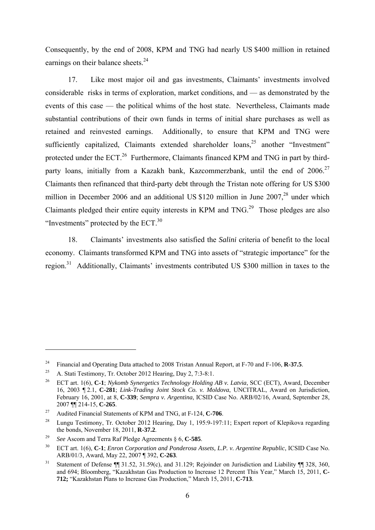Consequently, by the end of 2008, KPM and TNG had nearly US \$400 million in retained earnings on their balance sheets.<sup>24</sup>

17. Like most major oil and gas investments, Claimants' investments involved considerable risks in terms of exploration, market conditions, and — as demonstrated by the events of this case — the political whims of the host state. Nevertheless, Claimants made substantial contributions of their own funds in terms of initial share purchases as well as retained and reinvested earnings. Additionally, to ensure that KPM and TNG were sufficiently capitalized, Claimants extended shareholder loans,<sup>25</sup> another "Investment" protected under the ECT.<sup>26</sup> Furthermore, Claimants financed KPM and TNG in part by thirdparty loans, initially from a Kazakh bank, Kazcommerzbank, until the end of  $2006$ <sup>27</sup> Claimants then refinanced that third-party debt through the Tristan note offering for US \$300 million in December 2006 and an additional US \$120 million in June  $2007<sup>28</sup>$  under which Claimants pledged their entire equity interests in KPM and TNG.<sup>29</sup> Those pledges are also "Investments" protected by the ECT.30

18. Claimants' investments also satisfied the *Salini* criteria of benefit to the local economy. Claimants transformed KPM and TNG into assets of "strategic importance" for the region.31 Additionally, Claimants' investments contributed US \$300 million in taxes to the

<sup>&</sup>lt;sup>24</sup> Financial and Operating Data attached to 2008 Tristan Annual Report, at F-70 and F-106, **R-37.5**.<br><sup>25</sup> A. Stati Testimony, Tr. October 2012 Hearing, Day 2, 7:3-8:1.

<sup>26</sup> ECT art. 1(6), **C-1**; *Nykomb Synergetics Technology Holding AB v. Latvia*, SCC (ECT), Award, December 16, 2003 ¶ 2.1, **C-281**; *Link-Trading Joint Stock Co. v. Moldova*, UNCITRAL, Award on Jurisdiction, February 16, 2001, at 8, **C-339**; *Sempra v. Argentina*, ICSID Case No. ARB/02/16, Award, September 28, 2007 **[14-15, C-265**]<br><sup>27</sup> Audited Financial Statements of KPM and TNG, at F-124, **C-706**.<br><sup>28</sup> Lungu Testimony, Tr. October 2012 Hearing, Day 1, 195:9-197:11; Expert report of Klepikova regarding

the bonds, November 18, 2011, **R-37.2**. 29 *See* Ascom and Terra Raf Pledge Agreements § 6, **C-585**.

<sup>&</sup>lt;sup>30</sup> ECT art. 1(6), **C-1**; *Enron Corporation and Ponderosa Assets, L.P. v. Argentine Republic*, ICSID Case No.<br>ARB/01/3, Award, May 22, 2007 ¶ 392, **C-263**.

<sup>&</sup>lt;sup>31</sup> Statement of Defense ¶ 31.52, 31.59(c), and 31.129; Rejoinder on Jurisdiction and Liability ¶ 328, 360, and 694; Bloomberg, "Kazakhstan Gas Production to Increase 12 Percent This Year," March 15, 2011, **C-712;** "Kazakhstan Plans to Increase Gas Production," March 15, 2011, **C-713**.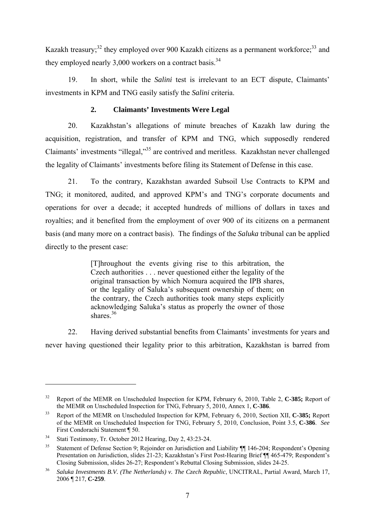Kazakh treasury;<sup>32</sup> they employed over 900 Kazakh citizens as a permanent workforce;<sup>33</sup> and they employed nearly  $3.000$  workers on a contract basis.<sup>34</sup>

19. In short, while the *Salini* test is irrelevant to an ECT dispute, Claimants' investments in KPM and TNG easily satisfy the *Salini* criteria.

# **2. Claimants' Investments Were Legal**

20. Kazakhstan's allegations of minute breaches of Kazakh law during the acquisition, registration, and transfer of KPM and TNG, which supposedly rendered Claimants' investments "illegal,"35 are contrived and meritless. Kazakhstan never challenged the legality of Claimants' investments before filing its Statement of Defense in this case.

21. To the contrary, Kazakhstan awarded Subsoil Use Contracts to KPM and TNG; it monitored, audited, and approved KPM's and TNG's corporate documents and operations for over a decade; it accepted hundreds of millions of dollars in taxes and royalties; and it benefited from the employment of over 900 of its citizens on a permanent basis (and many more on a contract basis). The findings of the *Saluka* tribunal can be applied directly to the present case:

> [T]hroughout the events giving rise to this arbitration, the Czech authorities . . . never questioned either the legality of the original transaction by which Nomura acquired the IPB shares, or the legality of Saluka's subsequent ownership of them; on the contrary, the Czech authorities took many steps explicitly acknowledging Saluka's status as properly the owner of those shares $36$

22. Having derived substantial benefits from Claimants' investments for years and never having questioned their legality prior to this arbitration, Kazakhstan is barred from

<sup>&</sup>lt;sup>32</sup> Report of the MEMR on Unscheduled Inspection for KPM, February 6, 2010, Table 2, C-385; Report of the MEMR on Unscheduled Inspection for TNG. February 5, 2010, Annex 1, C-386.

<sup>&</sup>lt;sup>33</sup> Report of the MEMR on Unscheduled Inspection for KPM, February 6, 2010, Section XII, **C-385;** Report of the MEMR on Unscheduled Inspection for TNG, February 5, 2010, Conclusion, Point 3.5, **C-386**. *See*  First Condorachi Statement ¶ 50.<br>34 Stati Testimony, Tr. October 2012 Hearing, Day 2, 43:23-24.

<sup>&</sup>lt;sup>35</sup> Statement of Defense Section 9; Rejoinder on Jurisdiction and Liability ¶ 146-204; Respondent's Opening Presentation on Jurisdiction, slides 21-23; Kazakhstan's First Post-Hearing Brief ¶¶ 465-479; Respondent's Closing Submission, slides 26-27; Respondent's Rebuttal Closing Submission, slides 24-25.

<sup>36</sup> *Saluka Investments B.V. (The Netherlands) v. The Czech Republic*, UNCITRAL, Partial Award, March 17, 2006 ¶ 217, **C-259**.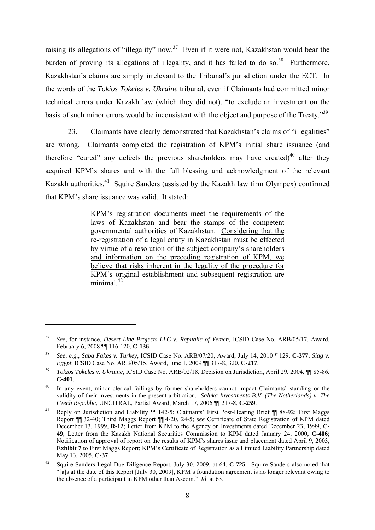raising its allegations of "illegality" now.<sup>37</sup> Even if it were not, Kazakhstan would bear the burden of proving its allegations of illegality, and it has failed to do so.<sup>38</sup> Furthermore, Kazakhstan's claims are simply irrelevant to the Tribunal's jurisdiction under the ECT. In the words of the *Tokios Tokeles v. Ukraine* tribunal, even if Claimants had committed minor technical errors under Kazakh law (which they did not), "to exclude an investment on the basis of such minor errors would be inconsistent with the object and purpose of the Treaty."39

23. Claimants have clearly demonstrated that Kazakhstan's claims of "illegalities" are wrong. Claimants completed the registration of KPM's initial share issuance (and therefore "cured" any defects the previous shareholders may have created) $^{40}$  after they acquired KPM's shares and with the full blessing and acknowledgment of the relevant Kazakh authorities.<sup>41</sup> Squire Sanders (assisted by the Kazakh law firm Olympex) confirmed that KPM's share issuance was valid. It stated:

> KPM's registration documents meet the requirements of the laws of Kazakhstan and bear the stamps of the competent governmental authorities of Kazakhstan. Considering that the re-registration of a legal entity in Kazakhstan must be effected by virtue of a resolution of the subject company's shareholders and information on the preceding registration of KPM, we believe that risks inherent in the legality of the procedure for KPM's original establishment and subsequent registration are  $minimal.<sup>42</sup>$

<u>.</u>

<sup>37</sup> *See*, for instance, *Desert Line Projects LLC v. Republic of Yemen,* ICSID Case No. ARB/05/17, Award, February 6, 2008 ¶¶ 116-120, **C-136**. 38 *See*, *e.g*., *Saba Fakes v. Turkey*, ICSID Case No. ARB/07/20, Award, July 14, 2010 ¶ 129, **C-377**; *Siag v.* 

*Egypt*, ICSID Case No. ARB/05/15, Award, June 1, 2009 ¶¶ 317-8, 320, **C-217**.

<sup>39</sup> *Tokios Tokeles v. Ukraine*, ICSID Case No. ARB/02/18, Decision on Jurisdiction, April 29, 2004, ¶¶ 85-86, **C-401**.

<sup>&</sup>lt;sup>40</sup> In any event, minor clerical failings by former shareholders cannot impact Claimants' standing or the validity of their investments in the present arbitration. *Saluka Investments B.V. (The Netherlands) v. The Czech Republic*, UNCITRAL, Partial Award, March 17, 2006 ¶¶ 217-8, **C-259**.

<sup>41</sup> Reply on Jurisdiction and Liability ¶¶ 142-5; Claimants' First Post-Hearing Brief ¶ 88-92; First Maggs Report ¶¶ 32-40; Third Maggs Report ¶¶ 4-20, 24-5; *see* Certificate of State Registration of KPM dated December 13, 1999, **R-12**; Letter from KPM to the Agency on Investments dated December 23, 1999, **C-49**; Letter from the Kazakh National Securities Commission to KPM dated January 24, 2000, **C-406**; Notification of approval of report on the results of KPM's shares issue and placement dated April 9, 2003, **Exhibit 7** to First Maggs Report; KPM's Certificate of Registration as a Limited Liability Partnership dated May 13, 2005, C-37.

Squire Sanders Legal Due Diligence Report, July 30, 2009, at 64, C-725. Squire Sanders also noted that "[a]s at the date of this Report [July 30, 2009], KPM's foundation agreement is no longer relevant owing to the absence of a participant in KPM other than Ascom." *Id*. at 63.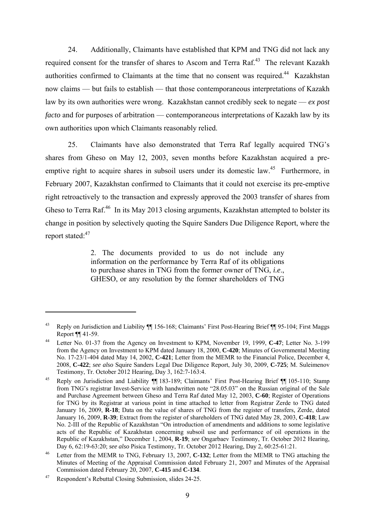24. Additionally, Claimants have established that KPM and TNG did not lack any required consent for the transfer of shares to Ascom and Terra Raf.<sup>43</sup> The relevant Kazakh authorities confirmed to Claimants at the time that no consent was required.<sup>44</sup> Kazakhstan now claims — but fails to establish — that those contemporaneous interpretations of Kazakh law by its own authorities were wrong. Kazakhstan cannot credibly seek to negate — *ex post facto* and for purposes of arbitration — contemporaneous interpretations of Kazakh law by its own authorities upon which Claimants reasonably relied.

25. Claimants have also demonstrated that Terra Raf legally acquired TNG's shares from Gheso on May 12, 2003, seven months before Kazakhstan acquired a preemptive right to acquire shares in subsoil users under its domestic law.<sup>45</sup> Furthermore, in February 2007, Kazakhstan confirmed to Claimants that it could not exercise its pre-emptive right retroactively to the transaction and expressly approved the 2003 transfer of shares from Gheso to Terra Raf.<sup>46</sup> In its May 2013 closing arguments, Kazakhstan attempted to bolster its change in position by selectively quoting the Squire Sanders Due Diligence Report, where the report stated:<sup>47</sup>

> 2. The documents provided to us do not include any information on the performance by Terra Raf of its obligations to purchase shares in TNG from the former owner of TNG, *i.e*., GHESO, or any resolution by the former shareholders of TNG

<sup>43</sup> Reply on Jurisdiction and Liability ¶¶ 156-168; Claimants' First Post-Hearing Brief ¶¶ 95-104; First Maggs Report ¶¶ 41-59.

<sup>44</sup> Letter No. 01-37 from the Agency on Investment to KPM, November 19, 1999, **C-47**; Letter No. 3-199 from the Agency on Investment to KPM dated January 18, 2000, **C-420**; Minutes of Governmental Meeting No. 17-23/1-404 dated May 14, 2002, **C-421**; Letter from the MEMR to the Financial Police, December 4, 2008, **C-422**; *see also* Squire Sanders Legal Due Diligence Report, July 30, 2009, **C-725**; M. Suleimenov

Testimony, Tr. October 2012 Hearing, Day 3, 162:7-163:4.<br><sup>45</sup> Reply on Jurisdiction and Liability ¶ 183-189; Claimants' First Post-Hearing Brief ¶¶ 105-110; Stamp from TNG's registrar Invest-Service with handwritten note "28.05.03" on the Russian original of the Sale and Purchase Agreement between Gheso and Terra Raf dated May 12, 2003, **C-60**; Register of Operations for TNG by its Registrar at various point in time attached to letter from Registrar Zerde to TNG dated January 16, 2009, **R-18**; Data on the value of shares of TNG from the register of transfers, Zerde, dated January 16, 2009, **R-39**; Extract from the register of shareholders of TNG dated May 28, 2003, **C-418**; Law No. 2-III of the Republic of Kazakhstan "On introduction of amendments and additions to some legislative acts of the Republic of Kazakhstan concerning subsoil use and performance of oil operations in the Republic of Kazakhstan," December 1, 2004, **R-19**; *see* Ongarbaev Testimony, Tr. October 2012 Hearing, Day 6, 62:19-63:20; *see also* Pisica Testimony, Tr. October 2012 Hearing, Day 2, 60:25-61:21.

<sup>46</sup> Letter from the MEMR to TNG, February 13, 2007, **C-132**; Letter from the MEMR to TNG attaching the Minutes of Meeting of the Appraisal Commission dated February 21, 2007 and Minutes of the Appraisal Commission dated February 20, 2007, **C-415** and **C-134**.

<sup>47</sup> Respondent's Rebuttal Closing Submission, slides 24-25.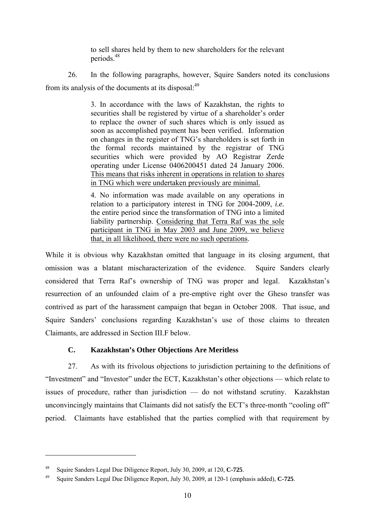to sell shares held by them to new shareholders for the relevant periods.48

26. In the following paragraphs, however, Squire Sanders noted its conclusions from its analysis of the documents at its disposal:<sup>49</sup>

> 3. In accordance with the laws of Kazakhstan, the rights to securities shall be registered by virtue of a shareholder's order to replace the owner of such shares which is only issued as soon as accomplished payment has been verified. Information on changes in the register of TNG's shareholders is set forth in the formal records maintained by the registrar of TNG securities which were provided by AO Registrar Zerde operating under License 0406200451 dated 24 January 2006. This means that risks inherent in operations in relation to shares in TNG which were undertaken previously are minimal.

> 4. No information was made available on any operations in relation to a participatory interest in TNG for 2004-2009, *i.e.* the entire period since the transformation of TNG into a limited liability partnership. Considering that Terra Raf was the sole participant in TNG in May 2003 and June 2009, we believe that, in all likelihood, there were no such operations.

While it is obvious why Kazakhstan omitted that language in its closing argument, that omission was a blatant mischaracterization of the evidence. Squire Sanders clearly considered that Terra Raf's ownership of TNG was proper and legal. Kazakhstan's resurrection of an unfounded claim of a pre-emptive right over the Gheso transfer was contrived as part of the harassment campaign that began in October 2008. That issue, and Squire Sanders' conclusions regarding Kazakhstan's use of those claims to threaten Claimants, are addressed in Section III.F below.

# **C. Kazakhstan's Other Objections Are Meritless**

27. As with its frivolous objections to jurisdiction pertaining to the definitions of "Investment" and "Investor" under the ECT, Kazakhstan's other objections — which relate to issues of procedure, rather than jurisdiction — do not withstand scrutiny. Kazakhstan unconvincingly maintains that Claimants did not satisfy the ECT's three-month "cooling off" period. Claimants have established that the parties complied with that requirement by

<sup>48</sup> Squire Sanders Legal Due Diligence Report, July 30, 2009, at 120, **C-725**. 49 Squire Sanders Legal Due Diligence Report, July 30, 2009, at 120-1 (emphasis added), **C-725**.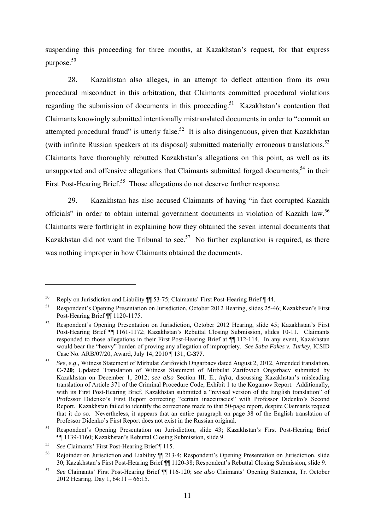suspending this proceeding for three months, at Kazakhstan's request, for that express purpose.50

28. Kazakhstan also alleges, in an attempt to deflect attention from its own procedural misconduct in this arbitration, that Claimants committed procedural violations regarding the submission of documents in this proceeding.<sup>51</sup> Kazakhstan's contention that Claimants knowingly submitted intentionally mistranslated documents in order to "commit an attempted procedural fraud" is utterly false.<sup>52</sup> It is also disingenuous, given that Kazakhstan (with infinite Russian speakers at its disposal) submitted materially erroneous translations.<sup>53</sup> Claimants have thoroughly rebutted Kazakhstan's allegations on this point, as well as its unsupported and offensive allegations that Claimants submitted forged documents,<sup>54</sup> in their First Post-Hearing Brief.<sup>55</sup> Those allegations do not deserve further response.

29. Kazakhstan has also accused Claimants of having "in fact corrupted Kazakh officials" in order to obtain internal government documents in violation of Kazakh law.<sup>56</sup> Claimants were forthright in explaining how they obtained the seven internal documents that Kazakhstan did not want the Tribunal to see.<sup>57</sup> No further explanation is required, as there was nothing improper in how Claimants obtained the documents.

<sup>&</sup>lt;sup>50</sup> Reply on Jurisdiction and Liability  $\P$  53-75; Claimants' First Post-Hearing Brief  $\P$  44.<br><sup>51</sup> Respondent's Opening Presentation on Jurisdiction, October 2012 Hearing, slides 25-46; Kazakhstan's First Post-Hearing Brief ¶¶ 1120-1175.

<sup>52</sup> Respondent's Opening Presentation on Jurisdiction, October 2012 Hearing, slide 45; Kazakhstan's First Post-Hearing Brief  $\P$ <sup>1161-1172;</sup> Kazakhstan's Rebuttal Closing Submission, slides 10-11. Claimants responded to those allegations in their First Post-Hearing Brief at ¶¶ 112-114. In any event, Kazakhstan would bear the "heavy" burden of proving any allegation of impropriety. *See Saba Fakes v. Turkey*, ICSID Case No. ARB/07/20, Award, July 14, 2010 ¶ 131, **C-377**.

<sup>53</sup> *See, e.g*., Witness Statement of Mirbulat Zarifovich Ongarbaev dated August 2, 2012, Amended translation, **C-720**; Updated Translation of Witness Statement of Mirbulat Zarifovich Ongarbaev submitted by Kazakhstan on December 1, 2012; *see also* Section III. E., *infra*, discussing Kazakhstan's misleading translation of Article 371 of the Criminal Procedure Code, Exhibit 1 to the Kogamov Report. Additionally, with its First Post-Hearing Brief, Kazakhstan submitted a "revised version of the English translation" of Professor Didenko's First Report correcting "certain inaccuracies" with Professor Didenko's Second Report. Kazakhstan failed to identify the corrections made to that 50-page report, despite Claimants request that it do so. Nevertheless, it appears that an entire paragraph on page 38 of the English translation of Professor Didenko's First Report does not exist in the Russian original.

<sup>54</sup> Respondent's Opening Presentation on Jurisdiction, slide 43; Kazakhstan's First Post-Hearing Brief ¶¶ 1139-1160; Kazakhstan's Rebuttal Closing Submission, slide 9.

<sup>55</sup> *See* Claimants' First Post-Hearing Brief ¶ 115.

<sup>56</sup> Rejoinder on Jurisdiction and Liability ¶¶ 213-4; Respondent's Opening Presentation on Jurisdiction, slide 30; Kazakhstan's First Post-Hearing Brief ¶¶ 1120-38; Respondent's Rebuttal Closing Submission, slide 9.

<sup>57</sup> *See* Claimants' First Post-Hearing Brief ¶¶ 116-120; *see also* Claimants' Opening Statement, Tr. October 2012 Hearing, Day 1, 64:11 – 66:15.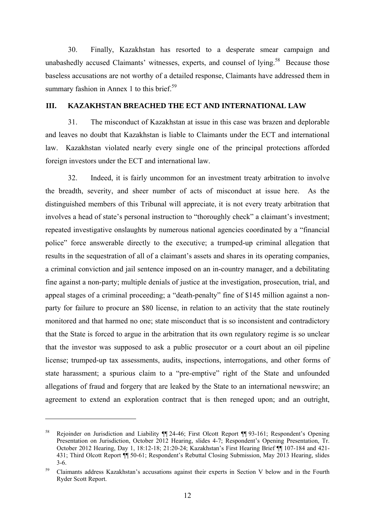30. Finally, Kazakhstan has resorted to a desperate smear campaign and unabashedly accused Claimants' witnesses, experts, and counsel of lying.<sup>58</sup> Because those baseless accusations are not worthy of a detailed response, Claimants have addressed them in summary fashion in Annex 1 to this brief.<sup>59</sup>

### **III. KAZAKHSTAN BREACHED THE ECT AND INTERNATIONAL LAW**

31. The misconduct of Kazakhstan at issue in this case was brazen and deplorable and leaves no doubt that Kazakhstan is liable to Claimants under the ECT and international law. Kazakhstan violated nearly every single one of the principal protections afforded foreign investors under the ECT and international law.

32. Indeed, it is fairly uncommon for an investment treaty arbitration to involve the breadth, severity, and sheer number of acts of misconduct at issue here. As the distinguished members of this Tribunal will appreciate, it is not every treaty arbitration that involves a head of state's personal instruction to "thoroughly check" a claimant's investment; repeated investigative onslaughts by numerous national agencies coordinated by a "financial police" force answerable directly to the executive; a trumped-up criminal allegation that results in the sequestration of all of a claimant's assets and shares in its operating companies, a criminal conviction and jail sentence imposed on an in-country manager, and a debilitating fine against a non-party; multiple denials of justice at the investigation, prosecution, trial, and appeal stages of a criminal proceeding; a "death-penalty" fine of \$145 million against a nonparty for failure to procure an \$80 license, in relation to an activity that the state routinely monitored and that harmed no one; state misconduct that is so inconsistent and contradictory that the State is forced to argue in the arbitration that its own regulatory regime is so unclear that the investor was supposed to ask a public prosecutor or a court about an oil pipeline license; trumped-up tax assessments, audits, inspections, interrogations, and other forms of state harassment; a spurious claim to a "pre-emptive" right of the State and unfounded allegations of fraud and forgery that are leaked by the State to an international newswire; an agreement to extend an exploration contract that is then reneged upon; and an outright,

<sup>&</sup>lt;sup>58</sup> Rejoinder on Jurisdiction and Liability ¶ 24-46; First Olcott Report ¶ 93-161; Respondent's Opening Presentation on Jurisdiction, October 2012 Hearing, slides 4-7; Respondent's Opening Presentation, Tr. October 2012 Hearing, Day 1, 18:12-18; 21:20-24; Kazakhstan's First Hearing Brief ¶¶ 107-184 and 421- 431; Third Olcott Report ¶¶ 50-61; Respondent's Rebuttal Closing Submission, May 2013 Hearing, slides 3-6.

<sup>&</sup>lt;sup>59</sup> Claimants address Kazakhstan's accusations against their experts in Section V below and in the Fourth Ryder Scott Report.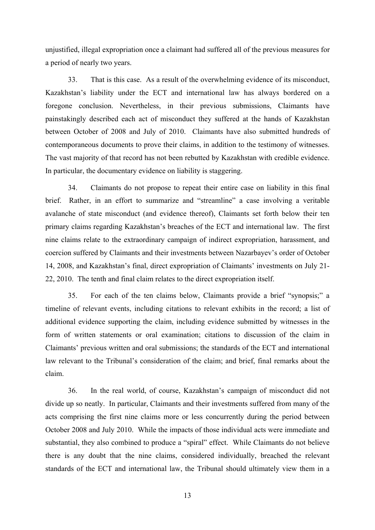unjustified, illegal expropriation once a claimant had suffered all of the previous measures for a period of nearly two years.

33. That is this case. As a result of the overwhelming evidence of its misconduct, Kazakhstan's liability under the ECT and international law has always bordered on a foregone conclusion. Nevertheless, in their previous submissions, Claimants have painstakingly described each act of misconduct they suffered at the hands of Kazakhstan between October of 2008 and July of 2010. Claimants have also submitted hundreds of contemporaneous documents to prove their claims, in addition to the testimony of witnesses. The vast majority of that record has not been rebutted by Kazakhstan with credible evidence. In particular, the documentary evidence on liability is staggering.

34. Claimants do not propose to repeat their entire case on liability in this final brief. Rather, in an effort to summarize and "streamline" a case involving a veritable avalanche of state misconduct (and evidence thereof), Claimants set forth below their ten primary claims regarding Kazakhstan's breaches of the ECT and international law. The first nine claims relate to the extraordinary campaign of indirect expropriation, harassment, and coercion suffered by Claimants and their investments between Nazarbayev's order of October 14, 2008, and Kazakhstan's final, direct expropriation of Claimants' investments on July 21- 22, 2010. The tenth and final claim relates to the direct expropriation itself.

35. For each of the ten claims below, Claimants provide a brief "synopsis;" a timeline of relevant events, including citations to relevant exhibits in the record; a list of additional evidence supporting the claim, including evidence submitted by witnesses in the form of written statements or oral examination; citations to discussion of the claim in Claimants' previous written and oral submissions; the standards of the ECT and international law relevant to the Tribunal's consideration of the claim; and brief, final remarks about the claim.

36. In the real world, of course, Kazakhstan's campaign of misconduct did not divide up so neatly. In particular, Claimants and their investments suffered from many of the acts comprising the first nine claims more or less concurrently during the period between October 2008 and July 2010. While the impacts of those individual acts were immediate and substantial, they also combined to produce a "spiral" effect. While Claimants do not believe there is any doubt that the nine claims, considered individually, breached the relevant standards of the ECT and international law, the Tribunal should ultimately view them in a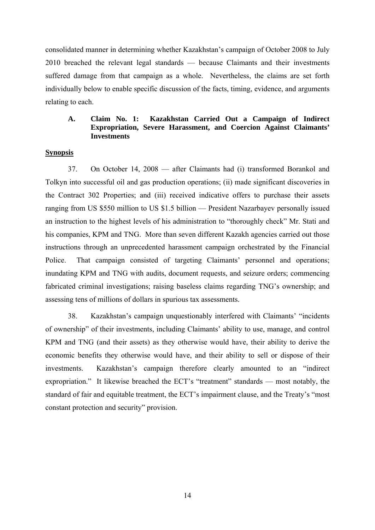consolidated manner in determining whether Kazakhstan's campaign of October 2008 to July 2010 breached the relevant legal standards — because Claimants and their investments suffered damage from that campaign as a whole. Nevertheless, the claims are set forth individually below to enable specific discussion of the facts, timing, evidence, and arguments relating to each.

#### **A. Claim No. 1: Kazakhstan Carried Out a Campaign of Indirect Expropriation, Severe Harassment, and Coercion Against Claimants' Investments**

#### **Synopsis**

37. On October 14, 2008 — after Claimants had (i) transformed Borankol and Tolkyn into successful oil and gas production operations; (ii) made significant discoveries in the Contract 302 Properties; and (iii) received indicative offers to purchase their assets ranging from US \$550 million to US \$1.5 billion — President Nazarbayev personally issued an instruction to the highest levels of his administration to "thoroughly check" Mr. Stati and his companies, KPM and TNG. More than seven different Kazakh agencies carried out those instructions through an unprecedented harassment campaign orchestrated by the Financial Police. That campaign consisted of targeting Claimants' personnel and operations; inundating KPM and TNG with audits, document requests, and seizure orders; commencing fabricated criminal investigations; raising baseless claims regarding TNG's ownership; and assessing tens of millions of dollars in spurious tax assessments.

38. Kazakhstan's campaign unquestionably interfered with Claimants' "incidents of ownership" of their investments, including Claimants' ability to use, manage, and control KPM and TNG (and their assets) as they otherwise would have, their ability to derive the economic benefits they otherwise would have, and their ability to sell or dispose of their investments. Kazakhstan's campaign therefore clearly amounted to an "indirect expropriation." It likewise breached the ECT's "treatment" standards — most notably, the standard of fair and equitable treatment, the ECT's impairment clause, and the Treaty's "most constant protection and security" provision.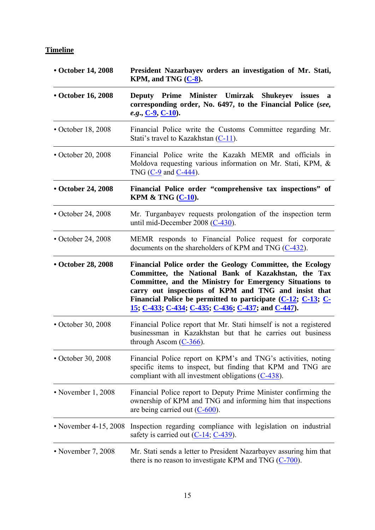# **Timeline**

| • October 14, 2008       | President Nazarbayev orders an investigation of Mr. Stati,<br>KPM, and TNG $(C-8)$ .                                                                                                                                                                                                                                                                        |  |  |
|--------------------------|-------------------------------------------------------------------------------------------------------------------------------------------------------------------------------------------------------------------------------------------------------------------------------------------------------------------------------------------------------------|--|--|
| • October 16, 2008       | Deputy Prime Minister Umirzak Shukeyev issues<br>a<br>corresponding order, No. 6497, to the Financial Police (see,<br>e.g., $C-9$ , $C-10$ ).                                                                                                                                                                                                               |  |  |
| $\cdot$ October 18, 2008 | Financial Police write the Customs Committee regarding Mr.<br>Stati's travel to Kazakhstan (C-11).                                                                                                                                                                                                                                                          |  |  |
| $\cdot$ October 20, 2008 | Financial Police write the Kazakh MEMR and officials in<br>Moldova requesting various information on Mr. Stati, KPM, &<br>TNG $(C-9$ and $C-444$ ).                                                                                                                                                                                                         |  |  |
| • October 24, 2008       | Financial Police order "comprehensive tax inspections" of<br>KPM & TNG $(C-10)$ .                                                                                                                                                                                                                                                                           |  |  |
| $\cdot$ October 24, 2008 | Mr. Turganbayev requests prolongation of the inspection term<br>until mid-December 2008 ( $C-430$ ).                                                                                                                                                                                                                                                        |  |  |
| $\cdot$ October 24, 2008 | MEMR responds to Financial Police request for corporate<br>documents on the shareholders of KPM and TNG $(C-432)$ .                                                                                                                                                                                                                                         |  |  |
| • October 28, 2008       | Financial Police order the Geology Committee, the Ecology<br>Committee, the National Bank of Kazakhstan, the Tax<br>Committee, and the Ministry for Emergency Situations to<br>carry out inspections of KPM and TNG and insist that<br>Financial Police be permitted to participate $(C-12; C-13; C-$<br>15; C-433; C-434; C-435; C-436; C-437; and C-447). |  |  |
| • October 30, 2008       | Financial Police report that Mr. Stati himself is not a registered<br>businessman in Kazakhstan but that he carries out business<br>through Ascom $(C-366)$ .                                                                                                                                                                                               |  |  |
| • October 30, 2008       | Financial Police report on KPM's and TNG's activities, noting<br>specific items to inspect, but finding that KPM and TNG are<br>compliant with all investment obligations $(C-438)$ .                                                                                                                                                                       |  |  |
| • November $1, 2008$     | Financial Police report to Deputy Prime Minister confirming the<br>ownership of KPM and TNG and informing him that inspections<br>are being carried out $(C_600)$ .                                                                                                                                                                                         |  |  |
| • November 4-15, 2008    | Inspection regarding compliance with legislation on industrial<br>safety is carried out $(C-14, C-439)$ .                                                                                                                                                                                                                                                   |  |  |
| • November 7, 2008       | Mr. Stati sends a letter to President Nazarbayev assuring him that<br>there is no reason to investigate KPM and TNG $(C-700)$ .                                                                                                                                                                                                                             |  |  |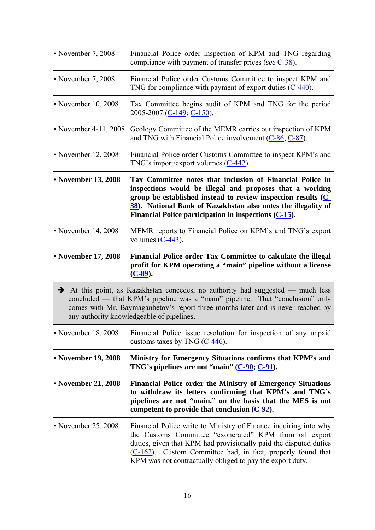| • November 7, 2008    | Financial Police order inspection of KPM and TNG regarding<br>compliance with payment of transfer prices (see $C-38$ ).                                                                                                                                                                                                           |
|-----------------------|-----------------------------------------------------------------------------------------------------------------------------------------------------------------------------------------------------------------------------------------------------------------------------------------------------------------------------------|
| • November 7, 2008    | Financial Police order Customs Committee to inspect KPM and<br>TNG for compliance with payment of export duties $(C-440)$ .                                                                                                                                                                                                       |
| • November 10, 2008   | Tax Committee begins audit of KPM and TNG for the period<br>2005-2007 (C-149; C-150).                                                                                                                                                                                                                                             |
| • November 4-11, 2008 | Geology Committee of the MEMR carries out inspection of KPM<br>and TNG with Financial Police involvement (C-86; C-87).                                                                                                                                                                                                            |
| • November 12, 2008   | Financial Police order Customs Committee to inspect KPM's and<br>TNG's import/export volumes $(C-442)$ .                                                                                                                                                                                                                          |
| • November 13, 2008   | Tax Committee notes that inclusion of Financial Police in<br>inspections would be illegal and proposes that a working<br>group be established instead to review inspection results (C-<br>38). National Bank of Kazakhstan also notes the illegality of<br>Financial Police participation in inspections $(C-15)$ .               |
| • November 14, 2008   | MEMR reports to Financial Police on KPM's and TNG's export<br>volumes $(C-443)$ .                                                                                                                                                                                                                                                 |
| • November 17, 2008   | Financial Police order Tax Committee to calculate the illegal<br>profit for KPM operating a "main" pipeline without a license<br>$(C-89)$ .                                                                                                                                                                                       |
| $\rightarrow$         | At this point, as Kazakhstan concedes, no authority had suggested — much less<br>concluded — that KPM's pipeline was a "main" pipeline. That "conclusion" only<br>comes with Mr. Baymaganbetov's report three months later and is never reached by<br>any authority knowledgeable of pipelines.                                   |
| • November 18, 2008   | Financial Police issue resolution for inspection of any unpaid<br>customs taxes by TNG $(C-446)$ .                                                                                                                                                                                                                                |
| • November 19, 2008   | Ministry for Emergency Situations confirms that KPM's and<br>TNG's pipelines are not "main" (C-90; C-91).                                                                                                                                                                                                                         |
| • November 21, 2008   | <b>Financial Police order the Ministry of Emergency Situations</b><br>to withdraw its letters confirming that KPM's and TNG's<br>pipelines are not "main," on the basis that the MES is not<br>competent to provide that conclusion $(C-92)$ .                                                                                    |
| • November 25, 2008   | Financial Police write to Ministry of Finance inquiring into why<br>the Customs Committee "exonerated" KPM from oil export<br>duties, given that KPM had provisionally paid the disputed duties<br>Custom Committee had, in fact, properly found that<br>$(C-162)$ .<br>KPM was not contractually obliged to pay the export duty. |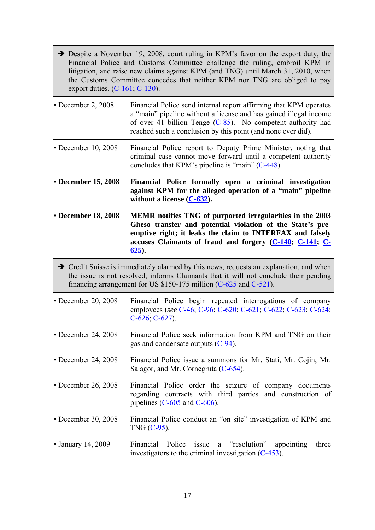- Despite a November 19, 2008, court ruling in KPM's favor on the export duty, the Financial Police and Customs Committee challenge the ruling, embroil KPM in litigation, and raise new claims against KPM (and TNG) until March 31, 2010, when the Customs Committee concedes that neither KPM nor TNG are obliged to pay export duties.  $(C-161, C-130)$ .
- December 2, 2008 Financial Police send internal report affirming that KPM operates a "main" pipeline without a license and has gained illegal income of over 41 billion Tenge (C-85). No competent authority had reached such a conclusion by this point (and none ever did).
- December 10, 2008 Financial Police report to Deputy Prime Minister, noting that criminal case cannot move forward until a competent authority concludes that KPM's pipeline is "main" (C-448).
- **December 15, 2008 Financial Police formally open a criminal investigation against KPM for the alleged operation of a "main" pipeline without a license (C-632).**
- **December 18, 2008 MEMR notifies TNG of purported irregularities in the 2003 Gheso transfer and potential violation of the State's preemptive right; it leaks the claim to INTERFAX and falsely accuses Claimants of fraud and forgery (C-140; C-141; C-625).**
- Credit Suisse is immediately alarmed by this news, requests an explanation, and when the issue is not resolved, informs Claimants that it will not conclude their pending financing arrangement for US \$150-175 million (C-625 and C-521).
- December 20, 2008 Financial Police begin repeated interrogations of company employees (*see* C-46; C-96; C-620; C-621; C-622; C-623; C-624: C-626; C-627).
- December 24, 2008 Financial Police seek information from KPM and TNG on their gas and condensate outputs (C-94).
- December 24, 2008 Financial Police issue a summons for Mr. Stati, Mr. Cojin, Mr. Salagor, and Mr. Cornegruta (C-654).
- December 26, 2008 Financial Police order the seizure of company documents regarding contracts with third parties and construction of pipelines (C-605 and C-606).
- December 30, 2008 Financial Police conduct an "on site" investigation of KPM and TNG (C-95).
- January 14, 2009 Financial Police issue a "resolution" appointing three investigators to the criminal investigation (C-453).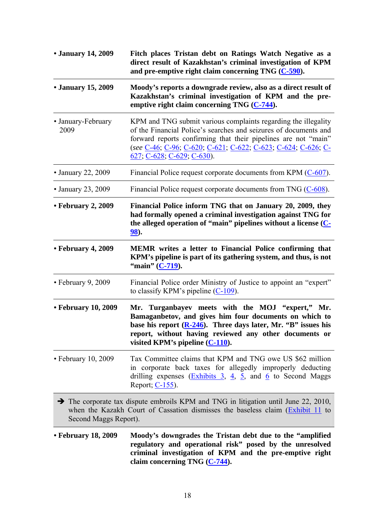| • January 14, 2009         | Fitch places Tristan debt on Ratings Watch Negative as a<br>direct result of Kazakhstan's criminal investigation of KPM<br>and pre-emptive right claim concerning TNG $(C-590)$ .                                                                                                                     |
|----------------------------|-------------------------------------------------------------------------------------------------------------------------------------------------------------------------------------------------------------------------------------------------------------------------------------------------------|
| • January 15, 2009         | Moody's reports a downgrade review, also as a direct result of<br>Kazakhstan's criminal investigation of KPM and the pre-<br>emptive right claim concerning TNG (C-744).                                                                                                                              |
| • January-February<br>2009 | KPM and TNG submit various complaints regarding the illegality<br>of the Financial Police's searches and seizures of documents and<br>forward reports confirming that their pipelines are not "main"<br>(see C-46; C-96; C-620; C-621; C-622; C-623; C-624; C-626; C-<br>$627, C-628, C-629, C-630$ . |
| • January 22, 2009         | Financial Police request corporate documents from KPM (C-607).                                                                                                                                                                                                                                        |
| • January 23, 2009         | Financial Police request corporate documents from TNG (C-608).                                                                                                                                                                                                                                        |
| • February 2, 2009         | Financial Police inform TNG that on January 20, 2009, they<br>had formally opened a criminal investigation against TNG for<br>the alleged operation of "main" pipelines without a license $(C-$<br>98).                                                                                               |
| • February 4, 2009         | <b>MEMR</b> writes a letter to Financial Police confirming that<br>KPM's pipeline is part of its gathering system, and thus, is not<br>"main" (C-719).                                                                                                                                                |
| $\cdot$ February 9, 2009   | Financial Police order Ministry of Justice to appoint an "expert"<br>to classify KPM's pipeline $(C-109)$ .                                                                                                                                                                                           |
| • February 10, 2009        | Mr. Turganbayev meets with the MOJ "expert," Mr.<br>Bamaganbetov, and gives him four documents on which to<br>base his report $(R-246)$ . Three days later, Mr. "B" issues his<br>report, without having reviewed any other documents or<br>visited KPM's pipeline $(C-110)$ .                        |
| $\cdot$ February 10, 2009  | Tax Committee claims that KPM and TNG owe US \$62 million<br>in corporate back taxes for allegedly improperly deducting<br>drilling expenses $(\underline{Exhibits} 3, 4, 5, and 6)$ to Second Maggs<br>Report; C-155).                                                                               |
| Second Maggs Report).      | $\rightarrow$ The corporate tax dispute embroils KPM and TNG in litigation until June 22, 2010,<br>when the Kazakh Court of Cassation dismisses the baseless claim (Exhibit 11 to                                                                                                                     |
| • February 18, 2009        | Moody's downgrades the Tristan debt due to the "amplified"<br>regulatory and operational risk" posed by the unresolved<br>criminal investigation of KPM and the pre-emptive right<br>claim concerning TNG (C-744).                                                                                    |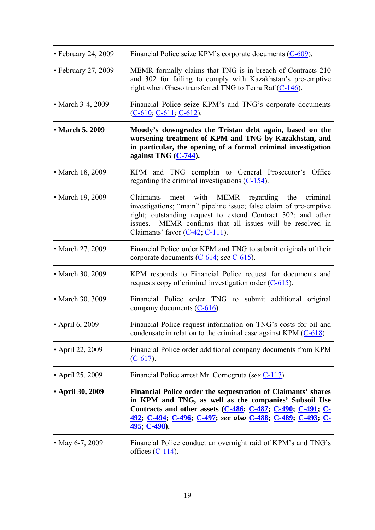| • February 24, 2009 | Financial Police seize KPM's corporate documents $(C-609)$ .                                                                                                                                                                                                                                        |
|---------------------|-----------------------------------------------------------------------------------------------------------------------------------------------------------------------------------------------------------------------------------------------------------------------------------------------------|
| • February 27, 2009 | MEMR formally claims that TNG is in breach of Contracts 210<br>and 302 for failing to comply with Kazakhstan's pre-emptive<br>right when Gheso transferred TNG to Terra Raf (C-146).                                                                                                                |
| • March 3-4, 2009   | Financial Police seize KPM's and TNG's corporate documents<br>$(C-610, C-611, C-612)$ .                                                                                                                                                                                                             |
| • March 5, 2009     | Moody's downgrades the Tristan debt again, based on the<br>worsening treatment of KPM and TNG by Kazakhstan, and<br>in particular, the opening of a formal criminal investigation<br>against TNG (C-744).                                                                                           |
| • March 18, 2009    | KPM and TNG complain to General Prosecutor's Office<br>regarding the criminal investigations $(C-154)$ .                                                                                                                                                                                            |
| • March 19, 2009    | meet with MEMR regarding<br>the<br>Claimants<br>criminal<br>investigations; "main" pipeline issue; false claim of pre-emptive<br>right; outstanding request to extend Contract 302; and other<br>MEMR confirms that all issues will be resolved in<br>issues.<br>Claimants' favor $(C-42, C-111)$ . |
| • March 27, 2009    | Financial Police order KPM and TNG to submit originals of their<br>corporate documents $(C-614;$ see $C-615)$ .                                                                                                                                                                                     |
| • March 30, 2009    | KPM responds to Financial Police request for documents and<br>requests copy of criminal investigation order $(C-615)$ .                                                                                                                                                                             |
| • March 30, 3009    | Financial Police order TNG to submit additional original<br>company documents $(C-616)$ .                                                                                                                                                                                                           |
| • April 6, 2009     | Financial Police request information on TNG's costs for oil and<br>condensate in relation to the criminal case against KPM $(C-618)$ .                                                                                                                                                              |
| • April 22, 2009    | Financial Police order additional company documents from KPM<br>$(C-617)$ .                                                                                                                                                                                                                         |
| • April 25, 2009    | Financial Police arrest Mr. Cornegruta (see C-117).                                                                                                                                                                                                                                                 |
| • April 30, 2009    | Financial Police order the sequestration of Claimants' shares<br>in KPM and TNG, as well as the companies' Subsoil Use<br>Contracts and other assets $(C-486, C-487, C-490, C-491, C-$<br>492; C-494; C-496; C-497; see also C-488; C-489; C-493; C-<br><u>495; C-498</u> ).                        |
| • May 6-7, 2009     | Financial Police conduct an overnight raid of KPM's and TNG's<br>offices $(C-114)$ .                                                                                                                                                                                                                |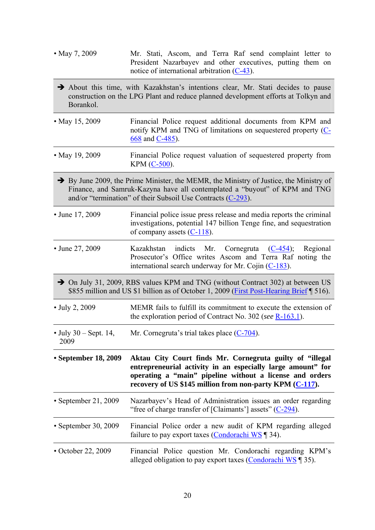- May 7, 2009 Mr. Stati, Ascom, and Terra Raf send complaint letter to President Nazarbayev and other executives, putting them on notice of international arbitration (C-43).
- About this time, with Kazakhstan's intentions clear, Mr. Stati decides to pause construction on the LPG Plant and reduce planned development efforts at Tolkyn and Borankol.
- May 15, 2009 Financial Police request additional documents from KPM and notify KPM and TNG of limitations on sequestered property (C-668 and C-485).
- May 19, 2009 Financial Police request valuation of sequestered property from KPM (C-500).
- $\rightarrow$  By June 2009, the Prime Minister, the MEMR, the Ministry of Justice, the Ministry of Finance, and Samruk-Kazyna have all contemplated a "buyout" of KPM and TNG and/or "termination" of their Subsoil Use Contracts (C-293).
- June 17, 2009 Financial police issue press release and media reports the criminal investigations, potential 147 billion Tenge fine, and sequestration of company assets (C-118).
- June 27, 2009 Kazakhstan indicts Mr. Cornegruta (C-454); Regional Prosecutor's Office writes Ascom and Terra Raf noting the international search underway for Mr. Cojin (C-183).
- ◆ On July 31, 2009, RBS values KPM and TNG (without Contract 302) at between US \$855 million and US \$1 billion as of October 1, 2009 (First Post-Hearing Brief [ 516).
- July 2, 2009 MEMR fails to fulfill its commitment to execute the extension of the exploration period of Contract No. 302 (*see* R-163.1).
- July 30 Sept. 14, Mr. Cornegruta's trial takes place  $(C-704)$ .
- 2009

**• September 18, 2009 Aktau City Court finds Mr. Cornegruta guilty of "illegal entrepreneurial activity in an especially large amount" for operating a "main" pipeline without a license and orders recovery of US \$145 million from non-party KPM (C-117).** 

- September 21, 2009 Nazarbayev's Head of Administration issues an order regarding "free of charge transfer of [Claimants'] assets" (C-294).
- September 30, 2009 Financial Police order a new audit of KPM regarding alleged failure to pay export taxes (Condorachi WS ¶ 34).
- October 22, 2009 Financial Police question Mr. Condorachi regarding KPM's alleged obligation to pay export taxes (Condorachi WS ¶ 35).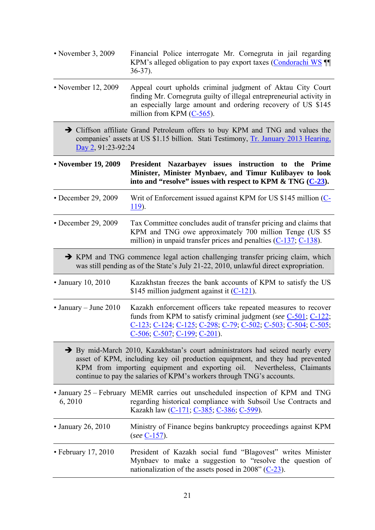- November 3, 2009 Financial Police interrogate Mr. Cornegruta in jail regarding KPM's alleged obligation to pay export taxes (Condorachi WS ¶¶ 36-37).
- November 12, 2009 Appeal court upholds criminal judgment of Aktau City Court finding Mr. Cornegruta guilty of illegal entrepreneurial activity in an especially large amount and ordering recovery of US \$145 million from KPM (C-565).
	- Cliffson affiliate Grand Petroleum offers to buy KPM and TNG and values the companies' assets at US \$1.15 billion. Stati Testimony, Tr. January 2013 Hearing, Day 2, 91:23-92:24

**• November 19, 2009 President Nazarbayev issues instruction to the Prime Minister, Minister Mynbaev, and Timur Kulibayev to look into and "resolve" issues with respect to KPM & TNG (C-23).** 

- December 29, 2009 Writ of Enforcement issued against KPM for US \$145 million (C-119).
- December 29, 2009 Tax Committee concludes audit of transfer pricing and claims that KPM and TNG owe approximately 700 million Tenge (US \$5 million) in unpaid transfer prices and penalties (C-137; C-138).
	- KPM and TNG commence legal action challenging transfer pricing claim, which was still pending as of the State's July 21-22, 2010, unlawful direct expropriation.
- January 10, 2010 Kazakhstan freezes the bank accounts of KPM to satisfy the US \$145 million judgment against it  $(C-121)$ .
- January June 2010 Kazakh enforcement officers take repeated measures to recover funds from KPM to satisfy criminal judgment (*see* C-501; C-122; C-123; C-124; C-125; C-298; C-79; C-502; C-503; C-504; C-505; C-506; C-507; C-199; C-201).
	- By mid-March 2010, Kazakhstan's court administrators had seized nearly every asset of KPM, including key oil production equipment, and they had prevented KPM from importing equipment and exporting oil. Nevertheless, Claimants continue to pay the salaries of KPM's workers through TNG's accounts.
- January 25 February MEMR carries out unscheduled inspection of KPM and TNG 6, 2010 regarding historical compliance with Subsoil Use Contracts and Kazakh law (C-171; C-385; C-386; C-599).
- January 26, 2010 Ministry of Finance begins bankruptcy proceedings against KPM (*see* C-157).
- February 17, 2010 President of Kazakh social fund "Blagovest" writes Minister Mynbaev to make a suggestion to "resolve the question of nationalization of the assets posed in 2008" (C-23).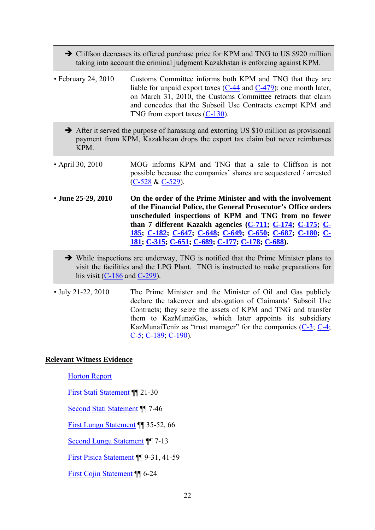- Cliffson decreases its offered purchase price for KPM and TNG to US \$920 million taking into account the criminal judgment Kazakhstan is enforcing against KPM.
- February 24, 2010 Customs Committee informs both KPM and TNG that they are liable for unpaid export taxes (C-44 and C-479); one month later, on March 31, 2010, the Customs Committee retracts that claim and concedes that the Subsoil Use Contracts exempt KPM and TNG from export taxes (C-130).
	- After it served the purpose of harassing and extorting US \$10 million as provisional payment from KPM, Kazakhstan drops the export tax claim but never reimburses KPM.
- April 30, 2010 MOG informs KPM and TNG that a sale to Cliffson is not possible because the companies' shares are sequestered / arrested (C-528 & C-529).
- **June 25-29, 2010 On the order of the Prime Minister and with the involvement of the Financial Police, the General Prosecutor's Office orders unscheduled inspections of KPM and TNG from no fewer than 7 different Kazakh agencies (C-711; C-174; C-175; C-185; C-182; C-647; C-648; C-649; C-650; C-687; C-180; C-181; C-315; C-651; C-689; C-177; C-178; C-688).** 
	- While inspections are underway, TNG is notified that the Prime Minister plans to visit the facilities and the LPG Plant. TNG is instructed to make preparations for his visit  $(C-186$  and  $C-299$ ).
- July 21-22, 2010 The Prime Minister and the Minister of Oil and Gas publicly declare the takeover and abrogation of Claimants' Subsoil Use Contracts; they seize the assets of KPM and TNG and transfer them to KazMunaiGas, which later appoints its subsidiary KazMunaiTeniz as "trust manager" for the companies (C-3; C-4; C-5; C-189; C-190).

#### **Relevant Witness Evidence**

Horton Report

First Stati Statement ¶¶ 21-30

Second Stati Statement ¶¶ 7-46

First Lungu Statement ¶¶ 35-52, 66

Second Lungu Statement ¶¶ 7-13

First Pisica Statement ¶¶ 9-31, 41-59

First Cojin Statement ¶¶ 6-24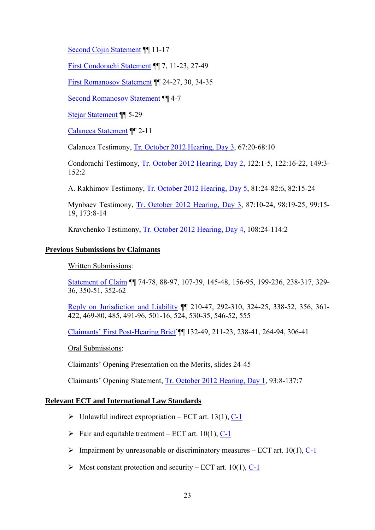Second Cojin Statement ¶¶ 11-17

First Condorachi Statement ¶¶ 7, 11-23, 27-49

First Romanosov Statement ¶¶ 24-27, 30, 34-35

Second Romanosov Statement ¶¶ 4-7

Stejar Statement ¶¶ 5-29

Calancea Statement ¶¶ 2-11

Calancea Testimony, Tr. October 2012 Hearing, Day 3, 67:20-68:10

Condorachi Testimony, Tr. October 2012 Hearing, Day 2, 122:1-5, 122:16-22, 149:3- 152:2

A. Rakhimov Testimony, Tr. October 2012 Hearing, Day 5, 81:24-82:6, 82:15-24

Mynbaev Testimony, Tr. October 2012 Hearing, Day 3, 87:10-24, 98:19-25, 99:15- 19, 173:8-14

Kravchenko Testimony, Tr. October 2012 Hearing, Day 4, 108:24-114:2

#### **Previous Submissions by Claimants**

Written Submissions:

Statement of Claim ¶¶ 74-78, 88-97, 107-39, 145-48, 156-95, 199-236, 238-317, 329- 36, 350-51, 352-62

Reply on Jurisdiction and Liability ¶¶ 210-47, 292-310, 324-25, 338-52, 356, 361- 422, 469-80, 485, 491-96, 501-16, 524, 530-35, 546-52, 555

Claimants' First Post-Hearing Brief ¶¶ 132-49, 211-23, 238-41, 264-94, 306-41

Oral Submissions:

Claimants' Opening Presentation on the Merits, slides 24-45

Claimants' Opening Statement, Tr. October 2012 Hearing, Day 1, 93:8-137:7

#### **Relevant ECT and International Law Standards**

- $\triangleright$  Unlawful indirect expropriation ECT art. 13(1), C-1
- $\triangleright$  Fair and equitable treatment ECT art. 10(1), C-1
- $\triangleright$  Impairment by unreasonable or discriminatory measures ECT art. 10(1), C-1
- $\triangleright$  Most constant protection and security ECT art. 10(1), C-1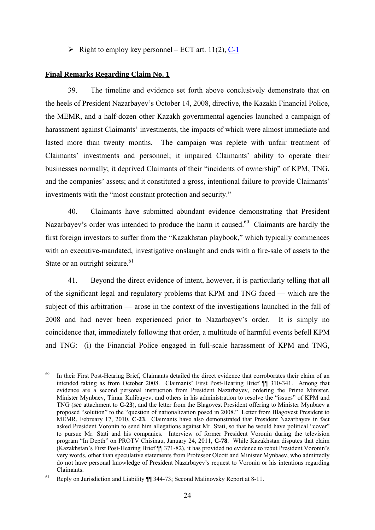$\triangleright$  Right to employ key personnel – ECT art. 11(2), C-1

#### **Final Remarks Regarding Claim No. 1**

1

39. The timeline and evidence set forth above conclusively demonstrate that on the heels of President Nazarbayev's October 14, 2008, directive, the Kazakh Financial Police, the MEMR, and a half-dozen other Kazakh governmental agencies launched a campaign of harassment against Claimants' investments, the impacts of which were almost immediate and lasted more than twenty months. The campaign was replete with unfair treatment of Claimants' investments and personnel; it impaired Claimants' ability to operate their businesses normally; it deprived Claimants of their "incidents of ownership" of KPM, TNG, and the companies' assets; and it constituted a gross, intentional failure to provide Claimants' investments with the "most constant protection and security."

40. Claimants have submitted abundant evidence demonstrating that President Nazarbay v's order was intended to produce the harm it caused.<sup>60</sup> Claimants are hardly the first foreign investors to suffer from the "Kazakhstan playbook," which typically commences with an executive-mandated, investigative onslaught and ends with a fire-sale of assets to the State or an outright seizure.<sup>61</sup>

41. Beyond the direct evidence of intent, however, it is particularly telling that all of the significant legal and regulatory problems that KPM and TNG faced — which are the subject of this arbitration — arose in the context of the investigations launched in the fall of 2008 and had never been experienced prior to Nazarbayev's order. It is simply no coincidence that, immediately following that order, a multitude of harmful events befell KPM and TNG: (i) the Financial Police engaged in full-scale harassment of KPM and TNG,

<sup>&</sup>lt;sup>60</sup> In their First Post-Hearing Brief, Claimants detailed the direct evidence that corroborates their claim of an intended taking as from October 2008. Claimants' First Post-Hearing Brief ¶¶ 310-341. Among that evidence are a second personal instruction from President Nazarbayev, ordering the Prime Minister, Minister Mynbaev, Timur Kulibayev, and others in his administration to resolve the "issues" of KPM and TNG (*see* attachment to **C-23**), and the letter from the Blagovest President offering to Minister Mynbaev a proposed "solution" to the "question of nationalization posed in 2008." Letter from Blagovest President to MEMR, February 17, 2010, **C-23**. Claimants have also demonstrated that President Nazarbayev in fact asked President Voronin to send him allegations against Mr. Stati, so that he would have political "cover" to pursue Mr. Stati and his companies. Interview of former President Voronin during the television program "In Depth" on PROTV Chisinau, January 24, 2011, **C-78**. While Kazakhstan disputes that claim (Kazakhstan's First Post-Hearing Brief ¶¶ 371-82), it has provided no evidence to rebut President Voronin's very words, other than speculative statements from Professor Olcott and Minister Mynbaev, who admittedly do not have personal knowledge of President Nazarbayev's request to Voronin or his intentions regarding Claimants.

<sup>&</sup>lt;sup>61</sup> Reply on Jurisdiction and Liability  $\P$  344-73; Second Malinovsky Report at 8-11.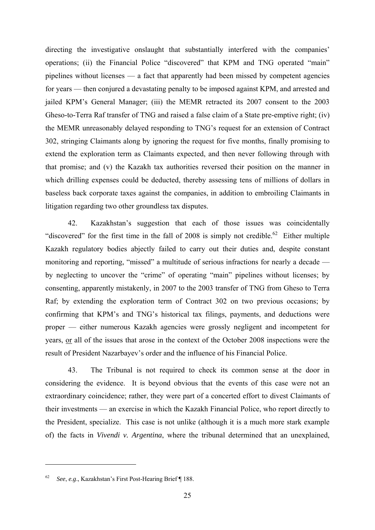directing the investigative onslaught that substantially interfered with the companies' operations; (ii) the Financial Police "discovered" that KPM and TNG operated "main" pipelines without licenses — a fact that apparently had been missed by competent agencies for years — then conjured a devastating penalty to be imposed against KPM, and arrested and jailed KPM's General Manager; (iii) the MEMR retracted its 2007 consent to the 2003 Gheso-to-Terra Raf transfer of TNG and raised a false claim of a State pre-emptive right; (iv) the MEMR unreasonably delayed responding to TNG's request for an extension of Contract 302, stringing Claimants along by ignoring the request for five months, finally promising to extend the exploration term as Claimants expected, and then never following through with that promise; and (v) the Kazakh tax authorities reversed their position on the manner in which drilling expenses could be deducted, thereby assessing tens of millions of dollars in baseless back corporate taxes against the companies, in addition to embroiling Claimants in litigation regarding two other groundless tax disputes.

42. Kazakhstan's suggestion that each of those issues was coincidentally "discovered" for the first time in the fall of 2008 is simply not credible.<sup>62</sup> Either multiple Kazakh regulatory bodies abjectly failed to carry out their duties and, despite constant monitoring and reporting, "missed" a multitude of serious infractions for nearly a decade by neglecting to uncover the "crime" of operating "main" pipelines without licenses; by consenting, apparently mistakenly, in 2007 to the 2003 transfer of TNG from Gheso to Terra Raf; by extending the exploration term of Contract 302 on two previous occasions; by confirming that KPM's and TNG's historical tax filings, payments, and deductions were proper — either numerous Kazakh agencies were grossly negligent and incompetent for years, or all of the issues that arose in the context of the October 2008 inspections were the result of President Nazarbayev's order and the influence of his Financial Police.

43. The Tribunal is not required to check its common sense at the door in considering the evidence. It is beyond obvious that the events of this case were not an extraordinary coincidence; rather, they were part of a concerted effort to divest Claimants of their investments — an exercise in which the Kazakh Financial Police, who report directly to the President, specialize. This case is not unlike (although it is a much more stark example of) the facts in *Vivendi v. Argentina*, where the tribunal determined that an unexplained,

<sup>62</sup> *See*, *e.g*., Kazakhstan's First Post-Hearing Brief ¶ 188.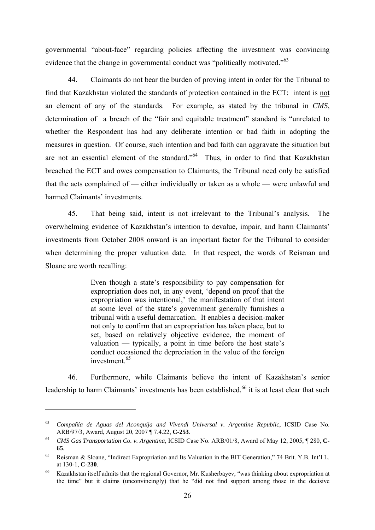governmental "about-face" regarding policies affecting the investment was convincing evidence that the change in governmental conduct was "politically motivated."<sup>63</sup>

44. Claimants do not bear the burden of proving intent in order for the Tribunal to find that Kazakhstan violated the standards of protection contained in the ECT: intent is not an element of any of the standards. For example, as stated by the tribunal in *CMS*, determination of a breach of the "fair and equitable treatment" standard is "unrelated to whether the Respondent has had any deliberate intention or bad faith in adopting the measures in question. Of course, such intention and bad faith can aggravate the situation but are not an essential element of the standard."64 Thus, in order to find that Kazakhstan breached the ECT and owes compensation to Claimants, the Tribunal need only be satisfied that the acts complained of — either individually or taken as a whole — were unlawful and harmed Claimants' investments.

45. That being said, intent is not irrelevant to the Tribunal's analysis. The overwhelming evidence of Kazakhstan's intention to devalue, impair, and harm Claimants' investments from October 2008 onward is an important factor for the Tribunal to consider when determining the proper valuation date. In that respect, the words of Reisman and Sloane are worth recalling:

> Even though a state's responsibility to pay compensation for expropriation does not, in any event, 'depend on proof that the expropriation was intentional,' the manifestation of that intent at some level of the state's government generally furnishes a tribunal with a useful demarcation. It enables a decision-maker not only to confirm that an expropriation has taken place, but to set, based on relatively objective evidence, the moment of valuation — typically, a point in time before the host state's conduct occasioned the depreciation in the value of the foreign investment.<sup>65</sup>

46. Furthermore, while Claimants believe the intent of Kazakhstan's senior leadership to harm Claimants' investments has been established,<sup>66</sup> it is at least clear that such

<sup>&</sup>lt;sup>63</sup> *Compañía de Aguas del Aconquija and Vivendi Universal v. Argentine Republic*, ICSID Case No.<br>ARB/97/3, Award, August 20, 2007 ¶ 7.4.22, **C-253**.

<sup>&</sup>lt;sup>64</sup> CMS Gas Transportation Co. v. Argentina, ICSID Case No. ARB/01/8, Award of May 12, 2005, ¶ 280, C-**65**.

<sup>65</sup> Reisman & Sloane, "Indirect Expropriation and Its Valuation in the BIT Generation," 74 Brit. Y.B. Int'l L. at 130-1, **C-230**.

<sup>66</sup> Kazakhstan itself admits that the regional Governor, Mr. Kusherbayev, "was thinking about expropriation at the time" but it claims (unconvincingly) that he "did not find support among those in the decisive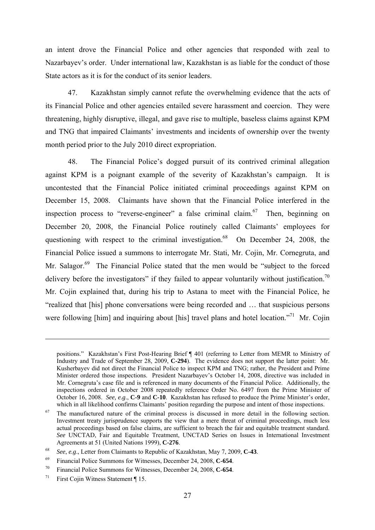an intent drove the Financial Police and other agencies that responded with zeal to Nazarbayev's order. Under international law, Kazakhstan is as liable for the conduct of those State actors as it is for the conduct of its senior leaders.

47. Kazakhstan simply cannot refute the overwhelming evidence that the acts of its Financial Police and other agencies entailed severe harassment and coercion. They were threatening, highly disruptive, illegal, and gave rise to multiple, baseless claims against KPM and TNG that impaired Claimants' investments and incidents of ownership over the twenty month period prior to the July 2010 direct expropriation.

48. The Financial Police's dogged pursuit of its contrived criminal allegation against KPM is a poignant example of the severity of Kazakhstan's campaign. It is uncontested that the Financial Police initiated criminal proceedings against KPM on December 15, 2008. Claimants have shown that the Financial Police interfered in the inspection process to "reverse-engineer" a false criminal claim. <sup>67</sup> Then, beginning on December 20, 2008, the Financial Police routinely called Claimants' employees for questioning with respect to the criminal investigation.<sup>68</sup> On December 24, 2008, the Financial Police issued a summons to interrogate Mr. Stati, Mr. Cojin, Mr. Cornegruta, and Mr. Salagor.<sup>69</sup> The Financial Police stated that the men would be "subject to the forced delivery before the investigators" if they failed to appear voluntarily without justification.<sup>70</sup> Mr. Cojin explained that, during his trip to Astana to meet with the Financial Police, he "realized that [his] phone conversations were being recorded and … that suspicious persons were following [him] and inquiring about [his] travel plans and hotel location."<sup>71</sup> Mr. Cojin

positions." Kazakhstan's First Post-Hearing Brief ¶ 401 (referring to Letter from MEMR to Ministry of Industry and Trade of September 28, 2009, **C-294**). The evidence does not support the latter point: Mr. Kusherbayev did not direct the Financial Police to inspect KPM and TNG; rather, the President and Prime Minister ordered those inspections. President Nazarbayev's October 14, 2008, directive was included in Mr. Cornegruta's case file and is referenced in many documents of the Financial Police. Additionally, the inspections ordered in October 2008 repeatedly reference Order No. 6497 from the Prime Minister of October 16, 2008. *See, e.g*., **C-9** and **C-10**. Kazakhstan has refused to produce the Prime Minister's order, which in all likelihood confirms Claimants' position regarding the purpose and intent of those inspections.<br>The manufactured nature of the criminal process is discussed in more detail in the following section.

Investment treaty jurisprudence supports the view that a mere threat of criminal proceedings, much less actual proceedings based on false claims, are sufficient to breach the fair and equitable treatment standard. *See* UNCTAD, Fair and Equitable Treatment, UNCTAD Series on Issues in International Investment Agreements at 51 (United Nations 1999), **C-276**.

<sup>68</sup>*See*, *e.g*., Letter from Claimants to Republic of Kazakhstan, May 7, 2009, **C-43**. 69 Financial Police Summons for Witnesses, December 24, 2008, **C-654**.

<sup>70</sup> Financial Police Summons for Witnesses, December 24, 2008, **C-654**. 71 First Cojin Witness Statement ¶ 15.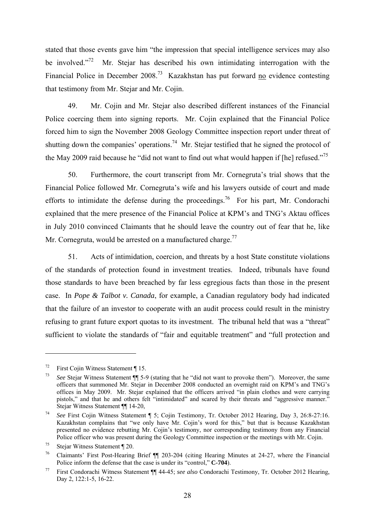stated that those events gave him "the impression that special intelligence services may also be involved. $172$  Mr. Stejar has described his own intimidating interrogation with the Financial Police in December 2008.<sup>73</sup> Kazakhstan has put forward no evidence contesting that testimony from Mr. Stejar and Mr. Cojin.

49. Mr. Cojin and Mr. Stejar also described different instances of the Financial Police coercing them into signing reports. Mr. Cojin explained that the Financial Police forced him to sign the November 2008 Geology Committee inspection report under threat of shutting down the companies' operations.<sup>74</sup> Mr. Stejar testified that he signed the protocol of the May 2009 raid because he "did not want to find out what would happen if [he] refused."<sup>75</sup>

50. Furthermore, the court transcript from Mr. Cornegruta's trial shows that the Financial Police followed Mr. Cornegruta's wife and his lawyers outside of court and made efforts to intimidate the defense during the proceedings.<sup>76</sup> For his part, Mr. Condorachi explained that the mere presence of the Financial Police at KPM's and TNG's Aktau offices in July 2010 convinced Claimants that he should leave the country out of fear that he, like Mr. Cornegruta, would be arrested on a manufactured charge.<sup>77</sup>

51. Acts of intimidation, coercion, and threats by a host State constitute violations of the standards of protection found in investment treaties. Indeed, tribunals have found those standards to have been breached by far less egregious facts than those in the present case. In *Pope & Talbot v. Canada*, for example, a Canadian regulatory body had indicated that the failure of an investor to cooperate with an audit process could result in the ministry refusing to grant future export quotas to its investment. The tribunal held that was a "threat" sufficient to violate the standards of "fair and equitable treatment" and "full protection and

<sup>&</sup>lt;sup>72</sup> First Cojin Witness Statement  $\P$  15.

<sup>73</sup> *See* Stejar Witness Statement ¶¶ 5-9 (stating that he "did not want to provoke them"). Moreover, the same officers that summoned Mr. Stejar in December 2008 conducted an overnight raid on KPM's and TNG's offices in May 2009. Mr. Stejar explained that the officers arrived "in plain clothes and were carrying pistols," and that he and others felt "intimidated" and scared by their threats and "aggressive manner."<br>Steiar Witness Statement ¶ 14-20.

<sup>&</sup>lt;sup>74</sup> *See* First Cojin Witness Statement ¶ 5; Cojin Testimony, Tr. October 2012 Hearing, Day 3, 26:8-27:16. Kazakhstan complains that "we only have Mr. Cojin's word for this," but that is because Kazakhstan presented no evidence rebutting Mr. Cojin's testimony, nor corresponding testimony from any Financial Police officer who was present during the Geology Committee inspection or the meetings with Mr. Cojin.

<sup>75</sup> Stejar Witness Statement ¶ 20.

<sup>76</sup> Claimants' First Post-Hearing Brief ¶¶ 203-204 (citing Hearing Minutes at 24-27, where the Financial Police inform the defense that the case is under its "control," **C-704**).

<sup>77</sup> First Condorachi Witness Statement ¶¶ 44-45; *see also* Condorachi Testimony, Tr. October 2012 Hearing, Day 2, 122:1-5, 16-22.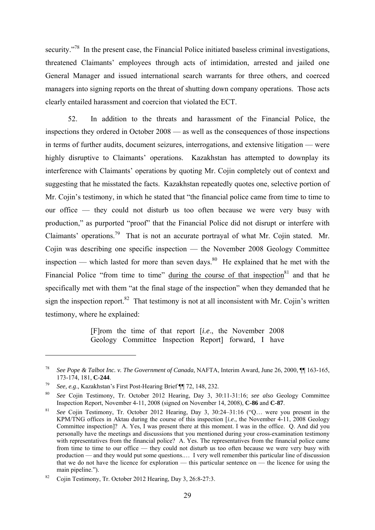security."<sup>78</sup> In the present case, the Financial Police initiated baseless criminal investigations, threatened Claimants' employees through acts of intimidation, arrested and jailed one General Manager and issued international search warrants for three others, and coerced managers into signing reports on the threat of shutting down company operations. Those acts clearly entailed harassment and coercion that violated the ECT.

52. In addition to the threats and harassment of the Financial Police, the inspections they ordered in October 2008 — as well as the consequences of those inspections in terms of further audits, document seizures, interrogations, and extensive litigation — were highly disruptive to Claimants' operations. Kazakhstan has attempted to downplay its interference with Claimants' operations by quoting Mr. Cojin completely out of context and suggesting that he misstated the facts. Kazakhstan repeatedly quotes one, selective portion of Mr. Cojin's testimony, in which he stated that "the financial police came from time to time to our office — they could not disturb us too often because we were very busy with production," as purported "proof" that the Financial Police did not disrupt or interfere with Claimants' operations.79 That is not an accurate portrayal of what Mr. Cojin stated. Mr. Cojin was describing one specific inspection — the November 2008 Geology Committee inspection — which lasted for more than seven days.<sup>80</sup> He explained that he met with the Financial Police "from time to time" during the course of that inspection $81$  and that he specifically met with them "at the final stage of the inspection" when they demanded that he sign the inspection report. $82$  That testimony is not at all inconsistent with Mr. Cojin's written testimony, where he explained:

> [F]rom the time of that report [*i.e*., the November 2008 Geology Committee Inspection Report] forward, I have

<sup>78</sup> *See Pope & Talbot Inc. v. The Government of Canada,* NAFTA, Interim Award, June 26, 2000, ¶¶ 163-165, 173-174, 181, **C-244**.

<sup>79</sup>*See, e.g*., Kazakhstan's First Post-Hearing Brief ¶¶ 72, 148, 232. 80 *See* Cojin Testimony, Tr. October 2012 Hearing, Day 3, 30:11-31:16; *see also* Geology Committee Inspection Report, November 4-11, 2008 (signed on November 14, 2008), **C-86** and **C-87**.

<sup>81</sup> *See* Cojin Testimony, Tr. October 2012 Hearing, Day 3, 30:24–31:16 ("Q… were you present in the KPM/TNG offices in Aktau during the course of this inspection [*i.e*., the November 4-11, 2008 Geology Committee inspection]? A. Yes, I was present there at this moment. I was in the office. Q. And did you personally have the meetings and discussions that you mentioned during your cross-examination testimony with representatives from the financial police? A. Yes. The representatives from the financial police came from time to time to our office — they could not disturb us too often because we were very busy with production — and they would put some questions.… I very well remember this particular line of discussion that we do not have the licence for exploration — this particular sentence on — the licence for using the main pipeline.").

<sup>82</sup> Cojin Testimony, Tr. October 2012 Hearing, Day 3, 26:8-27:3.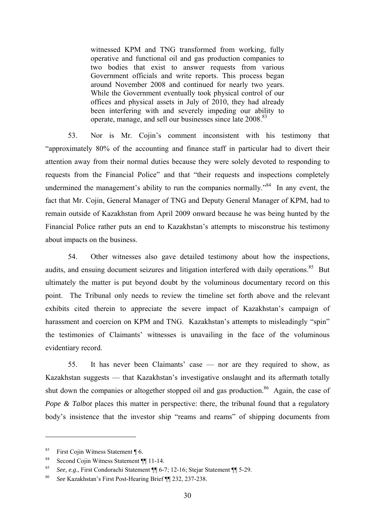witnessed KPM and TNG transformed from working, fully operative and functional oil and gas production companies to two bodies that exist to answer requests from various Government officials and write reports. This process began around November 2008 and continued for nearly two years. While the Government eventually took physical control of our offices and physical assets in July of 2010, they had already been interfering with and severely impeding our ability to operate, manage, and sell our businesses since late 2008.<sup>83</sup>

53. Nor is Mr. Cojin's comment inconsistent with his testimony that "approximately 80% of the accounting and finance staff in particular had to divert their attention away from their normal duties because they were solely devoted to responding to requests from the Financial Police" and that "their requests and inspections completely undermined the management's ability to run the companies normally.<sup>84</sup> In any event, the fact that Mr. Cojin, General Manager of TNG and Deputy General Manager of KPM, had to remain outside of Kazakhstan from April 2009 onward because he was being hunted by the Financial Police rather puts an end to Kazakhstan's attempts to misconstrue his testimony about impacts on the business.

54. Other witnesses also gave detailed testimony about how the inspections, audits, and ensuing document seizures and litigation interfered with daily operations.<sup>85</sup> But ultimately the matter is put beyond doubt by the voluminous documentary record on this point. The Tribunal only needs to review the timeline set forth above and the relevant exhibits cited therein to appreciate the severe impact of Kazakhstan's campaign of harassment and coercion on KPM and TNG. Kazakhstan's attempts to misleadingly "spin" the testimonies of Claimants' witnesses is unavailing in the face of the voluminous evidentiary record.

55. It has never been Claimants' case — nor are they required to show, as Kazakhstan suggests — that Kazakhstan's investigative onslaught and its aftermath totally shut down the companies or altogether stopped oil and gas production.<sup>86</sup> Again, the case of *Pope & Talbot* places this matter in perspective: there, the tribunal found that a regulatory body's insistence that the investor ship "reams and reams" of shipping documents from

<sup>83</sup> First Cojin Witness Statement ¶ 6.

<sup>84</sup> Second Cojin Witness Statement ¶ 11-14.

<sup>85</sup>*See, e.g*., First Condorachi Statement ¶¶ 6-7; 12-16; Stejar Statement ¶¶ 5-29. 86 *See* Kazakhstan's First Post-Hearing Brief ¶¶ 232, 237-238.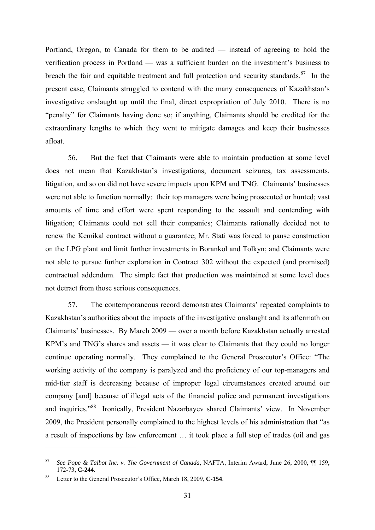Portland, Oregon, to Canada for them to be audited — instead of agreeing to hold the verification process in Portland — was a sufficient burden on the investment's business to breach the fair and equitable treatment and full protection and security standards. $87$  In the present case, Claimants struggled to contend with the many consequences of Kazakhstan's investigative onslaught up until the final, direct expropriation of July 2010. There is no "penalty" for Claimants having done so; if anything, Claimants should be credited for the extraordinary lengths to which they went to mitigate damages and keep their businesses afloat.

56. But the fact that Claimants were able to maintain production at some level does not mean that Kazakhstan's investigations, document seizures, tax assessments, litigation, and so on did not have severe impacts upon KPM and TNG. Claimants' businesses were not able to function normally: their top managers were being prosecuted or hunted; vast amounts of time and effort were spent responding to the assault and contending with litigation; Claimants could not sell their companies; Claimants rationally decided not to renew the Kemikal contract without a guarantee; Mr. Stati was forced to pause construction on the LPG plant and limit further investments in Borankol and Tolkyn; and Claimants were not able to pursue further exploration in Contract 302 without the expected (and promised) contractual addendum. The simple fact that production was maintained at some level does not detract from those serious consequences.

57. The contemporaneous record demonstrates Claimants' repeated complaints to Kazakhstan's authorities about the impacts of the investigative onslaught and its aftermath on Claimants' businesses. By March 2009 — over a month before Kazakhstan actually arrested KPM's and TNG's shares and assets — it was clear to Claimants that they could no longer continue operating normally. They complained to the General Prosecutor's Office: "The working activity of the company is paralyzed and the proficiency of our top-managers and mid-tier staff is decreasing because of improper legal circumstances created around our company [and] because of illegal acts of the financial police and permanent investigations and inquiries."88 Ironically, President Nazarbayev shared Claimants' view. In November 2009, the President personally complained to the highest levels of his administration that "as a result of inspections by law enforcement … it took place a full stop of trades (oil and gas

<sup>87</sup> *See Pope & Talbot Inc. v. The Government of Canada*, NAFTA, Interim Award, June 26, 2000, ¶¶ 159, 172-73, **C-244**.

<sup>88</sup> Letter to the General Prosecutor's Office, March 18, 2009, **C-154**.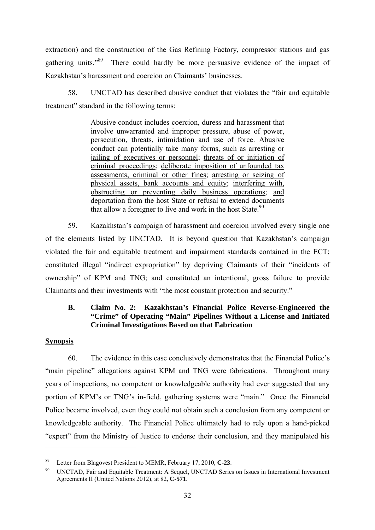extraction) and the construction of the Gas Refining Factory, compressor stations and gas gathering units."89 There could hardly be more persuasive evidence of the impact of Kazakhstan's harassment and coercion on Claimants' businesses.

58. UNCTAD has described abusive conduct that violates the "fair and equitable treatment" standard in the following terms:

> Abusive conduct includes coercion, duress and harassment that involve unwarranted and improper pressure, abuse of power, persecution, threats, intimidation and use of force. Abusive conduct can potentially take many forms, such as arresting or jailing of executives or personnel; threats of or initiation of criminal proceedings; deliberate imposition of unfounded tax assessments, criminal or other fines; arresting or seizing of physical assets, bank accounts and equity; interfering with, obstructing or preventing daily business operations; and deportation from the host State or refusal to extend documents that allow a foreigner to live and work in the host State. $90$

59. Kazakhstan's campaign of harassment and coercion involved every single one of the elements listed by UNCTAD. It is beyond question that Kazakhstan's campaign violated the fair and equitable treatment and impairment standards contained in the ECT; constituted illegal "indirect expropriation" by depriving Claimants of their "incidents of ownership" of KPM and TNG; and constituted an intentional, gross failure to provide Claimants and their investments with "the most constant protection and security."

### **B. Claim No. 2: Kazakhstan's Financial Police Reverse-Engineered the "Crime" of Operating "Main" Pipelines Without a License and Initiated Criminal Investigations Based on that Fabrication**

### **Synopsis**

1

60. The evidence in this case conclusively demonstrates that the Financial Police's "main pipeline" allegations against KPM and TNG were fabrications. Throughout many years of inspections, no competent or knowledgeable authority had ever suggested that any portion of KPM's or TNG's in-field, gathering systems were "main." Once the Financial Police became involved, even they could not obtain such a conclusion from any competent or knowledgeable authority. The Financial Police ultimately had to rely upon a hand-picked "expert" from the Ministry of Justice to endorse their conclusion, and they manipulated his

<sup>89</sup> Letter from Blagovest President to MEMR, February 17, 2010, **C-23**.

<sup>90</sup> UNCTAD, Fair and Equitable Treatment: A Sequel, UNCTAD Series on Issues in International Investment Agreements II (United Nations 2012), at 82, **C-571**.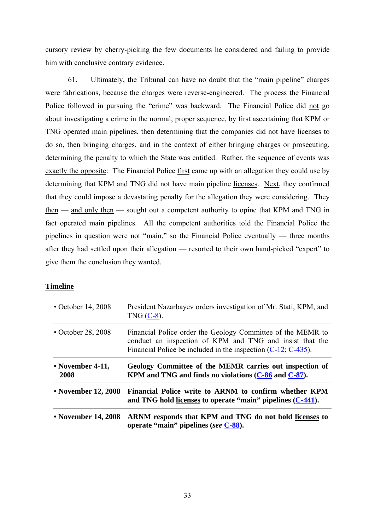cursory review by cherry-picking the few documents he considered and failing to provide him with conclusive contrary evidence.

61. Ultimately, the Tribunal can have no doubt that the "main pipeline" charges were fabrications, because the charges were reverse-engineered. The process the Financial Police followed in pursuing the "crime" was backward. The Financial Police did not go about investigating a crime in the normal, proper sequence, by first ascertaining that KPM or TNG operated main pipelines, then determining that the companies did not have licenses to do so, then bringing charges, and in the context of either bringing charges or prosecuting, determining the penalty to which the State was entitled. Rather, the sequence of events was exactly the opposite: The Financial Police first came up with an allegation they could use by determining that KPM and TNG did not have main pipeline licenses. Next, they confirmed that they could impose a devastating penalty for the allegation they were considering. They then — and only then — sought out a competent authority to opine that KPM and TNG in fact operated main pipelines. All the competent authorities told the Financial Police the pipelines in question were not "main," so the Financial Police eventually — three months after they had settled upon their allegation — resorted to their own hand-picked "expert" to give them the conclusion they wanted.

#### **Timeline**

| • October 14, 2008       | President Nazarbayev orders investigation of Mr. Stati, KPM, and<br>TNG $(C-8)$ .                                                                                                           |
|--------------------------|---------------------------------------------------------------------------------------------------------------------------------------------------------------------------------------------|
| $\cdot$ October 28, 2008 | Financial Police order the Geology Committee of the MEMR to<br>conduct an inspection of KPM and TNG and insist that the<br>Financial Police be included in the inspection $(C-12, C-435)$ . |
| • November 4-11,<br>2008 | Geology Committee of the MEMR carries out inspection of<br>KPM and TNG and finds no violations $(C-86)$ and $C-87$ .                                                                        |
| • November 12, 2008      | Financial Police write to ARNM to confirm whether KPM<br>and TNG hold licenses to operate "main" pipelines (C-441).                                                                         |
| • November 14, 2008      | ARNM responds that KPM and TNG do not hold licenses to<br>operate "main" pipelines (see C-88).                                                                                              |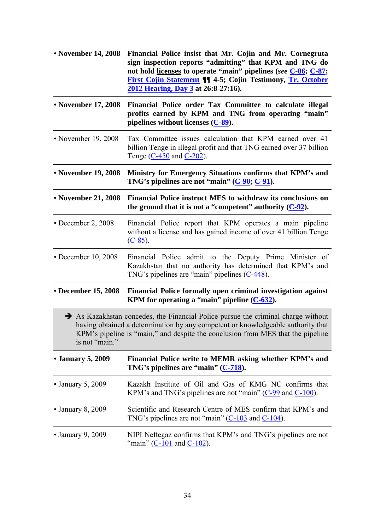| • November 14, 2008       | Financial Police insist that Mr. Cojin and Mr. Cornegruta<br>sign inspection reports "admitting" that KPM and TNG do<br>not hold licenses to operate "main" pipelines (see C-86; C-87;<br><b>First Cojin Statement ¶¶ 4-5; Cojin Testimony, Tr. October</b><br>2012 Hearing, Day 3 at 26:8-27:16). |
|---------------------------|----------------------------------------------------------------------------------------------------------------------------------------------------------------------------------------------------------------------------------------------------------------------------------------------------|
| • November 17, 2008       | Financial Police order Tax Committee to calculate illegal<br>profits earned by KPM and TNG from operating "main"<br>pipelines without licenses $(C-89)$ .                                                                                                                                          |
| • November 19, 2008       | Tax Committee issues calculation that KPM earned over 41<br>billion Tenge in illegal profit and that TNG earned over 37 billion<br>Tenge (C-450 and C-202).                                                                                                                                        |
| • November 19, 2008       | Ministry for Emergency Situations confirms that KPM's and<br>TNG's pipelines are not "main" $(C-90; C-91)$ .                                                                                                                                                                                       |
| • November 21, 2008       | Financial Police instruct MES to withdraw its conclusions on<br>the ground that it is not a "competent" authority $(C-92)$ .                                                                                                                                                                       |
| $\cdot$ December 2, 2008  | Financial Police report that KPM operates a main pipeline<br>without a license and has gained income of over 41 billion Tenge<br>$(C-85)$ .                                                                                                                                                        |
| $\cdot$ December 10, 2008 | Financial Police admit to the Deputy Prime Minister of<br>Kazakhstan that no authority has determined that KPM's and<br>TNG's pipelines are "main" pipelines $(C-448)$ .                                                                                                                           |
| • December 15, 2008       | Financial Police formally open criminal investigation against<br>KPM for operating a "main" pipeline $(C-632)$ .                                                                                                                                                                                   |
| is not "main."            | $\rightarrow$ As Kazakhstan concedes, the Financial Police pursue the criminal charge without<br>having obtained a determination by any competent or knowledgeable authority that<br>KPM's pipeline is "main," and despite the conclusion from MES that the pipeline                               |
| • January 5, 2009         | Financial Police write to MEMR asking whether KPM's and<br>TNG's pipelines are "main" $(C-718)$ .                                                                                                                                                                                                  |
| $\cdot$ January 5, 2009   | Kazakh Institute of Oil and Gas of KMG NC confirms that<br>KPM's and TNG's pipelines are not "main" $(C-99)$ and $C-100$ ).                                                                                                                                                                        |
| $\cdot$ January 8, 2009   | Scientific and Research Centre of MES confirm that KPM's and<br>TNG's pipelines are not "main" $(C-103$ and $C-104$ ).                                                                                                                                                                             |
| $\cdot$ January 9, 2009   | NIPI Neftegaz confirms that KPM's and TNG's pipelines are not<br>"main" ( $C-101$ and $C-102$ ).                                                                                                                                                                                                   |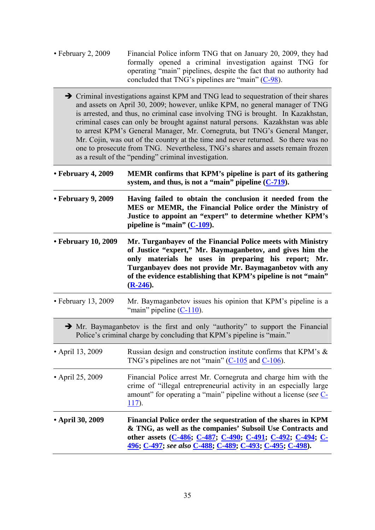- February 2, 2009 Financial Police inform TNG that on January 20, 2009, they had formally opened a criminal investigation against TNG for operating "main" pipelines, despite the fact that no authority had concluded that TNG's pipelines are "main" (C-98).
	- Criminal investigations against KPM and TNG lead to sequestration of their shares and assets on April 30, 2009; however, unlike KPM, no general manager of TNG is arrested, and thus, no criminal case involving TNG is brought. In Kazakhstan, criminal cases can only be brought against natural persons. Kazakhstan was able to arrest KPM's General Manager, Mr. Cornegruta, but TNG's General Manger, Mr. Cojin, was out of the country at the time and never returned. So there was no one to prosecute from TNG. Nevertheless, TNG's shares and assets remain frozen as a result of the "pending" criminal investigation.
- **February 4, 2009 MEMR confirms that KPM's pipeline is part of its gathering system, and thus, is not a "main" pipeline (C-719). • February 9, 2009 Having failed to obtain the conclusion it needed from the MES or MEMR, the Financial Police order the Ministry of Justice to appoint an "expert" to determine whether KPM's pipeline is "main" (C-109). • February 10, 2009 Mr. Turganbayev of the Financial Police meets with Ministry of Justice "expert," Mr. Baymaganbetov, and gives him the only materials he uses in preparing his report; Mr. Turganbayev does not provide Mr. Baymaganbetov with any of the evidence establishing that KPM's pipeline is not "main" (R-246).**  • February 13, 2009 Mr. Baymaganbetov issues his opinion that KPM's pipeline is a "main" pipeline  $(C-110)$ .  $\rightarrow$  Mr. Baymaganbetov is the first and only "authority" to support the Financial Police's criminal charge by concluding that KPM's pipeline is "main." • April 13, 2009 Russian design and construction institute confirms that KPM's & TNG's pipelines are not "main"  $(C-105)$  and  $C-106$ ). • April 25, 2009 Financial Police arrest Mr. Cornegruta and charge him with the crime of "illegal entrepreneurial activity in an especially large amount" for operating a "main" pipeline without a license (*see* C-117). **• April 30, 2009 Financial Police order the sequestration of the shares in KPM & TNG, as well as the companies' Subsoil Use Contracts and other assets (C-486; C-487; C-490; C-491; C-492; C-494; C-496; C-497;** *see also* **C-488; C-489; C-493; C-495; C-498).**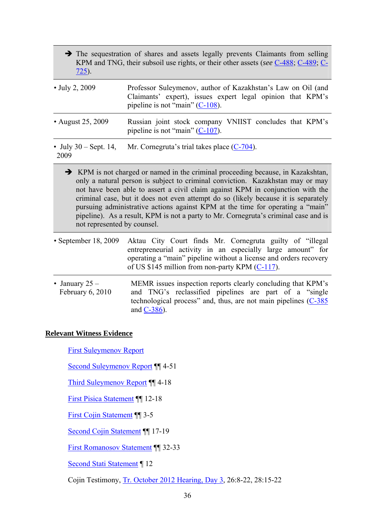- $\rightarrow$  The sequestration of shares and assets legally prevents Claimants from selling KPM and TNG, their subsoil use rights, or their other assets (*see* C-488; C-489; C-725).
- July 2, 2009 Professor Suleymenov, author of Kazakhstan's Law on Oil (and Claimants' expert), issues expert legal opinion that KPM's pipeline is not "main" (C-108).
- August 25, 2009 Russian joint stock company VNIIST concludes that KPM's pipeline is not "main"  $(C-107)$ .
- July 30 Sept. 14, Mr. Cornegruta's trial takes place (C-704).
- 2009
- 
- KPM is not charged or named in the criminal proceeding because, in Kazakshtan, only a natural person is subject to criminal conviction. Kazakhstan may or may not have been able to assert a civil claim against KPM in conjunction with the criminal case, but it does not even attempt do so (likely because it is separately pursuing administrative actions against KPM at the time for operating a "main" pipeline). As a result, KPM is not a party to Mr. Cornegruta's criminal case and is not represented by counsel.
- September 18, 2009 Aktau City Court finds Mr. Cornegruta guilty of "illegal entrepreneurial activity in an especially large amount" for operating a "main" pipeline without a license and orders recovery of US \$145 million from non-party KPM (C-117).
- January  $25 -$ February 6, 2010 MEMR issues inspection reports clearly concluding that KPM's and TNG's reclassified pipelines are part of a "single technological process" and, thus, are not main pipelines (C-385 and C-386).

# **Relevant Witness Evidence**

First Suleymenov Report

Second Suleymenov Report ¶¶ 4-51

Third Suleymenov Report ¶¶ 4-18

First Pisica Statement ¶¶ 12-18

First Cojin Statement ¶¶ 3-5

Second Cojin Statement ¶¶ 17-19

First Romanosov Statement ¶¶ 32-33

Second Stati Statement ¶ 12

Cojin Testimony, Tr. October 2012 Hearing, Day 3, 26:8-22, 28:15-22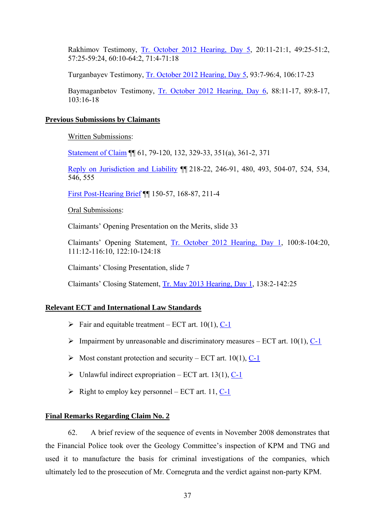Rakhimov Testimony, Tr. October 2012 Hearing, Day 5, 20:11-21:1, 49:25-51:2, 57:25-59:24, 60:10-64:2, 71:4-71:18

Turganbayev Testimony, Tr. October 2012 Hearing, Day 5, 93:7-96:4, 106:17-23

Baymaganbetov Testimony, Tr. October 2012 Hearing, Day 6, 88:11-17, 89:8-17,  $103.16 - 18$ 

### **Previous Submissions by Claimants**

Written Submissions:

Statement of Claim ¶¶ 61, 79-120, 132, 329-33, 351(a), 361-2, 371

Reply on Jurisdiction and Liability ¶¶ 218-22, 246-91, 480, 493, 504-07, 524, 534, 546, 555

First Post-Hearing Brief ¶¶ 150-57, 168-87, 211-4

Oral Submissions:

Claimants' Opening Presentation on the Merits, slide 33

Claimants' Opening Statement, Tr. October 2012 Hearing, Day 1, 100:8-104:20, 111:12-116:10, 122:10-124:18

Claimants' Closing Presentation, slide 7

Claimants' Closing Statement, Tr. May 2013 Hearing, Day 1, 138:2-142:25

#### **Relevant ECT and International Law Standards**

- $\triangleright$  Fair and equitable treatment ECT art. 10(1), C-1
- $\triangleright$  Impairment by unreasonable and discriminatory measures ECT art. 10(1), C-1
- $\triangleright$  Most constant protection and security ECT art. 10(1), C-1
- $\triangleright$  Unlawful indirect expropriation ECT art. 13(1), C-1
- $\triangleright$  Right to employ key personnel ECT art. 11, C-1

### **Final Remarks Regarding Claim No. 2**

62. A brief review of the sequence of events in November 2008 demonstrates that the Financial Police took over the Geology Committee's inspection of KPM and TNG and used it to manufacture the basis for criminal investigations of the companies, which ultimately led to the prosecution of Mr. Cornegruta and the verdict against non-party KPM.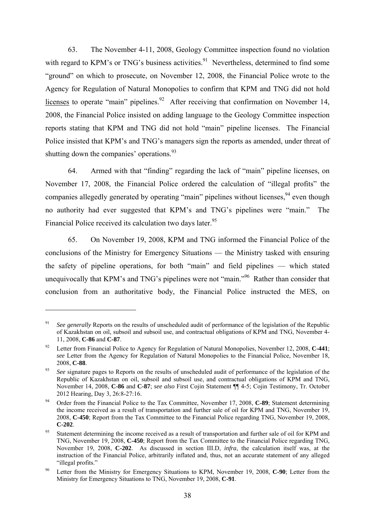63. The November 4-11, 2008, Geology Committee inspection found no violation with regard to KPM's or TNG's business activities.<sup>91</sup> Nevertheless, determined to find some "ground" on which to prosecute, on November 12, 2008, the Financial Police wrote to the Agency for Regulation of Natural Monopolies to confirm that KPM and TNG did not hold licenses to operate "main" pipelines.<sup>92</sup> After receiving that confirmation on November 14, 2008, the Financial Police insisted on adding language to the Geology Committee inspection reports stating that KPM and TNG did not hold "main" pipeline licenses. The Financial Police insisted that KPM's and TNG's managers sign the reports as amended, under threat of shutting down the companies' operations.<sup>93</sup>

64. Armed with that "finding" regarding the lack of "main" pipeline licenses, on November 17, 2008, the Financial Police ordered the calculation of "illegal profits" the companies allegedly generated by operating "main" pipelines without licenses.  $94$  even though no authority had ever suggested that KPM's and TNG's pipelines were "main." The Financial Police received its calculation two days later.<sup>95</sup>

65. On November 19, 2008, KPM and TNG informed the Financial Police of the conclusions of the Ministry for Emergency Situations — the Ministry tasked with ensuring the safety of pipeline operations, for both "main" and field pipelines — which stated unequivocally that KPM's and TNG's pipelines were not "main."<sup>96</sup> Rather than consider that conclusion from an authoritative body, the Financial Police instructed the MES, on

<sup>&</sup>lt;sup>91</sup> *See generally* Reports on the results of unscheduled audit of performance of the legislation of the Republic of Kazakhstan on oil, subsoil and subsoil use, and contractual obligations of KPM and TNG, November 4- 11, 2008, **C-86** and **C-87**.

<sup>92</sup> Letter from Financial Police to Agency for Regulation of Natural Monopolies, November 12, 2008, **C-441**; *see* Letter from the Agency for Regulation of Natural Monopolies to the Financial Police, November 18, 2008, **C-88**.

<sup>&</sup>lt;sup>93</sup> *See* signature pages to Reports on the results of unscheduled audit of performance of the legislation of the Republic of Kazakhstan on oil, subsoil and subsoil use, and contractual obligations of KPM and TNG, November 14, 2008, **C-86** and **C-87**; *see also* First Cojin Statement ¶¶ 4-5; Cojin Testimony, Tr. October 2012 Hearing, Day 3, 26:8-27:16.<br><sup>94</sup> Order from the Financial Police to the Tax Committee, November 17, 2008, **C-89**; Statement determining

the income received as a result of transportation and further sale of oil for KPM and TNG, November 19, 2008, **C-450**; Report from the Tax Committee to the Financial Police regarding TNG, November 19, 2008, **C-202**.

<sup>&</sup>lt;sup>95</sup> Statement determining the income received as a result of transportation and further sale of oil for KPM and TNG, November 19, 2008, **C-450**; Report from the Tax Committee to the Financial Police regarding TNG, November 19, 2008, **C-202**. As discussed in section III.D, *infra*, the calculation itself was, at the instruction of the Financial Police, arbitrarily inflated and, thus, not an accurate statement of any alleged "illegal profits."

<sup>96</sup> Letter from the Ministry for Emergency Situations to KPM, November 19, 2008, **C-90**; Letter from the Ministry for Emergency Situations to TNG, November 19, 2008, **C-91**.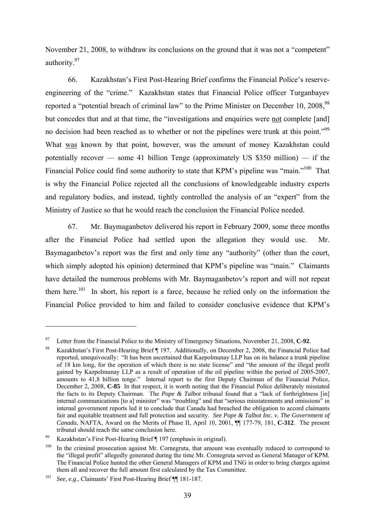November 21, 2008, to withdraw its conclusions on the ground that it was not a "competent" authority.97

66. Kazakhstan's First Post-Hearing Brief confirms the Financial Police's reserveengineering of the "crime." Kazakhstan states that Financial Police officer Turganbayev reported a "potential breach of criminal law" to the Prime Minister on December 10, 2008.<sup>98</sup> but concedes that and at that time, the "investigations and enquiries were not complete [and] no decision had been reached as to whether or not the pipelines were trunk at this point."<sup>99</sup> What was known by that point, however, was the amount of money Kazakhstan could potentially recover — some 41 billion Tenge (approximately US \$350 million) — if the Financial Police could find some authority to state that KPM's pipeline was "main."<sup>100</sup> That is why the Financial Police rejected all the conclusions of knowledgeable industry experts and regulatory bodies, and instead, tightly controlled the analysis of an "expert" from the Ministry of Justice so that he would reach the conclusion the Financial Police needed.

67. Mr. Baymaganbetov delivered his report in February 2009, some three months after the Financial Police had settled upon the allegation they would use. Mr. Baymaganbetov's report was the first and only time any "authority" (other than the court, which simply adopted his opinion) determined that KPM's pipeline was "main." Claimants have detailed the numerous problems with Mr. Baymaganbetov's report and will not repeat them here.<sup>101</sup> In short, his report is a farce, because he relied only on the information the Financial Police provided to him and failed to consider conclusive evidence that KPM's

<u>.</u>

<sup>&</sup>lt;sup>97</sup> Letter from the Financial Police to the Ministry of Emergency Situations, November 21, 2008, **C-92**.<br><sup>98</sup> Kazakhstan's First Post-Hearing Brief ¶ 197. Additionally, on December 2, 2008, the Financial Police had reported, unequivocally: "It has been ascertained that Kazpolmunay LLP has on its balance a trunk pipeline of 18 km long, for the operation of which there is no state license" and "the amount of the illegal profit gained by Kazpolmunay LLP as a result of operation of the oil pipeline within the period of 2005-2007, amounts to 41,8 billion tenge." Internal report to the first Deputy Chairman of the Financial Police, December 2, 2008, **C-85** In that respect, it is worth noting that the Financial Police deliberately misstated the facts to its Deputy Chairman. The *Pope & Talbot* tribunal found that a "lack of forthrightness [in] internal communications [to a] minister" was "troubling" and that "serious misstatements and omissions" in internal government reports led it to conclude that Canada had breached the obligation to accord claimants fair and equitable treatment and full protection and security. *See Pope & Talbot Inc. v. The Government of Canada*, NAFTA, Award on the Merits of Phase II, April 10, 2001, ¶¶ 177-79, 181, **C-312**. The present tribunal should reach the same conclusion here.<br><sup>99</sup> Kazakhstan's First Post-Hearing Brief ¶ 197 (emphasis in original).

<sup>&</sup>lt;sup>100</sup> In the criminal prosecution against Mr. Cornegruta, that amount was eventually reduced to correspond to the "illegal profit" allegedly generated during the time Mr. Cornegruta served as General Manager of KPM. The Financial Police hunted the other General Managers of KPM and TNG in order to bring charges against them all and recover the full amount first calculated by the Tax Committee.

<sup>101</sup> *See, e.g*., Claimants' First Post-Hearing Brief ¶¶ 181-187.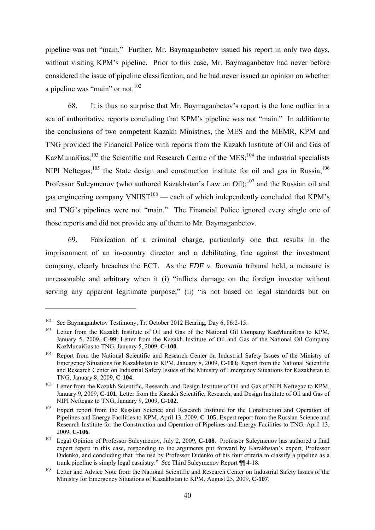pipeline was not "main." Further, Mr. Baymaganbetov issued his report in only two days, without visiting KPM's pipeline. Prior to this case, Mr. Baymaganbetov had never before considered the issue of pipeline classification, and he had never issued an opinion on whether a pipeline was "main" or not.<sup>102</sup>

68. It is thus no surprise that Mr. Baymaganbetov's report is the lone outlier in a sea of authoritative reports concluding that KPM's pipeline was not "main." In addition to the conclusions of two competent Kazakh Ministries, the MES and the MEMR, KPM and TNG provided the Financial Police with reports from the Kazakh Institute of Oil and Gas of KazMunaiGas;<sup>103</sup> the Scientific and Research Centre of the MES;<sup>104</sup> the industrial specialists NIPI Neftegas;<sup>105</sup> the State design and construction institute for oil and gas in Russia;<sup>106</sup> Professor Suleymenov (who authored Kazakhstan's Law on Oil);<sup>107</sup> and the Russian oil and gas engineering company  $VNIIST^{108}$  — each of which independently concluded that KPM's and TNG's pipelines were not "main." The Financial Police ignored every single one of those reports and did not provide any of them to Mr. Baymaganbetov.

69. Fabrication of a criminal charge, particularly one that results in the imprisonment of an in-country director and a debilitating fine against the investment company, clearly breaches the ECT. As the *EDF v. Romania* tribunal held, a measure is unreasonable and arbitrary when it (i) "inflicts damage on the foreign investor without serving any apparent legitimate purpose;" (ii) "is not based on legal standards but on

<sup>&</sup>lt;sup>102</sup> See Baymaganbetov Testimony, Tr. October 2012 Hearing, Day 6, 86:2-15.<br><sup>103</sup> Letter from the Kazakh Institute of Oil and Gas of the National Oil Company KazMunaiGas to KPM, January 5, 2009, **C-99**; Letter from the Kazakh Institute of Oil and Gas of the National Oil Company KazMunaiGas to TNG, January 5, 2009, **C-100**.<br><sup>104</sup> Report from the National Scientific and Research Center on Industrial Safety Issues of the Ministry of

Emergency Situations for Kazakhstan to KPM, January 8, 2009, **C-103**; Report from the National Scientific and Research Center on Industrial Safety Issues of the Ministry of Emergency Situations for Kazakhstan to TNG, January 8, 2009, **C-104**.

<sup>&</sup>lt;sup>105</sup> Letter from the Kazakh Scientific, Research, and Design Institute of Oil and Gas of NIPI Neftegaz to KPM, January 9, 2009, **C-101**; Letter from the Kazakh Scientific, Research, and Design Institute of Oil and Gas of NIPI Neftegaz to TNG, January 9, 2009, **C-102**.

<sup>&</sup>lt;sup>106</sup> Expert report from the Russian Science and Research Institute for the Construction and Operation of Pipelines and Energy Facilities to KPM, April 13, 2009, **C-105**; Expert report from the Russian Science and Research Institute for the Construction and Operation of Pipelines and Energy Facilities to TNG, April 13, 2009, **C-106**. 107 Legal Opinion of Professor Suleymenov, July 2, 2009, **C-108**. Professor Suleymenov has authored a final

expert report in this case, responding to the arguments put forward by Kazakhstan's expert, Professor Didenko, and concluding that "the use by Professor Didenko of his four criteria to classify a pipeline as a trunk pipeline is simply legal casuistry." *See* Third Suleymenov Report ¶¶ 4-18.

<sup>&</sup>lt;sup>108</sup> Letter and Advice Note from the National Scientific and Research Center on Industrial Safety Issues of the Ministry for Emergency Situations of Kazakhstan to KPM, August 25, 2009, **C-107**.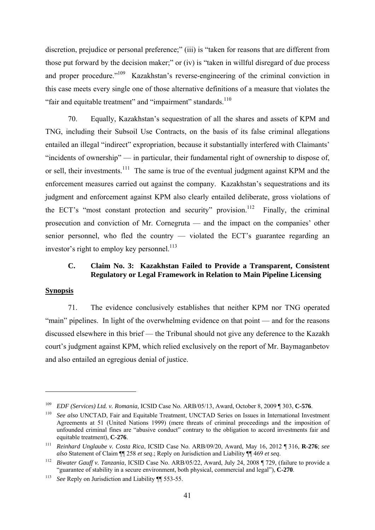discretion, prejudice or personal preference;" (iii) is "taken for reasons that are different from those put forward by the decision maker;" or (iv) is "taken in willful disregard of due process and proper procedure."<sup>109</sup> Kazakhstan's reverse-engineering of the criminal conviction in this case meets every single one of those alternative definitions of a measure that violates the "fair and equitable treatment" and "impairment" standards.<sup>110</sup>

70. Equally, Kazakhstan's sequestration of all the shares and assets of KPM and TNG, including their Subsoil Use Contracts, on the basis of its false criminal allegations entailed an illegal "indirect" expropriation, because it substantially interfered with Claimants' "incidents of ownership" — in particular, their fundamental right of ownership to dispose of, or sell, their investments.<sup>111</sup> The same is true of the eventual judgment against KPM and the enforcement measures carried out against the company. Kazakhstan's sequestrations and its judgment and enforcement against KPM also clearly entailed deliberate, gross violations of the ECT's "most constant protection and security" provision.<sup>112</sup> Finally, the criminal prosecution and conviction of Mr. Cornegruta — and the impact on the companies' other senior personnel, who fled the country — violated the ECT's guarantee regarding an investor's right to employ key personnel. $^{113}$ 

# **C. Claim No. 3: Kazakhstan Failed to Provide a Transparent, Consistent Regulatory or Legal Framework in Relation to Main Pipeline Licensing**

### **Synopsis**

1

71. The evidence conclusively establishes that neither KPM nor TNG operated "main" pipelines. In light of the overwhelming evidence on that point — and for the reasons discussed elsewhere in this brief — the Tribunal should not give any deference to the Kazakh court's judgment against KPM, which relied exclusively on the report of Mr. Baymaganbetov and also entailed an egregious denial of justice.

<sup>&</sup>lt;sup>109</sup> *EDF* (*Services*) *Ltd. v. Romania*, ICSID Case No. ARB/05/13, Award, October 8, 2009 [1303, **C-576**.<br><sup>110</sup> *See also* UNCTAD, Fair and Equitable Treatment, UNCTAD Series on Issues in International Investment

Agreements at 51 (United Nations 1999) (mere threats of criminal proceedings and the imposition of unfounded criminal fines are "abusive conduct" contrary to the obligation to accord investments fair and equitable treatment), **C-276**.

<sup>111</sup> *Reinhard Unglaube v. Costa Rica*, ICSID Case No. ARB/09/20, Award, May 16, 2012 ¶ 316, **R-276**; *see* 

<sup>&</sup>lt;sup>112</sup> Biwater Gauff v. Tanzania, ICSID Case No. ARB/05/22, Award, July 24, 2008 ¶ 729, (failure to provide a "guarantee of stability in a secure environment, both physical, commercial and legal"), **C-270**.

<sup>113</sup> *See* Reply on Jurisdiction and Liability ¶¶ 553-55.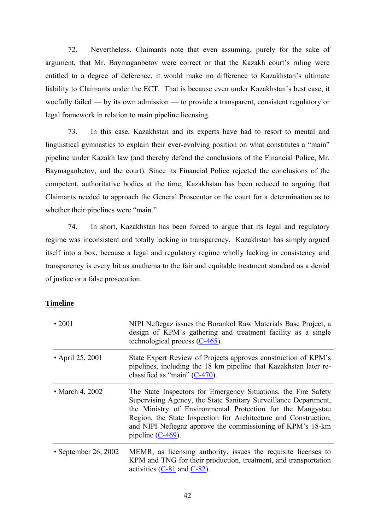72. Nevertheless, Claimants note that even assuming, purely for the sake of argument, that Mr. Baymaganbetov were correct or that the Kazakh court's ruling were entitled to a degree of deference, it would make no difference to Kazakhstan's ultimate liability to Claimants under the ECT. That is because even under Kazakhstan's best case, it woefully failed — by its own admission — to provide a transparent, consistent regulatory or legal framework in relation to main pipeline licensing.

73. In this case, Kazakhstan and its experts have had to resort to mental and linguistical gymnastics to explain their ever-evolving position on what constitutes a "main" pipeline under Kazakh law (and thereby defend the conclusions of the Financial Police, Mr. Baymaganbetov, and the court). Since its Financial Police rejected the conclusions of the competent, authoritative bodies at the time, Kazakhstan has been reduced to arguing that Claimants needed to approach the General Prosecutor or the court for a determination as to whether their pipelines were "main."

74. In short, Kazakhstan has been forced to argue that its legal and regulatory regime was inconsistent and totally lacking in transparency. Kazakhstan has simply argued itself into a box, because a legal and regulatory regime wholly lacking in consistency and transparency is every bit as anathema to the fair and equitable treatment standard as a denial of justice or a false prosecution.

### **Timeline**

| $\cdot$ 2001            | NIPI Neftegaz issues the Borankol Raw Materials Base Project, a<br>design of KPM's gathering and treatment facility as a single<br>technological process $(C-465)$ .                                                                                                                                                                                     |
|-------------------------|----------------------------------------------------------------------------------------------------------------------------------------------------------------------------------------------------------------------------------------------------------------------------------------------------------------------------------------------------------|
| • April 25, 2001        | State Expert Review of Projects approves construction of KPM's<br>pipelines, including the 18 km pipeline that Kazakhstan later re-<br>classified as "main" $(C-470)$ .                                                                                                                                                                                  |
| $\bullet$ March 4, 2002 | The State Inspectors for Emergency Situations, the Fire Safety<br>Supervising Agency, the State Sanitary Surveillance Department,<br>the Ministry of Environmental Protection for the Mangystau<br>Region, the State Inspection for Architecture and Construction,<br>and NIPI Neftegaz approve the commissioning of KPM's 18-km<br>pipeline $(C-469)$ . |
| • September 26, 2002    | MEMR, as licensing authority, issues the requisite licenses to<br>KPM and TNG for their production, treatment, and transportation<br>activities $(C-81$ and $C-82$ ).                                                                                                                                                                                    |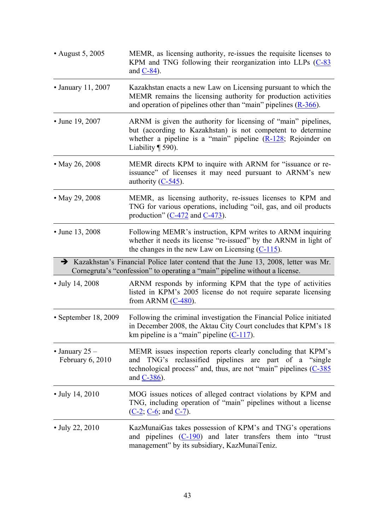| • August 5, 2005                     | MEMR, as licensing authority, re-issues the requisite licenses to<br>KPM and TNG following their reorganization into LLPs (C-83)<br>and $C-84$ ).                                                                         |
|--------------------------------------|---------------------------------------------------------------------------------------------------------------------------------------------------------------------------------------------------------------------------|
| • January 11, 2007                   | Kazakhstan enacts a new Law on Licensing pursuant to which the<br>MEMR remains the licensing authority for production activities<br>and operation of pipelines other than "main" pipelines $(R-366)$ .                    |
| • June 19, 2007                      | ARNM is given the authority for licensing of "main" pipelines,<br>but (according to Kazakhstan) is not competent to determine<br>whether a pipeline is a "main" pipeline $(R-128)$ ; Rejoinder on<br>Liability $\P$ 590). |
| • May 26, 2008                       | MEMR directs KPM to inquire with ARNM for "issuance or re-<br>issuance" of licenses it may need pursuant to ARNM's new<br>authority $(C-545)$ .                                                                           |
| • May 29, 2008                       | MEMR, as licensing authority, re-issues licenses to KPM and<br>TNG for various operations, including "oil, gas, and oil products<br>production" $(C-472$ and $C-473$ ).                                                   |
| • June 13, 2008                      | Following MEMR's instruction, KPM writes to ARNM inquiring<br>whether it needs its license "re-issued" by the ARNM in light of<br>the changes in the new Law on Licensing $(C-115)$ .                                     |
|                                      | Stazakhstan's Financial Police later contend that the June 13, 2008, letter was Mr.<br>Cornegruta's "confession" to operating a "main" pipeline without a license.                                                        |
| • July 14, 2008                      | ARNM responds by informing KPM that the type of activities<br>listed in KPM's 2005 license do not require separate licensing<br>from ARNM $(C-480)$ .                                                                     |
| $\cdot$ September 18, 2009           | Following the criminal investigation the Financial Police initiated<br>in December 2008, the Aktau City Court concludes that KPM's 18<br>km pipeline is a "main" pipeline $(C-117)$ .                                     |
| • January $25$ –<br>February 6, 2010 | MEMR issues inspection reports clearly concluding that KPM's<br>TNG's reclassified pipelines are part of a "single"<br>and<br>technological process" and, thus, are not "main" pipelines (C-385)<br>and $C-386$ ).        |
| $\cdot$ July 14, 2010                | MOG issues notices of alleged contract violations by KPM and<br>TNG, including operation of "main" pipelines without a license<br>$(C-2; C-6;$ and $C-7)$ .                                                               |
| $\cdot$ July 22, 2010                | KazMunaiGas takes possession of KPM's and TNG's operations<br>and pipelines $(C-190)$ and later transfers them into "trust"<br>management" by its subsidiary, KazMunaiTeniz.                                              |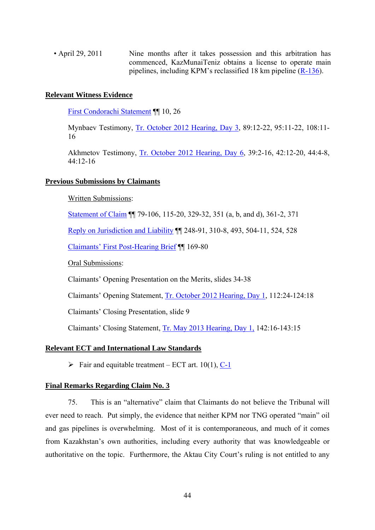• April 29, 2011 Nine months after it takes possession and this arbitration has commenced, KazMunaiTeniz obtains a license to operate main pipelines, including KPM's reclassified 18 km pipeline  $(R-136)$ .

#### **Relevant Witness Evidence**

First Condorachi Statement ¶¶ 10, 26

Mynbaev Testimony, Tr. October 2012 Hearing, Day 3, 89:12-22, 95:11-22, 108:11- 16

Akhmetov Testimony, Tr. October 2012 Hearing, Day 6, 39:2-16, 42:12-20, 44:4-8, 44:12-16

#### **Previous Submissions by Claimants**

Written Submissions:

Statement of Claim ¶¶ 79-106, 115-20, 329-32, 351 (a, b, and d), 361-2, 371

Reply on Jurisdiction and Liability ¶¶ 248-91, 310-8, 493, 504-11, 524, 528

Claimants' First Post-Hearing Brief ¶¶ 169-80

Oral Submissions:

Claimants' Opening Presentation on the Merits, slides 34-38

Claimants' Opening Statement, Tr. October 2012 Hearing, Day 1, 112:24-124:18

Claimants' Closing Presentation, slide 9

Claimants' Closing Statement, Tr. May 2013 Hearing, Day 1, 142:16-143:15

#### **Relevant ECT and International Law Standards**

 $\triangleright$  Fair and equitable treatment – ECT art. 10(1), C-1

### **Final Remarks Regarding Claim No. 3**

75. This is an "alternative" claim that Claimants do not believe the Tribunal will ever need to reach. Put simply, the evidence that neither KPM nor TNG operated "main" oil and gas pipelines is overwhelming. Most of it is contemporaneous, and much of it comes from Kazakhstan's own authorities, including every authority that was knowledgeable or authoritative on the topic. Furthermore, the Aktau City Court's ruling is not entitled to any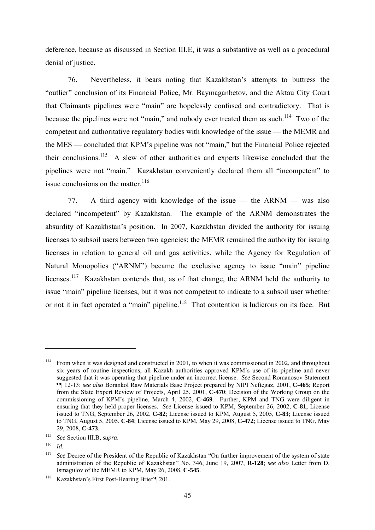deference, because as discussed in Section III.E, it was a substantive as well as a procedural denial of justice.

76. Nevertheless, it bears noting that Kazakhstan's attempts to buttress the "outlier" conclusion of its Financial Police, Mr. Baymaganbetov, and the Aktau City Court that Claimants pipelines were "main" are hopelessly confused and contradictory. That is because the pipelines were not "main," and nobody ever treated them as such.<sup>114</sup> Two of the competent and authoritative regulatory bodies with knowledge of the issue — the MEMR and the MES — concluded that KPM's pipeline was not "main," but the Financial Police rejected their conclusions.115 A slew of other authorities and experts likewise concluded that the pipelines were not "main." Kazakhstan conveniently declared them all "incompetent" to issue conclusions on the matter.<sup>116</sup>

77. A third agency with knowledge of the issue — the ARNM — was also declared "incompetent" by Kazakhstan. The example of the ARNM demonstrates the absurdity of Kazakhstan's position. In 2007, Kazakhstan divided the authority for issuing licenses to subsoil users between two agencies: the MEMR remained the authority for issuing licenses in relation to general oil and gas activities, while the Agency for Regulation of Natural Monopolies ("ARNM") became the exclusive agency to issue "main" pipeline licenses.<sup>117</sup> Kazakhstan contends that, as of that change, the ARNM held the authority to issue "main" pipeline licenses, but it was not competent to indicate to a subsoil user whether or not it in fact operated a "main" pipeline.<sup>118</sup> That contention is ludicrous on its face. But

<sup>&</sup>lt;sup>114</sup> From when it was designed and constructed in 2001, to when it was commissioned in 2002, and throughout six years of routine inspections, all Kazakh authorities approved KPM's use of its pipeline and never suggested that it was operating that pipeline under an incorrect license. *See* Second Romanosov Statement ¶¶ 12-13; *see also* Borankol Raw Materials Base Project prepared by NIPI Neftegaz, 2001, **C-465**; Report from the State Expert Review of Projects, April 25, 2001, **C-470**; Decision of the Working Group on the commissioning of KPM's pipeline, March 4, 2002, **C-469**. Further, KPM and TNG were diligent in ensuring that they held proper licenses. *See* License issued to KPM, September 26, 2002, **C-81**; License issued to TNG, September 26, 2002, **C-82**; License issued to KPM, August 5, 2005, **C-83**; License issued to TNG, August 5, 2005, **C-84**; License issued to KPM, May 29, 2008, **C-472**; License issued to TNG, May 29, 2008, **C-473**.

<sup>115</sup>*See* Section III.B, *supra*. 116 *Id*.

<sup>&</sup>lt;sup>117</sup> *See* Decree of the President of the Republic of Kazakhstan "On further improvement of the system of state administration of the Republic of Kazakhstan" No. 346, June 19, 2007, **R-128**; *see also* Letter from D. Ismagulov of the MEMR to KPM, May 26, 2008, **C-545**.

<sup>118</sup> Kazakhstan's First Post-Hearing Brief ¶ 201.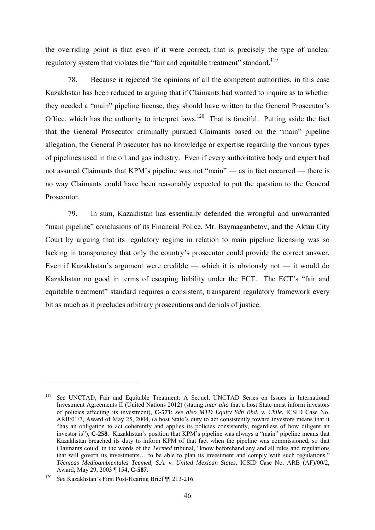the overriding point is that even if it were correct, that is precisely the type of unclear regulatory system that violates the "fair and equitable treatment" standard.<sup>119</sup>

78. Because it rejected the opinions of all the competent authorities, in this case Kazakhstan has been reduced to arguing that if Claimants had wanted to inquire as to whether they needed a "main" pipeline license, they should have written to the General Prosecutor's Office, which has the authority to interpret laws.<sup>120</sup> That is fanciful. Putting aside the fact that the General Prosecutor criminally pursued Claimants based on the "main" pipeline allegation, the General Prosecutor has no knowledge or expertise regarding the various types of pipelines used in the oil and gas industry. Even if every authoritative body and expert had not assured Claimants that KPM's pipeline was not "main" — as in fact occurred — there is no way Claimants could have been reasonably expected to put the question to the General **Prosecutor** 

79. In sum, Kazakhstan has essentially defended the wrongful and unwarranted "main pipeline" conclusions of its Financial Police, Mr. Baymaganbetov, and the Aktau City Court by arguing that its regulatory regime in relation to main pipeline licensing was so lacking in transparency that only the country's prosecutor could provide the correct answer. Even if Kazakhstan's argument were credible — which it is obviously not — it would do Kazakhstan no good in terms of escaping liability under the ECT. The ECT's "fair and equitable treatment" standard requires a consistent, transparent regulatory framework every bit as much as it precludes arbitrary prosecutions and denials of justice.

<u>.</u>

<sup>119</sup> *See* UNCTAD, Fair and Equitable Treatment: A Sequel, UNCTAD Series on Issues in International Investment Agreements II (United Nations 2012) (stating *inter alia* that a host State must inform investors of policies affecting its investment), **C-571**; *see also MTD Equity Sdn Bhd. v. Chile*, ICSID Case No. ARB/01/7, Award of May 25, 2004, (a host State's duty to act consistently toward investors means that it "has an obligation to act coherently and applies its policies consistently, regardless of how diligent an investor is"), **C-258**. Kazakhstan's position that KPM's pipeline was always a "main" pipeline means that Kazakhstan breached its duty to inform KPM of that fact when the pipeline was commissioned, so that Claimants could, in the words of the *Tecmed* tribunal, "know beforehand any and all rules and regulations that will govern its investments… to be able to plan its investment and comply with such regulations." *Técnicas Medioambientales Tecmed, S.A. v. United Mexican States*, ICSID Case No. ARB (AF)/00/2, Award, May 29, 2003 ¶ 154, **C-587.**

<sup>120</sup> *See* Kazakhstan's First Post-Hearing Brief ¶¶ 213-216.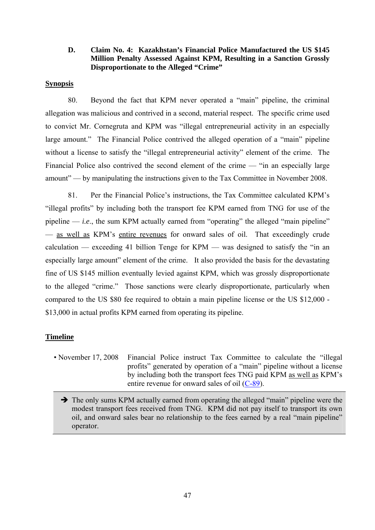# **D. Claim No. 4: Kazakhstan's Financial Police Manufactured the US \$145 Million Penalty Assessed Against KPM, Resulting in a Sanction Grossly Disproportionate to the Alleged "Crime"**

### **Synopsis**

80. Beyond the fact that KPM never operated a "main" pipeline, the criminal allegation was malicious and contrived in a second, material respect. The specific crime used to convict Mr. Cornegruta and KPM was "illegal entrepreneurial activity in an especially large amount." The Financial Police contrived the alleged operation of a "main" pipeline without a license to satisfy the "illegal entrepreneurial activity" element of the crime. The Financial Police also contrived the second element of the crime — "in an especially large amount" — by manipulating the instructions given to the Tax Committee in November 2008.

81. Per the Financial Police's instructions, the Tax Committee calculated KPM's "illegal profits" by including both the transport fee KPM earned from TNG for use of the pipeline  $-$  *i.e.*, the sum KPM actually earned from "operating" the alleged "main pipeline" — as well as KPM's entire revenues for onward sales of oil. That exceedingly crude calculation — exceeding 41 billion Tenge for  $KPM$  — was designed to satisfy the "in an especially large amount" element of the crime. It also provided the basis for the devastating fine of US \$145 million eventually levied against KPM, which was grossly disproportionate to the alleged "crime." Those sanctions were clearly disproportionate, particularly when compared to the US \$80 fee required to obtain a main pipeline license or the US \$12,000 - \$13,000 in actual profits KPM earned from operating its pipeline.

# **Timeline**

• November 17, 2008 Financial Police instruct Tax Committee to calculate the "illegal" profits" generated by operation of a "main" pipeline without a license by including both the transport fees TNG paid KPM as well as KPM's entire revenue for onward sales of oil (C-89).

 $\rightarrow$  The only sums KPM actually earned from operating the alleged "main" pipeline were the modest transport fees received from TNG. KPM did not pay itself to transport its own oil, and onward sales bear no relationship to the fees earned by a real "main pipeline" operator.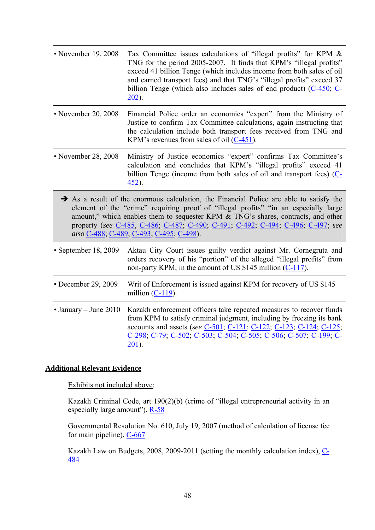| • November 19, 2008           | Tax Committee issues calculations of "illegal profits" for KPM &<br>TNG for the period 2005-2007. It finds that KPM's "illegal profits"<br>exceed 41 billion Tenge (which includes income from both sales of oil<br>and earned transport fees) and that TNG's "illegal profits" exceed 37<br>billion Tenge (which also includes sales of end product) $(C-450, C-$<br>$202$ ).                                  |
|-------------------------------|-----------------------------------------------------------------------------------------------------------------------------------------------------------------------------------------------------------------------------------------------------------------------------------------------------------------------------------------------------------------------------------------------------------------|
| • November 20, 2008           | Financial Police order an economics "expert" from the Ministry of<br>Justice to confirm Tax Committee calculations, again instructing that<br>the calculation include both transport fees received from TNG and<br>KPM's revenues from sales of oil $(C-451)$ .                                                                                                                                                 |
| • November 28, 2008           | Ministry of Justice economics "expert" confirms Tax Committee's<br>calculation and concludes that KPM's "illegal profits" exceed 41<br>billion Tenge (income from both sales of oil and transport fees) (C-<br>$452$ ).                                                                                                                                                                                         |
|                               | $\rightarrow$ As a result of the enormous calculation, the Financial Police are able to satisfy the<br>element of the "crime" requiring proof of "illegal profits" "in an especially large<br>amount," which enables them to sequester KPM & TNG's shares, contracts, and other<br>property (see C-485, C-486, C-487, C-490, C-491, C-492, C-494, C-496, C-497, see<br>also C-488; C-489; C-493; C-495; C-498). |
| • September 18, 2009          | Aktau City Court issues guilty verdict against Mr. Cornegruta and<br>orders recovery of his "portion" of the alleged "illegal profits" from<br>non-party KPM, in the amount of US \$145 million $(C-117)$ .                                                                                                                                                                                                     |
| • December 29, 2009           | Writ of Enforcement is issued against KPM for recovery of US \$145<br>million $(C-119)$ .                                                                                                                                                                                                                                                                                                                       |
| $\bullet$ January – June 2010 | Kazakh enforcement officers take repeated measures to recover funds<br>from KPM to satisfy criminal judgment, including by freezing its bank<br>accounts and assets (see C-501, C-121, C-122, C-123, C-124, C-125;<br>C-298; C-79; C-502; C-503; C-504; C-505; C-506; C-507; C-199; C-<br>$201$ ).                                                                                                              |

### **Additional Relevant Evidence**

Exhibits not included above:

Kazakh Criminal Code, art 190(2)(b) (crime of "illegal entrepreneurial activity in an especially large amount"),  $R-58$ 

Governmental Resolution No. 610, July 19, 2007 (method of calculation of license fee for main pipeline),  $C$ -667

Kazakh Law on Budgets, 2008, 2009-2011 (setting the monthly calculation index), C-484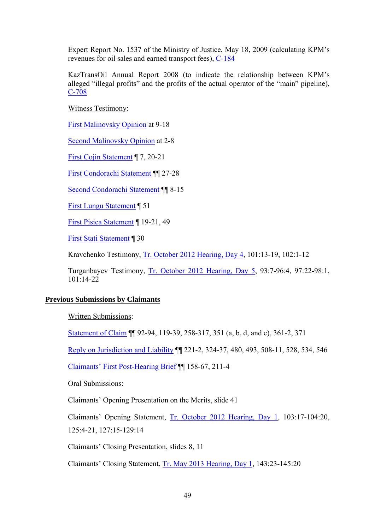Expert Report No. 1537 of the Ministry of Justice, May 18, 2009 (calculating KPM's revenues for oil sales and earned transport fees), C-184

KazTransOil Annual Report 2008 (to indicate the relationship between KPM's alleged "illegal profits" and the profits of the actual operator of the "main" pipeline), C-708

Witness Testimony:

First Malinovsky Opinion at 9-18

Second Malinovsky Opinion at 2-8

First Cojin Statement ¶ 7, 20-21

First Condorachi Statement ¶¶ 27-28

Second Condorachi Statement ¶¶ 8-15

First Lungu Statement ¶ 51

First Pisica Statement ¶ 19-21, 49

First Stati Statement ¶ 30

Kravchenko Testimony, Tr. October 2012 Hearing, Day 4, 101:13-19, 102:1-12

Turganbayev Testimony, Tr. October 2012 Hearing, Day 5, 93:7-96:4, 97:22-98:1, 101:14-22

### **Previous Submissions by Claimants**

Written Submissions:

Statement of Claim ¶¶ 92-94, 119-39, 258-317, 351 (a, b, d, and e), 361-2, 371

Reply on Jurisdiction and Liability ¶¶ 221-2, 324-37, 480, 493, 508-11, 528, 534, 546

Claimants' First Post-Hearing Brief ¶¶ 158-67, 211-4

Oral Submissions:

Claimants' Opening Presentation on the Merits, slide 41

Claimants' Opening Statement, Tr. October 2012 Hearing, Day 1, 103:17-104:20, 125:4-21, 127:15-129:14

Claimants' Closing Presentation, slides 8, 11

Claimants' Closing Statement, Tr. May 2013 Hearing, Day 1, 143:23-145:20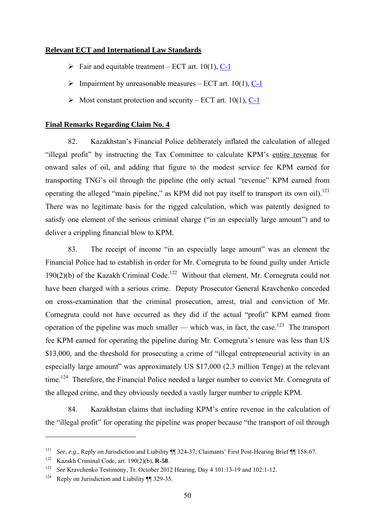# **Relevant ECT and International Law Standards**

- $\triangleright$  Fair and equitable treatment ECT art. 10(1), C-1
- $\triangleright$  Impairment by unreasonable measures ECT art. 10(1), C-1
- $\triangleright$  Most constant protection and security ECT art. 10(1), C-1

### **Final Remarks Regarding Claim No. 4**

82. Kazakhstan's Financial Police deliberately inflated the calculation of alleged "illegal profit" by instructing the Tax Committee to calculate KPM's entire revenue for onward sales of oil, and adding that figure to the modest service fee KPM earned for transporting TNG's oil through the pipeline (the only actual "revenue" KPM earned from operating the alleged "main pipeline," as KPM did not pay itself to transport its own oil).<sup>121</sup> There was no legitimate basis for the rigged calculation, which was patently designed to satisfy one element of the serious criminal charge ("in an especially large amount") and to deliver a crippling financial blow to KPM.

83. The receipt of income "in an especially large amount" was an element the Financial Police had to establish in order for Mr. Cornegruta to be found guilty under Article 190(2)(b) of the Kazakh Criminal Code.<sup>122</sup> Without that element, Mr. Cornegruta could not have been charged with a serious crime. Deputy Prosecutor General Kravchenko conceded on cross-examination that the criminal prosecution, arrest, trial and conviction of Mr. Cornegruta could not have occurred as they did if the actual "profit" KPM earned from operation of the pipeline was much smaller — which was, in fact, the case.<sup>123</sup> The transport fee KPM earned for operating the pipeline during Mr. Cornegruta's tenure was less than US \$13,000, and the threshold for prosecuting a crime of "illegal entrepreneurial activity in an especially large amount" was approximately US \$17,000 (2.3 million Tenge) at the relevant time.<sup>124</sup> Therefore, the Financial Police needed a larger number to convict Mr. Cornegruta of the alleged crime, and they obviously needed a vastly larger number to cripple KPM.

84. Kazakhstan claims that including KPM's entire revenue in the calculation of the "illegal profit" for operating the pipeline was proper because "the transport of oil through

<sup>121</sup>*See, e.g*., Reply on Jurisdiction and Liability ¶¶ 324-37; Claimants' First Post-Hearing Brief ¶¶ 158-67. 122 Kazakh Criminal Code, art. 190(2)(b), **R-58**.

<sup>&</sup>lt;sup>123</sup> See Kravchenko Testimony, Tr. October 2012 Hearing, Day 4 101:13-19 and 102:1-12.<br><sup>124</sup> Reply on Jurisdiction and Liability ¶¶ 329-35.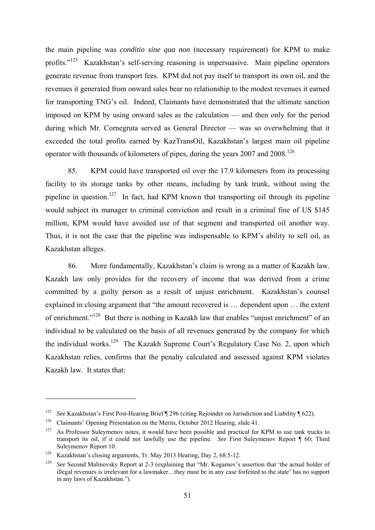the main pipeline was *conditio sine qua non* (necessary requirement) for KPM to make profits."125 Kazakhstan's self-serving reasoning is unpersuasive. Main pipeline operators generate revenue from transport fees. KPM did not pay itself to transport its own oil, and the revenues it generated from onward sales bear no relationship to the modest revenues it earned for transporting TNG's oil. Indeed, Claimants have demonstrated that the ultimate sanction imposed on KPM by using onward sales as the calculation — and then only for the period during which Mr. Cornegruta served as General Director — was so overwhelming that it exceeded the total profits earned by KazTransOil, Kazakhstan's largest main oil pipeline operator with thousands of kilometers of pipes, during the years 2007 and 2008.<sup>126</sup>

85. KPM could have transported oil over the 17.9 kilometers from its processing facility to its storage tanks by other means, including by tank trunk, without using the pipeline in question.<sup>127</sup> In fact, had KPM known that transporting oil through its pipeline would subject its manager to criminal conviction and result in a criminal fine of US \$145 million, KPM would have avoided use of that segment and transported oil another way. Thus, it is not the case that the pipeline was indispensable to KPM's ability to sell oil, as Kazakhstan alleges.

86. More fundamentally, Kazakhstan's claim is wrong as a matter of Kazakh law. Kazakh law only provides for the recovery of income that was derived from a crime committed by a guilty person as a result of unjust enrichment. Kazakhstan's counsel explained in closing argument that "the amount recovered is … dependent upon … the extent of enrichment."<sup>128</sup> But there is nothing in Kazakh law that enables "unjust enrichment" of an individual to be calculated on the basis of all revenues generated by the company for which the individual works.<sup>129</sup> The Kazakh Supreme Court's Regulatory Case No. 2, upon which Kazakhstan relies, confirms that the penalty calculated and assessed against KPM violates Kazakh law. It states that:

<sup>&</sup>lt;sup>125</sup> See Kazakhstan's First Post-Hearing Brief ¶ 296 (citing Rejoinder on Jurisdiction and Liability ¶ 622).<br><sup>126</sup> Claimants' Opening Presentation on the Merits, October 2012 Hearing, slide 41.

<sup>&</sup>lt;sup>127</sup> As Professor Suleymenov notes, it would have been possible and practical for KPM to use tank trucks to transport its oil, if it could not lawfully use the pipeline. *See* First Suleymenov Report ¶ 60; Third Suleymenov Report 10.

<sup>&</sup>lt;sup>128</sup> Kazakhstan's closing arguments, Tr. May 2013 Hearing, Day 2, 68:5-12.<br><sup>129</sup> *See* Second Malinovsky Report at 2-3 (explaining that "Mr. Kogamov's assertion that 'the actual holder of illegal revenues is irrelevant for a lawmaker…they must be in any case forfeited to the state' has no support in any laws of Kazakhstan.").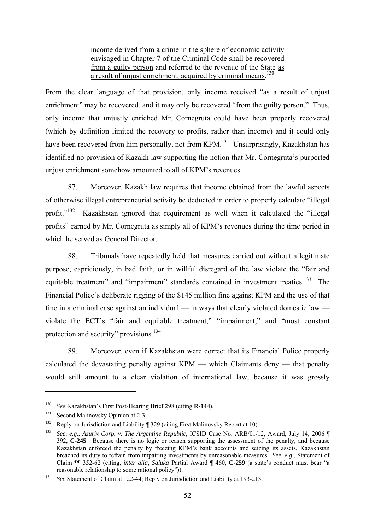income derived from a crime in the sphere of economic activity envisaged in Chapter 7 of the Criminal Code shall be recovered from a guilty person and referred to the revenue of the State as a result of unjust enrichment, acquired by criminal means.<sup>130</sup>

From the clear language of that provision, only income received "as a result of unjust enrichment" may be recovered, and it may only be recovered "from the guilty person." Thus, only income that unjustly enriched Mr. Cornegruta could have been properly recovered (which by definition limited the recovery to profits, rather than income) and it could only have been recovered from him personally, not from KPM.<sup>131</sup> Unsurprisingly, Kazakhstan has identified no provision of Kazakh law supporting the notion that Mr. Cornegruta's purported unjust enrichment somehow amounted to all of KPM's revenues.

87. Moreover, Kazakh law requires that income obtained from the lawful aspects of otherwise illegal entrepreneurial activity be deducted in order to properly calculate "illegal profit."<sup>132</sup> Kazakhstan ignored that requirement as well when it calculated the "illegal" profits" earned by Mr. Cornegruta as simply all of KPM's revenues during the time period in which he served as General Director.

88. Tribunals have repeatedly held that measures carried out without a legitimate purpose, capriciously, in bad faith, or in willful disregard of the law violate the "fair and equitable treatment" and "impairment" standards contained in investment treaties.<sup>133</sup> The Financial Police's deliberate rigging of the \$145 million fine against KPM and the use of that fine in a criminal case against an individual — in ways that clearly violated domestic law violate the ECT's "fair and equitable treatment," "impairment," and "most constant protection and security" provisions.<sup>134</sup>

89. Moreover, even if Kazakhstan were correct that its Financial Police properly calculated the devastating penalty against KPM — which Claimants deny — that penalty would still amount to a clear violation of international law, because it was grossly

<sup>130</sup>*See* Kazakhstan's First Post-Hearing Brief 298 (citing **R-144**). 131 Second Malinovsky Opinion at 2-3.

<sup>&</sup>lt;sup>132</sup> Reply on Jurisdiction and Liability ¶ 329 (citing First Malinovsky Report at 10).

<sup>133</sup> *See*, *e.g.*, *Azurix Corp. v. The Argentine Republic*, ICSID Case No. ARB/01/12, Award, July 14, 2006 ¶ 392, **C-245**. Because there is no logic or reason supporting the assessment of the penalty, and because Kazakhstan enforced the penalty by freezing KPM's bank accounts and seizing its assets, Kazakhstan breached its duty to refrain from impairing investments by unreasonable measures. *See*, *e.g*., Statement of Claim ¶¶ 352-62 (citing, *inter alia*, *Saluka* Partial Award ¶ 460, **C-259** (a state's conduct must bear "a reasonable relationship to some rational policy")).

<sup>134</sup> *See* Statement of Claim at 122-44; Reply on Jurisdiction and Liability at 193-213.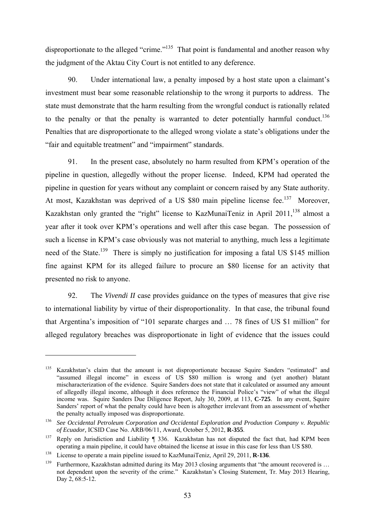disproportionate to the alleged "crime."<sup>135</sup> That point is fundamental and another reason why the judgment of the Aktau City Court is not entitled to any deference.

90. Under international law, a penalty imposed by a host state upon a claimant's investment must bear some reasonable relationship to the wrong it purports to address. The state must demonstrate that the harm resulting from the wrongful conduct is rationally related to the penalty or that the penalty is warranted to deter potentially harmful conduct.<sup>136</sup> Penalties that are disproportionate to the alleged wrong violate a state's obligations under the "fair and equitable treatment" and "impairment" standards.

91. In the present case, absolutely no harm resulted from KPM's operation of the pipeline in question, allegedly without the proper license. Indeed, KPM had operated the pipeline in question for years without any complaint or concern raised by any State authority. At most, Kazakhstan was deprived of a US \$80 main pipeline license fee.<sup>137</sup> Moreover, Kazakhstan only granted the "right" license to KazMunaiTeniz in April  $2011$ ,  $^{138}$  almost a year after it took over KPM's operations and well after this case began. The possession of such a license in KPM's case obviously was not material to anything, much less a legitimate need of the State.<sup>139</sup> There is simply no justification for imposing a fatal US \$145 million fine against KPM for its alleged failure to procure an \$80 license for an activity that presented no risk to anyone.

92. The *Vivendi II* case provides guidance on the types of measures that give rise to international liability by virtue of their disproportionality. In that case, the tribunal found that Argentina's imposition of "101 separate charges and … 78 fines of US \$1 million" for alleged regulatory breaches was disproportionate in light of evidence that the issues could

<sup>&</sup>lt;sup>135</sup> Kazakhstan's claim that the amount is not disproportionate because Squire Sanders "estimated" and "assumed illegal income" in excess of US \$80 million is wrong and (yet another) blatant mischaracterization of the evidence. Squire Sanders does not state that it calculated or assumed any amount of allegedly illegal income, although it does reference the Financial Police's "view" of what the illegal income was. Squire Sanders Due Diligence Report, July 30, 2009, at 113, **C-725**. In any event, Squire Sanders' report of what the penalty could have been is altogether irrelevant from an assessment of whether the penalty actually imposed was disproportionate.

<sup>136</sup> *See Occidental Petroleum Corporation and Occidental Exploration and Production Company v. Republic of Ecuador*, ICSID Case No. ARB/06/11, Award, October 5, 2012, **R-355**.<br><sup>137</sup> Reply on Jurisdiction and Liability ¶ 336. Kazakhstan has not disputed the fact that, had KPM been

operating a main pipeline, it could have obtained the license at issue in this case for less than US \$80.

<sup>&</sup>lt;sup>138</sup> License to operate a main pipeline issued to KazMunaiTeniz, April 29, 2011, **R-136**.<br><sup>139</sup> Furthermore, Kazakhstan admitted during its May 2013 closing arguments that "the amount recovered is ... not dependent upon the severity of the crime." Kazakhstan's Closing Statement, Tr. May 2013 Hearing, Day 2, 68:5-12.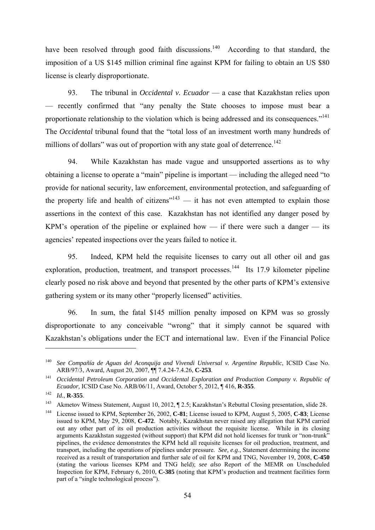have been resolved through good faith discussions.<sup>140</sup> According to that standard, the imposition of a US \$145 million criminal fine against KPM for failing to obtain an US \$80 license is clearly disproportionate.

93. The tribunal in *Occidental v. Ecuador* — a case that Kazakhstan relies upon — recently confirmed that "any penalty the State chooses to impose must bear a proportionate relationship to the violation which is being addressed and its consequences."<sup>141</sup> The *Occidental* tribunal found that the "total loss of an investment worth many hundreds of millions of dollars" was out of proportion with any state goal of deterrence.<sup>142</sup>

94. While Kazakhstan has made vague and unsupported assertions as to why obtaining a license to operate a "main" pipeline is important — including the alleged need "to provide for national security, law enforcement, environmental protection, and safeguarding of the property life and health of citizens $n<sup>143</sup>$  — it has not even attempted to explain those assertions in the context of this case. Kazakhstan has not identified any danger posed by KPM's operation of the pipeline or explained how — if there were such a danger — its agencies' repeated inspections over the years failed to notice it.

95. Indeed, KPM held the requisite licenses to carry out all other oil and gas exploration, production, treatment, and transport processes.<sup>144</sup> Its 17.9 kilometer pipeline clearly posed no risk above and beyond that presented by the other parts of KPM's extensive gathering system or its many other "properly licensed" activities.

96. In sum, the fatal \$145 million penalty imposed on KPM was so grossly disproportionate to any conceivable "wrong" that it simply cannot be squared with Kazakhstan's obligations under the ECT and international law. Even if the Financial Police

<u>.</u>

<sup>&</sup>lt;sup>140</sup> *See Compañía de Aguas del Aconquija and Vivendi Universal v. Argentine Republic*, ICSID Case No.<br>ARB/97/3, Award, August 20, 2007, **11** 7.4.24-7.4.26, **C-253**.

<sup>&</sup>lt;sup>141</sup> *Occidental Petroleum Corporation and Occidental Exploration and Production Company v. Republic of Ecuador,* ICSID Case No. ARB/06/11, Award, October 5, 2012, ¶ 416, **R-355**.

<sup>142</sup>*Id.*, **R-355**. 143 Akmetov Witness Statement, August 10, 2012, ¶ 2.5; Kazakhstan's Rebuttal Closing presentation, slide 28.

<sup>144</sup> License issued to KPM, September 26, 2002, **C-81**; License issued to KPM, August 5, 2005, **C-83**; License issued to KPM, May 29, 2008, **C-472**. Notably, Kazakhstan never raised any allegation that KPM carried out any other part of its oil production activities without the requisite license. While in its closing arguments Kazakhstan suggested (without support) that KPM did not hold licenses for trunk or "non-trunk" pipelines, the evidence demonstrates the KPM held all requisite licenses for oil production, treatment, and transport, including the operations of pipelines under pressure. *See, e.g*., Statement determining the income received as a result of transportation and further sale of oil for KPM and TNG, November 19, 2008, **C-450** (stating the various licenses KPM and TNG held); *see also* Report of the MEMR on Unscheduled Inspection for KPM, February 6, 2010, **C-385** (noting that KPM's production and treatment facilities form part of a "single technological process").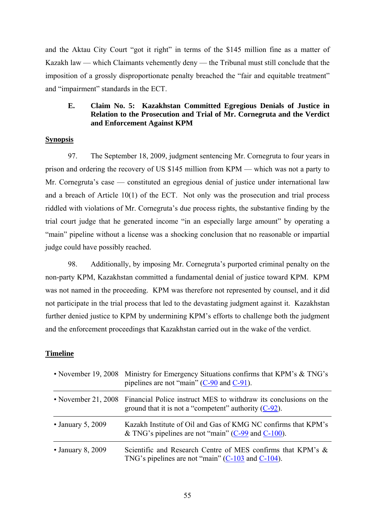and the Aktau City Court "got it right" in terms of the \$145 million fine as a matter of Kazakh law — which Claimants vehemently deny — the Tribunal must still conclude that the imposition of a grossly disproportionate penalty breached the "fair and equitable treatment" and "impairment" standards in the ECT.

# **E. Claim No. 5: Kazakhstan Committed Egregious Denials of Justice in Relation to the Prosecution and Trial of Mr. Cornegruta and the Verdict and Enforcement Against KPM**

### **Synopsis**

97. The September 18, 2009, judgment sentencing Mr. Cornegruta to four years in prison and ordering the recovery of US \$145 million from KPM — which was not a party to Mr. Cornegruta's case — constituted an egregious denial of justice under international law and a breach of Article 10(1) of the ECT. Not only was the prosecution and trial process riddled with violations of Mr. Cornegruta's due process rights, the substantive finding by the trial court judge that he generated income "in an especially large amount" by operating a "main" pipeline without a license was a shocking conclusion that no reasonable or impartial judge could have possibly reached.

98. Additionally, by imposing Mr. Cornegruta's purported criminal penalty on the non-party KPM, Kazakhstan committed a fundamental denial of justice toward KPM. KPM was not named in the proceeding. KPM was therefore not represented by counsel, and it did not participate in the trial process that led to the devastating judgment against it. Kazakhstan further denied justice to KPM by undermining KPM's efforts to challenge both the judgment and the enforcement proceedings that Kazakhstan carried out in the wake of the verdict.

#### **Timeline**

|                         | • November 19, 2008 Ministry for Emergency Situations confirms that KPM's & TNG's<br>pipelines are not "main" $(C-90)$ and $C-91$ ).             |
|-------------------------|--------------------------------------------------------------------------------------------------------------------------------------------------|
|                         | • November 21, 2008 Financial Police instruct MES to withdraw its conclusions on the<br>ground that it is not a "competent" authority $(C-92)$ . |
| $\cdot$ January 5, 2009 | Kazakh Institute of Oil and Gas of KMG NC confirms that KPM's<br>& TNG's pipelines are not "main" ( $C$ -99 and $C$ -100).                       |
| $\cdot$ January 8, 2009 | Scientific and Research Centre of MES confirms that KPM's &<br>TNG's pipelines are not "main" $(C-103$ and $C-104$ ).                            |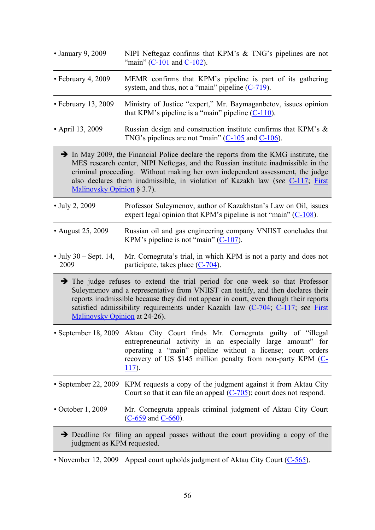| • January 9, 2009                | NIPI Neftegaz confirms that KPM's $& TNG's$ pipelines are not<br>"main" $(C-101$ and $C-102$ ).                                                                                                                                                                                                                                                        |
|----------------------------------|--------------------------------------------------------------------------------------------------------------------------------------------------------------------------------------------------------------------------------------------------------------------------------------------------------------------------------------------------------|
| • February 4, 2009               | MEMR confirms that KPM's pipeline is part of its gathering<br>system, and thus, not a "main" pipeline $(C-719)$ .                                                                                                                                                                                                                                      |
| $\cdot$ February 13, 2009        | Ministry of Justice "expert," Mr. Baymaganbetov, issues opinion<br>that KPM's pipeline is a "main" pipeline $(C-110)$ .                                                                                                                                                                                                                                |
| • April 13, 2009                 | Russian design and construction institute confirms that KPM's &<br>TNG's pipelines are not "main" $(C-105)$ and $C-106$ ).                                                                                                                                                                                                                             |
| Malinovsky Opinion § 3.7).       | $\rightarrow$ In May 2009, the Financial Police declare the reports from the KMG institute, the<br>MES research center, NIPI Neftegas, and the Russian institute inadmissible in the<br>criminal proceeding. Without making her own independent assessment, the judge<br>also declares them inadmissible, in violation of Kazakh law (see C-117, First |
| • July 2, 2009                   | Professor Suleymenov, author of Kazakhstan's Law on Oil, issues<br>expert legal opinion that KPM's pipeline is not "main" $(C-108)$ .                                                                                                                                                                                                                  |
| • August 25, 2009                | Russian oil and gas engineering company VNIIST concludes that<br>KPM's pipeline is not "main" $(C-107)$ .                                                                                                                                                                                                                                              |
| • July $30 - Sept. 14$ ,<br>2009 | Mr. Cornegruta's trial, in which KPM is not a party and does not<br>participate, takes place $(C-704)$ .                                                                                                                                                                                                                                               |
| Malinovsky Opinion at 24-26).    | The judge refuses to extend the trial period for one week so that Professor<br>Suleymenov and a representative from VNIIST can testify, and then declares their<br>reports inadmissible because they did not appear in court, even though their reports<br>satisfied admissibility requirements under Kazakh law (C-704, C-117, see First              |
|                                  | • September 18, 2009 Aktau City Court finds Mr. Cornegruta guilty of "illegal"<br>entrepreneurial activity in an especially large amount" for<br>operating a "main" pipeline without a license; court orders<br>recovery of US \$145 million penalty from non-party KPM (C-<br>$117$ ).                                                                |
|                                  | • September 22, 2009 KPM requests a copy of the judgment against it from Aktau City<br>Court so that it can file an appeal $(C-705)$ ; court does not respond.                                                                                                                                                                                         |
| $\cdot$ October 1, 2009          | Mr. Cornegruta appeals criminal judgment of Aktau City Court<br>$(C-659$ and $C-660)$ .                                                                                                                                                                                                                                                                |
| judgment as KPM requested.       | $\rightarrow$ Deadline for filing an appeal passes without the court providing a copy of the                                                                                                                                                                                                                                                           |
|                                  |                                                                                                                                                                                                                                                                                                                                                        |

• November 12, 2009 Appeal court upholds judgment of Aktau City Court (C-565).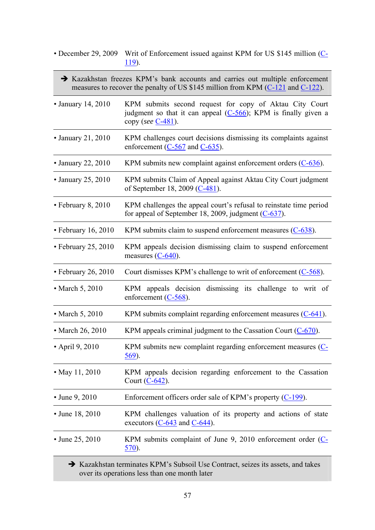- December 29, 2009 Writ of Enforcement issued against KPM for US \$145 million (C-119).
	- Kazakhstan freezes KPM's bank accounts and carries out multiple enforcement measures to recover the penalty of US \$145 million from KPM (C-121 and C-122).
- January 14, 2010 KPM submits second request for copy of Aktau City Court judgment so that it can appeal (C-566); KPM is finally given a copy (*see* C-481).
- January 21, 2010 KPM challenges court decisions dismissing its complaints against enforcement (C-567 and C-635).
- January 22, 2010 KPM submits new complaint against enforcement orders (C-636).
- January 25, 2010 KPM submits Claim of Appeal against Aktau City Court judgment of September 18, 2009 (C-481).
- February 8, 2010 KPM challenges the appeal court's refusal to reinstate time period for appeal of September 18, 2009, judgment  $(C-637)$ .
- February 16, 2010 KPM submits claim to suspend enforcement measures (C-638).
- February 25, 2010 KPM appeals decision dismissing claim to suspend enforcement measures (C-640).
- February 26, 2010 Court dismisses KPM's challenge to writ of enforcement (C-568).
- March 5, 2010 KPM appeals decision dismissing its challenge to writ of enforcement (C-568).
- March 5, 2010 KPM submits complaint regarding enforcement measures (C-641).
- March 26, 2010 KPM appeals criminal judgment to the Cassation Court (C-670).
- April 9, 2010 KPM submits new complaint regarding enforcement measures (C-569).
- May 11, 2010 KPM appeals decision regarding enforcement to the Cassation Court (C-642).
- June 9, 2010 Enforcement officers order sale of KPM's property (C-199).
- June 18, 2010 KPM challenges valuation of its property and actions of state executors  $(C-643$  and  $C-644$ ).
- June 25, 2010 KPM submits complaint of June 9, 2010 enforcement order (C-570).

 Kazakhstan terminates KPM's Subsoil Use Contract, seizes its assets, and takes over its operations less than one month later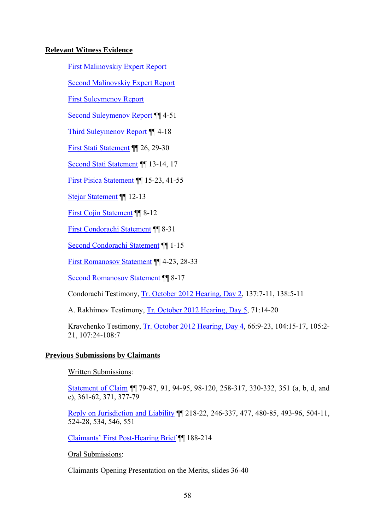# **Relevant Witness Evidence**

First Malinovskiy Expert Report

Second Malinovskiy Expert Report

First Suleymenov Report

Second Suleymenov Report ¶¶ 4-51

Third Suleymenov Report ¶¶ 4-18

First Stati Statement ¶¶ 26, 29-30

Second Stati Statement ¶¶ 13-14, 17

First Pisica Statement ¶¶ 15-23, 41-55

Stejar Statement ¶¶ 12-13

First Cojin Statement ¶¶ 8-12

First Condorachi Statement ¶¶ 8-31

Second Condorachi Statement ¶¶ 1-15

First Romanosov Statement ¶¶ 4-23, 28-33

Second Romanosov Statement ¶¶ 8-17

Condorachi Testimony, Tr. October 2012 Hearing, Day 2, 137:7-11, 138:5-11

A. Rakhimov Testimony, Tr. October 2012 Hearing, Day 5, 71:14-20

Kravchenko Testimony, Tr. October 2012 Hearing, Day 4, 66:9-23, 104:15-17, 105:2- 21, 107:24-108:7

### **Previous Submissions by Claimants**

Written Submissions:

Statement of Claim ¶¶ 79-87, 91, 94-95, 98-120, 258-317, 330-332, 351 (a, b, d, and e), 361-62, 371, 377-79

Reply on Jurisdiction and Liability ¶¶ 218-22, 246-337, 477, 480-85, 493-96, 504-11, 524-28, 534, 546, 551

Claimants' First Post-Hearing Brief ¶¶ 188-214

Oral Submissions:

Claimants Opening Presentation on the Merits, slides 36-40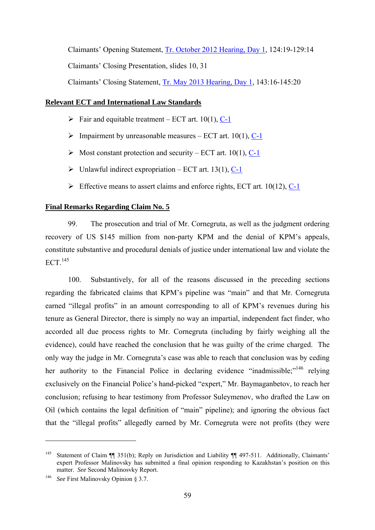Claimants' Opening Statement, Tr. October 2012 Hearing, Day 1, 124:19-129:14 Claimants' Closing Presentation, slides 10, 31 Claimants' Closing Statement, Tr. May 2013 Hearing, Day 1, 143:16-145:20

# **Relevant ECT and International Law Standards**

- $\triangleright$  Fair and equitable treatment ECT art. 10(1), C-1
- $\triangleright$  Impairment by unreasonable measures ECT art. 10(1), C-1
- $\triangleright$  Most constant protection and security ECT art. 10(1), C-1
- $\triangleright$  Unlawful indirect expropriation ECT art. 13(1), C-1
- $\triangleright$  Effective means to assert claims and enforce rights, ECT art. 10(12), C-1

# **Final Remarks Regarding Claim No. 5**

99. The prosecution and trial of Mr. Cornegruta, as well as the judgment ordering recovery of US \$145 million from non-party KPM and the denial of KPM's appeals, constitute substantive and procedural denials of justice under international law and violate the  $ECT$ <sup>145</sup>

100. Substantively, for all of the reasons discussed in the preceding sections regarding the fabricated claims that KPM's pipeline was "main" and that Mr. Cornegruta earned "illegal profits" in an amount corresponding to all of KPM's revenues during his tenure as General Director, there is simply no way an impartial, independent fact finder, who accorded all due process rights to Mr. Cornegruta (including by fairly weighing all the evidence), could have reached the conclusion that he was guilty of the crime charged. The only way the judge in Mr. Cornegruta's case was able to reach that conclusion was by ceding her authority to the Financial Police in declaring evidence "inadmissible;"<sup>146</sup> relying exclusively on the Financial Police's hand-picked "expert," Mr. Baymaganbetov, to reach her conclusion; refusing to hear testimony from Professor Suleymenov, who drafted the Law on Oil (which contains the legal definition of "main" pipeline); and ignoring the obvious fact that the "illegal profits" allegedly earned by Mr. Cornegruta were not profits (they were

<sup>&</sup>lt;sup>145</sup> Statement of Claim ¶ 351(b); Reply on Jurisdiction and Liability ¶ 497-511. Additionally, Claimants' expert Professor Malinovsky has submitted a final opinion responding to Kazakhstan's position on this matter. *See* Second Malinosvky Report.

<sup>146</sup> *See* First Malinovsky Opinion § 3.7.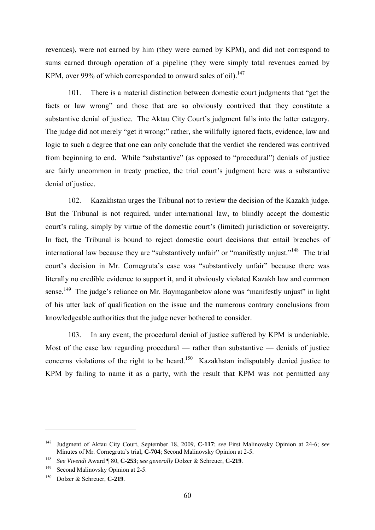revenues), were not earned by him (they were earned by KPM), and did not correspond to sums earned through operation of a pipeline (they were simply total revenues earned by KPM, over 99% of which corresponded to onward sales of oil).<sup>147</sup>

101. There is a material distinction between domestic court judgments that "get the facts or law wrong" and those that are so obviously contrived that they constitute a substantive denial of justice. The Aktau City Court's judgment falls into the latter category. The judge did not merely "get it wrong;" rather, she willfully ignored facts, evidence, law and logic to such a degree that one can only conclude that the verdict she rendered was contrived from beginning to end. While "substantive" (as opposed to "procedural") denials of justice are fairly uncommon in treaty practice, the trial court's judgment here was a substantive denial of justice.

102. Kazakhstan urges the Tribunal not to review the decision of the Kazakh judge. But the Tribunal is not required, under international law, to blindly accept the domestic court's ruling, simply by virtue of the domestic court's (limited) jurisdiction or sovereignty. In fact, the Tribunal is bound to reject domestic court decisions that entail breaches of international law because they are "substantively unfair" or "manifestly unjust."<sup>148</sup> The trial court's decision in Mr. Cornegruta's case was "substantively unfair" because there was literally no credible evidence to support it, and it obviously violated Kazakh law and common sense.<sup>149</sup> The judge's reliance on Mr. Baymaganbetov alone was "manifestly unjust" in light of his utter lack of qualification on the issue and the numerous contrary conclusions from knowledgeable authorities that the judge never bothered to consider.

103. In any event, the procedural denial of justice suffered by KPM is undeniable. Most of the case law regarding procedural — rather than substantive — denials of justice concerns violations of the right to be heard.<sup>150</sup> Kazakhstan indisputably denied justice to KPM by failing to name it as a party, with the result that KPM was not permitted any

<sup>147</sup> Judgment of Aktau City Court, September 18, 2009, **C-117**; *see* First Malinovsky Opinion at 24-6; *see*

<sup>&</sup>lt;sup>148</sup> See Vivendi Award ¶ 80, **C-253**; *see generally* Dolzer & Schreuer, **C-219**.

<sup>&</sup>lt;sup>149</sup> Second Malinovsky Opinion at 2-5.

<sup>150</sup> Dolzer & Schreuer, **C-219**.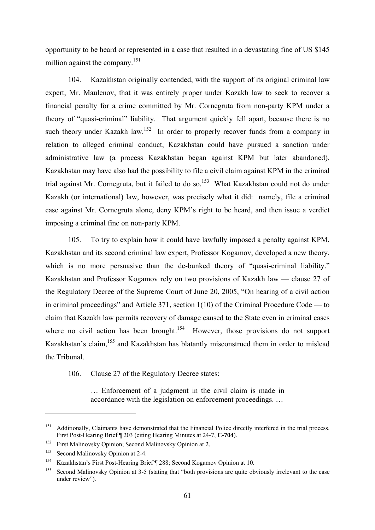opportunity to be heard or represented in a case that resulted in a devastating fine of US \$145 million against the company.<sup>151</sup>

104. Kazakhstan originally contended, with the support of its original criminal law expert, Mr. Maulenov, that it was entirely proper under Kazakh law to seek to recover a financial penalty for a crime committed by Mr. Cornegruta from non-party KPM under a theory of "quasi-criminal" liability. That argument quickly fell apart, because there is no such theory under Kazakh law.<sup>152</sup> In order to properly recover funds from a company in relation to alleged criminal conduct, Kazakhstan could have pursued a sanction under administrative law (a process Kazakhstan began against KPM but later abandoned). Kazakhstan may have also had the possibility to file a civil claim against KPM in the criminal trial against Mr. Cornegruta, but it failed to do so.<sup>153</sup> What Kazakhstan could not do under Kazakh (or international) law, however, was precisely what it did: namely, file a criminal case against Mr. Cornegruta alone, deny KPM's right to be heard, and then issue a verdict imposing a criminal fine on non-party KPM.

105. To try to explain how it could have lawfully imposed a penalty against KPM, Kazakhstan and its second criminal law expert, Professor Kogamov, developed a new theory, which is no more persuasive than the de-bunked theory of "quasi-criminal liability." Kazakhstan and Professor Kogamov rely on two provisions of Kazakh law — clause 27 of the Regulatory Decree of the Supreme Court of June 20, 2005, "On hearing of a civil action in criminal proceedings" and Article 371, section 1(10) of the Criminal Procedure Code — to claim that Kazakh law permits recovery of damage caused to the State even in criminal cases where no civil action has been brought.<sup>154</sup> However, those provisions do not support Kazakhstan's claim,<sup>155</sup> and Kazakhstan has blatantly misconstrued them in order to mislead the Tribunal.

106. Clause 27 of the Regulatory Decree states:

… Enforcement of a judgment in the civil claim is made in accordance with the legislation on enforcement proceedings. …

<sup>&</sup>lt;sup>151</sup> Additionally. Claimants have demonstrated that the Financial Police directly interfered in the trial process. First Post-Hearing Brief ¶ 203 (citing Hearing Minutes at 24-7, **C-704**).

<sup>&</sup>lt;sup>152</sup> First Malinovsky Opinion; Second Malinovsky Opinion at 2.

<sup>&</sup>lt;sup>153</sup> Second Malinovsky Opinion at 2-4.

<sup>154</sup> Kazakhstan's First Post-Hearing Brief ¶ 288; Second Kogamov Opinion at 10.

<sup>&</sup>lt;sup>155</sup> Second Malinovsky Opinion at 3-5 (stating that "both provisions are quite obviously irrelevant to the case under review").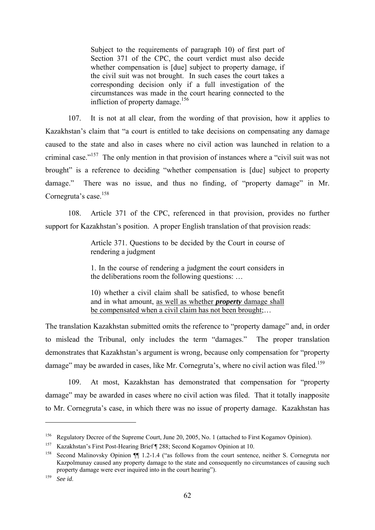Subject to the requirements of paragraph 10) of first part of Section 371 of the CPC, the court verdict must also decide whether compensation is [due] subject to property damage, if the civil suit was not brought. In such cases the court takes a corresponding decision only if a full investigation of the circumstances was made in the court hearing connected to the infliction of property damage.<sup>156</sup>

107. It is not at all clear, from the wording of that provision, how it applies to Kazakhstan's claim that "a court is entitled to take decisions on compensating any damage caused to the state and also in cases where no civil action was launched in relation to a criminal case."157 The only mention in that provision of instances where a "civil suit was not brought" is a reference to deciding "whether compensation is [due] subject to property damage." There was no issue, and thus no finding, of "property damage" in Mr. Cornegruta's case.<sup>158</sup>

108. Article 371 of the CPC, referenced in that provision, provides no further support for Kazakhstan's position. A proper English translation of that provision reads:

> Article 371. Questions to be decided by the Court in course of rendering a judgment

> 1. In the course of rendering a judgment the court considers in the deliberations room the following questions: …

> 10) whether a civil claim shall be satisfied, to whose benefit and in what amount, as well as whether *property* damage shall be compensated when a civil claim has not been brought;...

The translation Kazakhstan submitted omits the reference to "property damage" and, in order to mislead the Tribunal, only includes the term "damages." The proper translation demonstrates that Kazakhstan's argument is wrong, because only compensation for "property damage" may be awarded in cases, like Mr. Cornegruta's, where no civil action was filed.<sup>159</sup>

109. At most, Kazakhstan has demonstrated that compensation for "property damage" may be awarded in cases where no civil action was filed. That it totally inapposite to Mr. Cornegruta's case, in which there was no issue of property damage. Kazakhstan has

<sup>&</sup>lt;sup>156</sup> Regulatory Decree of the Supreme Court, June 20, 2005, No. 1 (attached to First Kogamov Opinion).

<sup>157</sup> Kazakhstan's First Post-Hearing Brief ¶ 288; Second Kogamov Opinion at 10.

<sup>158</sup> Second Malinovsky Opinion ¶¶ 1.2-1.4 ("as follows from the court sentence, neither S. Cornegruta nor Kazpolmunay caused any property damage to the state and consequently no circumstances of causing such property damage were ever inquired into in the court hearing").

<sup>159</sup> *See id*.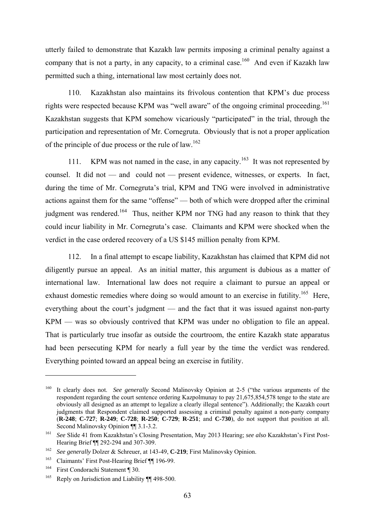utterly failed to demonstrate that Kazakh law permits imposing a criminal penalty against a company that is not a party, in any capacity, to a criminal case.<sup>160</sup> And even if Kazakh law permitted such a thing, international law most certainly does not.

110. Kazakhstan also maintains its frivolous contention that KPM's due process rights were respected because KPM was "well aware" of the ongoing criminal proceeding.<sup>161</sup> Kazakhstan suggests that KPM somehow vicariously "participated" in the trial, through the participation and representation of Mr. Cornegruta. Obviously that is not a proper application of the principle of due process or the rule of  $law$ .<sup>162</sup>

111. KPM was not named in the case, in any capacity.<sup>163</sup> It was not represented by counsel. It did not — and could not — present evidence, witnesses, or experts. In fact, during the time of Mr. Cornegruta's trial, KPM and TNG were involved in administrative actions against them for the same "offense" — both of which were dropped after the criminal judgment was rendered.<sup>164</sup> Thus, neither KPM nor TNG had any reason to think that they could incur liability in Mr. Cornegruta's case. Claimants and KPM were shocked when the verdict in the case ordered recovery of a US \$145 million penalty from KPM.

112. In a final attempt to escape liability, Kazakhstan has claimed that KPM did not diligently pursue an appeal. As an initial matter, this argument is dubious as a matter of international law. International law does not require a claimant to pursue an appeal or exhaust domestic remedies where doing so would amount to an exercise in futility.<sup>165</sup> Here, everything about the court's judgment — and the fact that it was issued against non-party KPM — was so obviously contrived that KPM was under no obligation to file an appeal. That is particularly true insofar as outside the courtroom, the entire Kazakh state apparatus had been persecuting KPM for nearly a full year by the time the verdict was rendered. Everything pointed toward an appeal being an exercise in futility.

<sup>&</sup>lt;sup>160</sup> It clearly does not. *See generally* Second Malinovsky Opinion at 2-5 ("the various arguments of the respondent regarding the court sentence ordering Kazpolmunay to pay 21,675,854,578 tenge to the state are obviously all designed as an attempt to legalize a clearly illegal sentence"). Additionally; the Kazakh court judgments that Respondent claimed supported assessing a criminal penalty against a non-party company (**R-248**; **C-727**; **R-249**; **C-728**; **R-250**; **C-729**; **R-251**; and **C-730**), do not support that position at all. Second Malinovsky Opinion ¶¶ 3.1-3.2.<br><sup>161</sup> *See* Slide 41 from Kazakhstan's Closing Presentation, May 2013 Hearing; *see also* Kazakhstan's First Post-

Hearing Brief ¶¶ 292-294 and 307-309.

<sup>&</sup>lt;sup>162</sup> See generally Dolzer & Schreuer, at 143-49, **C-219**; First Malinovsky Opinion.<br><sup>163</sup> Claimants' First Post-Hearing Brief ¶¶ 196-99.

<sup>164</sup> First Condorachi Statement ¶ 30.

<sup>&</sup>lt;sup>165</sup> Reply on Jurisdiction and Liability ¶¶ 498-500.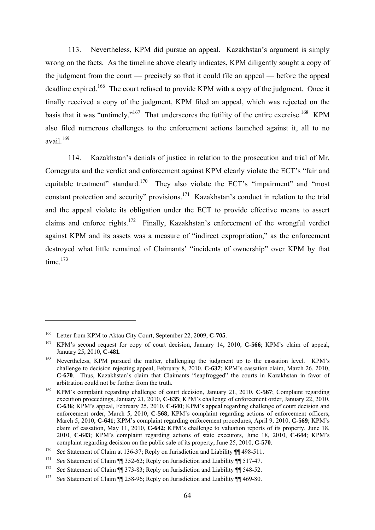113. Nevertheless, KPM did pursue an appeal. Kazakhstan's argument is simply wrong on the facts. As the timeline above clearly indicates, KPM diligently sought a copy of the judgment from the court — precisely so that it could file an appeal — before the appeal deadline expired.<sup>166</sup> The court refused to provide KPM with a copy of the judgment. Once it finally received a copy of the judgment, KPM filed an appeal, which was rejected on the basis that it was "untimely."<sup>167</sup> That underscores the futility of the entire exercise.<sup>168</sup> KPM also filed numerous challenges to the enforcement actions launched against it, all to no avail. $169$ 

114. Kazakhstan's denials of justice in relation to the prosecution and trial of Mr. Cornegruta and the verdict and enforcement against KPM clearly violate the ECT's "fair and equitable treatment" standard.<sup>170</sup> They also violate the ECT's "impairment" and "most constant protection and security" provisions.171 Kazakhstan's conduct in relation to the trial and the appeal violate its obligation under the ECT to provide effective means to assert claims and enforce rights.172 Finally, Kazakhstan's enforcement of the wrongful verdict against KPM and its assets was a measure of "indirect expropriation," as the enforcement destroyed what little remained of Claimants' "incidents of ownership" over KPM by that time $173$ 

<u>.</u>

<sup>&</sup>lt;sup>166</sup> Letter from KPM to Aktau City Court, September 22, 2009, **C-705**.<br><sup>167</sup> KPM's second request for copy of court decision, January 14, 2010, **C-566**; KPM's claim of appeal, January 25, 2010, **C-481**.

<sup>&</sup>lt;sup>168</sup> Nevertheless, KPM pursued the matter, challenging the judgment up to the cassation level. KPM's challenge to decision rejecting appeal, February 8, 2010, **C-637**; KPM's cassation claim, March 26, 2010, **C-670**. Thus, Kazakhstan's claim that Claimants "leapfrogged" the courts in Kazakhstan in favor of arbitration could not be further from the truth.

<sup>169</sup> KPM's complaint regarding challenge of court decision, January 21, 2010, **C-567**; Complaint regarding execution proceedings, January 21, 2010, **C-635**; KPM's challenge of enforcement order, January 22, 2010, **C-636**; KPM's appeal, February 25, 2010, **C-640**; KPM's appeal regarding challenge of court decision and enforcement order, March 5, 2010, **C-568**; KPM's complaint regarding actions of enforcement officers, March 5, 2010, **C-641**; KPM's complaint regarding enforcement procedures, April 9, 2010, **C-569**; KPM's claim of cassation, May 11, 2010, **C-642**; KPM's challenge to valuation reports of its property, June 18, 2010, **C-643**; KPM's complaint regarding actions of state executors, June 18, 2010, **C-644**; KPM's complaint regarding decision on the public sale of its property, June 25, 2010, **C-570**.

<sup>170</sup>*See* Statement of Claim at 136-37; Reply on Jurisdiction and Liability ¶¶ 498-511. 171 *See* Statement of Claim ¶¶ 352-62; Reply on Jurisdiction and Liability ¶¶ 517-47.

<sup>172</sup>*See* Statement of Claim ¶¶ 373-83; Reply on Jurisdiction and Liability ¶¶ 548-52. 173 *See* Statement of Claim ¶¶ 258-96; Reply on Jurisdiction and Liability ¶¶ 469-80.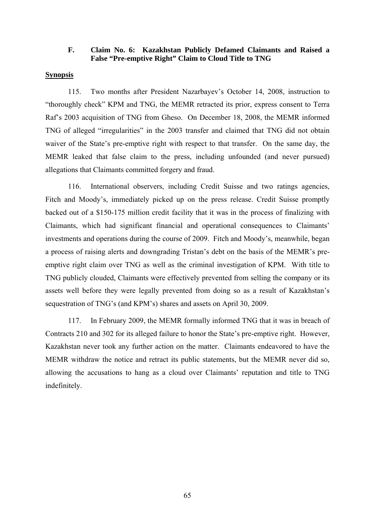### **F. Claim No. 6: Kazakhstan Publicly Defamed Claimants and Raised a False "Pre-emptive Right" Claim to Cloud Title to TNG**

#### **Synopsis**

115. Two months after President Nazarbayev's October 14, 2008, instruction to "thoroughly check" KPM and TNG, the MEMR retracted its prior, express consent to Terra Raf's 2003 acquisition of TNG from Gheso. On December 18, 2008, the MEMR informed TNG of alleged "irregularities" in the 2003 transfer and claimed that TNG did not obtain waiver of the State's pre-emptive right with respect to that transfer. On the same day, the MEMR leaked that false claim to the press, including unfounded (and never pursued) allegations that Claimants committed forgery and fraud.

116. International observers, including Credit Suisse and two ratings agencies, Fitch and Moody's, immediately picked up on the press release. Credit Suisse promptly backed out of a \$150-175 million credit facility that it was in the process of finalizing with Claimants, which had significant financial and operational consequences to Claimants' investments and operations during the course of 2009. Fitch and Moody's, meanwhile, began a process of raising alerts and downgrading Tristan's debt on the basis of the MEMR's preemptive right claim over TNG as well as the criminal investigation of KPM. With title to TNG publicly clouded, Claimants were effectively prevented from selling the company or its assets well before they were legally prevented from doing so as a result of Kazakhstan's sequestration of TNG's (and KPM's) shares and assets on April 30, 2009.

117. In February 2009, the MEMR formally informed TNG that it was in breach of Contracts 210 and 302 for its alleged failure to honor the State's pre-emptive right. However, Kazakhstan never took any further action on the matter. Claimants endeavored to have the MEMR withdraw the notice and retract its public statements, but the MEMR never did so, allowing the accusations to hang as a cloud over Claimants' reputation and title to TNG indefinitely.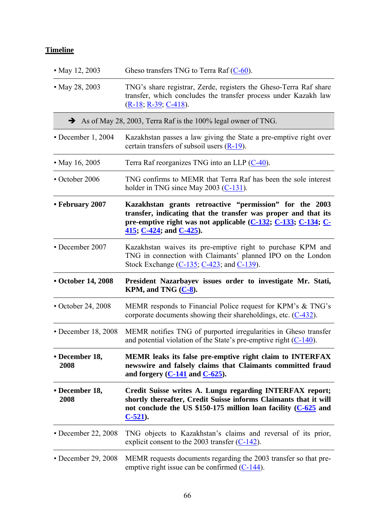# **Timeline**

| • May 12, 2003            | Gheso transfers TNG to Terra Raf $(C-60)$ .                                                                                                                                                                           |
|---------------------------|-----------------------------------------------------------------------------------------------------------------------------------------------------------------------------------------------------------------------|
| • May 28, 2003            | TNG's share registrar, Zerde, registers the Gheso-Terra Raf share<br>transfer, which concludes the transfer process under Kazakh law<br>$(R-18, R-39, C-418)$ .                                                       |
|                           | $\rightarrow$ As of May 28, 2003, Terra Raf is the 100% legal owner of TNG.                                                                                                                                           |
| $\cdot$ December 1, 2004  | Kazakhstan passes a law giving the State a pre-emptive right over<br>certain transfers of subsoil users $(R-19)$ .                                                                                                    |
| • May 16, 2005            | Terra Raf reorganizes TNG into an LLP (C-40).                                                                                                                                                                         |
| • October 2006            | TNG confirms to MEMR that Terra Raf has been the sole interest<br>holder in TNG since May 2003 $(C-131)$ .                                                                                                            |
| • February 2007           | Kazakhstan grants retroactive "permission" for the 2003<br>transfer, indicating that the transfer was proper and that its<br>pre-emptive right was not applicable (C-132; C-133; C-134; C-<br>415; C-424; and C-425). |
| • December 2007           | Kazakhstan waives its pre-emptive right to purchase KPM and<br>TNG in connection with Claimants' planned IPO on the London<br>Stock Exchange $(C-135, C-423,$ and $C-139)$ .                                          |
| • October 14, 2008        | President Nazarbayev issues order to investigate Mr. Stati,<br>KPM, and TNG $(C-8)$ .                                                                                                                                 |
| • October 24, 2008        | MEMR responds to Financial Police request for KPM's & TNG's<br>corporate documents showing their shareholdings, etc. $(C-432)$ .                                                                                      |
| • December 18, 2008       | MEMR notifies TNG of purported irregularities in Gheso transfer<br>and potential violation of the State's pre-emptive right $(C-140)$ .                                                                               |
| • December 18,<br>2008    | MEMR leaks its false pre-emptive right claim to INTERFAX<br>newswire and falsely claims that Claimants committed fraud<br>and forgery $(C-141$ and $C-625$ .                                                          |
| • December 18,<br>2008    | Credit Suisse writes A. Lungu regarding INTERFAX report;<br>shortly thereafter, Credit Suisse informs Claimants that it will<br>not conclude the US \$150-175 million loan facility $(C-625)$ and<br>$C-521$ ).       |
| $\cdot$ December 22, 2008 | TNG objects to Kazakhstan's claims and reversal of its prior,<br>explicit consent to the 2003 transfer $(C-142)$ .                                                                                                    |
| • December 29, 2008       | MEMR requests documents regarding the 2003 transfer so that pre-<br>emptive right issue can be confirmed $(C-144)$ .                                                                                                  |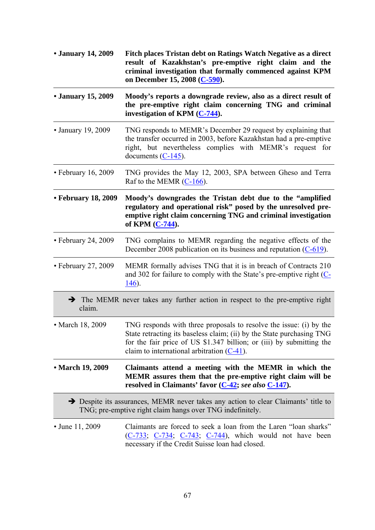| • January 14, 2009        | Fitch places Tristan debt on Ratings Watch Negative as a direct<br>result of Kazakhstan's pre-emptive right claim and the<br>criminal investigation that formally commenced against KPM<br>on December 15, 2008 (C-590).                                             |
|---------------------------|----------------------------------------------------------------------------------------------------------------------------------------------------------------------------------------------------------------------------------------------------------------------|
| • January 15, 2009        | Moody's reports a downgrade review, also as a direct result of<br>the pre-emptive right claim concerning TNG and criminal<br>investigation of KPM $(C-744)$ .                                                                                                        |
| • January 19, 2009        | TNG responds to MEMR's December 29 request by explaining that<br>the transfer occurred in 2003, before Kazakhstan had a pre-emptive<br>right, but nevertheless complies with MEMR's request for<br>documents $(C-145)$ .                                             |
| $\cdot$ February 16, 2009 | TNG provides the May 12, 2003, SPA between Gheso and Terra<br>Raf to the MEMR $(C-166)$ .                                                                                                                                                                            |
| • February 18, 2009       | Moody's downgrades the Tristan debt due to the "amplified"<br>regulatory and operational risk" posed by the unresolved pre-<br>emptive right claim concerning TNG and criminal investigation<br>of KPM (C-744).                                                      |
| $\cdot$ February 24, 2009 | TNG complains to MEMR regarding the negative effects of the<br>December 2008 publication on its business and reputation $(C-619)$ .                                                                                                                                  |
| • February 27, 2009       | MEMR formally advises TNG that it is in breach of Contracts 210<br>and 302 for failure to comply with the State's pre-emptive right $(C$ -<br>$146$ ).                                                                                                               |
| claim.                    | $\rightarrow$ The MEMR never takes any further action in respect to the pre-emptive right                                                                                                                                                                            |
| • March 18, 2009          | TNG responds with three proposals to resolve the issue: (i) by the<br>State retracting its baseless claim; (ii) by the State purchasing TNG<br>for the fair price of US \$1.347 billion; or (iii) by submitting the<br>claim to international arbitration $(C-41)$ . |
| • March 19, 2009          | Claimants attend a meeting with the MEMR in which the<br>MEMR assures them that the pre-emptive right claim will be<br>resolved in Claimants' favor (C-42; see also C-147).                                                                                          |
|                           | Despite its assurances, MEMR never takes any action to clear Claimants' title to<br>TNG; pre-emptive right claim hangs over TNG indefinitely.                                                                                                                        |
| • June 11, 2009           | Claimants are forced to seek a loan from the Laren "loan sharks"<br>$(C-733, C-734, C-743, C-744)$ , which would not have been<br>necessary if the Credit Suisse loan had closed.                                                                                    |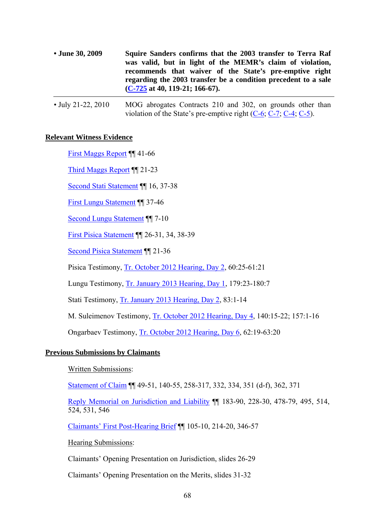| • June 30, 2009 | Squire Sanders confirms that the 2003 transfer to Terra Raf    |
|-----------------|----------------------------------------------------------------|
|                 | was valid, but in light of the MEMR's claim of violation,      |
|                 | recommends that waiver of the State's pre-emptive right        |
|                 | regarding the 2003 transfer be a condition precedent to a sale |
|                 | $(C-725$ at 40, 119-21; 166-67).                               |

### **Relevant Witness Evidence**

First Maggs Report ¶¶ 41-66

Third Maggs Report ¶¶ 21-23

Second Stati Statement ¶¶ 16, 37-38

First Lungu Statement ¶¶ 37-46

Second Lungu Statement ¶¶ 7-10

First Pisica Statement ¶¶ 26-31, 34, 38-39

Second Pisica Statement ¶¶ 21-36

Pisica Testimony, Tr. October 2012 Hearing, Day 2, 60:25-61:21

Lungu Testimony, Tr. January 2013 Hearing, Day 1, 179:23-180:7

Stati Testimony, Tr. January 2013 Hearing, Day 2, 83:1-14

M. Suleimenov Testimony, Tr. October 2012 Hearing, Day 4, 140:15-22; 157:1-16

Ongarbaev Testimony, Tr. October 2012 Hearing, Day 6, 62:19-63:20

### **Previous Submissions by Claimants**

Written Submissions:

Statement of Claim ¶¶ 49-51, 140-55, 258-317, 332, 334, 351 (d-f), 362, 371

Reply Memorial on Jurisdiction and Liability ¶¶ 183-90, 228-30, 478-79, 495, 514, 524, 531, 546

Claimants' First Post-Hearing Brief ¶¶ 105-10, 214-20, 346-57

Hearing Submissions:

Claimants' Opening Presentation on Jurisdiction, slides 26-29

Claimants' Opening Presentation on the Merits, slides 31-32

<sup>•</sup> July 21-22, 2010 MOG abrogates Contracts 210 and 302, on grounds other than violation of the State's pre-emptive right  $(C-6, C-7, C-4, C-5)$ .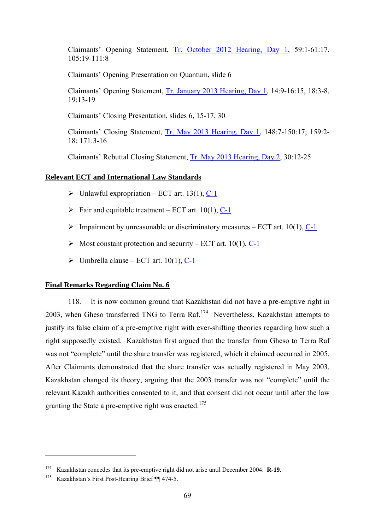Claimants' Opening Statement, Tr. October 2012 Hearing, Day 1, 59:1-61:17, 105:19-111:8

Claimants' Opening Presentation on Quantum, slide 6

Claimants' Opening Statement, Tr. January 2013 Hearing, Day 1, 14:9-16:15, 18:3-8, 19:13-19

Claimants' Closing Presentation, slides 6, 15-17, 30

Claimants' Closing Statement, Tr. May 2013 Hearing, Day 1, 148:7-150:17; 159:2- 18; 171:3-16

Claimants' Rebuttal Closing Statement, Tr. May 2013 Hearing, Day 2, 30:12-25

# **Relevant ECT and International Law Standards**

- $\triangleright$  Unlawful expropriation ECT art. 13(1), C-1
- $\triangleright$  Fair and equitable treatment ECT art. 10(1), C-1
- $\triangleright$  Impairment by unreasonable or discriminatory measures ECT art. 10(1), C-1
- $\triangleright$  Most constant protection and security ECT art. 10(1), C-1
- $\triangleright$  Umbrella clause ECT art. 10(1), C-1

### **Final Remarks Regarding Claim No. 6**

118. It is now common ground that Kazakhstan did not have a pre-emptive right in 2003, when Gheso transferred TNG to Terra Raf.<sup>174</sup> Nevertheless, Kazakhstan attempts to justify its false claim of a pre-emptive right with ever-shifting theories regarding how such a right supposedly existed. Kazakhstan first argued that the transfer from Gheso to Terra Raf was not "complete" until the share transfer was registered, which it claimed occurred in 2005. After Claimants demonstrated that the share transfer was actually registered in May 2003, Kazakhstan changed its theory, arguing that the 2003 transfer was not "complete" until the relevant Kazakh authorities consented to it, and that consent did not occur until after the law granting the State a pre-emptive right was enacted.<sup>175</sup>

<sup>&</sup>lt;sup>174</sup> Kazakhstan concedes that its pre-emptive right did not arise until December 2004. **R-19**. <br><sup>175</sup> Kazakhstan's First Post-Hearing Brief ¶¶ 474-5.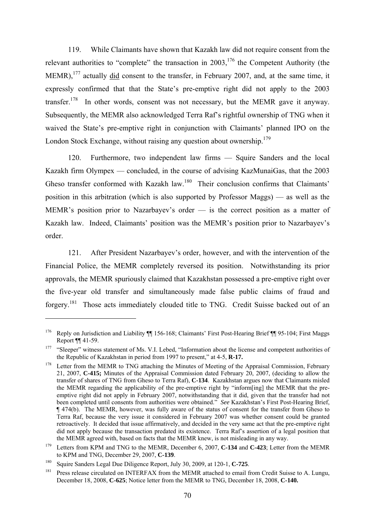119. While Claimants have shown that Kazakh law did not require consent from the relevant authorities to "complete" the transaction in  $2003$ ,  $176$  the Competent Authority (the MEMR), $^{177}$  actually did consent to the transfer, in February 2007, and, at the same time, it expressly confirmed that that the State's pre-emptive right did not apply to the 2003 transfer.<sup>178</sup> In other words, consent was not necessary, but the MEMR gave it anyway. Subsequently, the MEMR also acknowledged Terra Raf's rightful ownership of TNG when it waived the State's pre-emptive right in conjunction with Claimants' planned IPO on the London Stock Exchange, without raising any question about ownership.<sup>179</sup>

120. Furthermore, two independent law firms — Squire Sanders and the local Kazakh firm Olympex — concluded, in the course of advising KazMunaiGas, that the 2003 Gheso transfer conformed with Kazakh law.<sup>180</sup> Their conclusion confirms that Claimants' position in this arbitration (which is also supported by Professor Maggs) — as well as the MEMR's position prior to Nazarbayev's order — is the correct position as a matter of Kazakh law. Indeed, Claimants' position was the MEMR's position prior to Nazarbayev's order.

121. After President Nazarbayev's order, however, and with the intervention of the Financial Police, the MEMR completely reversed its position. Notwithstanding its prior approvals, the MEMR spuriously claimed that Kazakhstan possessed a pre-emptive right over the five-year old transfer and simultaneously made false public claims of fraud and forgery.181 Those acts immediately clouded title to TNG. Credit Suisse backed out of an

<sup>&</sup>lt;sup>176</sup> Reply on Jurisdiction and Liability ¶ 156-168; Claimants' First Post-Hearing Brief ¶ 95-104; First Maggs Report ¶¶ 41-59.

<sup>&</sup>lt;sup>177</sup> "Sleeper" witness statement of Ms. V.I. Lebed, "Information about the license and competent authorities of the Republic of Kazakhstan in period from 1997 to present," at 4-5, **R-17.**

<sup>&</sup>lt;sup>178</sup> Letter from the MEMR to TNG attaching the Minutes of Meeting of the Appraisal Commission, February 21, 2007, **C-415;** Minutes of the Appraisal Commission dated February 20, 2007, (deciding to allow the transfer of shares of TNG from Gheso to Terra Raf), **C-134**. Kazakhstan argues now that Claimants misled the MEMR regarding the applicability of the pre-emptive right by "inform[ing] the MEMR that the preemptive right did not apply in February 2007, notwithstanding that it did, given that the transfer had not been completed until consents from authorities were obtained." *See* Kazakhstan's First Post-Hearing Brief, ¶ 474(b). The MEMR, however, was fully aware of the status of consent for the transfer from Gheso to Terra Raf, because the very issue it considered in February 2007 was whether consent could be granted retroactively. It decided that issue affirmatively, and decided in the very same act that the pre-emptive right did not apply because the transaction predated its existence. Terra Raf's assertion of a legal position that the MEMR agreed with, based on facts that the MEMR knew, is not misleading in any way. 179 Letters from KPM and TNG to the MEMR, December 6, 2007, **C-134** and **C-423**; Letter from the MEMR

to KPM and TNG, December 29, 2007, C-139.<br><sup>180</sup> Squire Sanders Legal Due Diligence Report, July 30, 2009, at 120-1, C-725.<br><sup>181</sup> Press release circulated on INTERFAX from the MEMR attached to email from Credit Suisse to A.

December 18, 2008, **C-625**; Notice letter from the MEMR to TNG, December 18, 2008, **C-140.**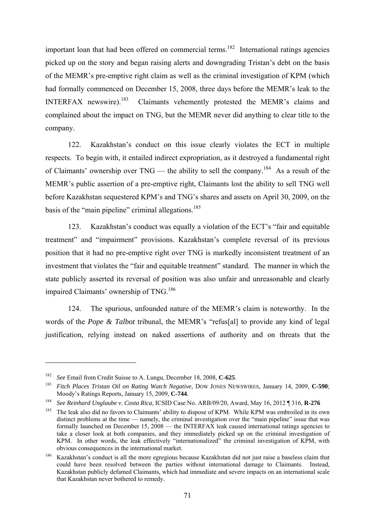important loan that had been offered on commercial terms.<sup>182</sup> International ratings agencies picked up on the story and began raising alerts and downgrading Tristan's debt on the basis of the MEMR's pre-emptive right claim as well as the criminal investigation of KPM (which had formally commenced on December 15, 2008, three days before the MEMR's leak to the INTERFAX newswire).<sup>183</sup> Claimants vehemently protested the MEMR's claims and complained about the impact on TNG, but the MEMR never did anything to clear title to the company.

122. Kazakhstan's conduct on this issue clearly violates the ECT in multiple respects. To begin with, it entailed indirect expropriation, as it destroyed a fundamental right of Claimants' ownership over  $TNG$  — the ability to sell the company.<sup>184</sup> As a result of the MEMR's public assertion of a pre-emptive right, Claimants lost the ability to sell TNG well before Kazakhstan sequestered KPM's and TNG's shares and assets on April 30, 2009, on the basis of the "main pipeline" criminal allegations.<sup>185</sup>

123. Kazakhstan's conduct was equally a violation of the ECT's "fair and equitable treatment" and "impairment" provisions. Kazakhstan's complete reversal of its previous position that it had no pre-emptive right over TNG is markedly inconsistent treatment of an investment that violates the "fair and equitable treatment" standard. The manner in which the state publicly asserted its reversal of position was also unfair and unreasonable and clearly impaired Claimants' ownership of TNG.186

124. The spurious, unfounded nature of the MEMR's claim is noteworthy. In the words of the *Pope & Talbot* tribunal, the MEMR's "refus[al] to provide any kind of legal justification, relying instead on naked assertions of authority and on threats that the

<sup>182</sup>*See* Email from Credit Suisse to A. Lungu, December 18, 2008, **C-625**. 183 *Fitch Places Tristan Oil on Rating Watch Negative*, DOW JONES NEWSWIRES, January 14, 2009, **C-590**; Moody's Ratings Reports, January 15, 2009, **C-744**. 184 *See Reinhard Unglaube v. Costa Rica*, ICSID Case No. ARB/09/20, Award, May 16, 2012 ¶ 316, **R-276**

<sup>&</sup>lt;sup>185</sup> The leak also did no favors to Claimants' ability to dispose of KPM. While KPM was embroiled in its own distinct problems at the time — namely, the criminal investigation over the "main pipeline" issue that was formally launched on December 15, 2008 — the INTERFAX leak caused international ratings agencies to take a closer look at both companies, and they immediately picked up on the criminal investigation of KPM. In other words, the leak effectively "internationalized" the criminal investigation of KPM, with obvious consequences in the international market.

<sup>&</sup>lt;sup>186</sup> Kazakhstan's conduct is all the more egregious because Kazakhstan did not just raise a baseless claim that could have been resolved between the parties without international damage to Claimants. Instead, Kazakhstan publicly defamed Claimants, which had immediate and severe impacts on an international scale that Kazakhstan never bothered to remedy.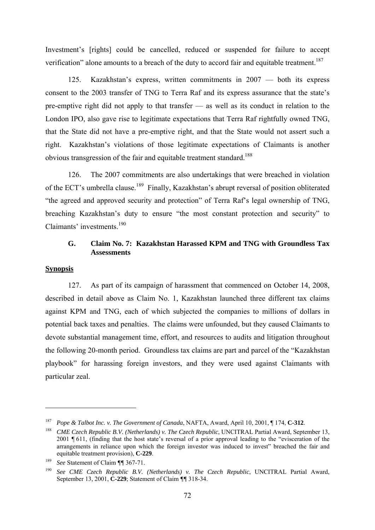Investment's [rights] could be cancelled, reduced or suspended for failure to accept verification" alone amounts to a breach of the duty to accord fair and equitable treatment.<sup>187</sup>

125. Kazakhstan's express, written commitments in 2007 — both its express consent to the 2003 transfer of TNG to Terra Raf and its express assurance that the state's pre-emptive right did not apply to that transfer — as well as its conduct in relation to the London IPO, also gave rise to legitimate expectations that Terra Raf rightfully owned TNG, that the State did not have a pre-emptive right, and that the State would not assert such a right. Kazakhstan's violations of those legitimate expectations of Claimants is another obvious transgression of the fair and equitable treatment standard.<sup>188</sup>

126. The 2007 commitments are also undertakings that were breached in violation of the ECT's umbrella clause.<sup>189</sup> Finally, Kazakhstan's abrupt reversal of position obliterated "the agreed and approved security and protection" of Terra Raf's legal ownership of TNG, breaching Kazakhstan's duty to ensure "the most constant protection and security" to Claimants' investments.<sup>190</sup>

# **G. Claim No. 7: Kazakhstan Harassed KPM and TNG with Groundless Tax Assessments**

### **Synopsis**

1

127. As part of its campaign of harassment that commenced on October 14, 2008, described in detail above as Claim No. 1, Kazakhstan launched three different tax claims against KPM and TNG, each of which subjected the companies to millions of dollars in potential back taxes and penalties. The claims were unfounded, but they caused Claimants to devote substantial management time, effort, and resources to audits and litigation throughout the following 20-month period. Groundless tax claims are part and parcel of the "Kazakhstan playbook" for harassing foreign investors, and they were used against Claimants with particular zeal.

<sup>187</sup> *Pope & Talbot Inc. v. The Government of Canada*, NAFTA, Award, April 10, 2001, ¶ 174, **C-312**.

<sup>&</sup>lt;sup>188</sup> *CME Czech Republic B.V. (Netherlands) v. The Czech Republic*, UNCITRAL Partial Award, September 13, 2001 ¶ 611, (finding that the host state's reversal of a prior approval leading to the "evisceration of the arrangements in reliance upon which the foreign investor was induced to invest" breached the fair and equitable treatment provision), **C-229**. 189 *See* Statement of Claim *¶¶* 367-71.

<sup>190</sup> *See CME Czech Republic B.V. (Netherlands) v. The Czech Republic*, UNCITRAL Partial Award, September 13, 2001, **C-229**; Statement of Claim *¶¶* 318-34.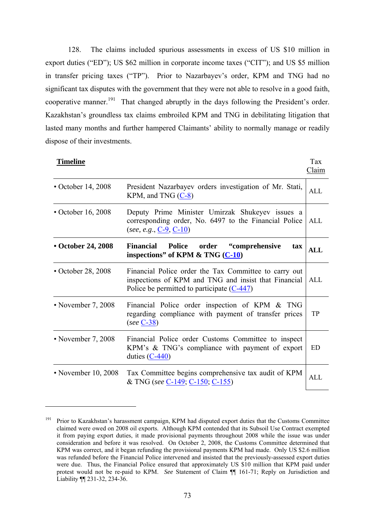128. The claims included spurious assessments in excess of US \$10 million in export duties ("ED"); US \$62 million in corporate income taxes ("CIT"); and US \$5 million in transfer pricing taxes ("TP"). Prior to Nazarbayev's order, KPM and TNG had no significant tax disputes with the government that they were not able to resolve in a good faith, cooperative manner.<sup>191</sup> That changed abruptly in the days following the President's order. Kazakhstan's groundless tax claims embroiled KPM and TNG in debilitating litigation that lasted many months and further hampered Claimants' ability to normally manage or readily dispose of their investments.

| <b>Timeline</b>          |                                                                                                                                                               | Tax<br>Claim |
|--------------------------|---------------------------------------------------------------------------------------------------------------------------------------------------------------|--------------|
| $\cdot$ October 14, 2008 | President Nazarbayev orders investigation of Mr. Stati,<br>KPM, and TNG $(C-8)$                                                                               | <b>ALL</b>   |
| $\cdot$ October 16, 2008 | Deputy Prime Minister Umirzak Shukeyev issues a<br>corresponding order, No. 6497 to the Financial Police<br>(see, e.g., $C-9$ , $C-10$ )                      | ALL          |
| • October 24, 2008       | Financial Police order<br>"comprehensive"<br>tax<br>inspections" of KPM $\&$ TNG $(C-10)$                                                                     | ALL          |
| $\cdot$ October 28, 2008 | Financial Police order the Tax Committee to carry out<br>inspections of KPM and TNG and insist that Financial<br>Police be permitted to participate $(C-447)$ | ALL          |
| • November 7, 2008       | Financial Police order inspection of KPM & TNG<br>regarding compliance with payment of transfer prices<br>$(see C-38)$                                        | <b>TP</b>    |
| • November 7, 2008       | Financial Police order Customs Committee to inspect<br>KPM's & TNG's compliance with payment of export<br>duties $(C-440)$                                    | <b>ED</b>    |
| • November 10, 2008      | Tax Committee begins comprehensive tax audit of KPM<br>& TNG (see C-149; C-150; C-155)                                                                        | <b>ALL</b>   |

<sup>&</sup>lt;sup>191</sup> Prior to Kazakhstan's harassment campaign, KPM had disputed export duties that the Customs Committee claimed were owed on 2008 oil exports. Although KPM contended that its Subsoil Use Contract exempted it from paying export duties, it made provisional payments throughout 2008 while the issue was under consideration and before it was resolved. On October 2, 2008, the Customs Committee determined that KPM was correct, and it began refunding the provisional payments KPM had made. Only US \$2.6 million was refunded before the Financial Police intervened and insisted that the previously-assessed export duties were due. Thus, the Financial Police ensured that approximately US \$10 million that KPM paid under protest would not be re-paid to KPM. *See* Statement of Claim ¶¶ 161-71; Reply on Jurisdiction and Liability ¶¶ 231-32, 234-36.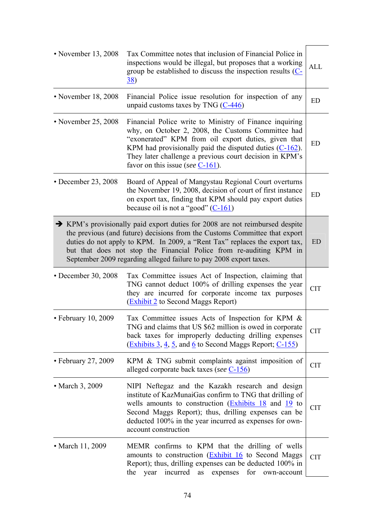| • November 13, 2008       | Tax Committee notes that inclusion of Financial Police in<br>inspections would be illegal, but proposes that a working<br>group be established to discuss the inspection results $(C -$<br><u>38</u> )                                                                                                                                                                                            | <b>ALL</b> |
|---------------------------|---------------------------------------------------------------------------------------------------------------------------------------------------------------------------------------------------------------------------------------------------------------------------------------------------------------------------------------------------------------------------------------------------|------------|
| • November 18, 2008       | Financial Police issue resolution for inspection of any<br>unpaid customs taxes by TNG $(C-446)$                                                                                                                                                                                                                                                                                                  | <b>ED</b>  |
| • November 25, 2008       | Financial Police write to Ministry of Finance inquiring<br>why, on October 2, 2008, the Customs Committee had<br>"exonerated" KPM from oil export duties, given that<br>KPM had provisionally paid the disputed duties $(C-162)$ .<br>They later challenge a previous court decision in KPM's<br>favor on this issue (see $C-161$ ).                                                              | ED         |
| $\cdot$ December 23, 2008 | Board of Appeal of Mangystau Regional Court overturns<br>the November 19, 2008, decision of court of first instance<br>on export tax, finding that KPM should pay export duties<br>because oil is not a "good" $(C-161)$                                                                                                                                                                          | <b>ED</b>  |
|                           | $\rightarrow$ KPM's provisionally paid export duties for 2008 are not reimbursed despite<br>the previous (and future) decisions from the Customs Committee that export<br>duties do not apply to KPM. In 2009, a "Rent Tax" replaces the export tax,<br>but that does not stop the Financial Police from re-auditing KPM in<br>September 2009 regarding alleged failure to pay 2008 export taxes. | <b>ED</b>  |
| • December 30, 2008       | Tax Committee issues Act of Inspection, claiming that<br>TNG cannot deduct 100% of drilling expenses the year<br>they are incurred for corporate income tax purposes<br>(Exhibit 2 to Second Maggs Report)                                                                                                                                                                                        | <b>CIT</b> |
| $\cdot$ February 10, 2009 | Tax Committee issues Acts of Inspection for KPM &<br>TNG and claims that US \$62 million is owed in corporate<br>back taxes for improperly deducting drilling expenses<br>$\frac{1}{2}$ (Exhibits 3, 4, 5, and 6 to Second Maggs Report; C-155)                                                                                                                                                   | <b>CIT</b> |
| $\cdot$ February 27, 2009 | KPM & TNG submit complaints against imposition of<br>alleged corporate back taxes (see C-156)                                                                                                                                                                                                                                                                                                     | <b>CIT</b> |
| • March 3, 2009           | NIPI Neftegaz and the Kazakh research and design<br>institute of KazMunaiGas confirm to TNG that drilling of<br>wells amounts to construction $(Exhibits 18$ and $19$ to<br>Second Maggs Report); thus, drilling expenses can be<br>deducted 100% in the year incurred as expenses for own-<br>account construction                                                                               | <b>CIT</b> |
| • March 11, 2009          | MEMR confirms to KPM that the drilling of wells<br>amounts to construction (Exhibit 16 to Second Maggs<br>Report); thus, drilling expenses can be deducted 100% in<br>incurred<br>as<br>expenses<br>for<br>the<br>year<br>own-account                                                                                                                                                             | <b>CIT</b> |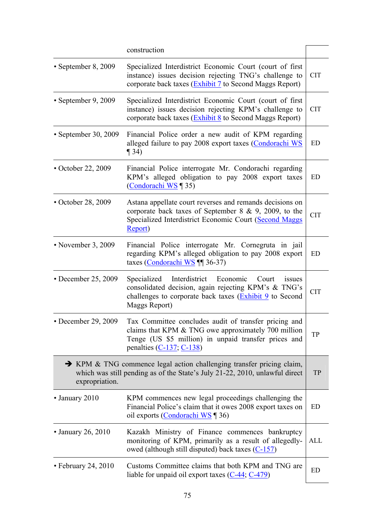|                           | construction                                                                                                                                                                                       |            |
|---------------------------|----------------------------------------------------------------------------------------------------------------------------------------------------------------------------------------------------|------------|
| • September 8, 2009       | Specialized Interdistrict Economic Court (court of first<br>instance) issues decision rejecting TNG's challenge to<br>corporate back taxes (Exhibit 7 to Second Maggs Report)                      | <b>CIT</b> |
| $\cdot$ September 9, 2009 | Specialized Interdistrict Economic Court (court of first)<br>instance) issues decision rejecting KPM's challenge to<br>corporate back taxes (Exhibit 8 to Second Maggs Report)                     | <b>CIT</b> |
| • September 30, 2009      | Financial Police order a new audit of KPM regarding<br>alleged failure to pay 2008 export taxes (Condorachi WS<br>$\P$ 34)                                                                         | ED         |
| • October 22, 2009        | Financial Police interrogate Mr. Condorachi regarding<br>KPM's alleged obligation to pay 2008 export taxes<br>(Condorachi WS 135)                                                                  | ED         |
| • October 28, 2009        | Astana appellate court reverses and remands decisions on<br>corporate back taxes of September 8 & 9, 2009, to the<br>Specialized Interdistrict Economic Court (Second Maggs<br>Report)             | <b>CIT</b> |
| • November 3, 2009        | Financial Police interrogate Mr. Cornegruta in jail<br>regarding KPM's alleged obligation to pay 2008 export<br>taxes (Condorachi WS ¶ 36-37)                                                      | ED         |
| • December 25, 2009       | Interdistrict<br>Specialized<br>Economic<br>Court<br>issues<br>consolidated decision, again rejecting KPM's & TNG's<br>challenges to corporate back taxes (Exhibit 9 to Second<br>Maggs Report)    | <b>CIT</b> |
| • December 29, 2009       | Tax Committee concludes audit of transfer pricing and<br>claims that KPM & TNG owe approximately 700 million<br>Tenge (US \$5 million) in unpaid transfer prices and<br>penalties $(C-137, C-138)$ | TP         |
| expropriation.            | → KPM & TNG commence legal action challenging transfer pricing claim,<br>which was still pending as of the State's July 21-22, 2010, unlawful direct                                               | TP         |
| • January 2010            | KPM commences new legal proceedings challenging the<br>Financial Police's claim that it owes 2008 export taxes on<br>oil exports (Condorachi WS 136)                                               | ED         |
| $\cdot$ January 26, 2010  | Kazakh Ministry of Finance commences bankruptcy<br>monitoring of KPM, primarily as a result of allegedly-<br>owed (although still disputed) back taxes $(C-157)$                                   | <b>ALL</b> |
| $\cdot$ February 24, 2010 | Customs Committee claims that both KPM and TNG are<br>liable for unpaid oil export taxes $(C-44; C-479)$                                                                                           | ED         |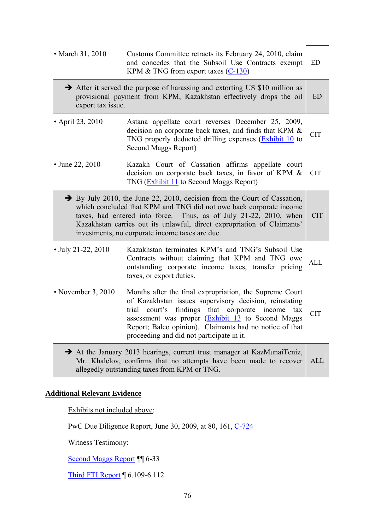| • March 31, 2010                                                                                                                                                                                                                                                                                                                                              | Customs Committee retracts its February 24, 2010, claim<br>and concedes that the Subsoil Use Contracts exempt<br>KPM $&$ TNG from export taxes (C-130)                                                                                                                                                                                   | ED         |
|---------------------------------------------------------------------------------------------------------------------------------------------------------------------------------------------------------------------------------------------------------------------------------------------------------------------------------------------------------------|------------------------------------------------------------------------------------------------------------------------------------------------------------------------------------------------------------------------------------------------------------------------------------------------------------------------------------------|------------|
| After it served the purpose of harassing and extorting US \$10 million as<br>provisional payment from KPM, Kazakhstan effectively drops the oil<br>export tax issue.                                                                                                                                                                                          |                                                                                                                                                                                                                                                                                                                                          | <b>ED</b>  |
| • April 23, 2010                                                                                                                                                                                                                                                                                                                                              | Astana appellate court reverses December 25, 2009,<br>decision on corporate back taxes, and finds that KPM &<br>TNG properly deducted drilling expenses (Exhibit 10 to<br>Second Maggs Report)                                                                                                                                           | <b>CIT</b> |
| • June 22, 2010                                                                                                                                                                                                                                                                                                                                               | Kazakh Court of Cassation affirms appellate court<br>decision on corporate back taxes, in favor of KPM &<br>TNG (Exhibit 11 to Second Maggs Report)                                                                                                                                                                                      | <b>CIT</b> |
| $\rightarrow$ By July 2010, the June 22, 2010, decision from the Court of Cassation,<br>which concluded that KPM and TNG did not owe back corporate income<br>taxes, had entered into force. Thus, as of July 21-22, 2010, when<br>Kazakhstan carries out its unlawful, direct expropriation of Claimants'<br>investments, no corporate income taxes are due. |                                                                                                                                                                                                                                                                                                                                          | <b>CIT</b> |
| $\cdot$ July 21-22, 2010                                                                                                                                                                                                                                                                                                                                      | Kazakhstan terminates KPM's and TNG's Subsoil Use<br>Contracts without claiming that KPM and TNG owe<br>outstanding corporate income taxes, transfer pricing<br>taxes, or export duties.                                                                                                                                                 | <b>ALL</b> |
| • November 3, 2010                                                                                                                                                                                                                                                                                                                                            | Months after the final expropriation, the Supreme Court<br>of Kazakhstan issues supervisory decision, reinstating<br>court's findings that corporate income<br>trial<br>tax<br>assessment was proper (Exhibit 13 to Second Maggs<br>Report; Balco opinion). Claimants had no notice of that<br>proceeding and did not participate in it. | <b>CIT</b> |
| $\rightarrow$ At the January 2013 hearings, current trust manager at KazMunaiTeniz,<br>Mr. Khalelov, confirms that no attempts have been made to recover<br>allegedly outstanding taxes from KPM or TNG.                                                                                                                                                      |                                                                                                                                                                                                                                                                                                                                          | <b>ALL</b> |

# **Additional Relevant Evidence**

Exhibits not included above:

PwC Due Diligence Report, June 30, 2009, at 80, 161, C-724

Witness Testimony:

Second Maggs Report ¶¶ 6-33

Third FTI Report ¶ 6.109-6.112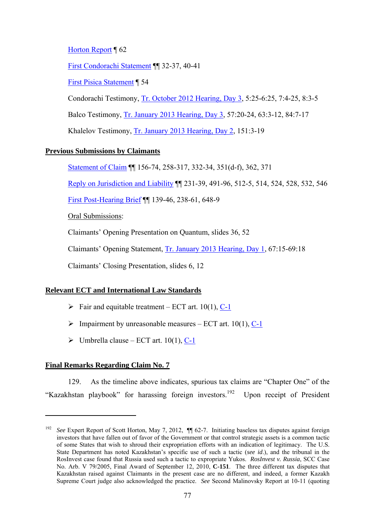Horton Report ¶ 62

First Condorachi Statement ¶¶ 32-37, 40-41

First Pisica Statement ¶ 54

Condorachi Testimony, Tr. October 2012 Hearing, Day 3, 5:25-6:25, 7:4-25, 8:3-5

Balco Testimony, Tr. January 2013 Hearing, Day 3, 57:20-24, 63:3-12, 84:7-17

Khalelov Testimony, Tr. January 2013 Hearing, Day 2, 151:3-19

### **Previous Submissions by Claimants**

Statement of Claim ¶¶ 156-74, 258-317, 332-34, 351(d-f), 362, 371

Reply on Jurisdiction and Liability ¶¶ 231-39, 491-96, 512-5, 514, 524, 528, 532, 546

First Post-Hearing Brief ¶¶ 139-46, 238-61, 648-9

Oral Submissions:

Claimants' Opening Presentation on Quantum, slides 36, 52

Claimants' Opening Statement, Tr. January 2013 Hearing, Day 1, 67:15-69:18

Claimants' Closing Presentation, slides 6, 12

# **Relevant ECT and International Law Standards**

- $\triangleright$  Fair and equitable treatment ECT art. 10(1), C-1
- $\triangleright$  Impairment by unreasonable measures ECT art. 10(1), C-1
- $\triangleright$  Umbrella clause ECT art. 10(1), C-1

### **Final Remarks Regarding Claim No. 7**

1

129. As the timeline above indicates, spurious tax claims are "Chapter One" of the "Kazakhstan playbook" for harassing foreign investors.192 Upon receipt of President

See Expert Report of Scott Horton, May 7, 2012,  $\P$  62-7. Initiating baseless tax disputes against foreign investors that have fallen out of favor of the Government or that control strategic assets is a common tactic of some States that wish to shroud their expropriation efforts with an indication of legitimacy. The U.S. State Department has noted Kazakhstan's specific use of such a tactic (*see id*.), and the tribunal in the RosInvest case found that Russia used such a tactic to expropriate Yukos. *RosInvest v. Russia*, SCC Case No. Arb. V 79/2005, Final Award of September 12, 2010, **C-151**. The three different tax disputes that Kazakhstan raised against Claimants in the present case are no different, and indeed, a former Kazakh Supreme Court judge also acknowledged the practice. *See* Second Malinovsky Report at 10-11 (quoting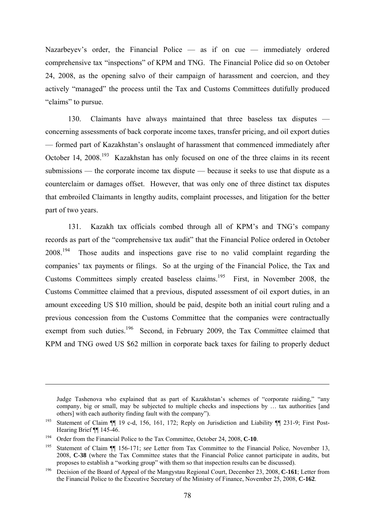Nazarbeyev's order, the Financial Police — as if on cue — immediately ordered comprehensive tax "inspections" of KPM and TNG. The Financial Police did so on October 24, 2008, as the opening salvo of their campaign of harassment and coercion, and they actively "managed" the process until the Tax and Customs Committees dutifully produced "claims" to pursue.

130. Claimants have always maintained that three baseless tax disputes concerning assessments of back corporate income taxes, transfer pricing, and oil export duties — formed part of Kazakhstan's onslaught of harassment that commenced immediately after October 14, 2008.<sup>193</sup> Kazakhstan has only focused on one of the three claims in its recent submissions — the corporate income tax dispute — because it seeks to use that dispute as a counterclaim or damages offset. However, that was only one of three distinct tax disputes that embroiled Claimants in lengthy audits, complaint processes, and litigation for the better part of two years.

131. Kazakh tax officials combed through all of KPM's and TNG's company records as part of the "comprehensive tax audit" that the Financial Police ordered in October 2008.194 Those audits and inspections gave rise to no valid complaint regarding the companies' tax payments or filings. So at the urging of the Financial Police, the Tax and Customs Committees simply created baseless claims.<sup>195</sup> First, in November 2008, the Customs Committee claimed that a previous, disputed assessment of oil export duties, in an amount exceeding US \$10 million, should be paid, despite both an initial court ruling and a previous concession from the Customs Committee that the companies were contractually exempt from such duties.<sup>196</sup> Second, in February 2009, the Tax Committee claimed that KPM and TNG owed US \$62 million in corporate back taxes for failing to properly deduct

Judge Tashenova who explained that as part of Kazakhstan's schemes of "corporate raiding," "any company, big or small, may be subjected to multiple checks and inspections by … tax authorities [and others] with each authority finding fault with the company").

<sup>193</sup> Statement of Claim ¶¶ 19 c-d, 156, 161, 172; Reply on Jurisdiction and Liability ¶¶ 231-9; First Post-Hearing Brief  $\P$  145-46.<br><sup>194</sup> Order from the Financial Police to the Tax Committee, October 24, 2008, **C-10**.

<sup>195</sup> Statement of Claim ¶¶ 156-171; *see* Letter from Tax Committee to the Financial Police, November 13, 2008, **C-38** (where the Tax Committee states that the Financial Police cannot participate in audits, but proposes to establish a "working group" with them so that inspection results can be discussed).

<sup>196</sup> Decision of the Board of Appeal of the Mangystau Regional Court, December 23, 2008, **C-161**; Letter from the Financial Police to the Executive Secretary of the Ministry of Finance, November 25, 2008, **C-162**.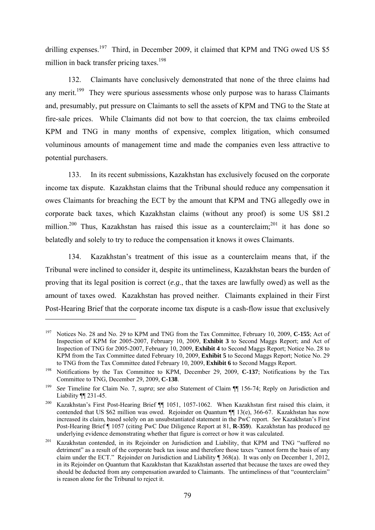drilling expenses.<sup>197</sup> Third, in December 2009, it claimed that KPM and TNG owed US \$5 million in back transfer pricing taxes.<sup>198</sup>

132. Claimants have conclusively demonstrated that none of the three claims had any merit.<sup>199</sup> They were spurious assessments whose only purpose was to harass Claimants and, presumably, put pressure on Claimants to sell the assets of KPM and TNG to the State at fire-sale prices. While Claimants did not bow to that coercion, the tax claims embroiled KPM and TNG in many months of expensive, complex litigation, which consumed voluminous amounts of management time and made the companies even less attractive to potential purchasers.

133. In its recent submissions, Kazakhstan has exclusively focused on the corporate income tax dispute. Kazakhstan claims that the Tribunal should reduce any compensation it owes Claimants for breaching the ECT by the amount that KPM and TNG allegedly owe in corporate back taxes, which Kazakhstan claims (without any proof) is some US \$81.2 million.<sup>200</sup> Thus, Kazakhstan has raised this issue as a counterclaim;<sup>201</sup> it has done so belatedly and solely to try to reduce the compensation it knows it owes Claimants.

134. Kazakhstan's treatment of this issue as a counterclaim means that, if the Tribunal were inclined to consider it, despite its untimeliness, Kazakhstan bears the burden of proving that its legal position is correct (*e.g*., that the taxes are lawfully owed) as well as the amount of taxes owed. Kazakhstan has proved neither. Claimants explained in their First Post-Hearing Brief that the corporate income tax dispute is a cash-flow issue that exclusively

<sup>197</sup> Notices No. 28 and No. 29 to KPM and TNG from the Tax Committee, February 10, 2009, **C-155**; Act of Inspection of KPM for 2005-2007, February 10, 2009, **Exhibit 3** to Second Maggs Report; and Act of Inspection of TNG for 2005-2007, February 10, 2009, **Exhibit 4** to Second Maggs Report; Notice No. 28 to KPM from the Tax Committee dated February 10, 2009, **Exhibit 5** to Second Maggs Report; Notice No. 29 to TNG from the Tax Committee dated February 10, 2009, **Exhibit 6** to Second Maggs Report.

<sup>&</sup>lt;sup>198</sup> Notifications by the Tax Committee to KPM, December 29, 2009, C-137; Notifications by the Tax Committee to TNG, December 29, 2009, **C-138**.

<sup>199</sup> *See* Timeline for Claim No. 7, *supra*; *see also* Statement of Claim ¶¶ 156-74; Reply on Jurisdiction and Liability ¶¶ 231-45. 200 Kazakhstan's First Post-Hearing Brief ¶¶ 1051, 1057-1062. When Kazakhstan first raised this claim, it

contended that US \$62 million was owed. Rejoinder on Quantum ¶¶ 13(e), 366-67. Kazakhstan has now increased its claim, based solely on an unsubstantiated statement in the PwC report. *See* Kazakhstan's First Post-Hearing Brief ¶ 1057 (citing PwC Due Diligence Report at 81, **R-359**). Kazakhstan has produced <u>no</u> underlying evidence demonstrating whether that figure is correct or how it was calculated.

<sup>&</sup>lt;sup>201</sup> Kazakhstan contended, in its Rejoinder on Jurisdiction and Liability, that KPM and TNG "suffered no detriment" as a result of the corporate back tax issue and therefore those taxes "cannot form the basis of any claim under the ECT." Rejoinder on Jurisdiction and Liability ¶ 368(a). It was only on December 1, 2012, in its Rejoinder on Quantum that Kazakhstan that Kazakhstan asserted that because the taxes are owed they should be deducted from any compensation awarded to Claimants. The untimeliness of that "counterclaim" is reason alone for the Tribunal to reject it.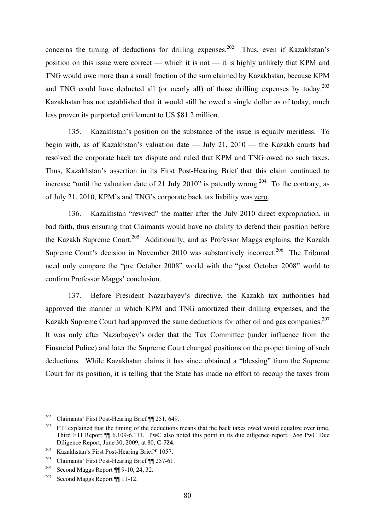concerns the timing of deductions for drilling expenses.<sup>202</sup> Thus, even if Kazakhstan's position on this issue were correct — which it is not — it is highly unlikely that KPM and TNG would owe more than a small fraction of the sum claimed by Kazakhstan, because KPM and TNG could have deducted all (or nearly all) of those drilling expenses by today.<sup>203</sup> Kazakhstan has not established that it would still be owed a single dollar as of today, much less proven its purported entitlement to US \$81.2 million.

135. Kazakhstan's position on the substance of the issue is equally meritless. To begin with, as of Kazakhstan's valuation date — July 21, 2010 — the Kazakh courts had resolved the corporate back tax dispute and ruled that KPM and TNG owed no such taxes. Thus, Kazakhstan's assertion in its First Post-Hearing Brief that this claim continued to increase "until the valuation date of 21 July 2010" is patently wrong.<sup>204</sup> To the contrary, as of July 21, 2010, KPM's and TNG's corporate back tax liability was zero.

136. Kazakhstan "revived" the matter after the July 2010 direct expropriation, in bad faith, thus ensuring that Claimants would have no ability to defend their position before the Kazakh Supreme Court.<sup>205</sup> Additionally, and as Professor Maggs explains, the Kazakh Supreme Court's decision in November 2010 was substantively incorrect.<sup>206</sup> The Tribunal need only compare the "pre October 2008" world with the "post October 2008" world to confirm Professor Maggs' conclusion.

137. Before President Nazarbayev's directive, the Kazakh tax authorities had approved the manner in which KPM and TNG amortized their drilling expenses, and the Kazakh Supreme Court had approved the same deductions for other oil and gas companies.<sup>207</sup> It was only after Nazarbayev's order that the Tax Committee (under influence from the Financial Police) and later the Supreme Court changed positions on the proper timing of such deductions. While Kazakhstan claims it has since obtained a "blessing" from the Supreme Court for its position, it is telling that the State has made no effort to recoup the taxes from

<sup>202</sup> Claimants' First Post-Hearing Brief ¶¶ 251, 649.

<sup>&</sup>lt;sup>203</sup> FTI explained that the timing of the deductions means that the back taxes owed would equalize over time. Third FTI Report ¶¶ 6.109-6.111. PwC also noted this point in its due diligence report. *See* PwC Due Diligence Report, June 30, 2009, at 80, **C-724**.

<sup>204</sup> Kazakhstan's First Post-Hearing Brief ¶ 1057.

<sup>205</sup> Claimants' First Post-Hearing Brief ¶¶ 257-61.

<sup>206</sup> Second Maggs Report ¶¶ 9-10, 24, 32.

<sup>207</sup> Second Maggs Report ¶¶ 11-12.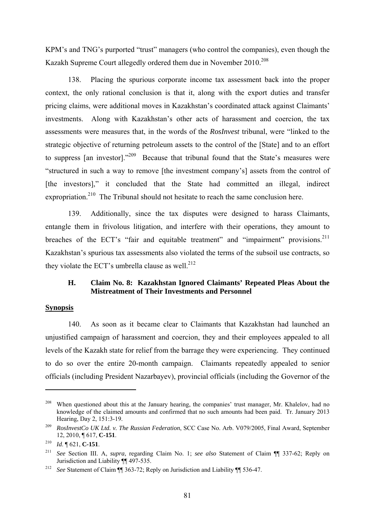KPM's and TNG's purported "trust" managers (who control the companies), even though the Kazakh Supreme Court allegedly ordered them due in November 2010.<sup>208</sup>

138. Placing the spurious corporate income tax assessment back into the proper context, the only rational conclusion is that it, along with the export duties and transfer pricing claims, were additional moves in Kazakhstan's coordinated attack against Claimants' investments. Along with Kazakhstan's other acts of harassment and coercion, the tax assessments were measures that, in the words of the *RosInvest* tribunal, were "linked to the strategic objective of returning petroleum assets to the control of the [State] and to an effort to suppress [an investor]."209 Because that tribunal found that the State's measures were "structured in such a way to remove [the investment company's] assets from the control of [the investors]," it concluded that the State had committed an illegal, indirect expropriation.<sup>210</sup> The Tribunal should not hesitate to reach the same conclusion here.

139. Additionally, since the tax disputes were designed to harass Claimants, entangle them in frivolous litigation, and interfere with their operations, they amount to breaches of the ECT's "fair and equitable treatment" and "impairment" provisions.<sup>211</sup> Kazakhstan's spurious tax assessments also violated the terms of the subsoil use contracts, so they violate the ECT's umbrella clause as well.<sup>212</sup>

# **H. Claim No. 8: Kazakhstan Ignored Claimants' Repeated Pleas About the Mistreatment of Their Investments and Personnel**

#### **Synopsis**

1

140. As soon as it became clear to Claimants that Kazakhstan had launched an unjustified campaign of harassment and coercion, they and their employees appealed to all levels of the Kazakh state for relief from the barrage they were experiencing. They continued to do so over the entire 20-month campaign. Claimants repeatedly appealed to senior officials (including President Nazarbayev), provincial officials (including the Governor of the

<sup>&</sup>lt;sup>208</sup> When questioned about this at the January hearing, the companies' trust manager, Mr. Khalelov, had no knowledge of the claimed amounts and confirmed that no such amounts had been paid. Tr. January 2013 Hearing, Day 2, 151:3-19.

<sup>209</sup> *RosInvestCo UK Ltd. v. The Russian Federation*, SCC Case No. Arb. V079/2005, Final Award, September 12, 2010, ¶ 617, **C-151**.

<sup>210</sup> *Id*. ¶ 621, **C-151**.

<sup>211</sup> *See* Section III. A, *supra*, regarding Claim No. 1; *see also* Statement of Claim ¶¶ 337-62; Reply on Jurisdiction and Liability ¶¶ 497-535.

<sup>212</sup> *See* Statement of Claim ¶¶ 363-72; Reply on Jurisdiction and Liability ¶¶ 536-47.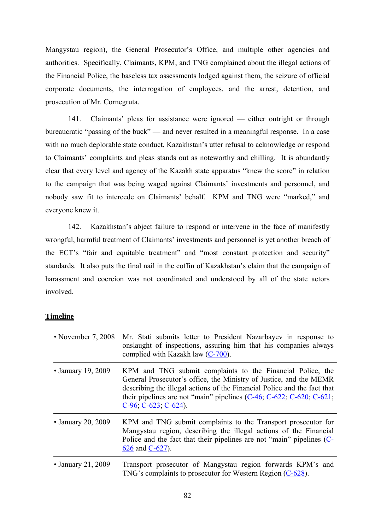Mangystau region), the General Prosecutor's Office, and multiple other agencies and authorities. Specifically, Claimants, KPM, and TNG complained about the illegal actions of the Financial Police, the baseless tax assessments lodged against them, the seizure of official corporate documents, the interrogation of employees, and the arrest, detention, and prosecution of Mr. Cornegruta.

141. Claimants' pleas for assistance were ignored — either outright or through bureaucratic "passing of the buck" — and never resulted in a meaningful response. In a case with no much deplorable state conduct, Kazakhstan's utter refusal to acknowledge or respond to Claimants' complaints and pleas stands out as noteworthy and chilling. It is abundantly clear that every level and agency of the Kazakh state apparatus "knew the score" in relation to the campaign that was being waged against Claimants' investments and personnel, and nobody saw fit to intercede on Claimants' behalf. KPM and TNG were "marked," and everyone knew it.

142. Kazakhstan's abject failure to respond or intervene in the face of manifestly wrongful, harmful treatment of Claimants' investments and personnel is yet another breach of the ECT's "fair and equitable treatment" and "most constant protection and security" standards. It also puts the final nail in the coffin of Kazakhstan's claim that the campaign of harassment and coercion was not coordinated and understood by all of the state actors involved.

### **Timeline**

| • November 7, 2008       | Mr. Stati submits letter to President Nazarbayev in response to<br>onslaught of inspections, assuring him that his companies always<br>complied with Kazakh law $(C-700)$ .                                                                                                                                             |
|--------------------------|-------------------------------------------------------------------------------------------------------------------------------------------------------------------------------------------------------------------------------------------------------------------------------------------------------------------------|
| • January 19, 2009       | KPM and TNG submit complaints to the Financial Police, the<br>General Prosecutor's office, the Ministry of Justice, and the MEMR<br>describing the illegal actions of the Financial Police and the fact that<br>their pipelines are not "main" pipelines $(C-46, C-622, C-620, C-621)$<br>$C-96$ ; $C-623$ ; $C-624$ ). |
| • January 20, 2009       | KPM and TNG submit complaints to the Transport prosecutor for<br>Mangystau region, describing the illegal actions of the Financial<br>Police and the fact that their pipelines are not "main" pipelines (C-<br>626 and C-627).                                                                                          |
| $\cdot$ January 21, 2009 | Transport prosecutor of Mangystau region forwards KPM's and<br>TNG's complaints to prosecutor for Western Region (C-628).                                                                                                                                                                                               |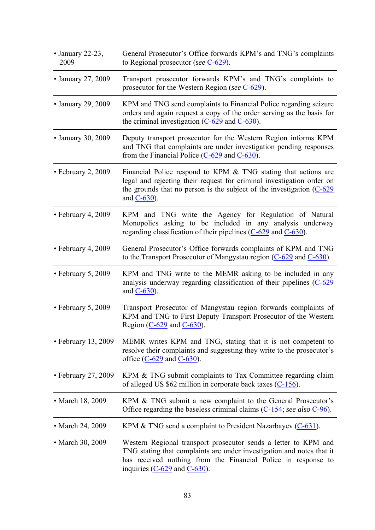| $\bullet$ January 22-23,<br>2009 | General Prosecutor's Office forwards KPM's and TNG's complaints<br>to Regional prosecutor (see $C$ -629).                                                                                                                                      |
|----------------------------------|------------------------------------------------------------------------------------------------------------------------------------------------------------------------------------------------------------------------------------------------|
| • January 27, 2009               | Transport prosecutor forwards KPM's and TNG's complaints to<br>prosecutor for the Western Region (see C-629).                                                                                                                                  |
| • January 29, 2009               | KPM and TNG send complaints to Financial Police regarding seizure<br>orders and again request a copy of the order serving as the basis for<br>the criminal investigation $(C-629)$ and $C-630$ .                                               |
| • January 30, 2009               | Deputy transport prosecutor for the Western Region informs KPM<br>and TNG that complaints are under investigation pending responses<br>from the Financial Police $(C-629)$ and $C-630$ .                                                       |
| • February 2, 2009               | Financial Police respond to KPM & TNG stating that actions are<br>legal and rejecting their request for criminal investigation order on<br>the grounds that no person is the subject of the investigation $(C-629)$<br>and $C-630$ ).          |
| • February 4, 2009               | KPM and TNG write the Agency for Regulation of Natural<br>Monopolies asking to be included in any analysis underway<br>regarding classification of their pipelines $(C-629)$ and $C-630$ .                                                     |
| • February 4, 2009               | General Prosecutor's Office forwards complaints of KPM and TNG<br>to the Transport Prosecutor of Mangystau region $(C-629)$ and $C-630$ .                                                                                                      |
| • February 5, 2009               | KPM and TNG write to the MEMR asking to be included in any<br>analysis underway regarding classification of their pipelines $(C-629)$<br>and $C-630$ ).                                                                                        |
| • February 5, 2009               | Transport Prosecutor of Mangystau region forwards complaints of<br>KPM and TNG to First Deputy Transport Prosecutor of the Western<br>Region $(C-629)$ and $C-630$ .                                                                           |
| $\cdot$ February 13, 2009        | MEMR writes KPM and TNG, stating that it is not competent to<br>resolve their complaints and suggesting they write to the prosecutor's<br>office $(C-629$ and $C-630$ .                                                                        |
| $\cdot$ February 27, 2009        | KPM & TNG submit complaints to Tax Committee regarding claim<br>of alleged US \$62 million in corporate back taxes $(C-156)$ .                                                                                                                 |
| • March 18, 2009                 | KPM & TNG submit a new complaint to the General Prosecutor's<br>Office regarding the baseless criminal claims $(C-154)$ ; see also $C-96$ ).                                                                                                   |
| • March 24, 2009                 | KPM $&$ TNG send a complaint to President Nazarbayev ( $C$ -631).                                                                                                                                                                              |
| • March 30, 2009                 | Western Regional transport prosecutor sends a letter to KPM and<br>TNG stating that complaints are under investigation and notes that it<br>has received nothing from the Financial Police in response to<br>inquiries $(C-629)$ and $C-630$ . |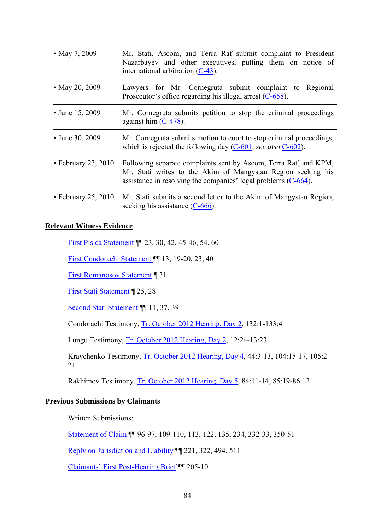| • May 7, 2009             | Mr. Stati, Ascom, and Terra Raf submit complaint to President<br>Nazarbayev and other executives, putting them on notice of<br>international arbitration $(C-43)$ .                                   |  |
|---------------------------|-------------------------------------------------------------------------------------------------------------------------------------------------------------------------------------------------------|--|
| • May 20, 2009            | Lawyers for Mr. Cornegruta submit complaint to Regional<br>Prosecutor's office regarding his illegal arrest $(C-658)$ .                                                                               |  |
| • June 15, 2009           | Mr. Cornegruta submits petition to stop the criminal proceedings<br>against him $(C-478)$ .                                                                                                           |  |
| • June 30, 2009           | Mr. Cornegruta submits motion to court to stop criminal proceedings,<br>which is rejected the following day $(C-601)$ ; see also $C-602$ ).                                                           |  |
| $\cdot$ February 23, 2010 | Following separate complaints sent by Ascom, Terra Raf, and KPM,<br>Mr. Stati writes to the Akim of Mangystau Region seeking his<br>assistance in resolving the companies' legal problems $(C-664)$ . |  |
| $\cdot$ February 25, 2010 | Mr. Stati submits a second letter to the Akim of Mangystau Region,<br>seeking his assistance $(C-666)$ .                                                                                              |  |

### **Relevant Witness Evidence**

First Pisica Statement ¶¶ 23, 30, 42, 45-46, 54, 60

First Condorachi Statement ¶¶ 13, 19-20, 23, 40

First Romanosov Statement ¶ 31

First Stati Statement ¶ 25, 28

Second Stati Statement ¶¶ 11, 37, 39

Condorachi Testimony, Tr. October 2012 Hearing, Day 2, 132:1-133:4

Lungu Testimony, Tr. October 2012 Hearing, Day 2, 12:24-13:23

Kravchenko Testimony, Tr. October 2012 Hearing, Day 4, 44:3-13, 104:15-17, 105:2- 21

Rakhimov Testimony, Tr. October 2012 Hearing, Day 5, 84:11-14, 85:19-86:12

#### **Previous Submissions by Claimants**

Written Submissions:

Statement of Claim ¶¶ 96-97, 109-110, 113, 122, 135, 234, 332-33, 350-51

Reply on Jurisdiction and Liability ¶¶ 221, 322, 494, 511

Claimants' First Post-Hearing Brief ¶¶ 205-10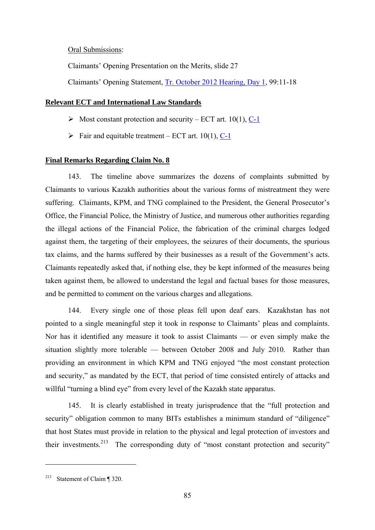Oral Submissions:

Claimants' Opening Presentation on the Merits, slide 27

Claimants' Opening Statement, Tr. October 2012 Hearing, Day 1, 99:11-18

#### **Relevant ECT and International Law Standards**

- $\triangleright$  Most constant protection and security ECT art. 10(1), C-1
- $\triangleright$  Fair and equitable treatment ECT art. 10(1), C-1

### **Final Remarks Regarding Claim No. 8**

143. The timeline above summarizes the dozens of complaints submitted by Claimants to various Kazakh authorities about the various forms of mistreatment they were suffering. Claimants, KPM, and TNG complained to the President, the General Prosecutor's Office, the Financial Police, the Ministry of Justice, and numerous other authorities regarding the illegal actions of the Financial Police, the fabrication of the criminal charges lodged against them, the targeting of their employees, the seizures of their documents, the spurious tax claims, and the harms suffered by their businesses as a result of the Government's acts. Claimants repeatedly asked that, if nothing else, they be kept informed of the measures being taken against them, be allowed to understand the legal and factual bases for those measures, and be permitted to comment on the various charges and allegations.

144. Every single one of those pleas fell upon deaf ears. Kazakhstan has not pointed to a single meaningful step it took in response to Claimants' pleas and complaints. Nor has it identified any measure it took to assist Claimants — or even simply make the situation slightly more tolerable — between October 2008 and July 2010. Rather than providing an environment in which KPM and TNG enjoyed "the most constant protection and security," as mandated by the ECT, that period of time consisted entirely of attacks and willful "turning a blind eye" from every level of the Kazakh state apparatus.

145. It is clearly established in treaty jurisprudence that the "full protection and security" obligation common to many BITs establishes a minimum standard of "diligence" that host States must provide in relation to the physical and legal protection of investors and their investments.213 The corresponding duty of "most constant protection and security"

<sup>213</sup> Statement of Claim ¶ 320.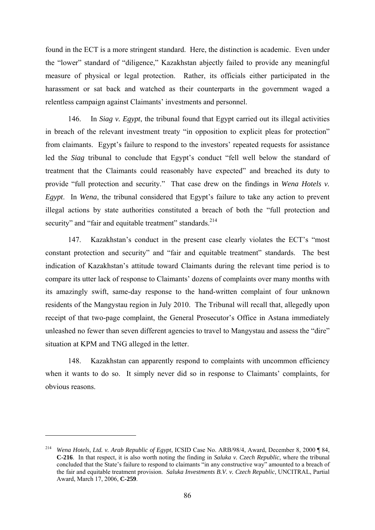found in the ECT is a more stringent standard. Here, the distinction is academic. Even under the "lower" standard of "diligence," Kazakhstan abjectly failed to provide any meaningful measure of physical or legal protection. Rather, its officials either participated in the harassment or sat back and watched as their counterparts in the government waged a relentless campaign against Claimants' investments and personnel.

146. In *Siag v. Egypt*, the tribunal found that Egypt carried out its illegal activities in breach of the relevant investment treaty "in opposition to explicit pleas for protection" from claimants. Egypt's failure to respond to the investors' repeated requests for assistance led the *Siag* tribunal to conclude that Egypt's conduct "fell well below the standard of treatment that the Claimants could reasonably have expected" and breached its duty to provide "full protection and security." That case drew on the findings in *Wena Hotels v. Egypt*. In *Wena*, the tribunal considered that Egypt's failure to take any action to prevent illegal actions by state authorities constituted a breach of both the "full protection and security" and "fair and equitable treatment" standards.<sup>214</sup>

147. Kazakhstan's conduct in the present case clearly violates the ECT's "most constant protection and security" and "fair and equitable treatment" standards. The best indication of Kazakhstan's attitude toward Claimants during the relevant time period is to compare its utter lack of response to Claimants' dozens of complaints over many months with its amazingly swift, same-day response to the hand-written complaint of four unknown residents of the Mangystau region in July 2010. The Tribunal will recall that, allegedly upon receipt of that two-page complaint, the General Prosecutor's Office in Astana immediately unleashed no fewer than seven different agencies to travel to Mangystau and assess the "dire" situation at KPM and TNG alleged in the letter.

148. Kazakhstan can apparently respond to complaints with uncommon efficiency when it wants to do so. It simply never did so in response to Claimants' complaints, for obvious reasons.

<sup>214</sup> *Wena Hotels, Ltd. v. Arab Republic of Egypt*, ICSID Case No. ARB/98/4, Award, December 8, 2000 ¶ 84, **C-216**. In that respect, it is also worth noting the finding in *Saluka v. Czech Republic*, where the tribunal concluded that the State's failure to respond to claimants "in any constructive way" amounted to a breach of the fair and equitable treatment provision. *Saluka Investments B.V. v. Czech Republic*, UNCITRAL, Partial Award, March 17, 2006, **C-259**.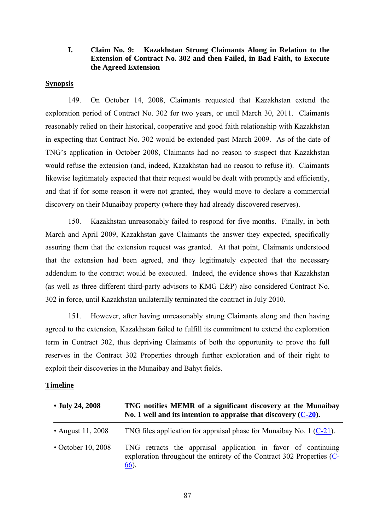### **I. Claim No. 9: Kazakhstan Strung Claimants Along in Relation to the Extension of Contract No. 302 and then Failed, in Bad Faith, to Execute the Agreed Extension**

### **Synopsis**

149. On October 14, 2008, Claimants requested that Kazakhstan extend the exploration period of Contract No. 302 for two years, or until March 30, 2011. Claimants reasonably relied on their historical, cooperative and good faith relationship with Kazakhstan in expecting that Contract No. 302 would be extended past March 2009. As of the date of TNG's application in October 2008, Claimants had no reason to suspect that Kazakhstan would refuse the extension (and, indeed, Kazakhstan had no reason to refuse it). Claimants likewise legitimately expected that their request would be dealt with promptly and efficiently, and that if for some reason it were not granted, they would move to declare a commercial discovery on their Munaibay property (where they had already discovered reserves).

150. Kazakhstan unreasonably failed to respond for five months. Finally, in both March and April 2009, Kazakhstan gave Claimants the answer they expected, specifically assuring them that the extension request was granted. At that point, Claimants understood that the extension had been agreed, and they legitimately expected that the necessary addendum to the contract would be executed. Indeed, the evidence shows that Kazakhstan (as well as three different third-party advisors to KMG E&P) also considered Contract No. 302 in force, until Kazakhstan unilaterally terminated the contract in July 2010.

151. However, after having unreasonably strung Claimants along and then having agreed to the extension, Kazakhstan failed to fulfill its commitment to extend the exploration term in Contract 302, thus depriving Claimants of both the opportunity to prove the full reserves in the Contract 302 Properties through further exploration and of their right to exploit their discoveries in the Munaibay and Bahyt fields.

#### **Timeline**

| • July 24, 2008          | TNG notifies MEMR of a significant discovery at the Munaibay<br>No. 1 well and its intention to appraise that discovery $(C-20)$ .                 |
|--------------------------|----------------------------------------------------------------------------------------------------------------------------------------------------|
| • August 11, 2008        | TNG files application for appraisal phase for Munaibay No. $1 (C-21)$ .                                                                            |
| $\cdot$ October 10, 2008 | TNG retracts the appraisal application in favor of continuing<br>exploration throughout the entirety of the Contract 302 Properties (C-<br>$66$ ). |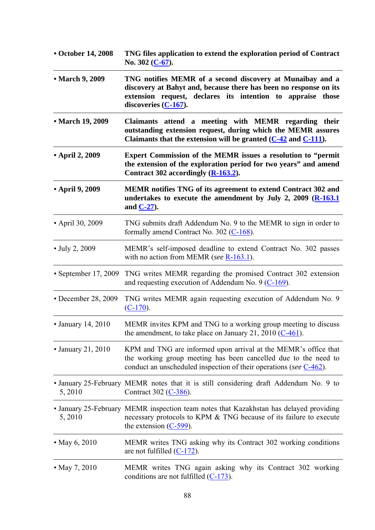| • October 14, 2008       | TNG files application to extend the exploration period of Contract<br>No. $302$ (C-67).                                                                                                                                     |
|--------------------------|-----------------------------------------------------------------------------------------------------------------------------------------------------------------------------------------------------------------------------|
| • March 9, 2009          | TNG notifies MEMR of a second discovery at Munaibay and a<br>discovery at Bahyt and, because there has been no response on its<br>extension request, declares its intention to appraise<br>those<br>discoveries $(C-167)$ . |
| • March 19, 2009         | Claimants attend a meeting with MEMR regarding their<br>outstanding extension request, during which the MEMR assures<br>Claimants that the extension will be granted $(C-42$ and $C-111$ .                                  |
| • April 2, 2009          | Expert Commission of the MEMR issues a resolution to "permit<br>the extension of the exploration period for two years" and amend<br>Contract 302 accordingly (R-163.2).                                                     |
| • April 9, 2009          | MEMR notifies TNG of its agreement to extend Contract 302 and<br>undertakes to execute the amendment by July 2, 2009 $(R-163.1)$<br>and $C-27$ .                                                                            |
| • April 30, 2009         | TNG submits draft Addendum No. 9 to the MEMR to sign in order to<br>formally amend Contract No. 302 $(C-168)$ .                                                                                                             |
| • July 2, 2009           | MEMR's self-imposed deadline to extend Contract No. 302 passes<br>with no action from MEMR (see $R-163.1$ ).                                                                                                                |
| • September 17, 2009     | TNG writes MEMR regarding the promised Contract 302 extension<br>and requesting execution of Addendum No. 9 $(C-169)$ .                                                                                                     |
| • December 28, 2009      | TNG writes MEMR again requesting execution of Addendum No. 9<br>$(C-170)$ .                                                                                                                                                 |
| • January 14, 2010       | MEMR invites KPM and TNG to a working group meeting to discuss<br>the amendment, to take place on January 21, 2010 $(C-461)$ .                                                                                              |
| $\cdot$ January 21, 2010 | KPM and TNG are informed upon arrival at the MEMR's office that<br>the working group meeting has been cancelled due to the need to<br>conduct an unscheduled inspection of their operations (see $C-462$ ).                 |
| 5, 2010                  | • January 25-February MEMR notes that it is still considering draft Addendum No. 9 to<br>Contract 302 (C-386).                                                                                                              |
| 5, 2010                  | • January 25-February MEMR inspection team notes that Kazakhstan has delayed providing<br>necessary protocols to KPM & TNG because of its failure to execute<br>the extension $(C-599)$ .                                   |
| • May 6, 2010            | MEMR writes TNG asking why its Contract 302 working conditions<br>are not fulfilled $(C-172)$ .                                                                                                                             |
| • May 7, 2010            | MEMR writes TNG again asking why its Contract 302 working<br>conditions are not fulfilled $(C-173)$ .                                                                                                                       |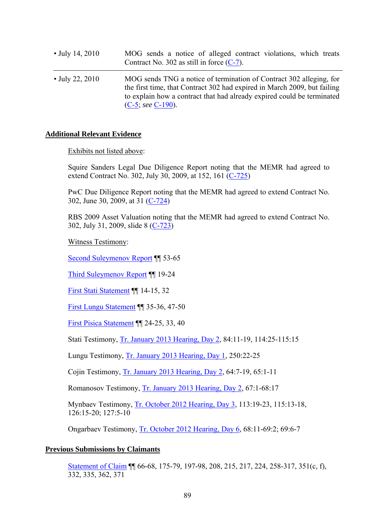| • July 14, 2010 | MOG sends a notice of alleged contract violations, which treats<br>Contract No. 302 as still in force $(C-7)$ .                                                                                                                                   |
|-----------------|---------------------------------------------------------------------------------------------------------------------------------------------------------------------------------------------------------------------------------------------------|
| • July 22, 2010 | MOG sends TNG a notice of termination of Contract 302 alleging, for<br>the first time, that Contract 302 had expired in March 2009, but failing<br>to explain how a contract that had already expired could be terminated<br>$(C-5; see C-190)$ . |

#### **Additional Relevant Evidence**

Exhibits not listed above:

Squire Sanders Legal Due Diligence Report noting that the MEMR had agreed to extend Contract No. 302, July 30, 2009, at 152, 161 (C-725)

PwC Due Diligence Report noting that the MEMR had agreed to extend Contract No. 302, June 30, 2009, at 31 (C-724)

RBS 2009 Asset Valuation noting that the MEMR had agreed to extend Contract No. 302, July 31, 2009, slide 8 (C-723)

Witness Testimony:

Second Suleymenov Report ¶¶ 53-65

Third Suleymenov Report ¶¶ 19-24

First Stati Statement ¶¶ 14-15, 32

First Lungu Statement ¶¶ 35-36, 47-50

First Pisica Statement ¶¶ 24-25, 33, 40

Stati Testimony, Tr. January 2013 Hearing, Day 2, 84:11-19, 114:25-115:15

Lungu Testimony, Tr. January 2013 Hearing, Day 1, 250:22-25

Cojin Testimony, Tr. January 2013 Hearing, Day 2, 64:7-19, 65:1-11

Romanosov Testimony, Tr. January 2013 Hearing, Day 2, 67:1-68:17

Mynbaev Testimony, Tr. October 2012 Hearing, Day 3, 113:19-23, 115:13-18, 126:15-20; 127:5-10

Ongarbaev Testimony, Tr. October 2012 Hearing, Day 6, 68:11-69:2; 69:6-7

#### **Previous Submissions by Claimants**

Statement of Claim ¶¶ 66-68, 175-79, 197-98, 208, 215, 217, 224, 258-317, 351(c, f), 332, 335, 362, 371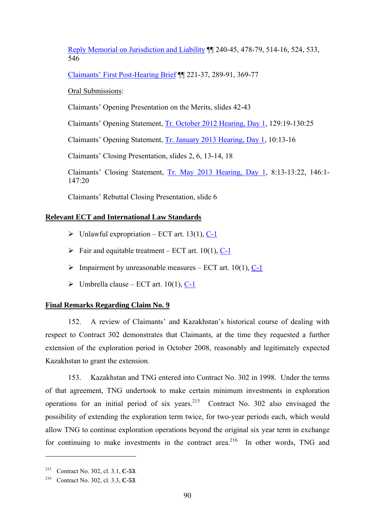Reply Memorial on Jurisdiction and Liability ¶¶ 240-45, 478-79, 514-16, 524, 533, 546

Claimants' First Post-Hearing Brief ¶¶ 221-37, 289-91, 369-77

Oral Submissions:

Claimants' Opening Presentation on the Merits, slides 42-43

Claimants' Opening Statement, Tr. October 2012 Hearing, Day 1, 129:19-130:25

Claimants' Opening Statement, Tr. January 2013 Hearing, Day 1, 10:13-16

Claimants' Closing Presentation, slides 2, 6, 13-14, 18

Claimants' Closing Statement, Tr. May 2013 Hearing, Day 1, 8:13-13:22, 146:1- 147:20

Claimants' Rebuttal Closing Presentation, slide 6

# **Relevant ECT and International Law Standards**

- $\triangleright$  Unlawful expropriation ECT art. 13(1), C-1
- $\triangleright$  Fair and equitable treatment ECT art. 10(1), C-1
- $\triangleright$  Impairment by unreasonable measures ECT art. 10(1), C-1
- $\triangleright$  Umbrella clause ECT art. 10(1), C-1

### **Final Remarks Regarding Claim No. 9**

152. A review of Claimants' and Kazakhstan's historical course of dealing with respect to Contract 302 demonstrates that Claimants, at the time they requested a further extension of the exploration period in October 2008, reasonably and legitimately expected Kazakhstan to grant the extension.

153. Kazakhstan and TNG entered into Contract No. 302 in 1998. Under the terms of that agreement, TNG undertook to make certain minimum investments in exploration operations for an initial period of six years.<sup>215</sup> Contract No. 302 also envisaged the possibility of extending the exploration term twice, for two-year periods each, which would allow TNG to continue exploration operations beyond the original six year term in exchange for continuing to make investments in the contract area.<sup>216</sup> In other words, TNG and

<u>.</u>

<sup>215</sup> Contract No. 302, cl. 3.1, **C-53**.

<sup>216</sup> Contract No. 302, cl. 3.3, **C-53**.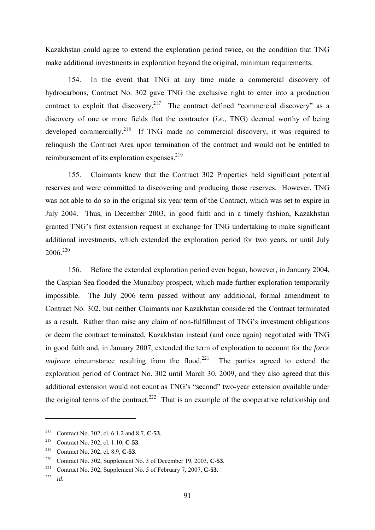Kazakhstan could agree to extend the exploration period twice, on the condition that TNG make additional investments in exploration beyond the original, minimum requirements.

154. In the event that TNG at any time made a commercial discovery of hydrocarbons, Contract No. 302 gave TNG the exclusive right to enter into a production contract to exploit that discovery.<sup>217</sup> The contract defined "commercial discovery" as a discovery of one or more fields that the contractor (*i.e.*, TNG) deemed worthy of being developed commercially.<sup>218</sup> If TNG made no commercial discovery, it was required to relinquish the Contract Area upon termination of the contract and would not be entitled to reimbursement of its exploration expenses.<sup>219</sup>

155. Claimants knew that the Contract 302 Properties held significant potential reserves and were committed to discovering and producing those reserves. However, TNG was not able to do so in the original six year term of the Contract, which was set to expire in July 2004. Thus, in December 2003, in good faith and in a timely fashion, Kazakhstan granted TNG's first extension request in exchange for TNG undertaking to make significant additional investments, which extended the exploration period for two years, or until July 2006<sup>220</sup>

156. Before the extended exploration period even began, however, in January 2004, the Caspian Sea flooded the Munaibay prospect, which made further exploration temporarily impossible. The July 2006 term passed without any additional, formal amendment to Contract No. 302, but neither Claimants nor Kazakhstan considered the Contract terminated as a result. Rather than raise any claim of non-fulfillment of TNG's investment obligations or deem the contract terminated, Kazakhstan instead (and once again) negotiated with TNG in good faith and, in January 2007, extended the term of exploration to account for the *force majeure* circumstance resulting from the flood.<sup>221</sup> The parties agreed to extend the exploration period of Contract No. 302 until March 30, 2009, and they also agreed that this additional extension would not count as TNG's "second" two-year extension available under the original terms of the contract.<sup>222</sup> That is an example of the cooperative relationship and

<sup>217</sup> Contract No. 302, cl. 6.1.2 and 8.7, **C-53**.

<sup>218</sup> Contract No. 302, cl. 1.10, **C-53**.

<sup>219</sup> Contract No. 302, cl. 8.9, **C-53**. 220 Contract No. 302, Supplement No. 3 of December 19, 2003, **C-53**.

<sup>221</sup> Contract No. 302, Supplement No. 5 of February 7, 2007, **C-53**. 222 *Id*.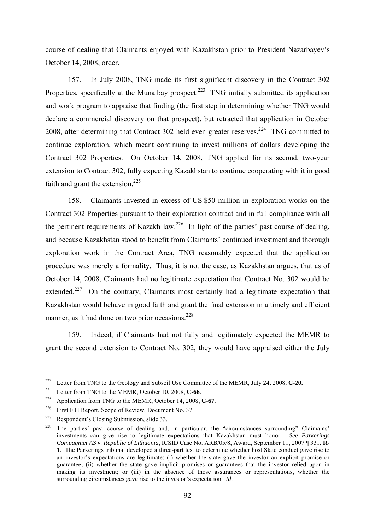course of dealing that Claimants enjoyed with Kazakhstan prior to President Nazarbayev's October 14, 2008, order.

157. In July 2008, TNG made its first significant discovery in the Contract 302 Properties, specifically at the Munaibay prospect.<sup>223</sup> TNG initially submitted its application and work program to appraise that finding (the first step in determining whether TNG would declare a commercial discovery on that prospect), but retracted that application in October 2008, after determining that Contract 302 held even greater reserves.<sup>224</sup> TNG committed to continue exploration, which meant continuing to invest millions of dollars developing the Contract 302 Properties. On October 14, 2008, TNG applied for its second, two-year extension to Contract 302, fully expecting Kazakhstan to continue cooperating with it in good faith and grant the extension.<sup>225</sup>

158. Claimants invested in excess of US \$50 million in exploration works on the Contract 302 Properties pursuant to their exploration contract and in full compliance with all the pertinent requirements of Kazakh law.<sup>226</sup> In light of the parties' past course of dealing, and because Kazakhstan stood to benefit from Claimants' continued investment and thorough exploration work in the Contract Area, TNG reasonably expected that the application procedure was merely a formality. Thus, it is not the case, as Kazakhstan argues, that as of October 14, 2008, Claimants had no legitimate expectation that Contract No. 302 would be extended.<sup>227</sup> On the contrary, Claimants most certainly had a legitimate expectation that Kazakhstan would behave in good faith and grant the final extension in a timely and efficient manner, as it had done on two prior occasions. $228$ 

159. Indeed, if Claimants had not fully and legitimately expected the MEMR to grant the second extension to Contract No. 302, they would have appraised either the July

<sup>&</sup>lt;sup>223</sup> Letter from TNG to the Geology and Subsoil Use Committee of the MEMR, July 24, 2008, **C-20.** 

<sup>&</sup>lt;sup>224</sup> Letter from TNG to the MEMR, October 10, 2008, **C-66**.<br><sup>225</sup> Application from TNG to the MEMR, October 14, 2008, **C-67**.

<sup>226</sup> First FTI Report, Scope of Review, Document No. 37.

<sup>227</sup> Respondent's Closing Submission, slide 33.

<sup>&</sup>lt;sup>228</sup> The parties' past course of dealing and, in particular, the "circumstances surrounding" Claimants' investments can give rise to legitimate expectations that Kazakhstan must honor. *See Parkerings Compagniet AS v. Republic of Lithuania*, ICSID Case No. ARB/05/8, Award, September 11, 2007 ¶ 331, **R-1**. The Parkerings tribunal developed a three-part test to determine whether host State conduct gave rise to an investor's expectations are legitimate: (i) whether the state gave the investor an explicit promise or guarantee; (ii) whether the state gave implicit promises or guarantees that the investor relied upon in making its investment; or (iii) in the absence of those assurances or representations, whether the surrounding circumstances gave rise to the investor's expectation. *Id*.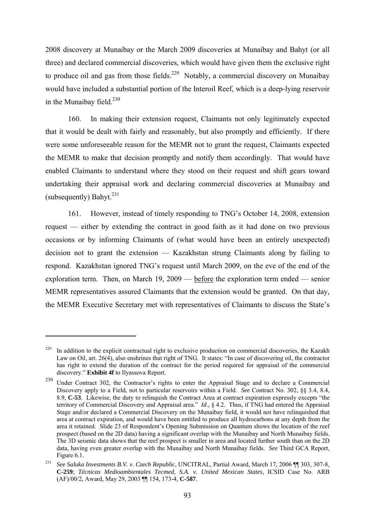2008 discovery at Munaibay or the March 2009 discoveries at Munaibay and Bahyt (or all three) and declared commercial discoveries, which would have given them the exclusive right to produce oil and gas from those fields.<sup>229</sup> Notably, a commercial discovery on Munaibay would have included a substantial portion of the Interoil Reef, which is a deep-lying reservoir in the Munaibay field. $230$ 

160. In making their extension request, Claimants not only legitimately expected that it would be dealt with fairly and reasonably, but also promptly and efficiently. If there were some unforeseeable reason for the MEMR not to grant the request, Claimants expected the MEMR to make that decision promptly and notify them accordingly. That would have enabled Claimants to understand where they stood on their request and shift gears toward undertaking their appraisal work and declaring commercial discoveries at Munaibay and (subsequently) Bahyt<sup> $231$ </sup>

161. However, instead of timely responding to TNG's October 14, 2008, extension request — either by extending the contract in good faith as it had done on two previous occasions or by informing Claimants of (what would have been an entirely unexpected) decision not to grant the extension — Kazakhstan strung Claimants along by failing to respond. Kazakhstan ignored TNG's request until March 2009, on the eve of the end of the exploration term. Then, on March 19, 2009 — before the exploration term ended — senior MEMR representatives assured Claimants that the extension would be granted. On that day, the MEMR Executive Secretary met with representatives of Claimants to discuss the State's

<sup>&</sup>lt;sup>229</sup> In addition to the explicit contractual right to exclusive production on commercial discoveries, the Kazakh Law on Oil, art. 26(4), also enshrines that right of TNG. It states: "In case of discovering oil, the contractor has right to extend the duration of the contract for the period required for appraisal of the commercial discovery." **Exhibit 4f** to Ilyassova Report.

<sup>230</sup> Under Contract 302, the Contractor's rights to enter the Appraisal Stage and to declare a Commercial Discovery apply to a Field, not to particular reservoirs within a Field. *See* Contract No. 302, §§ 3.4, 8.4, 8.9, **C-53**. Likewise, the duty to relinquish the Contract Area at contract expiration expressly excepts "the territory of Commercial Discovery and Appraisal area." *Id*., § 4.2. Thus, if TNG had entered the Appraisal Stage and/or declared a Commercial Discovery on the Munaibay field, it would not have relinquished that area at contract expiration, and would have been entitled to produce all hydrocarbons at any depth from the area it retained. Slide 23 of Respondent's Opening Submission on Quantum shows the location of the reef prospect (based on the 2D data) having a significant overlap with the Munaibay and North Munaibay fields. The 3D seismic data shows that the reef prospect is smaller in area and located further south than on the 2D data, having even greater overlap with the Munaibay and North Munaibay fields. *See* Third GCA Report, Figure 6.1. 231 *See Saluka Investments B.V. v. Czech Republic*, UNCITRAL, Partial Award, March 17, 2006 ¶¶ 303, 307-8,

**C-259**; *Técnicas Medioambientales Tecmed, S.A. v. United Mexican States*, ICSID Case No. ARB (AF)/00/2, Award, May 29, 2003 ¶¶ 154, 173-4, **C-587**.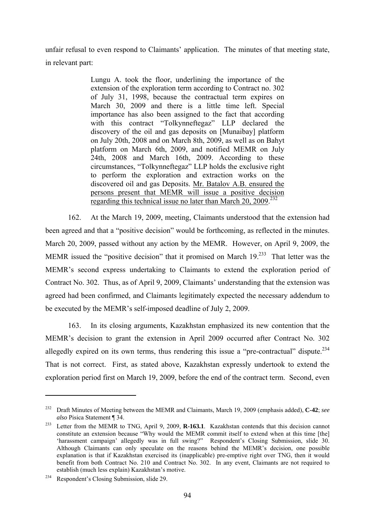unfair refusal to even respond to Claimants' application. The minutes of that meeting state, in relevant part:

> Lungu А. took the floor, underlining the importance of the extension of the exploration term according to Contract no. 302 of July 31, 1998, because the contractual term expires on March 30, 2009 and there is a little time left. Special importance has also been assigned to the fact that according with this contract "Tolkynneftegaz" LLP declared the discovery of the oil and gas deposits on [Munaibay] platform on July 20th, 2008 and on March 8th, 2009, as well as on Bahyt platform on March 6th, 2009, and notified MEMR on July 24th, 2008 and March 16th, 2009. According to these circumstances, "Tolkynneftegaz" LLP holds the exclusive right to perform the exploration and extraction works on the discovered oil and gas Deposits. Mr. Batalov A.B. ensured the persons present that MEMR will issue a positive decision regarding this technical issue no later than March 20, 2009.<sup>232</sup>

162. At the March 19, 2009, meeting, Claimants understood that the extension had been agreed and that a "positive decision" would be forthcoming, as reflected in the minutes. March 20, 2009, passed without any action by the MEMR. However, on April 9, 2009, the MEMR issued the "positive decision" that it promised on March  $19<sup>233</sup>$  That letter was the MEMR's second express undertaking to Claimants to extend the exploration period of Contract No. 302. Thus, as of April 9, 2009, Claimants' understanding that the extension was agreed had been confirmed, and Claimants legitimately expected the necessary addendum to be executed by the MEMR's self-imposed deadline of July 2, 2009.

163. In its closing arguments, Kazakhstan emphasized its new contention that the MEMR's decision to grant the extension in April 2009 occurred after Contract No. 302 allegedly expired on its own terms, thus rendering this issue a "pre-contractual" dispute.<sup>234</sup> That is not correct. First, as stated above, Kazakhstan expressly undertook to extend the exploration period first on March 19, 2009, before the end of the contract term. Second, even

<sup>232</sup> Draft Minutes of Meeting between the MEMR and Claimants, March 19, 2009 (emphasis added), **C-42**; *see also* Pisica Statement ¶ 34.

<sup>233</sup> Letter from the MEMR to TNG, April 9, 2009, **R-163.1**. Kazakhstan contends that this decision cannot constitute an extension because "Why would the MEMR commit itself to extend when at this time [the] 'harassment campaign' allegedly was in full swing?" Respondent's Closing Submission, slide 30. Although Claimants can only speculate on the reasons behind the MEMR's decision, one possible explanation is that if Kazakhstan exercised its (inapplicable) pre-emptive right over TNG, then it would benefit from both Contract No. 210 and Contract No. 302. In any event, Claimants are not required to establish (much less explain) Kazakhstan's motive.

<sup>234</sup> Respondent's Closing Submission, slide 29.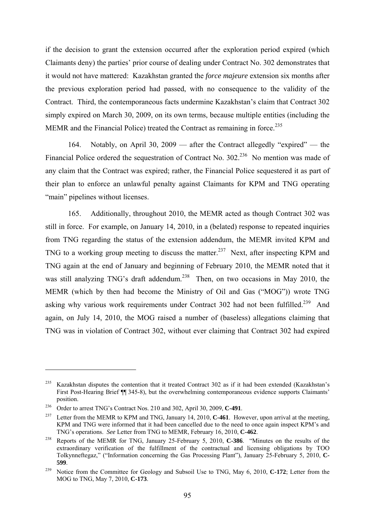if the decision to grant the extension occurred after the exploration period expired (which Claimants deny) the parties' prior course of dealing under Contract No. 302 demonstrates that it would not have mattered: Kazakhstan granted the *force majeure* extension six months after the previous exploration period had passed, with no consequence to the validity of the Contract. Third, the contemporaneous facts undermine Kazakhstan's claim that Contract 302 simply expired on March 30, 2009, on its own terms, because multiple entities (including the MEMR and the Financial Police) treated the Contract as remaining in force.<sup>235</sup>

164. Notably, on April 30, 2009 — after the Contract allegedly "expired" — the Financial Police ordered the sequestration of Contract No. 302<sup>236</sup> No mention was made of any claim that the Contract was expired; rather, the Financial Police sequestered it as part of their plan to enforce an unlawful penalty against Claimants for KPM and TNG operating "main" pipelines without licenses.

165. Additionally, throughout 2010, the MEMR acted as though Contract 302 was still in force. For example, on January 14, 2010, in a (belated) response to repeated inquiries from TNG regarding the status of the extension addendum, the MEMR invited KPM and TNG to a working group meeting to discuss the matter.<sup>237</sup> Next, after inspecting KPM and TNG again at the end of January and beginning of February 2010, the MEMR noted that it was still analyzing TNG's draft addendum.<sup>238</sup> Then, on two occasions in May 2010, the MEMR (which by then had become the Ministry of Oil and Gas ("MOG")) wrote TNG asking why various work requirements under Contract 302 had not been fulfilled.<sup>239</sup> And again, on July 14, 2010, the MOG raised a number of (baseless) allegations claiming that TNG was in violation of Contract 302, without ever claiming that Contract 302 had expired

<sup>&</sup>lt;sup>235</sup> Kazakhstan disputes the contention that it treated Contract 302 as if it had been extended (Kazakhstan's First Post-Hearing Brief ¶¶ 345-8), but the overwhelming contemporaneous evidence supports Claimants' position.

<sup>&</sup>lt;sup>236</sup> Order to arrest TNG's Contract Nos. 210 and 302, April 30, 2009, **C-491**.<br><sup>237</sup> Letter from the MEMR to KPM and TNG, January 14, 2010, **C-461**. However, upon arrival at the meeting, KPM and TNG were informed that it had been cancelled due to the need to once again inspect KPM's and TNG's operations. See Letter from TNG to MEMR. February 16, 2010, C-462.

<sup>&</sup>lt;sup>238</sup> Reports of the MEMR for TNG, January 25-February 5, 2010, **C-386**. "Minutes on the results of the extraordinary verification of the fulfillment of the contractual and licensing obligations by TOO Tolkynneftegaz," ("Information concerning the Gas Processing Plant"), January 25-February 5, 2010, **C-599**.

<sup>239</sup> Notice from the Committee for Geology and Subsoil Use to TNG, May 6, 2010, **C-172**; Letter from the MOG to TNG, May 7, 2010, **C-173**.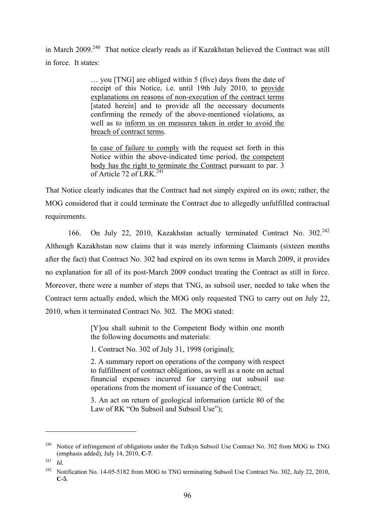in March 2009.<sup>240</sup> That notice clearly reads as if Kazakhstan believed the Contract was still in force. It states:

> … you [TNG] are obliged within 5 (five) days from the date of receipt of this Notice, i.e. until 19th July 2010, to provide explanations on reasons of non-execution of the contract terms [stated herein] and to provide all the necessary documents confirming the remedy of the above-mentioned violations, as well as to inform us on measures taken in order to avoid the breach of contract terms.

> In case of failure to comply with the request set forth in this Notice within the above-indicated time period, the competent body has the right to terminate the Contract pursuant to par. 3 of Article 72 of LRK $^{241}$

That Notice clearly indicates that the Contract had not simply expired on its own; rather, the MOG considered that it could terminate the Contract due to allegedly unfulfilled contractual requirements.

166. On July 22, 2010, Kazakhstan actually terminated Contract No.  $302^{242}$ Although Kazakhstan now claims that it was merely informing Claimants (sixteen months after the fact) that Contract No. 302 had expired on its own terms in March 2009, it provides no explanation for all of its post-March 2009 conduct treating the Contract as still in force. Moreover, there were a number of steps that TNG, as subsoil user, needed to take when the Contract term actually ended, which the MOG only requested TNG to carry out on July 22, 2010, when it terminated Contract No. 302. The MOG stated:

> [Y]ou shall submit to the Competent Body within one month the following documents and materials:

1. Contract No. 302 of July 31, 1998 (original);

2. A summary report on operations of the company with respect to fulfillment of contract obligations, as well as a note on actual financial expenses incurred for carrying out subsoil use operations from the moment of issuance of the Contract;

3. An act on return of geological information (article 80 of the Law of RK "On Subsoil and Subsoil Use");

<sup>&</sup>lt;sup>240</sup> Notice of infringement of obligations under the Tolkyn Subsoil Use Contract No. 302 from MOG to TNG (emphasis added), July 14, 2010, **C-7**. 241 *Id*.

<sup>&</sup>lt;sup>242</sup> Notification No. 14-05-5182 from MOG to TNG terminating Subsoil Use Contract No. 302, July 22, 2010, **C-5**.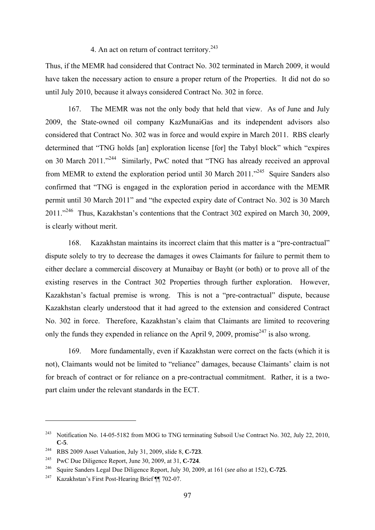# 4. An act on return of contract territory.<sup>243</sup>

Thus, if the MEMR had considered that Contract No. 302 terminated in March 2009, it would have taken the necessary action to ensure a proper return of the Properties. It did not do so until July 2010, because it always considered Contract No. 302 in force.

167. The MEMR was not the only body that held that view. As of June and July 2009, the State-owned oil company KazMunaiGas and its independent advisors also considered that Contract No. 302 was in force and would expire in March 2011. RBS clearly determined that "TNG holds [an] exploration license [for] the Tabyl block" which "expires on 30 March 2011."<sup>244</sup> Similarly, PwC noted that "TNG has already received an approval from MEMR to extend the exploration period until 30 March 2011."<sup>245</sup> Squire Sanders also confirmed that "TNG is engaged in the exploration period in accordance with the MEMR permit until 30 March 2011" and "the expected expiry date of Contract No. 302 is 30 March 2011."246 Thus, Kazakhstan's contentions that the Contract 302 expired on March 30, 2009, is clearly without merit.

168. Kazakhstan maintains its incorrect claim that this matter is a "pre-contractual" dispute solely to try to decrease the damages it owes Claimants for failure to permit them to either declare a commercial discovery at Munaibay or Bayht (or both) or to prove all of the existing reserves in the Contract 302 Properties through further exploration. However, Kazakhstan's factual premise is wrong. This is not a "pre-contractual" dispute, because Kazakhstan clearly understood that it had agreed to the extension and considered Contract No. 302 in force. Therefore, Kazakhstan's claim that Claimants are limited to recovering only the funds they expended in reliance on the April 9, 2009, promise<sup>247</sup> is also wrong.

169. More fundamentally, even if Kazakhstan were correct on the facts (which it is not), Claimants would not be limited to "reliance" damages, because Claimants' claim is not for breach of contract or for reliance on a pre-contractual commitment. Rather, it is a twopart claim under the relevant standards in the ECT.

<sup>&</sup>lt;sup>243</sup> Notification No. 14-05-5182 from MOG to TNG terminating Subsoil Use Contract No. 302, July 22, 2010, **C-5**.

<sup>244</sup> RBS 2009 Asset Valuation, July 31, 2009, slide 8, **C-723**. 245 PwC Due Diligence Report, June 30, 2009, at 31, **C-724**.

<sup>246</sup> Squire Sanders Legal Due Diligence Report, July 30, 2009, at 161 (*see also* at 152), **C-725**. 247 Kazakhstan's First Post-Hearing Brief ¶¶ 702-07.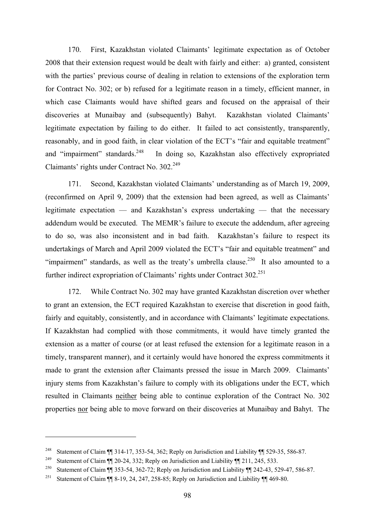170. First, Kazakhstan violated Claimants' legitimate expectation as of October 2008 that their extension request would be dealt with fairly and either: a) granted, consistent with the parties' previous course of dealing in relation to extensions of the exploration term for Contract No. 302; or b) refused for a legitimate reason in a timely, efficient manner, in which case Claimants would have shifted gears and focused on the appraisal of their discoveries at Munaibay and (subsequently) Bahyt. Kazakhstan violated Claimants' legitimate expectation by failing to do either. It failed to act consistently, transparently, reasonably, and in good faith, in clear violation of the ECT's "fair and equitable treatment" and "impairment" standards.<sup>248</sup> In doing so, Kazakhstan also effectively expropriated Claimants' rights under Contract No. 302.<sup>249</sup>

171. Second, Kazakhstan violated Claimants' understanding as of March 19, 2009, (reconfirmed on April 9, 2009) that the extension had been agreed, as well as Claimants' legitimate expectation — and Kazakhstan's express undertaking — that the necessary addendum would be executed. The MEMR's failure to execute the addendum, after agreeing to do so, was also inconsistent and in bad faith. Kazakhstan's failure to respect its undertakings of March and April 2009 violated the ECT's "fair and equitable treatment" and "impairment" standards, as well as the treaty's umbrella clause.<sup>250</sup> It also amounted to a further indirect expropriation of Claimants' rights under Contract  $302^{251}$ 

172. While Contract No. 302 may have granted Kazakhstan discretion over whether to grant an extension, the ECT required Kazakhstan to exercise that discretion in good faith, fairly and equitably, consistently, and in accordance with Claimants' legitimate expectations. If Kazakhstan had complied with those commitments, it would have timely granted the extension as a matter of course (or at least refused the extension for a legitimate reason in a timely, transparent manner), and it certainly would have honored the express commitments it made to grant the extension after Claimants pressed the issue in March 2009. Claimants' injury stems from Kazakhstan's failure to comply with its obligations under the ECT, which resulted in Claimants neither being able to continue exploration of the Contract No. 302 properties nor being able to move forward on their discoveries at Munaibay and Bahyt. The

<sup>&</sup>lt;sup>248</sup> Statement of Claim ¶¶ 314-17, 353-54, 362; Reply on Jurisdiction and Liability ¶¶ 529-35, 586-87.

<sup>&</sup>lt;sup>249</sup> Statement of Claim ¶¶ 20-24, 332; Reply on Jurisdiction and Liability ¶¶ 211, 245, 533.

<sup>&</sup>lt;sup>250</sup> Statement of Claim ¶ 353-54, 362-72; Reply on Jurisdiction and Liability ¶ 242-43, 529-47, 586-87.

<sup>&</sup>lt;sup>251</sup> Statement of Claim ¶ 8-19, 24, 247, 258-85; Reply on Jurisdiction and Liability ¶ 469-80.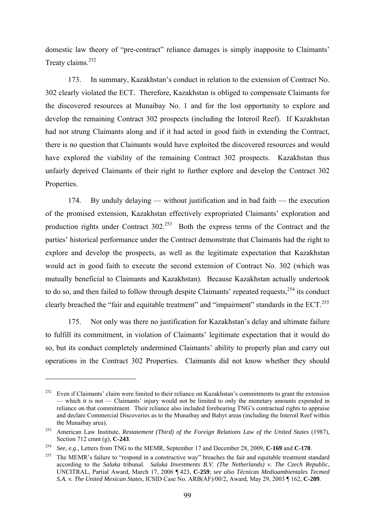domestic law theory of "pre-contract" reliance damages is simply inapposite to Claimants' Treaty claims.<sup>252</sup>

173. In summary, Kazakhstan's conduct in relation to the extension of Contract No. 302 clearly violated the ECT. Therefore, Kazakhstan is obliged to compensate Claimants for the discovered resources at Munaibay No. 1 and for the lost opportunity to explore and develop the remaining Contract 302 prospects (including the Interoil Reef). If Kazakhstan had not strung Claimants along and if it had acted in good faith in extending the Contract, there is no question that Claimants would have exploited the discovered resources and would have explored the viability of the remaining Contract 302 prospects. Kazakhstan thus unfairly deprived Claimants of their right to further explore and develop the Contract 302 Properties.

174. By unduly delaying — without justification and in bad faith — the execution of the promised extension, Kazakhstan effectively expropriated Claimants' exploration and production rights under Contract 302.<sup>253</sup> Both the express terms of the Contract and the parties' historical performance under the Contract demonstrate that Claimants had the right to explore and develop the prospects, as well as the legitimate expectation that Kazakhstan would act in good faith to execute the second extension of Contract No. 302 (which was mutually beneficial to Claimants and Kazakhstan). Because Kazakhstan actually undertook to do so, and then failed to follow through despite Claimants' repeated requests,<sup>254</sup> its conduct clearly breached the "fair and equitable treatment" and "impairment" standards in the ECT.<sup>255</sup>

175. Not only was there no justification for Kazakhstan's delay and ultimate failure to fulfill its commitment, in violation of Claimants' legitimate expectation that it would do so, but its conduct completely undermined Claimants' ability to properly plan and carry out operations in the Contract 302 Properties. Claimants did not know whether they should

<u>.</u>

<sup>&</sup>lt;sup>252</sup> Even if Claimants' claim were limited to their reliance on Kazakhstan's commitments to grant the extension — which it is not — Claimants' injury would not be limited to only the monetary amounts expended in reliance on that commitment. Their reliance also included forebearing TNG's contractual rights to appraise and declare Commercial Discoveries as to the Munaibay and Bahyt areas (including the Interoil Reef within the Munaibay area).

<sup>253</sup> American Law Institute, *Restatement (Third) of the Foreign Relations Law of the United States* (1987), Section 712 cmnt (g), **C-243**.

<sup>&</sup>lt;sup>254</sup> *See, e.g.*, Letters from TNG to the MEMR, September 17 and December 28, 2009, **C-169** and **C-170**.<br><sup>255</sup> The MEMR's failure to "respond in a constructive way" breaches the fair and equitable treatment standard according to the *Saluka* tribunal. *Saluka Investments B.V. (The Netherlands) v. The Czech Republic*, UNCITRAL, Partial Award, March 17, 2006 ¶ 423, **C-259**; *see also Técnicas Medioambientales Tecmed S.A. v. The United Mexican States*, ICSID Case No. ARB(AF)/00/2, Award, May 29, 2003 ¶ 162, **C-209**.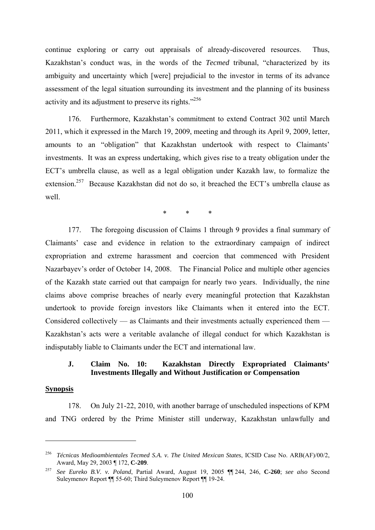continue exploring or carry out appraisals of already-discovered resources. Thus, Kazakhstan's conduct was, in the words of the *Tecmed* tribunal, "characterized by its ambiguity and uncertainty which [were] prejudicial to the investor in terms of its advance assessment of the legal situation surrounding its investment and the planning of its business activity and its adjustment to preserve its rights."256

176. Furthermore, Kazakhstan's commitment to extend Contract 302 until March 2011, which it expressed in the March 19, 2009, meeting and through its April 9, 2009, letter, amounts to an "obligation" that Kazakhstan undertook with respect to Claimants' investments. It was an express undertaking, which gives rise to a treaty obligation under the ECT's umbrella clause, as well as a legal obligation under Kazakh law, to formalize the extension.<sup>257</sup> Because Kazakhstan did not do so, it breached the ECT's umbrella clause as well.

\* \* \*

177. The foregoing discussion of Claims 1 through 9 provides a final summary of Claimants' case and evidence in relation to the extraordinary campaign of indirect expropriation and extreme harassment and coercion that commenced with President Nazarbayev's order of October 14, 2008. The Financial Police and multiple other agencies of the Kazakh state carried out that campaign for nearly two years. Individually, the nine claims above comprise breaches of nearly every meaningful protection that Kazakhstan undertook to provide foreign investors like Claimants when it entered into the ECT. Considered collectively — as Claimants and their investments actually experienced them — Kazakhstan's acts were a veritable avalanche of illegal conduct for which Kazakhstan is indisputably liable to Claimants under the ECT and international law.

### **J. Claim No. 10: Kazakhstan Directly Expropriated Claimants' Investments Illegally and Without Justification or Compensation**

### **Synopsis**

1

178. On July 21-22, 2010, with another barrage of unscheduled inspections of KPM and TNG ordered by the Prime Minister still underway, Kazakhstan unlawfully and

<sup>256</sup> *Técnicas Medioambientales Tecmed S.A. v. The United Mexican States*, ICSID Case No. ARB(AF)/00/2, Award, May 29, 2003 ¶ 172, **C-209**.

<sup>257</sup> *See Eureko B.V. v. Poland*, Partial Award, August 19, 2005 ¶¶ 244, 246, **C-260**; *see also* Second Suleymenov Report ¶¶ 55-60; Third Suleymenov Report ¶¶ 19-24.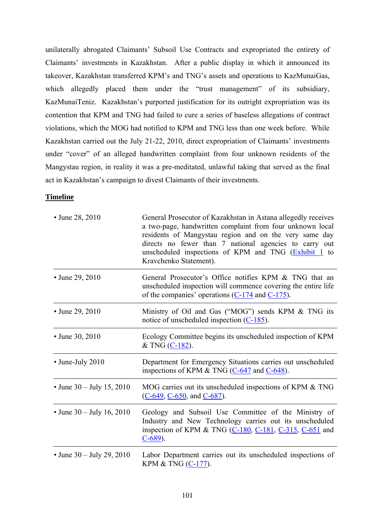unilaterally abrogated Claimants' Subsoil Use Contracts and expropriated the entirety of Claimants' investments in Kazakhstan. After a public display in which it announced its takeover, Kazakhstan transferred KPM's and TNG's assets and operations to KazMunaiGas, which allegedly placed them under the "trust management" of its subsidiary, KazMunaiTeniz. Kazakhstan's purported justification for its outright expropriation was its contention that KPM and TNG had failed to cure a series of baseless allegations of contract violations, which the MOG had notified to KPM and TNG less than one week before. While Kazakhstan carried out the July 21-22, 2010, direct expropriation of Claimants' investments under "cover" of an alleged handwritten complaint from four unknown residents of the Mangystau region, in reality it was a pre-meditated, unlawful taking that served as the final act in Kazakhstan's campaign to divest Claimants of their investments.

# **Timeline**

| • June 28, 2010             | General Prosecutor of Kazakhstan in Astana allegedly receives<br>a two-page, handwritten complaint from four unknown local<br>residents of Mangystau region and on the very same day<br>directs no fewer than 7 national agencies to carry out<br>unscheduled inspections of KPM and TNG (Exhibit 1 to<br>Kravchenko Statement). |
|-----------------------------|----------------------------------------------------------------------------------------------------------------------------------------------------------------------------------------------------------------------------------------------------------------------------------------------------------------------------------|
| • June 29, 2010             | General Prosecutor's Office notifies KPM & TNG that an<br>unscheduled inspection will commence covering the entire life<br>of the companies' operations $(C-174$ and $C-175$ ).                                                                                                                                                  |
| • June 29, 2010             | Ministry of Oil and Gas ("MOG") sends KPM & TNG its<br>notice of unscheduled inspection $(C-185)$ .                                                                                                                                                                                                                              |
| • June 30, 2010             | Ecology Committee begins its unscheduled inspection of KPM<br>& TNG $(C-182)$ .                                                                                                                                                                                                                                                  |
| • June-July 2010            | Department for Emergency Situations carries out unscheduled<br>inspections of KPM & TNG $(C-647)$ and $C-648$ .                                                                                                                                                                                                                  |
| • June $30 -$ July 15, 2010 | MOG carries out its unscheduled inspections of KPM & TNG<br>$(C-649, C-650, and C-687)$ .                                                                                                                                                                                                                                        |
| • June $30 -$ July 16, 2010 | Geology and Subsoil Use Committee of the Ministry of<br>Industry and New Technology carries out its unscheduled<br>inspection of KPM & TNG $(C-180, C-181, C-315, C-651$ and<br>$C-689$ ).                                                                                                                                       |
| • June $30 -$ July 29, 2010 | Labor Department carries out its unscheduled inspections of<br>KPM & TNG (C-177).                                                                                                                                                                                                                                                |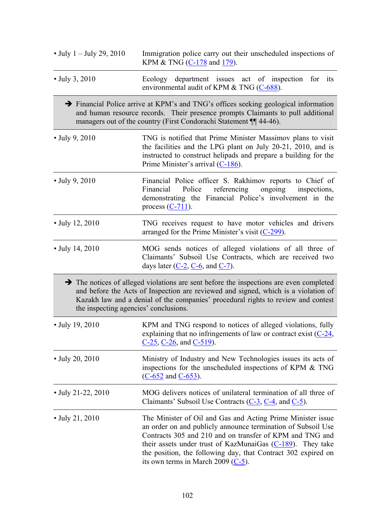| • July $1 -$ July 29, 2010            | Immigration police carry out their unscheduled inspections of<br>KPM & TNG (C-178 and 179).                                                                                                                                                                                                                                                                        |  |
|---------------------------------------|--------------------------------------------------------------------------------------------------------------------------------------------------------------------------------------------------------------------------------------------------------------------------------------------------------------------------------------------------------------------|--|
| • July 3, 2010                        | Ecology department issues act of inspection for its<br>environmental audit of KPM & TNG (C-688).                                                                                                                                                                                                                                                                   |  |
|                                       | → Financial Police arrive at KPM's and TNG's offices seeking geological information<br>and human resource records. Their presence prompts Claimants to pull additional<br>managers out of the country (First Condorachi Statement ¶ 44-46).                                                                                                                        |  |
| • July 9, 2010                        | TNG is notified that Prime Minister Massimov plans to visit<br>the facilities and the LPG plant on July 20-21, 2010, and is<br>instructed to construct helipads and prepare a building for the<br>Prime Minister's arrival $(C-186)$ .                                                                                                                             |  |
| • July 9, 2010                        | Financial Police officer S. Rakhimov reports to Chief of<br>referencing<br>Police<br>ongoing<br>Financial<br>inspections.<br>demonstrating the Financial Police's involvement in the<br>process $(C-711)$ .                                                                                                                                                        |  |
| • July 12, 2010                       | TNG receives request to have motor vehicles and drivers<br>arranged for the Prime Minister's visit $(C-299)$ .                                                                                                                                                                                                                                                     |  |
| • July 14, 2010                       | MOG sends notices of alleged violations of all three of<br>Claimants' Subsoil Use Contracts, which are received two<br>days later $(C-2, C-6,$ and $C-7)$ .                                                                                                                                                                                                        |  |
| the inspecting agencies' conclusions. | $\rightarrow$ The notices of alleged violations are sent before the inspections are even completed<br>and before the Acts of Inspection are reviewed and signed, which is a violation of<br>Kazakh law and a denial of the companies' procedural rights to review and contest                                                                                      |  |
| • July 19, 2010                       | KPM and TNG respond to notices of alleged violations, fully<br>explaining that no infringements of law or contract exist $(C-24)$ ,<br>C-25, C-26, and C-519).                                                                                                                                                                                                     |  |
| $\cdot$ July 20, 2010                 | Ministry of Industry and New Technologies issues its acts of<br>inspections for the unscheduled inspections of KPM & TNG<br>$(C-652$ and $C-653)$ .                                                                                                                                                                                                                |  |
| $\cdot$ July 21-22, 2010              | MOG delivers notices of unilateral termination of all three of<br>Claimants' Subsoil Use Contracts $(C-3, C-4, and C-5)$ .                                                                                                                                                                                                                                         |  |
| • July 21, 2010                       | The Minister of Oil and Gas and Acting Prime Minister issue<br>an order on and publicly announce termination of Subsoil Use<br>Contracts 305 and 210 and on transfer of KPM and TNG and<br>their assets under trust of KazMunaiGas $(C-189)$ . They take<br>the position, the following day, that Contract 302 expired on<br>its own terms in March 2009 $(C-5)$ . |  |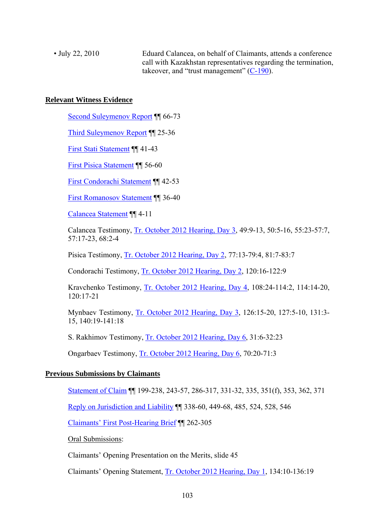• July 22, 2010 Eduard Calancea, on behalf of Claimants, attends a conference call with Kazakhstan representatives regarding the termination, takeover, and "trust management"  $(C-190)$ .

### **Relevant Witness Evidence**

Second Suleymenov Report ¶¶ 66-73

Third Suleymenov Report ¶¶ 25-36

First Stati Statement ¶¶ 41-43

First Pisica Statement ¶¶ 56-60

First Condorachi Statement ¶¶ 42-53

First Romanosov Statement ¶¶ 36-40

Calancea Statement ¶¶ 4-11

Calancea Testimony, Tr. October 2012 Hearing, Day 3, 49:9-13, 50:5-16, 55:23-57:7, 57:17-23, 68:2-4

Pisica Testimony, Tr. October 2012 Hearing, Day 2, 77:13-79:4, 81:7-83:7

Condorachi Testimony, Tr. October 2012 Hearing, Day 2, 120:16-122:9

Kravchenko Testimony, Tr. October 2012 Hearing, Day 4, 108:24-114:2, 114:14-20, 120:17-21

Mynbaev Testimony, Tr. October 2012 Hearing, Day 3, 126:15-20, 127:5-10, 131:3- 15, 140:19-141:18

S. Rakhimov Testimony, Tr. October 2012 Hearing, Day 6, 31:6-32:23

Ongarbaev Testimony, Tr. October 2012 Hearing, Day 6, 70:20-71:3

# **Previous Submissions by Claimants**

Statement of Claim ¶¶ 199-238, 243-57, 286-317, 331-32, 335, 351(f), 353, 362, 371

Reply on Jurisdiction and Liability ¶¶ 338-60, 449-68, 485, 524, 528, 546

Claimants' First Post-Hearing Brief ¶¶ 262-305

Oral Submissions:

Claimants' Opening Presentation on the Merits, slide 45

Claimants' Opening Statement, Tr. October 2012 Hearing, Day 1, 134:10-136:19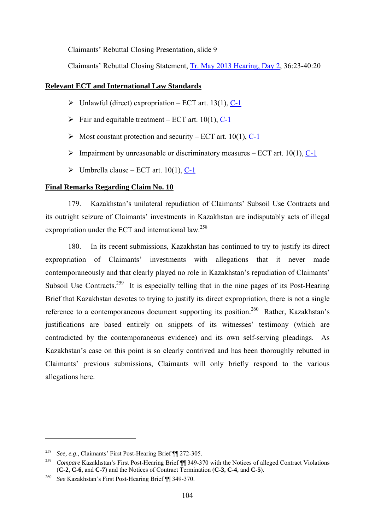Claimants' Rebuttal Closing Presentation, slide 9

Claimants' Rebuttal Closing Statement, Tr. May 2013 Hearing, Day 2, 36:23-40:20

# **Relevant ECT and International Law Standards**

- $\triangleright$  Unlawful (direct) expropriation ECT art. 13(1), C-1
- $\triangleright$  Fair and equitable treatment ECT art. 10(1), C-1
- $\triangleright$  Most constant protection and security ECT art. 10(1), C-1
- $\triangleright$  Impairment by unreasonable or discriminatory measures ECT art. 10(1), C-1
- $\triangleright$  Umbrella clause ECT art. 10(1), C-1

#### **Final Remarks Regarding Claim No. 10**

179. Kazakhstan's unilateral repudiation of Claimants' Subsoil Use Contracts and its outright seizure of Claimants' investments in Kazakhstan are indisputably acts of illegal expropriation under the ECT and international law.<sup>258</sup>

180. In its recent submissions, Kazakhstan has continued to try to justify its direct expropriation of Claimants' investments with allegations that it never made contemporaneously and that clearly played no role in Kazakhstan's repudiation of Claimants' Subsoil Use Contracts.<sup>259</sup> It is especially telling that in the nine pages of its Post-Hearing Brief that Kazakhstan devotes to trying to justify its direct expropriation, there is not a single reference to a contemporaneous document supporting its position.<sup>260</sup> Rather, Kazakhstan's justifications are based entirely on snippets of its witnesses' testimony (which are contradicted by the contemporaneous evidence) and its own self-serving pleadings. As Kazakhstan's case on this point is so clearly contrived and has been thoroughly rebutted in Claimants' previous submissions, Claimants will only briefly respond to the various allegations here.

<sup>258</sup>*See, e.g*., Claimants' First Post-Hearing Brief ¶¶ 272-305. 259 *Compare* Kazakhstan's First Post-Hearing Brief ¶¶ 349-370 with the Notices of alleged Contract Violations (**C-2**, **C-6**, and **C-7**) and the Notices of Contract Termination (**C-3**, **C-4**, and **C-5**).

<sup>260</sup> *See* Kazakhstan's First Post-Hearing Brief ¶¶ 349-370.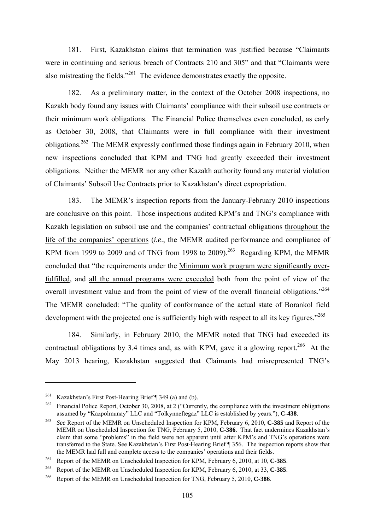181. First, Kazakhstan claims that termination was justified because "Claimants were in continuing and serious breach of Contracts 210 and 305" and that "Claimants were also mistreating the fields."261 The evidence demonstrates exactly the opposite.

182. As a preliminary matter, in the context of the October 2008 inspections, no Kazakh body found any issues with Claimants' compliance with their subsoil use contracts or their minimum work obligations. The Financial Police themselves even concluded, as early as October 30, 2008, that Claimants were in full compliance with their investment obligations.262 The MEMR expressly confirmed those findings again in February 2010, when new inspections concluded that KPM and TNG had greatly exceeded their investment obligations. Neither the MEMR nor any other Kazakh authority found any material violation of Claimants' Subsoil Use Contracts prior to Kazakhstan's direct expropriation.

183. The MEMR's inspection reports from the January-February 2010 inspections are conclusive on this point. Those inspections audited KPM's and TNG's compliance with Kazakh legislation on subsoil use and the companies' contractual obligations throughout the life of the companies' operations (*i.e*., the MEMR audited performance and compliance of KPM from 1999 to 2009 and of TNG from 1998 to 2009).<sup>263</sup> Regarding KPM, the MEMR concluded that "the requirements under the Minimum work program were significantly overfulfilled, and all the annual programs were exceeded both from the point of view of the overall investment value and from the point of view of the overall financial obligations."<sup>264</sup> The MEMR concluded: "The quality of conformance of the actual state of Borankol field development with the projected one is sufficiently high with respect to all its key figures."<sup>265</sup>

184. Similarly, in February 2010, the MEMR noted that TNG had exceeded its contractual obligations by 3.4 times and, as with KPM, gave it a glowing report.<sup>266</sup> At the May 2013 hearing, Kazakhstan suggested that Claimants had misrepresented TNG's

<sup>&</sup>lt;sup>261</sup> Kazakhstan's First Post-Hearing Brief  $\P$  349 (a) and (b).

<sup>&</sup>lt;sup>262</sup> Financial Police Report, October 30, 2008, at 2 ("Currently, the compliance with the investment obligations assumed by "Kazpolmunay" LLC and "Tolkynneftegaz" LLC is established by years."), **C-438**.

<sup>263</sup> *See* Report of the MEMR on Unscheduled Inspection for KPM, February 6, 2010, **C-385** and Report of the MEMR on Unscheduled Inspection for TNG, February 5, 2010, **C-386**. That fact undermines Kazakhstan's claim that some "problems" in the field were not apparent until after KPM's and TNG's operations were transferred to the State. See Kazakhstan's First Post-Hearing Brief ¶ 356. The inspection reports show that the MEMR had full and complete access to the companies' operations and their fields.

<sup>&</sup>lt;sup>264</sup> Report of the MEMR on Unscheduled Inspection for KPM, February 6, 2010, at 10, **C-385**.

<sup>&</sup>lt;sup>265</sup> Report of the MEMR on Unscheduled Inspection for KPM, February 6, 2010, at 33, **C-385**.<br><sup>266</sup> Report of the MEMR on Unscheduled Inspection for TNG, February 5, 2010, **C-386**.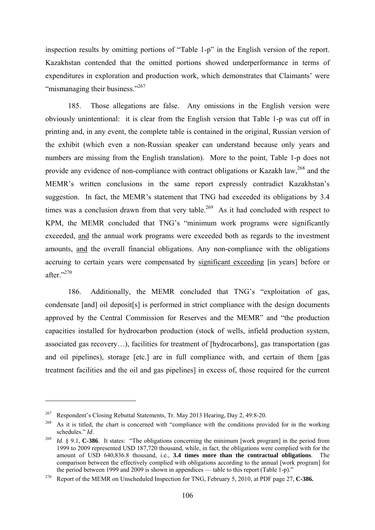inspection results by omitting portions of "Table 1-p" in the English version of the report. Kazakhstan contended that the omitted portions showed underperformance in terms of expenditures in exploration and production work, which demonstrates that Claimants' were "mismanaging their business."<sup>267</sup>

185. Those allegations are false. Any omissions in the English version were obviously unintentional: it is clear from the English version that Table 1-p was cut off in printing and, in any event, the complete table is contained in the original, Russian version of the exhibit (which even a non-Russian speaker can understand because only years and numbers are missing from the English translation). More to the point, Table 1-p does not provide any evidence of non-compliance with contract obligations or Kazakh law,<sup>268</sup> and the MEMR's written conclusions in the same report expressly contradict Kazakhstan's suggestion. In fact, the MEMR's statement that TNG had exceeded its obligations by 3.4 times was a conclusion drawn from that very table.<sup>269</sup> As it had concluded with respect to KPM, the MEMR concluded that TNG's "minimum work programs were significantly exceeded, and the annual work programs were exceeded both as regards to the investment amounts, and the overall financial obligations. Any non-compliance with the obligations accruing to certain years were compensated by significant exceeding [in years] before or after."270

186. Additionally, the MEMR concluded that TNG's "exploitation of gas, condensate [and] oil deposit[s] is performed in strict compliance with the design documents approved by the Central Commission for Reserves and the MEMR" and "the production capacities installed for hydrocarbon production (stock of wells, infield production system, associated gas recovery…), facilities for treatment of [hydrocarbons], gas transportation (gas and oil pipelines), storage [etc.] are in full compliance with, and certain of them [gas treatment facilities and the oil and gas pipelines] in excess of, those required for the current

<sup>267</sup> Respondent's Closing Rebuttal Statements, Tr. May 2013 Hearing, Day 2, 49:8-20.

<sup>&</sup>lt;sup>268</sup> As it is titled, the chart is concerned with "compliance with the conditions provided for in the working schedules "  $Id$ 

<sup>&</sup>lt;sup>269</sup> *Id.* § 9.1, **C-386**. It states: "The obligations concerning the minimum [work program] in the period from 1999 to 2009 represented USD 187,720 thousand, while, in fact, the obligations were complied with for the amount of USD 640,836.8 thousand, i.e., **3.4 times more than the contractual obligations**. The comparison between the effectively complied with obligations according to the annual [work program] for the period between 1999 and 2009 is shown in appendices — table to this report (Table 1-p)."

<sup>270</sup> Report of the MEMR on Unscheduled Inspection for TNG, February 5, 2010, at PDF page 27, **C-386.**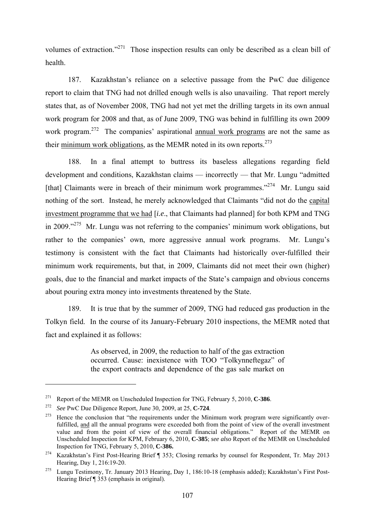volumes of extraction."271 Those inspection results can only be described as a clean bill of health.

187. Kazakhstan's reliance on a selective passage from the PwC due diligence report to claim that TNG had not drilled enough wells is also unavailing. That report merely states that, as of November 2008, TNG had not yet met the drilling targets in its own annual work program for 2008 and that, as of June 2009, TNG was behind in fulfilling its own 2009 work program.<sup>272</sup> The companies' aspirational annual work programs are not the same as their minimum work obligations, as the MEMR noted in its own reports.<sup>273</sup>

188. In a final attempt to buttress its baseless allegations regarding field development and conditions, Kazakhstan claims — incorrectly — that Mr. Lungu "admitted [that] Claimants were in breach of their minimum work programmes."<sup>274</sup> Mr. Lungu said nothing of the sort. Instead, he merely acknowledged that Claimants "did not do the capital investment programme that we had [*i.e*., that Claimants had planned] for both KPM and TNG in 2009."275 Mr. Lungu was not referring to the companies' minimum work obligations, but rather to the companies' own, more aggressive annual work programs. Mr. Lungu's testimony is consistent with the fact that Claimants had historically over-fulfilled their minimum work requirements, but that, in 2009, Claimants did not meet their own (higher) goals, due to the financial and market impacts of the State's campaign and obvious concerns about pouring extra money into investments threatened by the State.

189. It is true that by the summer of 2009, TNG had reduced gas production in the Tolkyn field. In the course of its January-February 2010 inspections, the MEMR noted that fact and explained it as follows:

> As observed, in 2009, the reduction to half of the gas extraction occurred. Cause: inexistence with TOO "Tolkynneftegaz" of the export contracts and dependence of the gas sale market on

<sup>271</sup> Report of the MEMR on Unscheduled Inspection for TNG, February 5, 2010, **C-386**.

<sup>&</sup>lt;sup>272</sup> See PwC Due Diligence Report, June 30, 2009, at 25, **C-724**.<br><sup>273</sup> Hence the conclusion that "the requirements under the Minimum work program were significantly overfulfilled, and all the annual programs were exceeded both from the point of view of the overall investment value and from the point of view of the overall financial obligations." Report of the MEMR on Unscheduled Inspection for KPM, February 6, 2010, **C-385**; *see also* Report of the MEMR on Unscheduled Inspection for TNG, February 5, 2010, **C-386.**

<sup>&</sup>lt;sup>274</sup> Kazakhstan's First Post-Hearing Brief ¶ 353; Closing remarks by counsel for Respondent, Tr. May 2013 Hearing, Day 1, 216:19-20.

<sup>&</sup>lt;sup>275</sup> Lungu Testimony, Tr. January 2013 Hearing, Day 1, 186:10-18 (emphasis added); Kazakhstan's First Post-Hearing Brief ¶ 353 (emphasis in original).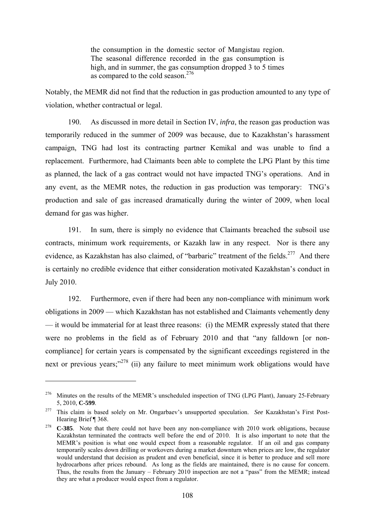the consumption in the domestic sector of Mangistau region. The seasonal difference recorded in the gas consumption is high, and in summer, the gas consumption dropped 3 to 5 times as compared to the cold season.276

Notably, the MEMR did not find that the reduction in gas production amounted to any type of violation, whether contractual or legal.

190. As discussed in more detail in Section IV, *infra*, the reason gas production was temporarily reduced in the summer of 2009 was because, due to Kazakhstan's harassment campaign, TNG had lost its contracting partner Kemikal and was unable to find a replacement. Furthermore, had Claimants been able to complete the LPG Plant by this time as planned, the lack of a gas contract would not have impacted TNG's operations. And in any event, as the MEMR notes, the reduction in gas production was temporary: TNG's production and sale of gas increased dramatically during the winter of 2009, when local demand for gas was higher.

191. In sum, there is simply no evidence that Claimants breached the subsoil use contracts, minimum work requirements, or Kazakh law in any respect. Nor is there any evidence, as Kazakhstan has also claimed, of "barbaric" treatment of the fields.<sup>277</sup> And there is certainly no credible evidence that either consideration motivated Kazakhstan's conduct in July 2010.

192. Furthermore, even if there had been any non-compliance with minimum work obligations in 2009 — which Kazakhstan has not established and Claimants vehemently deny — it would be immaterial for at least three reasons: (i) the MEMR expressly stated that there were no problems in the field as of February 2010 and that "any falldown [or noncompliance] for certain years is compensated by the significant exceedings registered in the next or previous vears; $^{278}$  (ii) any failure to meet minimum work obligations would have

<u>.</u>

<sup>&</sup>lt;sup>276</sup> Minutes on the results of the MEMR's unscheduled inspection of TNG (LPG Plant), January 25-February 5, 2010, **C-599**.

<sup>277</sup> This claim is based solely on Mr. Ongarbaev's unsupported speculation. *See* Kazakhstan's First Post-Hearing Brief ¶ 368.

<sup>278</sup> **C-385**. Note that there could not have been any non-compliance with 2010 work obligations, because Kazakhstan terminated the contracts well before the end of 2010. It is also important to note that the MEMR's position is what one would expect from a reasonable regulator. If an oil and gas company temporarily scales down drilling or workovers during a market downturn when prices are low, the regulator would understand that decision as prudent and even beneficial, since it is better to produce and sell more hydrocarbons after prices rebound. As long as the fields are maintained, there is no cause for concern. Thus, the results from the January – February 2010 inspection are not a "pass" from the MEMR; instead they are what a producer would expect from a regulator.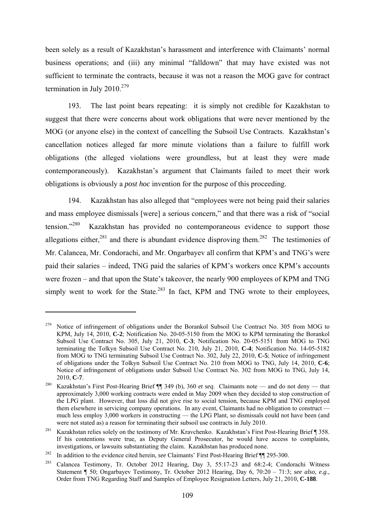been solely as a result of Kazakhstan's harassment and interference with Claimants' normal business operations; and (iii) any minimal "falldown" that may have existed was not sufficient to terminate the contracts, because it was not a reason the MOG gave for contract termination in July 2010. $279$ 

193. The last point bears repeating: it is simply not credible for Kazakhstan to suggest that there were concerns about work obligations that were never mentioned by the MOG (or anyone else) in the context of cancelling the Subsoil Use Contracts. Kazakhstan's cancellation notices alleged far more minute violations than a failure to fulfill work obligations (the alleged violations were groundless, but at least they were made contemporaneously). Kazakhstan's argument that Claimants failed to meet their work obligations is obviously a *post hoc* invention for the purpose of this proceeding.

194. Kazakhstan has also alleged that "employees were not being paid their salaries and mass employee dismissals [were] a serious concern," and that there was a risk of "social tension."<sup>280</sup> Kazakhstan has provided no contemporaneous evidence to support those allegations either.<sup>281</sup> and there is abundant evidence disproving them.<sup>282</sup> The testimonies of Mr. Calancea, Mr. Condorachi, and Mr. Ongarbayev all confirm that KPM's and TNG's were paid their salaries – indeed, TNG paid the salaries of KPM's workers once KPM's accounts were frozen – and that upon the State's takeover, the nearly 900 employees of KPM and TNG simply went to work for the State.<sup>283</sup> In fact, KPM and TNG wrote to their employees,

<sup>279</sup> Notice of infringement of obligations under the Borankol Subsoil Use Contract No. 305 from MOG to KPM, July 14, 2010, **C-2**; Notification No. 20-05-5150 from the MOG to KPM terminating the Borankol Subsoil Use Contract No. 305, July 21, 2010, **C-3**; Notification No. 20-05-5151 from MOG to TNG terminating the Tolkyn Subsoil Use Contract No. 210, July 21, 2010, **C-4**; Notification No. 14-05-5182 from MOG to TNG terminating Subsoil Use Contract No. 302, July 22, 2010, **C-5**; Notice of infringement of obligations under the Tolkyn Subsoil Use Contract No. 210 from MOG to TNG, July 14, 2010, **C-6**; Notice of infringement of obligations under Subsoil Use Contract No. 302 from MOG to TNG, July 14, 2010, **C-7**.

<sup>280</sup> Kazakhstan's First Post-Hearing Brief ¶¶ 349 (b), 360 *et seq*. Claimants note — and do not deny — that approximately 3,000 working contracts were ended in May 2009 when they decided to stop construction of the LPG plant. However, that loss did not give rise to social tension, because KPM and TNG employed them elsewhere in servicing company operations. In any event, Claimants had no obligation to construct much less employ 3,000 workers in constructing — the LPG Plant, so dismissals could not have been (and were not stated as) a reason for terminating their subsoil use contracts in July 2010.

<sup>&</sup>lt;sup>281</sup> Kazakhstan relies solely on the testimony of Mr. Kravchenko. Kazakhstan's First Post-Hearing Brief ¶ 358. If his contentions were true, as Deputy General Prosecutor, he would have access to complaints, investigations, or lawsuits substantiating the claim. Kazakhstan has produced none.

<sup>&</sup>lt;sup>282</sup> In addition to the evidence cited herein, *see* Claimants' First Post-Hearing Brief ¶¶ 295-300.<br><sup>283</sup> Calancea Testimony, Tr. October 2012 Hearing, Day 3, 55:17-23 and 68:2-4; Condorachi Witness Statement ¶ 50; Ongarbayev Testimony, Tr. October 2012 Hearing, Day 6, 70:20 – 71:3; *see also, e.g*., Order from TNG Regarding Staff and Samples of Employee Resignation Letters, July 21, 2010, **C-188**.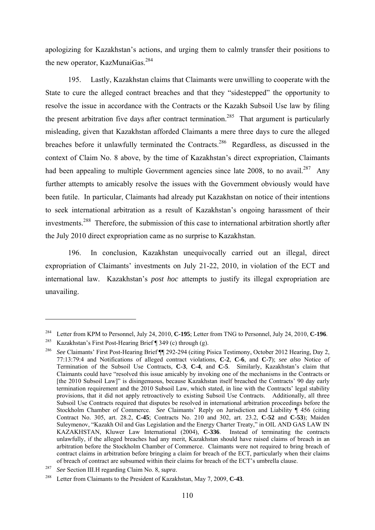apologizing for Kazakhstan's actions, and urging them to calmly transfer their positions to the new operator, KazMunaiGas.<sup>284</sup>

195. Lastly, Kazakhstan claims that Claimants were unwilling to cooperate with the State to cure the alleged contract breaches and that they "sidestepped" the opportunity to resolve the issue in accordance with the Contracts or the Kazakh Subsoil Use law by filing the present arbitration five days after contract termination.<sup>285</sup> That argument is particularly misleading, given that Kazakhstan afforded Claimants a mere three days to cure the alleged breaches before it unlawfully terminated the Contracts.<sup>286</sup> Regardless, as discussed in the context of Claim No. 8 above, by the time of Kazakhstan's direct expropriation, Claimants had been appealing to multiple Government agencies since late  $2008$ , to no avail.<sup>287</sup> Any further attempts to amicably resolve the issues with the Government obviously would have been futile. In particular, Claimants had already put Kazakhstan on notice of their intentions to seek international arbitration as a result of Kazakhstan's ongoing harassment of their investments.288 Therefore, the submission of this case to international arbitration shortly after the July 2010 direct expropriation came as no surprise to Kazakhstan.

196. In conclusion, Kazakhstan unequivocally carried out an illegal, direct expropriation of Claimants' investments on July 21-22, 2010, in violation of the ECT and international law. Kazakhstan's *post hoc* attempts to justify its illegal expropriation are unavailing.

<sup>284</sup> Letter from KPM to Personnel, July 24, 2010, **C-195**; Letter from TNG to Personnel, July 24, 2010, **C-196**.

<sup>&</sup>lt;sup>285</sup> Kazakhstan's First Post-Hearing Brief ¶ 349 (c) through (g).<br><sup>286</sup> *See* Claimants' First Post-Hearing Brief ¶¶ 292-294 (citing Pisica Testimony, October 2012 Hearing, Day 2, 77:13:79:4 and Notifications of alleged contract violations, **C-2**, **C-6**, and **C-7**); *see also* Notice of Termination of the Subsoil Use Contracts, **C-3**, **C-4**, and **C-5**. Similarly, Kazakhstan's claim that Claimants could have "resolved this issue amicably by invoking one of the mechanisms in the Contracts or [the 2010 Subsoil Law]" is disingenuous, because Kazakhstan itself breached the Contracts' 90 day early termination requirement and the 2010 Subsoil Law, which stated, in line with the Contracts' legal stability provisions, that it did not apply retroactively to existing Subsoil Use Contracts. Additionally, all three Subsoil Use Contracts required that disputes be resolved in international arbitration proceedings before the Stockholm Chamber of Commerce. *See* Claimants' Reply on Jurisdiction and Liability 1456 (citing Contract No. 305, art. 28.2, **C-45**; Contracts No. 210 and 302, art. 23.2, **C-52** and **C-53**); Maiden Suleymenov, "Kazakh Oil and Gas Legislation and the Energy Charter Treaty," in OIL AND GAS LAW IN KAZAKHSTAN. Kluwer Law International (2004). C-336. Instead of terminating the contracts KAZAKHSTAN, Kluwer Law International (2004), C-336. unlawfully, if the alleged breaches had any merit, Kazakhstan should have raised claims of breach in an arbitration before the Stockholm Chamber of Commerce. Claimants were not required to bring breach of contract claims in arbitration before bringing a claim for breach of the ECT, particularly when their claims of breach of contract are subsumed within their claims for breach of the ECT's umbrella clause.

<sup>287</sup>*See* Section III.H regarding Claim No. 8, *supra*. 288 Letter from Claimants to the President of Kazakhstan, May 7, 2009, **C-43**.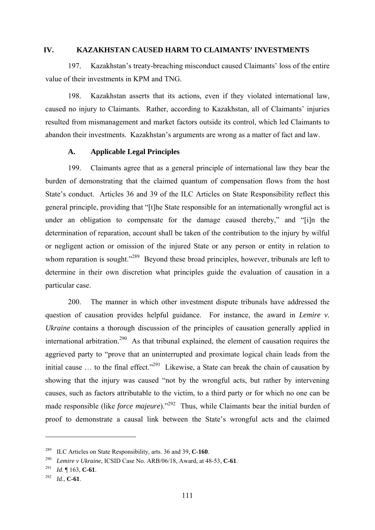#### **IV. KAZAKHSTAN CAUSED HARM TO CLAIMANTS' INVESTMENTS**

197. Kazakhstan's treaty-breaching misconduct caused Claimants' loss of the entire value of their investments in KPM and TNG.

198. Kazakhstan asserts that its actions, even if they violated international law, caused no injury to Claimants. Rather, according to Kazakhstan, all of Claimants' injuries resulted from mismanagement and market factors outside its control, which led Claimants to abandon their investments. Kazakhstan's arguments are wrong as a matter of fact and law.

#### **A. Applicable Legal Principles**

199. Claimants agree that as a general principle of international law they bear the burden of demonstrating that the claimed quantum of compensation flows from the host State's conduct. Articles 36 and 39 of the ILC Articles on State Responsibility reflect this general principle, providing that "[t]he State responsible for an internationally wrongful act is under an obligation to compensate for the damage caused thereby," and "[i]n the determination of reparation, account shall be taken of the contribution to the injury by wilful or negligent action or omission of the injured State or any person or entity in relation to whom reparation is sought."<sup>289</sup> Beyond these broad principles, however, tribunals are left to determine in their own discretion what principles guide the evaluation of causation in a particular case.

200. The manner in which other investment dispute tribunals have addressed the question of causation provides helpful guidance. For instance, the award in *Lemire v. Ukraine* contains a thorough discussion of the principles of causation generally applied in international arbitration.<sup>290</sup> As that tribunal explained, the element of causation requires the aggrieved party to "prove that an uninterrupted and proximate logical chain leads from the initial cause ... to the final effect."<sup>291</sup> Likewise, a State can break the chain of causation by showing that the injury was caused "not by the wrongful acts, but rather by intervening causes, such as factors attributable to the victim, to a third party or for which no one can be made responsible (like *force majeure*)."<sup>292</sup> Thus, while Claimants bear the initial burden of proof to demonstrate a causal link between the State's wrongful acts and the claimed

<sup>289</sup> ILC Articles on State Responsibility, arts. 36 and 39, **C-160**. 290 *Lemire v Ukraine*, ICSID Case No. ARB/06/18, Award, at 48-53, **C-61**.

<sup>291</sup>*Id*. ¶ 163, **C-61**. 292 *Id*., **C-61**.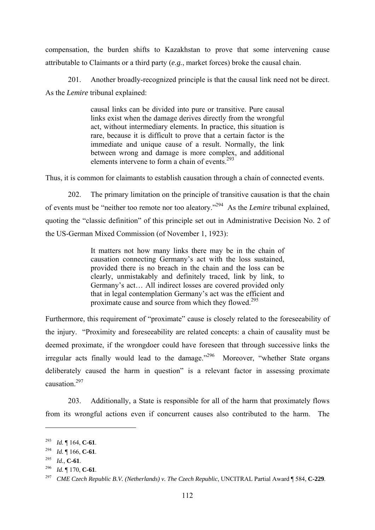compensation, the burden shifts to Kazakhstan to prove that some intervening cause attributable to Claimants or a third party (*e.g.*, market forces) broke the causal chain.

201. Another broadly-recognized principle is that the causal link need not be direct. As the *Lemire* tribunal explained:

> causal links can be divided into pure or transitive. Pure causal links exist when the damage derives directly from the wrongful act, without intermediary elements. In practice, this situation is rare, because it is difficult to prove that a certain factor is the immediate and unique cause of a result. Normally, the link between wrong and damage is more complex, and additional elements intervene to form a chain of events.293

Thus, it is common for claimants to establish causation through a chain of connected events.

202. The primary limitation on the principle of transitive causation is that the chain of events must be "neither too remote nor too aleatory."294 As the *Lemire* tribunal explained, quoting the "classic definition" of this principle set out in Administrative Decision No. 2 of the US-German Mixed Commission (of November 1, 1923):

> It matters not how many links there may be in the chain of causation connecting Germany's act with the loss sustained, provided there is no breach in the chain and the loss can be clearly, unmistakably and definitely traced, link by link, to Germany's act… All indirect losses are covered provided only that in legal contemplation Germany's act was the efficient and proximate cause and source from which they flowed.295

Furthermore, this requirement of "proximate" cause is closely related to the foreseeability of the injury. "Proximity and foreseeability are related concepts: a chain of causality must be deemed proximate, if the wrongdoer could have foreseen that through successive links the irregular acts finally would lead to the damage."296 Moreover, "whether State organs deliberately caused the harm in question" is a relevant factor in assessing proximate causation.297

203. Additionally, a State is responsible for all of the harm that proximately flows from its wrongful actions even if concurrent causes also contributed to the harm. The

<sup>293</sup> *Id.* ¶ 164, **C-61**.

<sup>294</sup>*Id.* ¶ 166, **C-61**. 295 *Id.*, **C-61**.

<sup>296</sup>*Id.* ¶ 170, **C-61**. 297 *CME Czech Republic B.V. (Netherlands) v. The Czech Republic*, UNCITRAL Partial Award ¶ 584, **C-229**.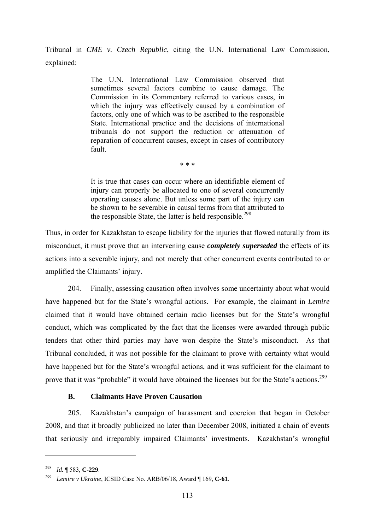Tribunal in *CME v. Czech Republic*, citing the U.N. International Law Commission, explained:

> The U.N. International Law Commission observed that sometimes several factors combine to cause damage. The Commission in its Commentary referred to various cases, in which the injury was effectively caused by a combination of factors, only one of which was to be ascribed to the responsible State. International practice and the decisions of international tribunals do not support the reduction or attenuation of reparation of concurrent causes, except in cases of contributory fault.

> > \* \* \*

It is true that cases can occur where an identifiable element of injury can properly be allocated to one of several concurrently operating causes alone. But unless some part of the injury can be shown to be severable in causal terms from that attributed to the responsible State, the latter is held responsible.<sup>298</sup>

Thus, in order for Kazakhstan to escape liability for the injuries that flowed naturally from its misconduct, it must prove that an intervening cause *completely superseded* the effects of its actions into a severable injury, and not merely that other concurrent events contributed to or amplified the Claimants' injury.

204. Finally, assessing causation often involves some uncertainty about what would have happened but for the State's wrongful actions. For example, the claimant in *Lemire* claimed that it would have obtained certain radio licenses but for the State's wrongful conduct, which was complicated by the fact that the licenses were awarded through public tenders that other third parties may have won despite the State's misconduct. As that Tribunal concluded, it was not possible for the claimant to prove with certainty what would have happened but for the State's wrongful actions, and it was sufficient for the claimant to prove that it was "probable" it would have obtained the licenses but for the State's actions.<sup>299</sup>

### **B. Claimants Have Proven Causation**

205. Kazakhstan's campaign of harassment and coercion that began in October 2008, and that it broadly publicized no later than December 2008, initiated a chain of events that seriously and irreparably impaired Claimants' investments. Kazakhstan's wrongful

<sup>298</sup>*Id.* ¶ 583, **C-229**. 299 *Lemire v Ukraine*, ICSID Case No. ARB/06/18, Award ¶ 169, **C-61**.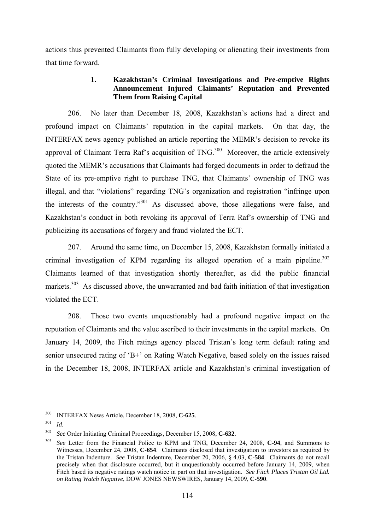actions thus prevented Claimants from fully developing or alienating their investments from that time forward.

# **1. Kazakhstan's Criminal Investigations and Pre-emptive Rights Announcement Injured Claimants' Reputation and Prevented Them from Raising Capital**

206. No later than December 18, 2008, Kazakhstan's actions had a direct and profound impact on Claimants' reputation in the capital markets. On that day, the INTERFAX news agency published an article reporting the MEMR's decision to revoke its approval of Claimant Terra Raf's acquisition of  $TNG<sub>1</sub><sup>300</sup>$  Moreover, the article extensively quoted the MEMR's accusations that Claimants had forged documents in order to defraud the State of its pre-emptive right to purchase TNG, that Claimants' ownership of TNG was illegal, and that "violations" regarding TNG's organization and registration "infringe upon the interests of the country."301 As discussed above, those allegations were false, and Kazakhstan's conduct in both revoking its approval of Terra Raf's ownership of TNG and publicizing its accusations of forgery and fraud violated the ECT.

207. Around the same time, on December 15, 2008, Kazakhstan formally initiated a criminal investigation of KPM regarding its alleged operation of a main pipeline.<sup>302</sup> Claimants learned of that investigation shortly thereafter, as did the public financial markets.<sup>303</sup> As discussed above, the unwarranted and bad faith initiation of that investigation violated the ECT.

208. Those two events unquestionably had a profound negative impact on the reputation of Claimants and the value ascribed to their investments in the capital markets. On January 14, 2009, the Fitch ratings agency placed Tristan's long term default rating and senior unsecured rating of 'B+' on Rating Watch Negative, based solely on the issues raised in the December 18, 2008, INTERFAX article and Kazakhstan's criminal investigation of

<sup>300</sup> INTERFAX News Article, December 18, 2008, **C-625**. 301 *Id*.

<sup>302</sup>*See* Order Initiating Criminal Proceedings, December 15, 2008, **C-632**. 303 *See* Letter from the Financial Police to KPM and TNG, December 24, 2008, **C-94**, and Summons to Witnesses, December 24, 2008, **C-654**. Claimants disclosed that investigation to investors as required by the Tristan Indenture. *See* Tristan Indenture, December 20, 2006, § 4.03, **C-584**. Claimants do not recall precisely when that disclosure occurred, but it unquestionably occurred before January 14, 2009, when Fitch based its negative ratings watch notice in part on that investigation. *See Fitch Places Tristan Oil Ltd. on Rating Watch Negative*, DOW JONES NEWSWIRES, January 14, 2009, **C-590**.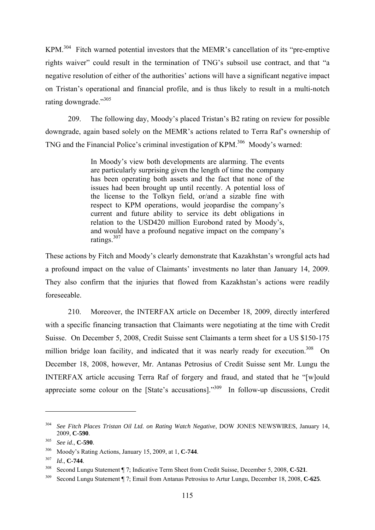KPM.304 Fitch warned potential investors that the MEMR's cancellation of its "pre-emptive rights waiver" could result in the termination of TNG's subsoil use contract, and that "a negative resolution of either of the authorities' actions will have a significant negative impact on Tristan's operational and financial profile, and is thus likely to result in a multi-notch rating downgrade."305

209. The following day, Moody's placed Tristan's B2 rating on review for possible downgrade, again based solely on the MEMR's actions related to Terra Raf's ownership of TNG and the Financial Police's criminal investigation of KPM.<sup>306</sup> Moody's warned:

> In Moody's view both developments are alarming. The events are particularly surprising given the length of time the company has been operating both assets and the fact that none of the issues had been brought up until recently. A potential loss of the license to the Tolkyn field, or/and a sizable fine with respect to KPM operations, would jeopardise the company's current and future ability to service its debt obligations in relation to the USD420 million Eurobond rated by Moody's, and would have a profound negative impact on the company's ratings.307

These actions by Fitch and Moody's clearly demonstrate that Kazakhstan's wrongful acts had a profound impact on the value of Claimants' investments no later than January 14, 2009. They also confirm that the injuries that flowed from Kazakhstan's actions were readily foreseeable.

210. Moreover, the INTERFAX article on December 18, 2009, directly interfered with a specific financing transaction that Claimants were negotiating at the time with Credit Suisse. On December 5, 2008, Credit Suisse sent Claimants a term sheet for a US \$150-175 million bridge loan facility, and indicated that it was nearly ready for execution.<sup>308</sup> On December 18, 2008, however, Mr. Antanas Petrosius of Credit Suisse sent Mr. Lungu the INTERFAX article accusing Terra Raf of forgery and fraud, and stated that he "[w]ould appreciate some colour on the [State's accusations]."309 In follow-up discussions, Credit

<sup>304</sup> *See Fitch Places Tristan Oil Ltd. on Rating Watch Negative*, DOW JONES NEWSWIRES, January 14, 2009, **C-590**.

<sup>305</sup> *See id*., **C-590**.

<sup>306</sup> Moody's Rating Actions, January 15, 2009, at 1, **C-744**. 307 *Id*., **C-744**.

<sup>308</sup> Second Lungu Statement ¶ 7; Indicative Term Sheet from Credit Suisse, December 5, 2008, **C-521**. 309 Second Lungu Statement ¶ 7; Email from Antanas Petrosius to Artur Lungu, December 18, 2008, **C-625**.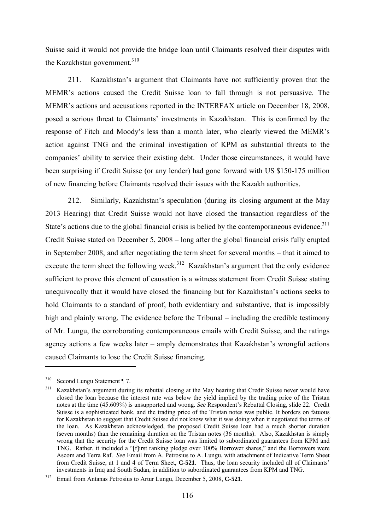Suisse said it would not provide the bridge loan until Claimants resolved their disputes with the Kazakhstan government.<sup>310</sup>

211. Kazakhstan's argument that Claimants have not sufficiently proven that the MEMR's actions caused the Credit Suisse loan to fall through is not persuasive. The MEMR's actions and accusations reported in the INTERFAX article on December 18, 2008, posed a serious threat to Claimants' investments in Kazakhstan. This is confirmed by the response of Fitch and Moody's less than a month later, who clearly viewed the MEMR's action against TNG and the criminal investigation of KPM as substantial threats to the companies' ability to service their existing debt. Under those circumstances, it would have been surprising if Credit Suisse (or any lender) had gone forward with US \$150-175 million of new financing before Claimants resolved their issues with the Kazakh authorities.

212. Similarly, Kazakhstan's speculation (during its closing argument at the May 2013 Hearing) that Credit Suisse would not have closed the transaction regardless of the State's actions due to the global financial crisis is belied by the contemporaneous evidence.<sup>311</sup> Credit Suisse stated on December 5, 2008 – long after the global financial crisis fully erupted in September 2008, and after negotiating the term sheet for several months – that it aimed to execute the term sheet the following week.<sup>312</sup> Kazakhstan's argument that the only evidence sufficient to prove this element of causation is a witness statement from Credit Suisse stating unequivocally that it would have closed the financing but for Kazakhstan's actions seeks to hold Claimants to a standard of proof, both evidentiary and substantive, that is impossibly high and plainly wrong. The evidence before the Tribunal – including the credible testimony of Mr. Lungu, the corroborating contemporaneous emails with Credit Suisse, and the ratings agency actions a few weeks later – amply demonstrates that Kazakhstan's wrongful actions caused Claimants to lose the Credit Suisse financing.

<sup>310</sup> Second Lungu Statement ¶ 7.

<sup>&</sup>lt;sup>311</sup> Kazakhstan's argument during its rebuttal closing at the May hearing that Credit Suisse never would have closed the loan because the interest rate was below the yield implied by the trading price of the Tristan notes at the time (45.609%) is unsupported and wrong. *See* Respondent's Rebuttal Closing, slide 22. Credit Suisse is a sophisticated bank, and the trading price of the Tristan notes was public. It borders on fatuous for Kazakhstan to suggest that Credit Suisse did not know what it was doing when it negotiated the terms of the loan. As Kazakhstan acknowledged, the proposed Credit Suisse loan had a much shorter duration (seven months) than the remaining duration on the Tristan notes (36 months). Also, Kazakhstan is simply wrong that the security for the Credit Suisse loan was limited to subordinated guarantees from KPM and TNG. Rather, it included a "[f]irst ranking pledge over 100% Borrower shares," and the Borrowers were Ascom and Terra Raf. *See* Email from A. Petrosius to A. Lungu, with attachment of Indicative Term Sheet from Credit Suisse, at 1 and 4 of Term Sheet, **C-521**. Thus, the loan security included all of Claimants' investments in Iraq and South Sudan, in addition to subordinated guarantees from KPM and TNG.

<sup>312</sup> Email from Antanas Petrosius to Artur Lungu, December 5, 2008, **C-521**.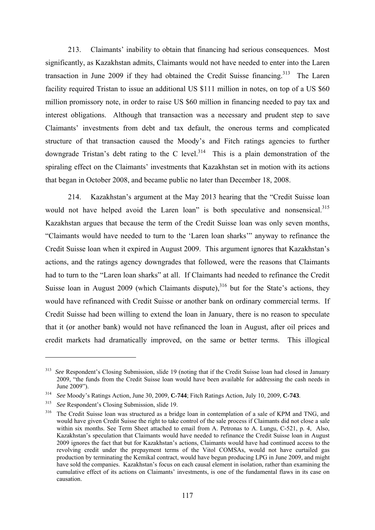213. Claimants' inability to obtain that financing had serious consequences. Most significantly, as Kazakhstan admits, Claimants would not have needed to enter into the Laren transaction in June 2009 if they had obtained the Credit Suisse financing.<sup>313</sup> The Laren facility required Tristan to issue an additional US \$111 million in notes, on top of a US \$60 million promissory note, in order to raise US \$60 million in financing needed to pay tax and interest obligations. Although that transaction was a necessary and prudent step to save Claimants' investments from debt and tax default, the onerous terms and complicated structure of that transaction caused the Moody's and Fitch ratings agencies to further downgrade Tristan's debt rating to the C level.<sup>314</sup> This is a plain demonstration of the spiraling effect on the Claimants' investments that Kazakhstan set in motion with its actions that began in October 2008, and became public no later than December 18, 2008.

214. Kazakhstan's argument at the May 2013 hearing that the "Credit Suisse loan would not have helped avoid the Laren loan" is both speculative and nonsensical.<sup>315</sup> Kazakhstan argues that because the term of the Credit Suisse loan was only seven months, "Claimants would have needed to turn to the 'Laren loan sharks'" anyway to refinance the Credit Suisse loan when it expired in August 2009. This argument ignores that Kazakhstan's actions, and the ratings agency downgrades that followed, were the reasons that Claimants had to turn to the "Laren loan sharks" at all. If Claimants had needed to refinance the Credit Suisse loan in August 2009 (which Claimants dispute),  $316$  but for the State's actions, they would have refinanced with Credit Suisse or another bank on ordinary commercial terms. If Credit Suisse had been willing to extend the loan in January, there is no reason to speculate that it (or another bank) would not have refinanced the loan in August, after oil prices and credit markets had dramatically improved, on the same or better terms. This illogical

<sup>&</sup>lt;sup>313</sup> *See* Respondent's Closing Submission, slide 19 (noting that if the Credit Suisse loan had closed in January 2009, "the funds from the Credit Suisse loan would have been available for addressing the cash needs in June 2009").

<sup>314</sup>*See* Moody's Ratings Action, June 30, 2009, **C-744**; Fitch Ratings Action, July 10, 2009, **C-743**. 315 *See* Respondent's Closing Submission, slide 19.

<sup>&</sup>lt;sup>316</sup> The Credit Suisse loan was structured as a bridge loan in contemplation of a sale of KPM and TNG, and would have given Credit Suisse the right to take control of the sale process if Claimants did not close a sale within six months. See Term Sheet attached to email from A. Petronas to A. Lungu, C-521, p. 4, Also, Kazakhstan's speculation that Claimants would have needed to refinance the Credit Suisse loan in August 2009 ignores the fact that but for Kazakhstan's actions, Claimants would have had continued access to the revolving credit under the prepayment terms of the Vitol COMSAs, would not have curtailed gas production by terminating the Kemikal contract, would have begun producing LPG in June 2009, and might have sold the companies. Kazakhstan's focus on each causal element in isolation, rather than examining the cumulative effect of its actions on Claimants' investments, is one of the fundamental flaws in its case on causation.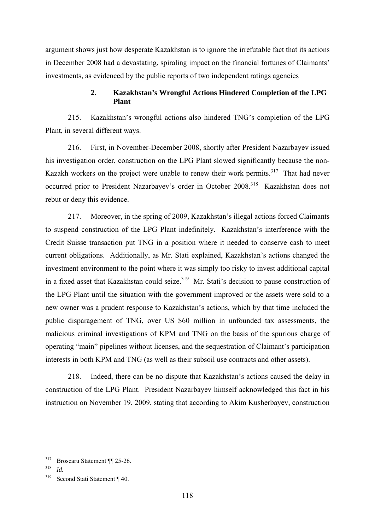argument shows just how desperate Kazakhstan is to ignore the irrefutable fact that its actions in December 2008 had a devastating, spiraling impact on the financial fortunes of Claimants' investments, as evidenced by the public reports of two independent ratings agencies

### **2. Kazakhstan's Wrongful Actions Hindered Completion of the LPG Plant**

215. Kazakhstan's wrongful actions also hindered TNG's completion of the LPG Plant, in several different ways.

216. First, in November-December 2008, shortly after President Nazarbayev issued his investigation order, construction on the LPG Plant slowed significantly because the non-Kazakh workers on the project were unable to renew their work permits.<sup>317</sup> That had never occurred prior to President Nazarbayev's order in October 2008.<sup>318</sup> Kazakhstan does not rebut or deny this evidence.

217. Moreover, in the spring of 2009, Kazakhstan's illegal actions forced Claimants to suspend construction of the LPG Plant indefinitely. Kazakhstan's interference with the Credit Suisse transaction put TNG in a position where it needed to conserve cash to meet current obligations. Additionally, as Mr. Stati explained, Kazakhstan's actions changed the investment environment to the point where it was simply too risky to invest additional capital in a fixed asset that Kazakhstan could seize.<sup>319</sup> Mr. Stati's decision to pause construction of the LPG Plant until the situation with the government improved or the assets were sold to a new owner was a prudent response to Kazakhstan's actions, which by that time included the public disparagement of TNG, over US \$60 million in unfounded tax assessments, the malicious criminal investigations of KPM and TNG on the basis of the spurious charge of operating "main" pipelines without licenses, and the sequestration of Claimant's participation interests in both KPM and TNG (as well as their subsoil use contracts and other assets).

218. Indeed, there can be no dispute that Kazakhstan's actions caused the delay in construction of the LPG Plant. President Nazarbayev himself acknowledged this fact in his instruction on November 19, 2009, stating that according to Akim Kusherbayev, construction

<sup>317</sup> Broscaru Statement ¶¶ 25-26.

<sup>318</sup>*Id*. 319 Second Stati Statement ¶ 40.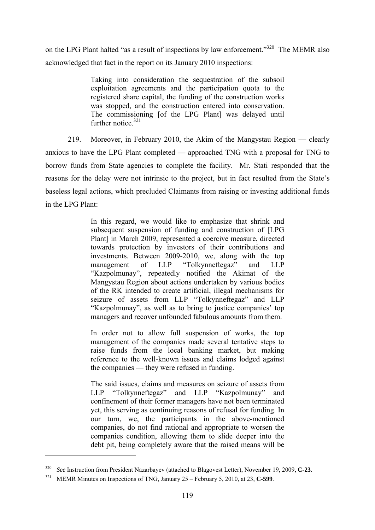on the LPG Plant halted "as a result of inspections by law enforcement."<sup>320</sup> The MEMR also acknowledged that fact in the report on its January 2010 inspections:

> Taking into consideration the sequestration of the subsoil exploitation agreements and the participation quota to the registered share capital, the funding of the construction works was stopped, and the construction entered into conservation. The commissioning [of the LPG Plant] was delayed until further notice. $321$

219. Moreover, in February 2010, the Akim of the Mangystau Region — clearly anxious to have the LPG Plant completed — approached TNG with a proposal for TNG to borrow funds from State agencies to complete the facility. Mr. Stati responded that the reasons for the delay were not intrinsic to the project, but in fact resulted from the State's baseless legal actions, which precluded Claimants from raising or investing additional funds in the LPG Plant:

> In this regard, we would like to emphasize that shrink and subsequent suspension of funding and construction of [LPG Plant] in March 2009, represented a coercive measure, directed towards protection by investors of their contributions and investments. Between 2009-2010, we, along with the top management of LLP "Tolkynneftegaz" and LLP "Kazpolmunay", repeatedly notified the Akimat of the Mangystau Region about actions undertaken by various bodies of the RK intended to create artificial, illegal mechanisms for seizure of assets from LLP "Tolkynneftegaz" and LLP "Kazpolmunay", as well as to bring to justice companies' top managers and recover unfounded fabulous amounts from them.

> In order not to allow full suspension of works, the top management of the companies made several tentative steps to raise funds from the local banking market, but making reference to the well-known issues and claims lodged against the companies — they were refused in funding.

> The said issues, claims and measures on seizure of assets from LLP "Tolkynneftegaz" and LLP "Kazpolmunay" and confinement of their former managers have not been terminated yet, this serving as continuing reasons of refusal for funding. In our turn, we, the participants in the above-mentioned companies, do not find rational and appropriate to worsen the companies condition, allowing them to slide deeper into the debt pit, being completely aware that the raised means will be

<sup>320</sup>*See* Instruction from President Nazarbayev (attached to Blagovest Letter), November 19, 2009, **C-23**. 321 MEMR Minutes on Inspections of TNG, January 25 – February 5, 2010, at 23, **C-599**.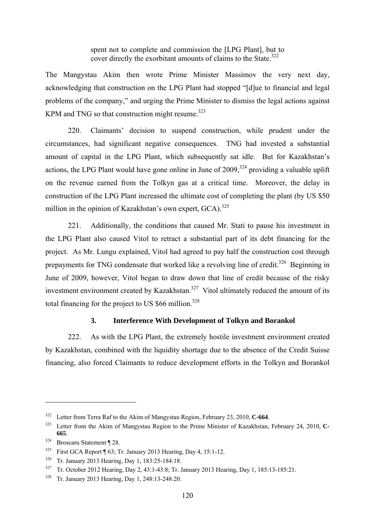spent not to complete and commission the [LPG Plant], but to cover directly the exorbitant amounts of claims to the State.<sup>322</sup>

The Mangystau Akim then wrote Prime Minister Massimov the very next day, acknowledging that construction on the LPG Plant had stopped "[d]ue to financial and legal problems of the company," and urging the Prime Minister to dismiss the legal actions against KPM and TNG so that construction might resume.<sup>323</sup>

220. Claimants' decision to suspend construction, while prudent under the circumstances, had significant negative consequences. TNG had invested a substantial amount of capital in the LPG Plant, which subsequently sat idle. But for Kazakhstan's actions, the LPG Plant would have gone online in June of  $2009$ ,  $324$  providing a valuable uplift on the revenue earned from the Tolkyn gas at a critical time. Moreover, the delay in construction of the LPG Plant increased the ultimate cost of completing the plant (by US \$50 million in the opinion of Kazakhstan's own expert, GCA).<sup>325</sup>

221. Additionally, the conditions that caused Mr. Stati to pause his investment in the LPG Plant also caused Vitol to retract a substantial part of its debt financing for the project. As Mr. Lungu explained, Vitol had agreed to pay half the construction cost through prepayments for TNG condensate that worked like a revolving line of credit.<sup>326</sup> Beginning in June of 2009, however, Vitol began to draw down that line of credit because of the risky investment environment created by Kazakhstan.<sup>327</sup> Vitol ultimately reduced the amount of its total financing for the project to US  $$66$  million.<sup>328</sup>

### **3. Interference With Development of Tolkyn and Borankol**

222. As with the LPG Plant, the extremely hostile investment environment created by Kazakhstan, combined with the liquidity shortage due to the absence of the Credit Suisse financing, also forced Claimants to reduce development efforts in the Tolkyn and Borankol

<sup>322</sup> Letter from Terra Raf to the Akim of Mangystau Region, February 23, 2010, **C-664**.

<sup>323</sup> Letter from the Akim of Mangystau Region to the Prime Minister of Kazakhstan, February 24, 2010, **C-665**.

<sup>324</sup> Broscaru Statement ¶ 28.

<sup>&</sup>lt;sup>325</sup> First GCA Report ¶ 63; Tr. January 2013 Hearing, Day 4, 15:1-12.

<sup>326</sup> Tr. January 2013 Hearing, Day 1, 183:25-184:18.

<sup>327</sup> Tr. October 2012 Hearing, Day 2, 43:1-43:8; Tr. January 2013 Hearing, Day 1, 185:13-185:21.

<sup>328</sup> Tr. January 2013 Hearing, Day 1, 248:13-248:20.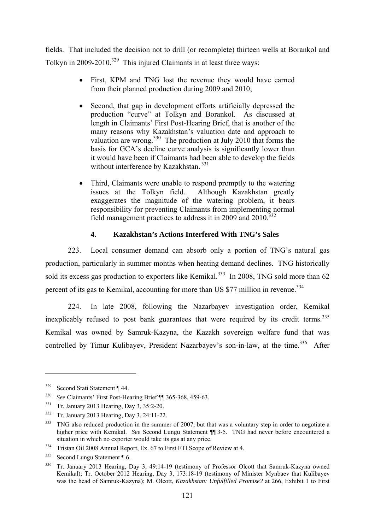fields. That included the decision not to drill (or recomplete) thirteen wells at Borankol and Tolkyn in  $2009-2010$ <sup>329</sup> This injured Claimants in at least three ways:

- First, KPM and TNG lost the revenue they would have earned from their planned production during 2009 and 2010;
- Second, that gap in development efforts artificially depressed the production "curve" at Tolkyn and Borankol. As discussed at length in Claimants' First Post-Hearing Brief, that is another of the many reasons why Kazakhstan's valuation date and approach to valuation are wrong.<sup>330</sup> The production at July 2010 that forms the basis for GCA's decline curve analysis is significantly lower than it would have been if Claimants had been able to develop the fields without interference by Kazakhstan.<sup>331</sup>
- Third, Claimants were unable to respond promptly to the watering issues at the Tolkyn field. Although Kazakhstan greatly exaggerates the magnitude of the watering problem, it bears responsibility for preventing Claimants from implementing normal field management practices to address it in 2009 and  $2010^{332}$

# **4. Kazakhstan's Actions Interfered With TNG's Sales**

223. Local consumer demand can absorb only a portion of TNG's natural gas production, particularly in summer months when heating demand declines. TNG historically sold its excess gas production to exporters like Kemikal.<sup>333</sup> In 2008, TNG sold more than 62 percent of its gas to Kemikal, accounting for more than US \$77 million in revenue.<sup>334</sup>

224. In late 2008, following the Nazarbayev investigation order, Kemikal inexplicably refused to post bank guarantees that were required by its credit terms.<sup>335</sup> Kemikal was owned by Samruk-Kazyna, the Kazakh sovereign welfare fund that was controlled by Timur Kulibayev, President Nazarbayev's son-in-law, at the time.<sup>336</sup> After

<sup>329</sup> Second Stati Statement ¶ 44.

<sup>330</sup> *See* Claimants' First Post-Hearing Brief ¶¶ 365-368, 459-63.

<sup>331</sup> Tr. January 2013 Hearing, Day 3, 35:2-20.

<sup>332</sup> Tr. January 2013 Hearing, Day 3, 24:11-22.

<sup>&</sup>lt;sup>333</sup> TNG also reduced production in the summer of 2007, but that was a voluntary step in order to negotiate a higher price with Kemikal. *See* Second Lungu Statement ¶ 3-5. TNG had never before encountered a situation in which no exporter would take its gas at any price.

<sup>334</sup> Tristan Oil 2008 Annual Report, Ex. 67 to First FTI Scope of Review at 4.

<sup>335</sup> Second Lungu Statement ¶ 6.

<sup>&</sup>lt;sup>336</sup> Tr. January 2013 Hearing, Day 3, 49:14-19 (testimony of Professor Olcott that Samruk-Kazyna owned Kemikal); Tr. October 2012 Hearing, Day 3, 173:18-19 (testimony of Minister Mynbaev that Kulibayev was the head of Samruk-Kazyna); M. Olcott, *Kazakhstan: Unfulfilled Promise?* at 266, Exhibit 1 to First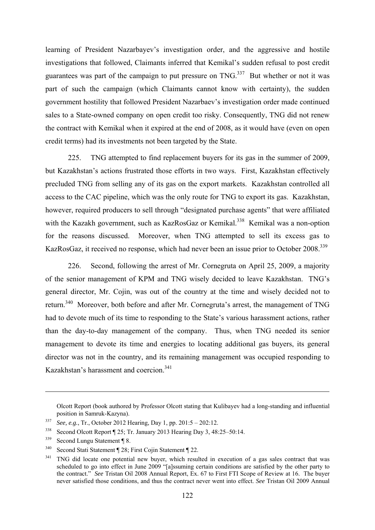learning of President Nazarbayev's investigation order, and the aggressive and hostile investigations that followed, Claimants inferred that Kemikal's sudden refusal to post credit guarantees was part of the campaign to put pressure on  $TNG<sup>337</sup>$  But whether or not it was part of such the campaign (which Claimants cannot know with certainty), the sudden government hostility that followed President Nazarbaev's investigation order made continued sales to a State-owned company on open credit too risky. Consequently, TNG did not renew the contract with Kemikal when it expired at the end of 2008, as it would have (even on open credit terms) had its investments not been targeted by the State.

225. TNG attempted to find replacement buyers for its gas in the summer of 2009, but Kazakhstan's actions frustrated those efforts in two ways. First, Kazakhstan effectively precluded TNG from selling any of its gas on the export markets. Kazakhstan controlled all access to the CAC pipeline, which was the only route for TNG to export its gas. Kazakhstan, however, required producers to sell through "designated purchase agents" that were affiliated with the Kazakh government, such as KazRosGaz or Kemikal.<sup>338</sup> Kemikal was a non-option for the reasons discussed. Moreover, when TNG attempted to sell its excess gas to KazRosGaz, it received no response, which had never been an issue prior to October 2008.<sup>339</sup>

226. Second, following the arrest of Mr. Cornegruta on April 25, 2009, a majority of the senior management of KPM and TNG wisely decided to leave Kazakhstan. TNG's general director, Mr. Cojin, was out of the country at the time and wisely decided not to return.340 Moreover, both before and after Mr. Cornegruta's arrest, the management of TNG had to devote much of its time to responding to the State's various harassment actions, rather than the day-to-day management of the company. Thus, when TNG needed its senior management to devote its time and energies to locating additional gas buyers, its general director was not in the country, and its remaining management was occupied responding to Kazakhstan's harassment and coercion<sup>341</sup>

Olcott Report (book authored by Professor Olcott stating that Kulibayev had a long-standing and influential position in Samruk-Kazyna).

<sup>337</sup> *See, e.g.*, Tr., October 2012 Hearing, Day 1, pp. 201:5 – 202:12.

<sup>338</sup> Second Olcott Report ¶ 25; Tr. January 2013 Hearing Day 3, 48:25–50:14.

<sup>339</sup> Second Lungu Statement ¶ 8.

<sup>340</sup> Second Stati Statement ¶ 28; First Cojin Statement ¶ 22.

<sup>&</sup>lt;sup>341</sup> TNG did locate one potential new buyer, which resulted in execution of a gas sales contract that was scheduled to go into effect in June 2009 "[a]ssuming certain conditions are satisfied by the other party to the contract." *See* Tristan Oil 2008 Annual Report, Ex. 67 to First FTI Scope of Review at 16. The buyer never satisfied those conditions, and thus the contract never went into effect. *See* Tristan Oil 2009 Annual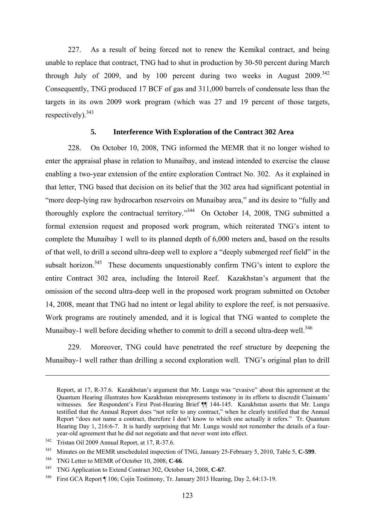227. As a result of being forced not to renew the Kemikal contract, and being unable to replace that contract, TNG had to shut in production by 30-50 percent during March through July of 2009, and by 100 percent during two weeks in August  $2009^{342}$ Consequently, TNG produced 17 BCF of gas and 311,000 barrels of condensate less than the targets in its own 2009 work program (which was 27 and 19 percent of those targets, respectively).<sup>343</sup>

### **5. Interference With Exploration of the Contract 302 Area**

228. On October 10, 2008, TNG informed the MEMR that it no longer wished to enter the appraisal phase in relation to Munaibay, and instead intended to exercise the clause enabling a two-year extension of the entire exploration Contract No. 302. As it explained in that letter, TNG based that decision on its belief that the 302 area had significant potential in "more deep-lying raw hydrocarbon reservoirs on Munaibay area," and its desire to "fully and thoroughly explore the contractual territory."344 On October 14, 2008, TNG submitted a formal extension request and proposed work program, which reiterated TNG's intent to complete the Munaibay 1 well to its planned depth of 6,000 meters and, based on the results of that well, to drill a second ultra-deep well to explore a "deeply submerged reef field" in the subsalt horizon.<sup>345</sup> These documents unquestionably confirm TNG's intent to explore the entire Contract 302 area, including the Interoil Reef. Kazakhstan's argument that the omission of the second ultra-deep well in the proposed work program submitted on October 14, 2008, meant that TNG had no intent or legal ability to explore the reef, is not persuasive. Work programs are routinely amended, and it is logical that TNG wanted to complete the Munaibay-1 well before deciding whether to commit to drill a second ultra-deep well.<sup>346</sup>

229. Moreover, TNG could have penetrated the reef structure by deepening the Munaibay-1 well rather than drilling a second exploration well. TNG's original plan to drill

Report, at 17, R-37.6. Kazakhstan's argument that Mr. Lungu was "evasive" about this agreement at the Quantum Hearing illustrates how Kazakhstan misrepresents testimony in its efforts to discredit Claimants' witnesses. *See* Respondent's First Post-Hearing Brief **[**[ 144-145. Kazakhstan asserts that Mr. Lungu testified that the Annual Report does "not refer to any contract," when he clearly testified that the Annual Report "does not name a contract, therefore I don't know to which one actually it refers." Tr. Quantum Hearing Day 1, 216:6-7. It is hardly surprising that Mr. Lungu would not remember the details of a fouryear-old agreement that he did not negotiate and that never went into effect.

<sup>342</sup> Tristan Oil 2009 Annual Report, at 17, R-37.6.

<sup>343</sup> Minutes on the MEMR unscheduled inspection of TNG, January 25-February 5, 2010, Table 5, **C-599**. 344 TNG Letter to MEMR of October 10, 2008, **C-66**.

<sup>345</sup> TNG Application to Extend Contract 302, October 14, 2008, **C-67**. 346 First GCA Report ¶ 106; Cojin Testimony, Tr. January 2013 Hearing, Day 2, 64:13-19.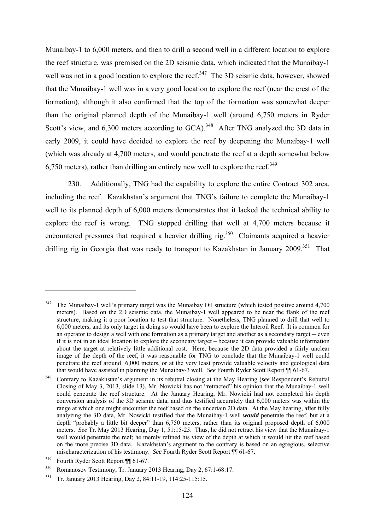Munaibay-1 to 6,000 meters, and then to drill a second well in a different location to explore the reef structure, was premised on the 2D seismic data, which indicated that the Munaibay-1 well was not in a good location to explore the reef.<sup>347</sup> The 3D seismic data, however, showed that the Munaibay-1 well was in a very good location to explore the reef (near the crest of the formation), although it also confirmed that the top of the formation was somewhat deeper than the original planned depth of the Munaibay-1 well (around 6,750 meters in Ryder Scott's view, and  $6.300$  meters according to  $GCA$ ).<sup>348</sup> After TNG analyzed the 3D data in early 2009, it could have decided to explore the reef by deepening the Munaibay-1 well (which was already at 4,700 meters, and would penetrate the reef at a depth somewhat below 6,750 meters), rather than drilling an entirely new well to explore the reef.<sup>349</sup>

230. Additionally, TNG had the capability to explore the entire Contract 302 area, including the reef. Kazakhstan's argument that TNG's failure to complete the Munaibay-1 well to its planned depth of 6,000 meters demonstrates that it lacked the technical ability to explore the reef is wrong. TNG stopped drilling that well at 4,700 meters because it encountered pressures that required a heavier drilling rig.<sup>350</sup> Claimants acquired a heavier drilling rig in Georgia that was ready to transport to Kazakhstan in January  $2009$ <sup>351</sup>. That

<sup>&</sup>lt;sup>347</sup> The Munaibay-1 well's primary target was the Munaibay Oil structure (which tested positive around 4,700 meters). Based on the 2D seismic data, the Munaibay-1 well appeared to be near the flank of the reef structure, making it a poor location to test that structure. Nonetheless, TNG planned to drill that well to 6,000 meters, and its only target in doing so would have been to explore the Interoil Reef. It is common for an operator to design a well with one formation as a primary target and another as a secondary target -- even if it is not in an ideal location to explore the secondary target – because it can provide valuable information about the target at relatively little additional cost. Here, because the 2D data provided a fairly unclear image of the depth of the reef, it was reasonable for TNG to conclude that the Munaibay-1 well could penetrate the reef around 6,000 meters, or at the very least provide valuable velocity and geological data that would have assisted in planning the Munaibay-3 well. *See* Fourth Ryder Scott Report 11 61-67.

<sup>&</sup>lt;sup>348</sup> Contrary to Kazakhstan's argument in its rebuttal closing at the May Hearing (*see* Respondent's Rebuttal Closing of May 3, 2013, slide 13), Mr. Nowicki has not "retracted" his opinion that the Munaibay-1 well could penetrate the reef structure. At the January Hearing, Mr. Nowicki had not completed his depth conversion analysis of the 3D seismic data, and thus testified accurately that 6,000 meters was within the range at which one might encounter the reef based on the uncertain 2D data. At the May hearing, after fully analyzing the 3D data, Mr. Nowicki testified that the Munaibay-1 well *would* penetrate the reef, but at a depth "probably a little bit deeper" than 6,750 meters, rather than its original proposed depth of 6,000 meters. *See* Tr. May 2013 Hearing, Day 1, 51:15-25. Thus, he did not retract his view that the Munaibay-1 well would penetrate the reef; he merely refined his view of the depth at which it would hit the reef based on the more precise 3D data. Kazakhstan's argument to the contrary is based on an egregious, selective mischaracterization of his testimony. *See* Fourth Ryder Scott Report  $\P$  61-67.<br><sup>349</sup> Fourth Ryder Scott Report  $\P$  61-67.

<sup>350</sup> Romanosov Testimony, Tr. January 2013 Hearing, Day 2, 67:1-68:17.

<sup>351</sup> Tr. January 2013 Hearing, Day 2, 84:11-19, 114:25-115:15.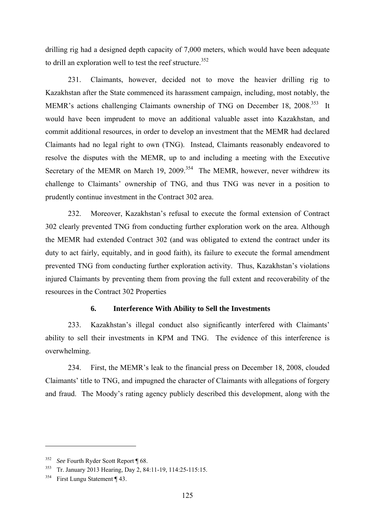drilling rig had a designed depth capacity of 7,000 meters, which would have been adequate to drill an exploration well to test the reef structure.<sup>352</sup>

231. Claimants, however, decided not to move the heavier drilling rig to Kazakhstan after the State commenced its harassment campaign, including, most notably, the MEMR's actions challenging Claimants ownership of TNG on December 18, 2008.<sup>353</sup> It would have been imprudent to move an additional valuable asset into Kazakhstan, and commit additional resources, in order to develop an investment that the MEMR had declared Claimants had no legal right to own (TNG). Instead, Claimants reasonably endeavored to resolve the disputes with the MEMR, up to and including a meeting with the Executive Secretary of the MEMR on March 19, 2009.<sup>354</sup> The MEMR, however, never withdrew its challenge to Claimants' ownership of TNG, and thus TNG was never in a position to prudently continue investment in the Contract 302 area.

232. Moreover, Kazakhstan's refusal to execute the formal extension of Contract 302 clearly prevented TNG from conducting further exploration work on the area. Although the MEMR had extended Contract 302 (and was obligated to extend the contract under its duty to act fairly, equitably, and in good faith), its failure to execute the formal amendment prevented TNG from conducting further exploration activity. Thus, Kazakhstan's violations injured Claimants by preventing them from proving the full extent and recoverability of the resources in the Contract 302 Properties

### **6. Interference With Ability to Sell the Investments**

233. Kazakhstan's illegal conduct also significantly interfered with Claimants' ability to sell their investments in KPM and TNG. The evidence of this interference is overwhelming.

234. First, the MEMR's leak to the financial press on December 18, 2008, clouded Claimants' title to TNG, and impugned the character of Claimants with allegations of forgery and fraud. The Moody's rating agency publicly described this development, along with the

<sup>352</sup> *See* Fourth Ryder Scott Report ¶ 68.

<sup>353</sup> Tr. January 2013 Hearing, Day 2, 84:11-19, 114:25-115:15.

<sup>354</sup> First Lungu Statement ¶ 43.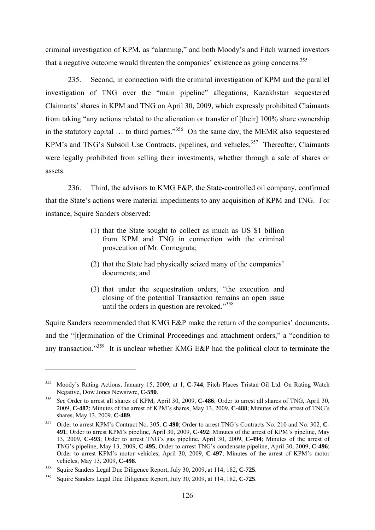criminal investigation of KPM, as "alarming," and both Moody's and Fitch warned investors that a negative outcome would threaten the companies' existence as going concerns.<sup>355</sup>

235. Second, in connection with the criminal investigation of KPM and the parallel investigation of TNG over the "main pipeline" allegations, Kazakhstan sequestered Claimants' shares in KPM and TNG on April 30, 2009, which expressly prohibited Claimants from taking "any actions related to the alienation or transfer of [their] 100% share ownership in the statutory capital  $\ldots$  to third parties."<sup>356</sup> On the same day, the MEMR also sequestered KPM's and TNG's Subsoil Use Contracts, pipelines, and vehicles.<sup>357</sup> Thereafter, Claimants were legally prohibited from selling their investments, whether through a sale of shares or assets.

236. Third, the advisors to KMG E&P, the State-controlled oil company, confirmed that the State's actions were material impediments to any acquisition of KPM and TNG. For instance, Squire Sanders observed:

- (1) that the State sought to collect as much as US \$1 billion from KPM and TNG in connection with the criminal prosecution of Mr. Cornegruta;
- (2) that the State had physically seized many of the companies' documents: and
- (3) that under the sequestration orders, "the execution and closing of the potential Transaction remains an open issue until the orders in question are revoked."<sup>358</sup>

Squire Sanders recommended that KMG E&P make the return of the companies' documents, and the "[t]ermination of the Criminal Proceedings and attachment orders," a "condition to any transaction."<sup>359</sup> It is unclear whether KMG E&P had the political clout to terminate the

<sup>355</sup> Moody's Rating Actions, January 15, 2009, at 1, **C-744**; Fitch Places Tristan Oil Ltd. On Rating Watch

Negative, Dow Jones Newsiwre, **C-590**. 356 *See* Order to arrest all shares of KPM, April 30, 2009, **C-486**; Order to arrest all shares of TNG, April 30, 2009, **C-487**; Minutes of the arrest of KPM's shares, May 13, 2009, **C-488**; Minutes of the arrest of TNG's shares, May 13, 2009, **C-489**.

<sup>357</sup> Order to arrest KPM's Contract No. 305, **C-490**; Order to arrest TNG's Contracts No. 210 and No. 302, **C-491**; Order to arrest KPM's pipeline, April 30, 2009, **C-492**; Minutes of the arrest of KPM's pipeline, May 13, 2009, **C-493**; Order to arrest TNG's gas pipeline, April 30, 2009, **C-494**; Minutes of the arrest of TNG's pipeline, May 13, 2009, **C-495**; Order to arrest TNG's condensate pipeline, April 30, 2009, **C-496**; Order to arrest KPM's motor vehicles, April 30, 2009, **C-497**; Minutes of the arrest of KPM's motor vehicles, May 13, 2009, **C-498**.

<sup>358</sup> Squire Sanders Legal Due Diligence Report, July 30, 2009, at 114, 182, **C-725**. 359 Squire Sanders Legal Due Diligence Report, July 30, 2009, at 114, 182, **C-725**.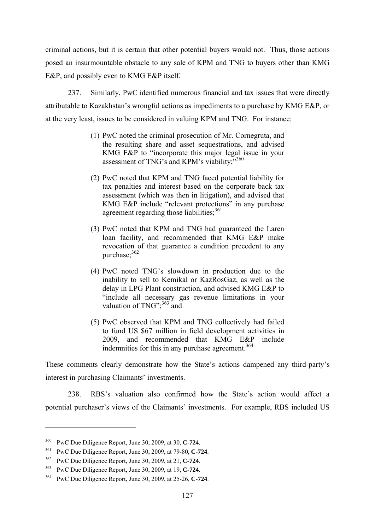criminal actions, but it is certain that other potential buyers would not. Thus, those actions posed an insurmountable obstacle to any sale of KPM and TNG to buyers other than KMG E&P, and possibly even to KMG E&P itself.

237. Similarly, PwC identified numerous financial and tax issues that were directly attributable to Kazakhstan's wrongful actions as impediments to a purchase by KMG E&P, or at the very least, issues to be considered in valuing KPM and TNG. For instance:

- (1) PwC noted the criminal prosecution of Mr. Cornegruta, and the resulting share and asset sequestrations, and advised KMG E&P to "incorporate this major legal issue in your assessment of TNG's and KPM's viability;"360
- (2) PwC noted that KPM and TNG faced potential liability for tax penalties and interest based on the corporate back tax assessment (which was then in litigation), and advised that KMG E&P include "relevant protections" in any purchase agreement regarding those liabilities:<sup>361</sup>
- (3) PwC noted that KPM and TNG had guaranteed the Laren loan facility, and recommended that KMG E&P make revocation of that guarantee a condition precedent to any purchase;<sup>362</sup>
- (4) PwC noted TNG's slowdown in production due to the inability to sell to Kemikal or KazRosGaz, as well as the delay in LPG Plant construction, and advised KMG E&P to "include all necessary gas revenue limitations in your valuation of TNG"; $363$  and
- (5) PwC observed that KPM and TNG collectively had failed to fund US \$67 million in field development activities in 2009, and recommended that KMG E&P include indemnities for this in any purchase agreement.<sup>364</sup>

These comments clearly demonstrate how the State's actions dampened any third-party's interest in purchasing Claimants' investments.

238. RBS's valuation also confirmed how the State's action would affect a potential purchaser's views of the Claimants' investments. For example, RBS included US

<sup>360</sup> PwC Due Diligence Report, June 30, 2009, at 30, **C-724**.

<sup>361</sup> PwC Due Diligence Report, June 30, 2009, at 79-80, **C-724**. 362 PwC Due Diligence Report, June 30, 2009, at 21, **C-724**.

<sup>363</sup> PwC Due Diligence Report, June 30, 2009, at 19, **C-724**. 364 PwC Due Diligence Report, June 30, 2009, at 25-26, **C-724**.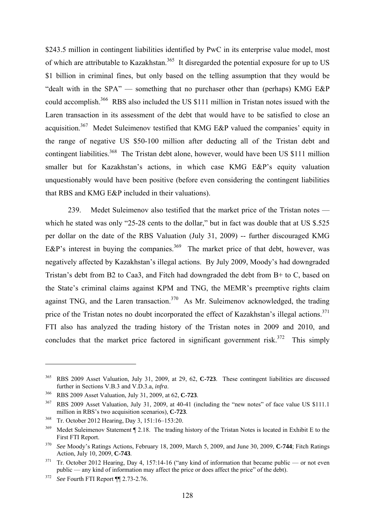\$243.5 million in contingent liabilities identified by PwC in its enterprise value model, most of which are attributable to Kazakhstan.<sup>365</sup> It disregarded the potential exposure for up to US \$1 billion in criminal fines, but only based on the telling assumption that they would be "dealt with in the SPA" — something that no purchaser other than (perhaps) KMG E&P could accomplish.366 RBS also included the US \$111 million in Tristan notes issued with the Laren transaction in its assessment of the debt that would have to be satisfied to close an acquisition.<sup>367</sup> Medet Suleimenov testified that KMG E&P valued the companies' equity in the range of negative US \$50-100 million after deducting all of the Tristan debt and contingent liabilities.<sup>368</sup> The Tristan debt alone, however, would have been US \$111 million smaller but for Kazakhstan's actions, in which case KMG E&P's equity valuation unquestionably would have been positive (before even considering the contingent liabilities that RBS and KMG E&P included in their valuations).

239. Medet Suleimenov also testified that the market price of the Tristan notes which he stated was only "25-28 cents to the dollar," but in fact was double that at US \$.525 per dollar on the date of the RBS Valuation (July 31, 2009) -- further discouraged KMG E&P's interest in buying the companies.<sup>369</sup> The market price of that debt, however, was negatively affected by Kazakhstan's illegal actions. By July 2009, Moody's had downgraded Tristan's debt from B2 to Caa3, and Fitch had downgraded the debt from B+ to C, based on the State's criminal claims against KPM and TNG, the MEMR's preemptive rights claim against TNG, and the Laren transaction.<sup>370</sup> As Mr. Suleimenov acknowledged, the trading price of the Tristan notes no doubt incorporated the effect of Kazakhstan's illegal actions.<sup>371</sup> FTI also has analyzed the trading history of the Tristan notes in 2009 and 2010, and concludes that the market price factored in significant government risk.<sup>372</sup> This simply

<u>.</u>

<sup>365</sup> RBS 2009 Asset Valuation, July 31, 2009, at 29, 62, **C-723**. These contingent liabilities are discussed further in Sections V.B.3 and V.D.3.a, *infra*. 366 RBS 2009 Asset Valuation, July 31, 2009, at 62, **C-723**.

<sup>&</sup>lt;sup>367</sup> RBS 2009 Asset Valuation, July 31, 2009, at 40-41 (including the "new notes" of face value US \$111.1 million in RBS's two acquisition scenarios), **C-723**.

<sup>368</sup> Tr. October 2012 Hearing, Day 3, 151:16–153:20.

<sup>&</sup>lt;sup>369</sup> Medet Suleimenov Statement ¶ 2.18. The trading history of the Tristan Notes is located in Exhibit E to the First FTI Report.

<sup>&</sup>lt;sup>370</sup> *See* Moody's Ratings Actions, February 18, 2009, March 5, 2009, and June 30, 2009, **C-744**; Fitch Ratings Action. July 10, 2009. **C-743**.

<sup>&</sup>lt;sup>371</sup> Tr. October 2012 Hearing, Day 4, 157:14-16 ("any kind of information that became public — or not even public — any kind of information may affect the price or does affect the price" of the debt).

<sup>372</sup> *See* Fourth FTI Report ¶¶ 2.73-2.76.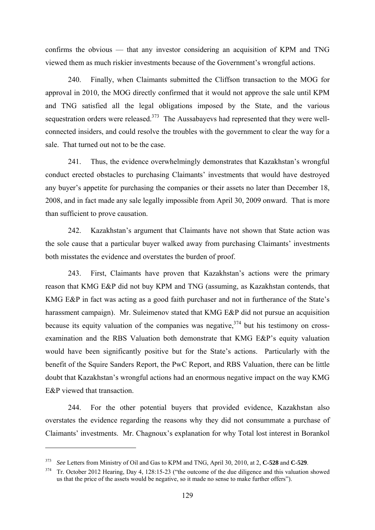confirms the obvious — that any investor considering an acquisition of KPM and TNG viewed them as much riskier investments because of the Government's wrongful actions.

240. Finally, when Claimants submitted the Cliffson transaction to the MOG for approval in 2010, the MOG directly confirmed that it would not approve the sale until KPM and TNG satisfied all the legal obligations imposed by the State, and the various sequestration orders were released. $373$  The Aussabayevs had represented that they were wellconnected insiders, and could resolve the troubles with the government to clear the way for a sale. That turned out not to be the case.

241. Thus, the evidence overwhelmingly demonstrates that Kazakhstan's wrongful conduct erected obstacles to purchasing Claimants' investments that would have destroyed any buyer's appetite for purchasing the companies or their assets no later than December 18, 2008, and in fact made any sale legally impossible from April 30, 2009 onward. That is more than sufficient to prove causation.

242. Kazakhstan's argument that Claimants have not shown that State action was the sole cause that a particular buyer walked away from purchasing Claimants' investments both misstates the evidence and overstates the burden of proof.

243. First, Claimants have proven that Kazakhstan's actions were the primary reason that KMG E&P did not buy KPM and TNG (assuming, as Kazakhstan contends, that KMG E&P in fact was acting as a good faith purchaser and not in furtherance of the State's harassment campaign). Mr. Suleimenov stated that KMG E&P did not pursue an acquisition because its equity valuation of the companies was negative,  $374$  but his testimony on crossexamination and the RBS Valuation both demonstrate that KMG E&P's equity valuation would have been significantly positive but for the State's actions. Particularly with the benefit of the Squire Sanders Report, the PwC Report, and RBS Valuation, there can be little doubt that Kazakhstan's wrongful actions had an enormous negative impact on the way KMG E&P viewed that transaction

244. For the other potential buyers that provided evidence, Kazakhstan also overstates the evidence regarding the reasons why they did not consummate a purchase of Claimants' investments. Mr. Chagnoux's explanation for why Total lost interest in Borankol

<sup>373</sup> *See* Letters from Ministry of Oil and Gas to KPM and TNG, April 30, 2010, at 2, **C-528** and **C-529**.

<sup>&</sup>lt;sup>374</sup> Tr. October 2012 Hearing, Day 4, 128:15-23 ("the outcome of the due diligence and this valuation showed us that the price of the assets would be negative, so it made no sense to make further offers").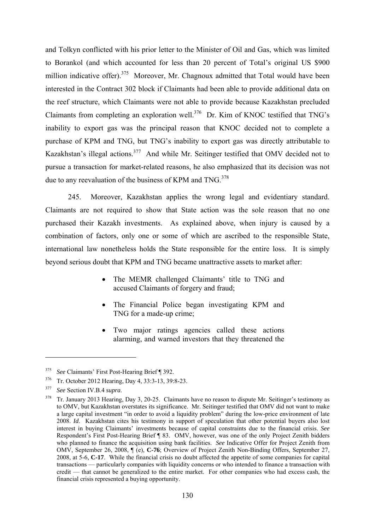and Tolkyn conflicted with his prior letter to the Minister of Oil and Gas, which was limited to Borankol (and which accounted for less than 20 percent of Total's original US \$900 million indicative offer).<sup>375</sup> Moreover, Mr. Chagnoux admitted that Total would have been interested in the Contract 302 block if Claimants had been able to provide additional data on the reef structure, which Claimants were not able to provide because Kazakhstan precluded Claimants from completing an exploration well.<sup>376</sup> Dr. Kim of KNOC testified that TNG's inability to export gas was the principal reason that KNOC decided not to complete a purchase of KPM and TNG, but TNG's inability to export gas was directly attributable to Kazakhstan's illegal actions.377 And while Mr. Seitinger testified that OMV decided not to pursue a transaction for market-related reasons, he also emphasized that its decision was not due to any reevaluation of the business of KPM and  $TNG.$ <sup>378</sup>

245. Moreover, Kazakhstan applies the wrong legal and evidentiary standard. Claimants are not required to show that State action was the sole reason that no one purchased their Kazakh investments. As explained above, when injury is caused by a combination of factors, only one or some of which are ascribed to the responsible State, international law nonetheless holds the State responsible for the entire loss. It is simply beyond serious doubt that KPM and TNG became unattractive assets to market after:

- The MEMR challenged Claimants' title to TNG and accused Claimants of forgery and fraud;
- The Financial Police began investigating KPM and TNG for a made-up crime;
- Two major ratings agencies called these actions alarming, and warned investors that they threatened the

<sup>375</sup>*See* Claimants' First Post-Hearing Brief ¶ 392. 376 Tr. October 2012 Hearing, Day 4, 33:3-13, 39:8-23.

<sup>377</sup> *See* Section IV.B.4 *supra*.

<sup>&</sup>lt;sup>378</sup> Tr. January 2013 Hearing, Day 3, 20-25. Claimants have no reason to dispute Mr. Seitinger's testimony as to OMV, but Kazakhstan overstates its significance. Mr. Seitinger testified that OMV did not want to make a large capital investment "in order to avoid a liquidity problem" during the low-price environment of late 2008. *Id*. Kazakhstan cites his testimony in support of speculation that other potential buyers also lost interest in buying Claimants' investments because of capital constraints due to the financial crisis. *See* Respondent's First Post-Hearing Brief ¶ 83. OMV, however, was one of the only Project Zenith bidders who planned to finance the acquisition using bank facilities. *See* Indicative Offer for Project Zenith from OMV, September 26, 2008, ¶ (e), **C-76**; Overview of Project Zenith Non-Binding Offers, September 27, 2008, at 5-6, **C-17**. While the financial crisis no doubt affected the appetite of some companies for capital transactions — particularly companies with liquidity concerns or who intended to finance a transaction with credit — that cannot be generalized to the entire market. For other companies who had excess cash, the financial crisis represented a buying opportunity.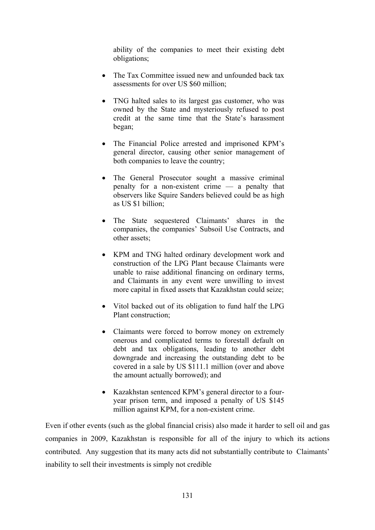ability of the companies to meet their existing debt obligations;

- The Tax Committee issued new and unfounded back tax assessments for over US \$60 million;
- TNG halted sales to its largest gas customer, who was owned by the State and mysteriously refused to post credit at the same time that the State's harassment began;
- The Financial Police arrested and imprisoned KPM's general director, causing other senior management of both companies to leave the country;
- The General Prosecutor sought a massive criminal penalty for a non-existent crime — a penalty that observers like Squire Sanders believed could be as high as US \$1 billion;
- The State sequestered Claimants' shares in the companies, the companies' Subsoil Use Contracts, and other assets;
- KPM and TNG halted ordinary development work and construction of the LPG Plant because Claimants were unable to raise additional financing on ordinary terms, and Claimants in any event were unwilling to invest more capital in fixed assets that Kazakhstan could seize;
- Vitol backed out of its obligation to fund half the LPG Plant construction;
- Claimants were forced to borrow money on extremely onerous and complicated terms to forestall default on debt and tax obligations, leading to another debt downgrade and increasing the outstanding debt to be covered in a sale by US \$111.1 million (over and above the amount actually borrowed); and
- Kazakhstan sentenced KPM's general director to a fouryear prison term, and imposed a penalty of US \$145 million against KPM, for a non-existent crime.

Even if other events (such as the global financial crisis) also made it harder to sell oil and gas companies in 2009, Kazakhstan is responsible for all of the injury to which its actions contributed. Any suggestion that its many acts did not substantially contribute to Claimants' inability to sell their investments is simply not credible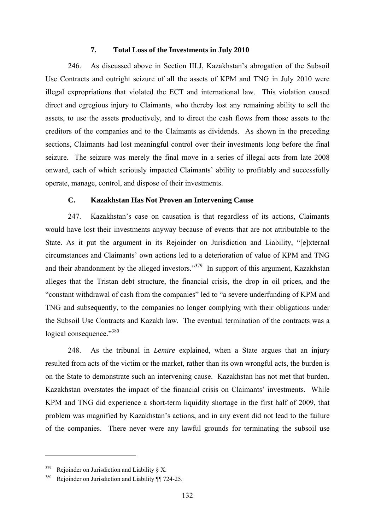#### **7. Total Loss of the Investments in July 2010**

246. As discussed above in Section III.J, Kazakhstan's abrogation of the Subsoil Use Contracts and outright seizure of all the assets of KPM and TNG in July 2010 were illegal expropriations that violated the ECT and international law. This violation caused direct and egregious injury to Claimants, who thereby lost any remaining ability to sell the assets, to use the assets productively, and to direct the cash flows from those assets to the creditors of the companies and to the Claimants as dividends. As shown in the preceding sections, Claimants had lost meaningful control over their investments long before the final seizure. The seizure was merely the final move in a series of illegal acts from late 2008 onward, each of which seriously impacted Claimants' ability to profitably and successfully operate, manage, control, and dispose of their investments.

### **C. Kazakhstan Has Not Proven an Intervening Cause**

247. Kazakhstan's case on causation is that regardless of its actions, Claimants would have lost their investments anyway because of events that are not attributable to the State. As it put the argument in its Rejoinder on Jurisdiction and Liability, "[e]xternal circumstances and Claimants' own actions led to a deterioration of value of KPM and TNG and their abandonment by the alleged investors."<sup>379</sup> In support of this argument, Kazakhstan alleges that the Tristan debt structure, the financial crisis, the drop in oil prices, and the "constant withdrawal of cash from the companies" led to "a severe underfunding of KPM and TNG and subsequently, to the companies no longer complying with their obligations under the Subsoil Use Contracts and Kazakh law. The eventual termination of the contracts was a logical consequence."<sup>380</sup>

248. As the tribunal in *Lemire* explained, when a State argues that an injury resulted from acts of the victim or the market, rather than its own wrongful acts, the burden is on the State to demonstrate such an intervening cause. Kazakhstan has not met that burden. Kazakhstan overstates the impact of the financial crisis on Claimants' investments. While KPM and TNG did experience a short-term liquidity shortage in the first half of 2009, that problem was magnified by Kazakhstan's actions, and in any event did not lead to the failure of the companies. There never were any lawful grounds for terminating the subsoil use

 $379$  Rejoinder on Jurisdiction and Liability § X.

<sup>380</sup> Rejoinder on Jurisdiction and Liability ¶¶ 724-25.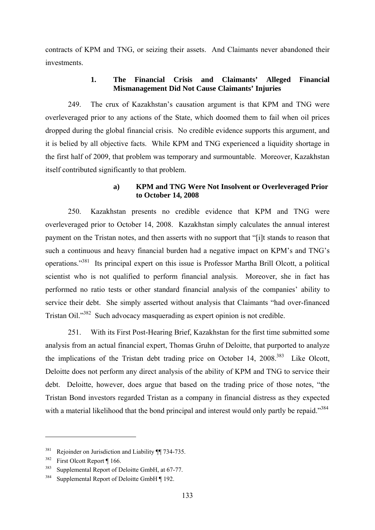contracts of KPM and TNG, or seizing their assets. And Claimants never abandoned their investments.

## **1. The Financial Crisis and Claimants' Alleged Financial Mismanagement Did Not Cause Claimants' Injuries**

249. The crux of Kazakhstan's causation argument is that KPM and TNG were overleveraged prior to any actions of the State, which doomed them to fail when oil prices dropped during the global financial crisis. No credible evidence supports this argument, and it is belied by all objective facts. While KPM and TNG experienced a liquidity shortage in the first half of 2009, that problem was temporary and surmountable. Moreover, Kazakhstan itself contributed significantly to that problem.

## **a) KPM and TNG Were Not Insolvent or Overleveraged Prior to October 14, 2008**

250. Kazakhstan presents no credible evidence that KPM and TNG were overleveraged prior to October 14, 2008. Kazakhstan simply calculates the annual interest payment on the Tristan notes, and then asserts with no support that "[i]t stands to reason that such a continuous and heavy financial burden had a negative impact on KPM's and TNG's operations."381 Its principal expert on this issue is Professor Martha Brill Olcott, a political scientist who is not qualified to perform financial analysis. Moreover, she in fact has performed no ratio tests or other standard financial analysis of the companies' ability to service their debt. She simply asserted without analysis that Claimants "had over-financed Tristan Oil."382 Such advocacy masquerading as expert opinion is not credible.

251. With its First Post-Hearing Brief, Kazakhstan for the first time submitted some analysis from an actual financial expert, Thomas Gruhn of Deloitte, that purported to analyze the implications of the Tristan debt trading price on October 14,  $2008$ <sup>383</sup> Like Olcott, Deloitte does not perform any direct analysis of the ability of KPM and TNG to service their debt. Deloitte, however, does argue that based on the trading price of those notes, "the Tristan Bond investors regarded Tristan as a company in financial distress as they expected with a material likelihood that the bond principal and interest would only partly be repaid."<sup>384</sup>

<sup>&</sup>lt;sup>381</sup> Rejoinder on Jurisdiction and Liability ¶ 734-735.

<sup>382</sup> First Olcott Report ¶ 166.

<sup>&</sup>lt;sup>383</sup> Supplemental Report of Deloitte GmbH, at 67-77.

<sup>&</sup>lt;sup>384</sup> Supplemental Report of Deloitte GmbH ¶ 192.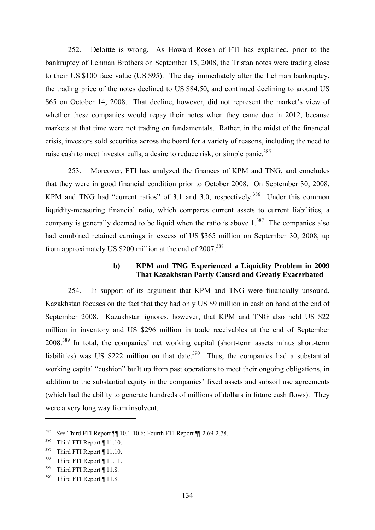252. Deloitte is wrong. As Howard Rosen of FTI has explained, prior to the bankruptcy of Lehman Brothers on September 15, 2008, the Tristan notes were trading close to their US \$100 face value (US \$95). The day immediately after the Lehman bankruptcy, the trading price of the notes declined to US \$84.50, and continued declining to around US \$65 on October 14, 2008. That decline, however, did not represent the market's view of whether these companies would repay their notes when they came due in 2012, because markets at that time were not trading on fundamentals. Rather, in the midst of the financial crisis, investors sold securities across the board for a variety of reasons, including the need to raise cash to meet investor calls, a desire to reduce risk, or simple panic.<sup>385</sup>

253. Moreover, FTI has analyzed the finances of KPM and TNG, and concludes that they were in good financial condition prior to October 2008. On September 30, 2008, KPM and TNG had "current ratios" of 3.1 and 3.0, respectively.<sup>386</sup> Under this common liquidity-measuring financial ratio, which compares current assets to current liabilities, a company is generally deemed to be liquid when the ratio is above  $1^{387}$ . The companies also had combined retained earnings in excess of US \$365 million on September 30, 2008, up from approximately US \$200 million at the end of 2007.<sup>388</sup>

## **b) KPM and TNG Experienced a Liquidity Problem in 2009 That Kazakhstan Partly Caused and Greatly Exacerbated**

254. In support of its argument that KPM and TNG were financially unsound, Kazakhstan focuses on the fact that they had only US \$9 million in cash on hand at the end of September 2008. Kazakhstan ignores, however, that KPM and TNG also held US \$22 million in inventory and US \$296 million in trade receivables at the end of September 2008.389 In total, the companies' net working capital (short-term assets minus short-term liabilities) was US \$222 million on that date.<sup>390</sup> Thus, the companies had a substantial working capital "cushion" built up from past operations to meet their ongoing obligations, in addition to the substantial equity in the companies' fixed assets and subsoil use agreements (which had the ability to generate hundreds of millions of dollars in future cash flows). They were a very long way from insolvent.

<sup>385</sup> *See* Third FTI Report ¶¶ 10.1-10.6; Fourth FTI Report ¶¶ 2.69-2.78.

<sup>386</sup> Third FTI Report ¶ 11.10.

<sup>&</sup>lt;sup>387</sup> Third FTI Report ¶ 11.10.

<sup>388</sup> Third FTI Report ¶ 11.11.

<sup>389</sup> Third FTI Report ¶ 11.8.

<sup>390</sup> Third FTI Report ¶ 11.8.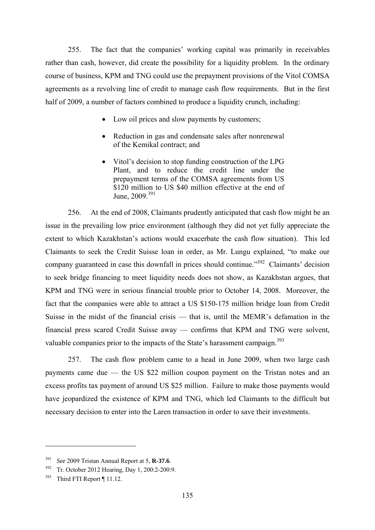255. The fact that the companies' working capital was primarily in receivables rather than cash, however, did create the possibility for a liquidity problem. In the ordinary course of business, KPM and TNG could use the prepayment provisions of the Vitol COMSA agreements as a revolving line of credit to manage cash flow requirements. But in the first half of 2009, a number of factors combined to produce a liquidity crunch, including:

- Low oil prices and slow payments by customers;
- Reduction in gas and condensate sales after nonrenewal of the Kemikal contract; and
- Vitol's decision to stop funding construction of the LPG Plant, and to reduce the credit line under the prepayment terms of the COMSA agreements from US \$120 million to US \$40 million effective at the end of June,  $2009.391$

256. At the end of 2008, Claimants prudently anticipated that cash flow might be an issue in the prevailing low price environment (although they did not yet fully appreciate the extent to which Kazakhstan's actions would exacerbate the cash flow situation). This led Claimants to seek the Credit Suisse loan in order, as Mr. Lungu explained, "to make our company guaranteed in case this downfall in prices should continue."<sup>392</sup> Claimants' decision to seek bridge financing to meet liquidity needs does not show, as Kazakhstan argues, that KPM and TNG were in serious financial trouble prior to October 14, 2008. Moreover, the fact that the companies were able to attract a US \$150-175 million bridge loan from Credit Suisse in the midst of the financial crisis — that is, until the MEMR's defamation in the financial press scared Credit Suisse away — confirms that KPM and TNG were solvent, valuable companies prior to the impacts of the State's harassment campaign.<sup>393</sup>

257. The cash flow problem came to a head in June 2009, when two large cash payments came due — the US \$22 million coupon payment on the Tristan notes and an excess profits tax payment of around US \$25 million. Failure to make those payments would have jeopardized the existence of KPM and TNG, which led Claimants to the difficult but necessary decision to enter into the Laren transaction in order to save their investments.

<sup>391</sup> *See* 2009 Tristan Annual Report at 5, **R-37.6**.

<sup>392</sup> Tr. October 2012 Hearing, Day 1, 200:2-200:9.

<sup>393</sup> Third FTI Report ¶ 11.12.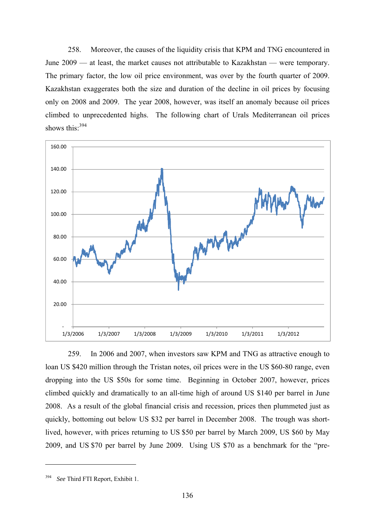258. Moreover, the causes of the liquidity crisis that KPM and TNG encountered in June 2009 — at least, the market causes not attributable to Kazakhstan — were temporary. The primary factor, the low oil price environment, was over by the fourth quarter of 2009. Kazakhstan exaggerates both the size and duration of the decline in oil prices by focusing only on 2008 and 2009. The year 2008, however, was itself an anomaly because oil prices climbed to unprecedented highs. The following chart of Urals Mediterranean oil prices shows this<sup>.394</sup>



259. In 2006 and 2007, when investors saw KPM and TNG as attractive enough to loan US \$420 million through the Tristan notes, oil prices were in the US \$60-80 range, even dropping into the US \$50s for some time. Beginning in October 2007, however, prices climbed quickly and dramatically to an all-time high of around US \$140 per barrel in June 2008. As a result of the global financial crisis and recession, prices then plummeted just as quickly, bottoming out below US \$32 per barrel in December 2008. The trough was shortlived, however, with prices returning to US \$50 per barrel by March 2009, US \$60 by May 2009, and US \$70 per barrel by June 2009. Using US \$70 as a benchmark for the "pre-

<sup>394</sup> *See* Third FTI Report, Exhibit 1.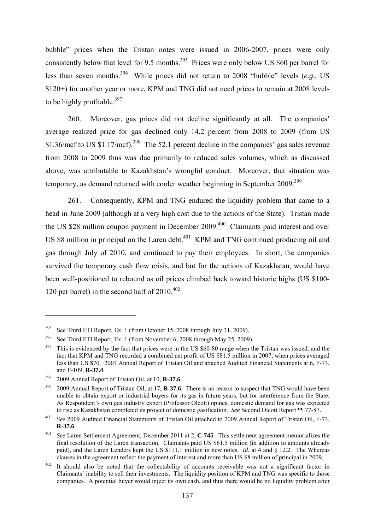bubble" prices when the Tristan notes were issued in 2006-2007, prices were only consistently below that level for 9.5 months.<sup>395</sup> Prices were only below US \$60 per barrel for less than seven months.396 While prices did not return to 2008 "bubble" levels (*e.g.*, US \$120+) for another year or more, KPM and TNG did not need prices to remain at 2008 levels to be highly profitable.<sup>397</sup>

260. Moreover, gas prices did not decline significantly at all. The companies' average realized price for gas declined only 14.2 percent from 2008 to 2009 (from US \$1.36/mcf to US \$1.17/mcf).<sup>398</sup> The 52.1 percent decline in the companies' gas sales revenue from 2008 to 2009 thus was due primarily to reduced sales volumes, which as discussed above, was attributable to Kazakhstan's wrongful conduct. Moreover, that situation was temporary, as demand returned with cooler weather beginning in September 2009.<sup>399</sup>

261. Consequently, KPM and TNG endured the liquidity problem that came to a head in June 2009 (although at a very high cost due to the actions of the State). Tristan made the US \$28 million coupon payment in December 2009.<sup>400</sup> Claimants paid interest and over US \$8 million in principal on the Laren debt.<sup>401</sup> KPM and TNG continued producing oil and gas through July of 2010, and continued to pay their employees. In short, the companies survived the temporary cash flow crisis, and but for the actions of Kazakhstan, would have been well-positioned to rebound as oil prices climbed back toward historic highs (US \$100- 120 per barrel) in the second half of  $2010^{402}$ 

<sup>&</sup>lt;sup>395</sup> See Third FTI Report, Ex. 1 (from October 15, 2008 through July 31, 2009).

<sup>&</sup>lt;sup>396</sup> See Third FTI Report, Ex. 1 (from November 6, 2008 through May 25, 2009).

 $397$  This is evidenced by the fact that prices were in the US \$60-80 range when the Tristan was issued, and the fact that KPM and TNG recorded a combined net profit of US \$81.5 million in 2007, when prices averaged less than US \$70. 2007 Annual Report of Tristan Oil and attached Audited Financial Statements at 6, F-73, and F-109, **R-37.4**. 398 2009 Annual Report of Tristan Oil, at 10, **R-37.6**.

<sup>&</sup>lt;sup>399</sup> 2009 Annual Report of Tristan Oil, at 17, **R-37.6**. There is no reason to suspect that TNG would have been unable to obtain export or industrial buyers for its gas in future years, but for interference from the State. As Respondent's own gas industry expert (Professor Olcott) opines, domestic demand for gas was expected to rise as Kazakhstan completed its project of domestic gasification. See Second Olcott Report  $\P$  77-87.

<sup>&</sup>lt;sup>400</sup> See 2009 Audited Financial Statements of Tristan Oil attached to 2009 Annual Report of Tristan Oil, F-73, **R-37.6**.

<sup>401</sup> *See* Laren Settlement Agreement, December 2011 at 2, **C-745**. This settlement agreement memorializes the final resolution of the Laren transaction. Claimants paid US \$61.5 million (in addition to amounts already paid), and the Laren Lenders kept the US \$111.1 million in new notes. *Id*. at 4 and § 12.2. The Whereas clauses in the agreement reflect the payment of interest and more than US \$8 million of principal in 2009. 402 It should also be noted that the collectability of accounts receivable was not a significant factor in

Claimants' inability to sell their investments. The liquidity position of KPM and TNG was specific to those companies. A potential buyer would inject its own cash, and thus there would be no liquidity problem after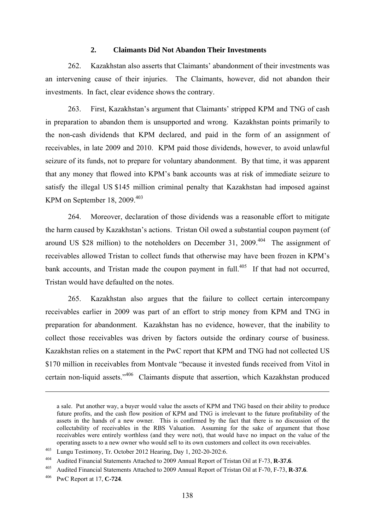#### **2. Claimants Did Not Abandon Their Investments**

262. Kazakhstan also asserts that Claimants' abandonment of their investments was an intervening cause of their injuries. The Claimants, however, did not abandon their investments. In fact, clear evidence shows the contrary.

263. First, Kazakhstan's argument that Claimants' stripped KPM and TNG of cash in preparation to abandon them is unsupported and wrong. Kazakhstan points primarily to the non-cash dividends that KPM declared, and paid in the form of an assignment of receivables, in late 2009 and 2010. KPM paid those dividends, however, to avoid unlawful seizure of its funds, not to prepare for voluntary abandonment. By that time, it was apparent that any money that flowed into KPM's bank accounts was at risk of immediate seizure to satisfy the illegal US \$145 million criminal penalty that Kazakhstan had imposed against KPM on September 18, 2009. $403$ 

264. Moreover, declaration of those dividends was a reasonable effort to mitigate the harm caused by Kazakhstan's actions. Tristan Oil owed a substantial coupon payment (of around US \$28 million) to the noteholders on December 31,  $2009$ .<sup>404</sup> The assignment of receivables allowed Tristan to collect funds that otherwise may have been frozen in KPM's bank accounts, and Tristan made the coupon payment in full.<sup>405</sup> If that had not occurred, Tristan would have defaulted on the notes.

265. Kazakhstan also argues that the failure to collect certain intercompany receivables earlier in 2009 was part of an effort to strip money from KPM and TNG in preparation for abandonment. Kazakhstan has no evidence, however, that the inability to collect those receivables was driven by factors outside the ordinary course of business. Kazakhstan relies on a statement in the PwC report that KPM and TNG had not collected US \$170 million in receivables from Montvale "because it invested funds received from Vitol in certain non-liquid assets."406 Claimants dispute that assertion, which Kazakhstan produced

a sale. Put another way, a buyer would value the assets of KPM and TNG based on their ability to produce future profits, and the cash flow position of KPM and TNG is irrelevant to the future profitability of the assets in the hands of a new owner. This is confirmed by the fact that there is no discussion of the collectability of receivables in the RBS Valuation. Assuming for the sake of argument that those receivables were entirely worthless (and they were not), that would have no impact on the value of the operating assets to a new owner who would sell to its own customers and collect its own receivables.

<sup>403</sup> Lungu Testimony, Tr. October 2012 Hearing, Day 1, 202-20-202:6.

<sup>404</sup> Audited Financial Statements Attached to 2009 Annual Report of Tristan Oil at F-73, **R-37.6**.

<sup>405</sup> Audited Financial Statements Attached to 2009 Annual Report of Tristan Oil at F-70, F-73, **R-37.6**. 406 PwC Report at 17, **C-724**.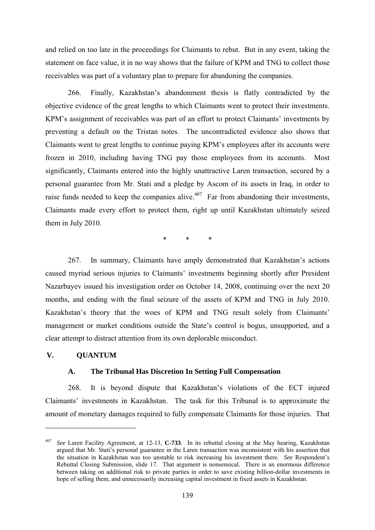and relied on too late in the proceedings for Claimants to rebut. But in any event, taking the statement on face value, it in no way shows that the failure of KPM and TNG to collect those receivables was part of a voluntary plan to prepare for abandoning the companies.

266. Finally, Kazakhstan's abandonment thesis is flatly contradicted by the objective evidence of the great lengths to which Claimants went to protect their investments. KPM's assignment of receivables was part of an effort to protect Claimants' investments by preventing a default on the Tristan notes. The uncontradicted evidence also shows that Claimants went to great lengths to continue paying KPM's employees after its accounts were frozen in 2010, including having TNG pay those employees from its accounts. Most significantly, Claimants entered into the highly unattractive Laren transaction, secured by a personal guarantee from Mr. Stati and a pledge by Ascom of its assets in Iraq, in order to raise funds needed to keep the companies alive.<sup> $407$ </sup> Far from abandoning their investments, Claimants made every effort to protect them, right up until Kazakhstan ultimately seized them in July 2010.

\* \* \*

267. In summary, Claimants have amply demonstrated that Kazakhstan's actions caused myriad serious injuries to Claimants' investments beginning shortly after President Nazarbayev issued his investigation order on October 14, 2008, continuing over the next 20 months, and ending with the final seizure of the assets of KPM and TNG in July 2010. Kazakhstan's theory that the woes of KPM and TNG result solely from Claimants' management or market conditions outside the State's control is bogus, unsupported, and a clear attempt to distract attention from its own deplorable misconduct.

#### **V. QUANTUM**

1

#### **A. The Tribunal Has Discretion In Setting Full Compensation**

268. It is beyond dispute that Kazakhstan's violations of the ECT injured Claimants' investments in Kazakhstan. The task for this Tribunal is to approximate the amount of monetary damages required to fully compensate Claimants for those injuries. That

<sup>407</sup> *See* Laren Facility Agreement, at 12-13, **C-733**. In its rebuttal closing at the May hearing, Kazakhstan argued that Mr. Stati's personal guarantee in the Laren transaction was inconsistent with his assertion that the situation in Kazakhstan was too unstable to risk increasing his investment there. *See* Respondent's Rebuttal Closing Submission, slide 17. That argument is nonsensical. There is an enormous difference between taking on additional risk to private parties in order to save existing billion-dollar investments in hope of selling them, and unnecessarily increasing capital investment in fixed assets in Kazakhstan.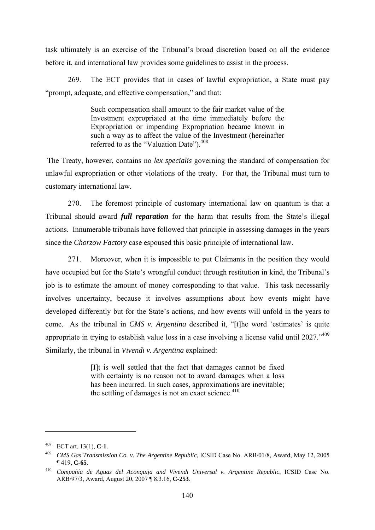task ultimately is an exercise of the Tribunal's broad discretion based on all the evidence before it, and international law provides some guidelines to assist in the process.

269. The ECT provides that in cases of lawful expropriation, a State must pay "prompt, adequate, and effective compensation," and that:

> Such compensation shall amount to the fair market value of the Investment expropriated at the time immediately before the Expropriation or impending Expropriation became known in such a way as to affect the value of the Investment (hereinafter referred to as the "Valuation Date").<sup>408</sup>

 The Treaty, however, contains no *lex specialis* governing the standard of compensation for unlawful expropriation or other violations of the treaty. For that, the Tribunal must turn to customary international law.

270. The foremost principle of customary international law on quantum is that a Tribunal should award *full reparation* for the harm that results from the State's illegal actions. Innumerable tribunals have followed that principle in assessing damages in the years since the *Chorzow Factory* case espoused this basic principle of international law.

271. Moreover, when it is impossible to put Claimants in the position they would have occupied but for the State's wrongful conduct through restitution in kind, the Tribunal's job is to estimate the amount of money corresponding to that value. This task necessarily involves uncertainty, because it involves assumptions about how events might have developed differently but for the State's actions, and how events will unfold in the years to come. As the tribunal in *CMS v. Argentina* described it, "[t]he word 'estimates' is quite appropriate in trying to establish value loss in a case involving a license valid until 2027.<sup>5409</sup> Similarly, the tribunal in *Vivendi v. Argentina* explained:

> [I]t is well settled that the fact that damages cannot be fixed with certainty is no reason not to award damages when a loss has been incurred. In such cases, approximations are inevitable; the settling of damages is not an exact science. $410$

<sup>408</sup> ECT art. 13(1), **C-1**.

<sup>409</sup> *CMS Gas Transmission Co. v. The Argentine Republic*, ICSID Case No. ARB/01/8, Award, May 12, 2005 ¶ 419, **C-65**.

<sup>410</sup> *Compañía de Aguas del Aconquija and Vivendi Universal v. Argentine Republic*, ICSID Case No. ARB/97/3, Award, August 20, 2007 ¶ 8.3.16, **C-253**.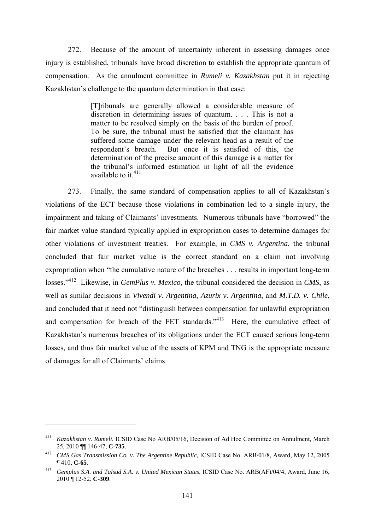272. Because of the amount of uncertainty inherent in assessing damages once injury is established, tribunals have broad discretion to establish the appropriate quantum of compensation. As the annulment committee in *Rumeli v. Kazakhstan* put it in rejecting Kazakhstan's challenge to the quantum determination in that case:

> [T]ribunals are generally allowed a considerable measure of discretion in determining issues of quantum. . . . This is not a matter to be resolved simply on the basis of the burden of proof. To be sure, the tribunal must be satisfied that the claimant has suffered some damage under the relevant head as a result of the respondent's breach. But once it is satisfied of this, the determination of the precise amount of this damage is a matter for the tribunal's informed estimation in light of all the evidence available to it  $411$

273. Finally, the same standard of compensation applies to all of Kazakhstan's violations of the ECT because those violations in combination led to a single injury, the impairment and taking of Claimants' investments. Numerous tribunals have "borrowed" the fair market value standard typically applied in expropriation cases to determine damages for other violations of investment treaties. For example, in *CMS v. Argentina*, the tribunal concluded that fair market value is the correct standard on a claim not involving expropriation when "the cumulative nature of the breaches . . . results in important long-term losses."412 Likewise, in *GemPlus v. Mexico*, the tribunal considered the decision in *CMS*, as well as similar decisions in *Vivendi v. Argentina*, *Azurix v. Argentina*, and *M.T.D. v. Chile*, and concluded that it need not "distinguish between compensation for unlawful expropriation and compensation for breach of the FET standards."<sup>413</sup> Here, the cumulative effect of Kazakhstan's numerous breaches of its obligations under the ECT caused serious long-term losses, and thus fair market value of the assets of KPM and TNG is the appropriate measure of damages for all of Claimants' claims

<sup>411</sup> *Kazakhstan v. Rumeli*, ICSID Case No ARB/05/16, Decision of Ad Hoc Committee on Annulment, March 25, 2010 ¶¶ 146-47, **C-735**.

<sup>412</sup> *CMS Gas Transmission Co. v. The Argentine Republic*, ICSID Case No. ARB/01/8, Award, May 12, 2005 ¶ 410, **C-65**.

<sup>413</sup> *Gemplus S.A. and Talsud S.A. v. United Mexican States*, ICSID Case No. ARB(AF)/04/4, Award, June 16, 2010 ¶ 12-52, **C-309**.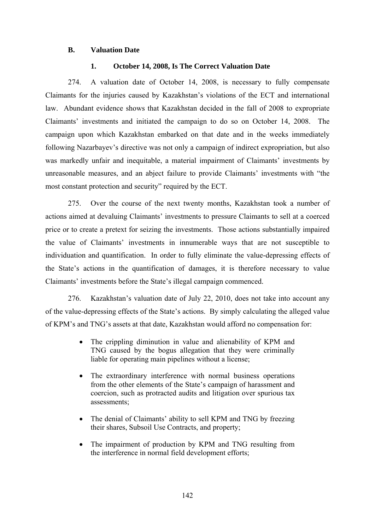## **B. Valuation Date**

## **1. October 14, 2008, Is The Correct Valuation Date**

274. A valuation date of October 14, 2008, is necessary to fully compensate Claimants for the injuries caused by Kazakhstan's violations of the ECT and international law. Abundant evidence shows that Kazakhstan decided in the fall of 2008 to expropriate Claimants' investments and initiated the campaign to do so on October 14, 2008. The campaign upon which Kazakhstan embarked on that date and in the weeks immediately following Nazarbayev's directive was not only a campaign of indirect expropriation, but also was markedly unfair and inequitable, a material impairment of Claimants' investments by unreasonable measures, and an abject failure to provide Claimants' investments with "the most constant protection and security" required by the ECT.

275. Over the course of the next twenty months, Kazakhstan took a number of actions aimed at devaluing Claimants' investments to pressure Claimants to sell at a coerced price or to create a pretext for seizing the investments. Those actions substantially impaired the value of Claimants' investments in innumerable ways that are not susceptible to individuation and quantification. In order to fully eliminate the value-depressing effects of the State's actions in the quantification of damages, it is therefore necessary to value Claimants' investments before the State's illegal campaign commenced.

276. Kazakhstan's valuation date of July 22, 2010, does not take into account any of the value-depressing effects of the State's actions. By simply calculating the alleged value of KPM's and TNG's assets at that date, Kazakhstan would afford no compensation for:

- The crippling diminution in value and alienability of KPM and TNG caused by the bogus allegation that they were criminally liable for operating main pipelines without a license;
- The extraordinary interference with normal business operations from the other elements of the State's campaign of harassment and coercion, such as protracted audits and litigation over spurious tax assessments;
- The denial of Claimants' ability to sell KPM and TNG by freezing their shares, Subsoil Use Contracts, and property;
- The impairment of production by KPM and TNG resulting from the interference in normal field development efforts;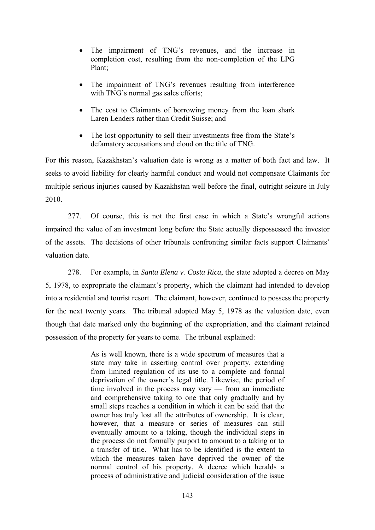- The impairment of TNG's revenues, and the increase in completion cost, resulting from the non-completion of the LPG Plant;
- The impairment of TNG's revenues resulting from interference with TNG's normal gas sales efforts;
- The cost to Claimants of borrowing money from the loan shark Laren Lenders rather than Credit Suisse; and
- The lost opportunity to sell their investments free from the State's defamatory accusations and cloud on the title of TNG.

For this reason, Kazakhstan's valuation date is wrong as a matter of both fact and law. It seeks to avoid liability for clearly harmful conduct and would not compensate Claimants for multiple serious injuries caused by Kazakhstan well before the final, outright seizure in July 2010.

277. Of course, this is not the first case in which a State's wrongful actions impaired the value of an investment long before the State actually dispossessed the investor of the assets. The decisions of other tribunals confronting similar facts support Claimants' valuation date.

278. For example, in *Santa Elena v. Costa Rica*, the state adopted a decree on May 5, 1978, to expropriate the claimant's property, which the claimant had intended to develop into a residential and tourist resort. The claimant, however, continued to possess the property for the next twenty years. The tribunal adopted May 5, 1978 as the valuation date, even though that date marked only the beginning of the expropriation, and the claimant retained possession of the property for years to come. The tribunal explained:

> As is well known, there is a wide spectrum of measures that a state may take in asserting control over property, extending from limited regulation of its use to a complete and formal deprivation of the owner's legal title. Likewise, the period of time involved in the process may vary — from an immediate and comprehensive taking to one that only gradually and by small steps reaches a condition in which it can be said that the owner has truly lost all the attributes of ownership. It is clear, however, that a measure or series of measures can still eventually amount to a taking, though the individual steps in the process do not formally purport to amount to a taking or to a transfer of title. What has to be identified is the extent to which the measures taken have deprived the owner of the normal control of his property. A decree which heralds a process of administrative and judicial consideration of the issue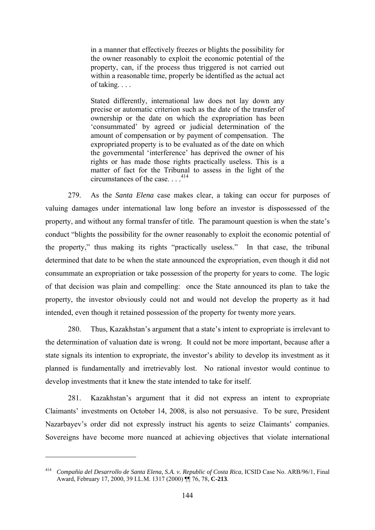in a manner that effectively freezes or blights the possibility for the owner reasonably to exploit the economic potential of the property, can, if the process thus triggered is not carried out within a reasonable time, properly be identified as the actual act of taking. . . .

Stated differently, international law does not lay down any precise or automatic criterion such as the date of the transfer of ownership or the date on which the expropriation has been 'consummated' by agreed or judicial determination of the amount of compensation or by payment of compensation. The expropriated property is to be evaluated as of the date on which the governmental 'interference' has deprived the owner of his rights or has made those rights practically useless. This is a matter of fact for the Tribunal to assess in the light of the circumstances of the case.  $414$ 

279. As the *Santa Elena* case makes clear, a taking can occur for purposes of valuing damages under international law long before an investor is dispossessed of the property, and without any formal transfer of title. The paramount question is when the state's conduct "blights the possibility for the owner reasonably to exploit the economic potential of the property," thus making its rights "practically useless." In that case, the tribunal determined that date to be when the state announced the expropriation, even though it did not consummate an expropriation or take possession of the property for years to come. The logic of that decision was plain and compelling: once the State announced its plan to take the property, the investor obviously could not and would not develop the property as it had intended, even though it retained possession of the property for twenty more years.

280. Thus, Kazakhstan's argument that a state's intent to expropriate is irrelevant to the determination of valuation date is wrong. It could not be more important, because after a state signals its intention to expropriate, the investor's ability to develop its investment as it planned is fundamentally and irretrievably lost. No rational investor would continue to develop investments that it knew the state intended to take for itself.

281. Kazakhstan's argument that it did not express an intent to expropriate Claimants' investments on October 14, 2008, is also not persuasive. To be sure, President Nazarbayev's order did not expressly instruct his agents to seize Claimants' companies. Sovereigns have become more nuanced at achieving objectives that violate international

<sup>414</sup> *Compañía del Desarrollo de Santa Elena, S.A. v. Republic of Costa Rica*, ICSID Case No. ARB/96/1, Final Award, February 17, 2000, 39 I.L.M. 1317 (2000) ¶¶ 76, 78, **C-213**.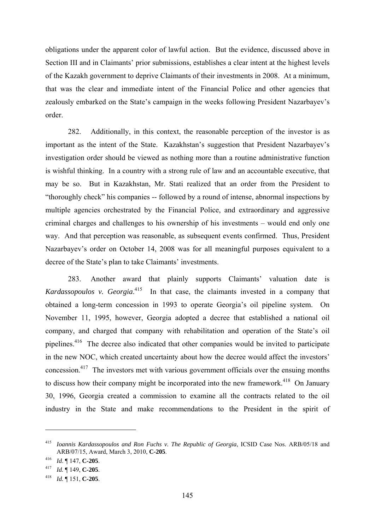obligations under the apparent color of lawful action. But the evidence, discussed above in Section III and in Claimants' prior submissions, establishes a clear intent at the highest levels of the Kazakh government to deprive Claimants of their investments in 2008. At a minimum, that was the clear and immediate intent of the Financial Police and other agencies that zealously embarked on the State's campaign in the weeks following President Nazarbayev's order.

282. Additionally, in this context, the reasonable perception of the investor is as important as the intent of the State. Kazakhstan's suggestion that President Nazarbayev's investigation order should be viewed as nothing more than a routine administrative function is wishful thinking. In a country with a strong rule of law and an accountable executive, that may be so. But in Kazakhstan, Mr. Stati realized that an order from the President to "thoroughly check" his companies -- followed by a round of intense, abnormal inspections by multiple agencies orchestrated by the Financial Police, and extraordinary and aggressive criminal charges and challenges to his ownership of his investments – would end only one way. And that perception was reasonable, as subsequent events confirmed. Thus, President Nazarbayev's order on October 14, 2008 was for all meaningful purposes equivalent to a decree of the State's plan to take Claimants' investments.

283. Another award that plainly supports Claimants' valuation date is Kardassopoulos v. Georgia.<sup>415</sup> In that case, the claimants invested in a company that obtained a long-term concession in 1993 to operate Georgia's oil pipeline system. On November 11, 1995, however, Georgia adopted a decree that established a national oil company, and charged that company with rehabilitation and operation of the State's oil pipelines.416 The decree also indicated that other companies would be invited to participate in the new NOC, which created uncertainty about how the decree would affect the investors' concession.417 The investors met with various government officials over the ensuing months to discuss how their company might be incorporated into the new framework.<sup>418</sup> On January 30, 1996, Georgia created a commission to examine all the contracts related to the oil industry in the State and make recommendations to the President in the spirit of

<sup>415</sup> *Ioannis Kardassopoulos and Ron Fuchs v. The Republic of Georgia*, ICSID Case Nos. ARB/05/18 and ARB/07/15, Award, March 3, 2010, **C-205**. 416 *Id*. ¶ 147, **C-205**.

<sup>417</sup>*Id.* ¶ 149, **C-205**. 418 *Id.* ¶ 151, **C-205**.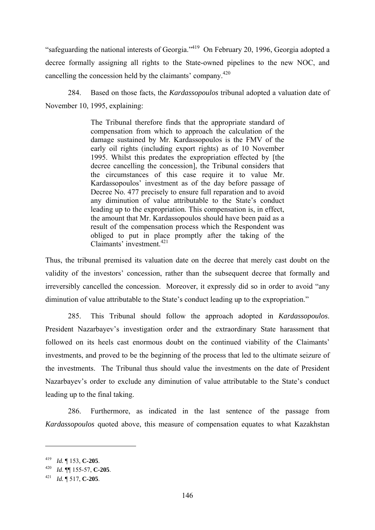"safeguarding the national interests of Georgia."419 On February 20, 1996, Georgia adopted a decree formally assigning all rights to the State-owned pipelines to the new NOC, and cancelling the concession held by the claimants' company.<sup>420</sup>

284. Based on those facts, the *Kardassopoulos* tribunal adopted a valuation date of November 10, 1995, explaining:

> The Tribunal therefore finds that the appropriate standard of compensation from which to approach the calculation of the damage sustained by Mr. Kardassopoulos is the FMV of the early oil rights (including export rights) as of 10 November 1995. Whilst this predates the expropriation effected by [the decree cancelling the concession], the Tribunal considers that the circumstances of this case require it to value Mr. Kardassopoulos' investment as of the day before passage of Decree No. 477 precisely to ensure full reparation and to avoid any diminution of value attributable to the State's conduct leading up to the expropriation. This compensation is, in effect, the amount that Mr. Kardassopoulos should have been paid as a result of the compensation process which the Respondent was obliged to put in place promptly after the taking of the Claimants' investment.<sup>421</sup>

Thus, the tribunal premised its valuation date on the decree that merely cast doubt on the validity of the investors' concession, rather than the subsequent decree that formally and irreversibly cancelled the concession. Moreover, it expressly did so in order to avoid "any diminution of value attributable to the State's conduct leading up to the expropriation."

285. This Tribunal should follow the approach adopted in *Kardassopoulos*. President Nazarbayev's investigation order and the extraordinary State harassment that followed on its heels cast enormous doubt on the continued viability of the Claimants' investments, and proved to be the beginning of the process that led to the ultimate seizure of the investments. The Tribunal thus should value the investments on the date of President Nazarbayev's order to exclude any diminution of value attributable to the State's conduct leading up to the final taking.

286. Furthermore, as indicated in the last sentence of the passage from *Kardassopoulos* quoted above, this measure of compensation equates to what Kazakhstan

<sup>419</sup> *Id.* ¶ 153, **C-205**.

<sup>420</sup>*Id*. ¶¶ 155-57, **C-205**. 421 *Id.* ¶ 517, **C-205**.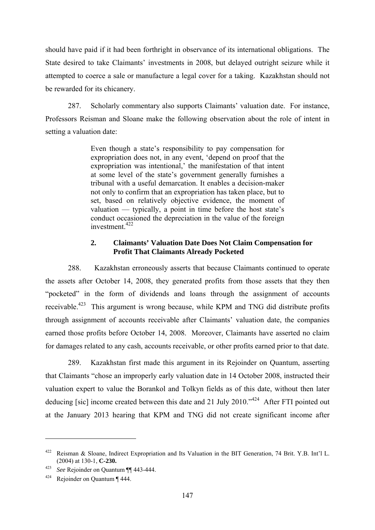should have paid if it had been forthright in observance of its international obligations. The State desired to take Claimants' investments in 2008, but delayed outright seizure while it attempted to coerce a sale or manufacture a legal cover for a taking. Kazakhstan should not be rewarded for its chicanery.

287. Scholarly commentary also supports Claimants' valuation date. For instance, Professors Reisman and Sloane make the following observation about the role of intent in setting a valuation date:

> Even though a state's responsibility to pay compensation for expropriation does not, in any event, 'depend on proof that the expropriation was intentional,' the manifestation of that intent at some level of the state's government generally furnishes a tribunal with a useful demarcation. It enables a decision-maker not only to confirm that an expropriation has taken place, but to set, based on relatively objective evidence, the moment of valuation — typically, a point in time before the host state's conduct occasioned the depreciation in the value of the foreign  $investment<sup>422</sup>$

## **2. Claimants' Valuation Date Does Not Claim Compensation for Profit That Claimants Already Pocketed**

288. Kazakhstan erroneously asserts that because Claimants continued to operate the assets after October 14, 2008, they generated profits from those assets that they then "pocketed" in the form of dividends and loans through the assignment of accounts receivable.<sup>423</sup> This argument is wrong because, while KPM and TNG did distribute profits through assignment of accounts receivable after Claimants' valuation date, the companies earned those profits before October 14, 2008. Moreover, Claimants have asserted no claim for damages related to any cash, accounts receivable, or other profits earned prior to that date.

289. Kazakhstan first made this argument in its Rejoinder on Quantum, asserting that Claimants "chose an improperly early valuation date in 14 October 2008, instructed their valuation expert to value the Borankol and Tolkyn fields as of this date, without then later deducing [sic] income created between this date and 21 July 2010."<sup>424</sup> After FTI pointed out at the January 2013 hearing that KPM and TNG did not create significant income after

<sup>422</sup> Reisman & Sloane, Indirect Expropriation and Its Valuation in the BIT Generation, 74 Brit. Y.B. Int'l L. (2004) at 130-1, **C-230.**

<sup>423</sup>*See* Rejoinder on Quantum ¶¶ 443-444. 424 Rejoinder on Quantum ¶ 444.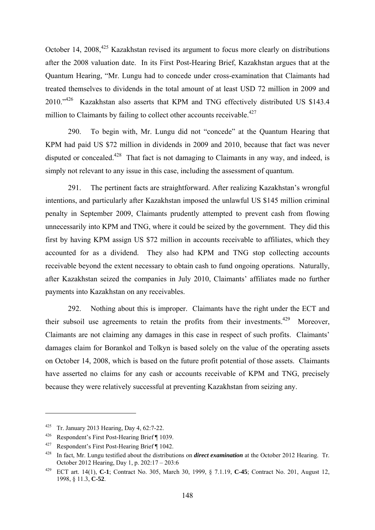October 14, 2008,  $425$  Kazakhstan revised its argument to focus more clearly on distributions after the 2008 valuation date. In its First Post-Hearing Brief, Kazakhstan argues that at the Quantum Hearing, "Mr. Lungu had to concede under cross-examination that Claimants had treated themselves to dividends in the total amount of at least USD 72 million in 2009 and 2010."<sup>426</sup> Kazakhstan also asserts that KPM and TNG effectively distributed US \$143.4 million to Claimants by failing to collect other accounts receivable.<sup> $427$ </sup>

290. To begin with, Mr. Lungu did not "concede" at the Quantum Hearing that KPM had paid US \$72 million in dividends in 2009 and 2010, because that fact was never disputed or concealed.<sup>428</sup> That fact is not damaging to Claimants in any way, and indeed, is simply not relevant to any issue in this case, including the assessment of quantum.

291. The pertinent facts are straightforward. After realizing Kazakhstan's wrongful intentions, and particularly after Kazakhstan imposed the unlawful US \$145 million criminal penalty in September 2009, Claimants prudently attempted to prevent cash from flowing unnecessarily into KPM and TNG, where it could be seized by the government. They did this first by having KPM assign US \$72 million in accounts receivable to affiliates, which they accounted for as a dividend. They also had KPM and TNG stop collecting accounts receivable beyond the extent necessary to obtain cash to fund ongoing operations. Naturally, after Kazakhstan seized the companies in July 2010, Claimants' affiliates made no further payments into Kazakhstan on any receivables.

292. Nothing about this is improper. Claimants have the right under the ECT and their subsoil use agreements to retain the profits from their investments.<sup>429</sup> Moreover, Claimants are not claiming any damages in this case in respect of such profits. Claimants' damages claim for Borankol and Tolkyn is based solely on the value of the operating assets on October 14, 2008, which is based on the future profit potential of those assets. Claimants have asserted no claims for any cash or accounts receivable of KPM and TNG, precisely because they were relatively successful at preventing Kazakhstan from seizing any.

<sup>425</sup> Tr. January 2013 Hearing, Day 4, 62:7-22.

<sup>426</sup> Respondent's First Post-Hearing Brief ¶ 1039.

<sup>427</sup> Respondent's First Post-Hearing Brief ¶ 1042.

<sup>428</sup> In fact, Mr. Lungu testified about the distributions on *direct examination* at the October 2012 Hearing. Tr. October 2012 Hearing, Day 1, p. 202:17 – 203:6

<sup>429</sup> ECT art. 14(1), **C-1**; Contract No. 305, March 30, 1999, § 7.1.19, **C-45**; Contract No. 201, August 12, 1998, § 11.3, **C-52**.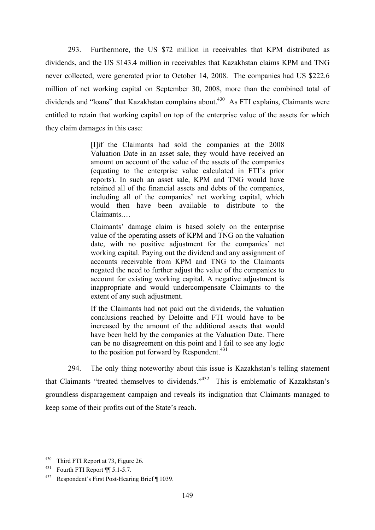293. Furthermore, the US \$72 million in receivables that KPM distributed as dividends, and the US \$143.4 million in receivables that Kazakhstan claims KPM and TNG never collected, were generated prior to October 14, 2008. The companies had US \$222.6 million of net working capital on September 30, 2008, more than the combined total of dividends and "loans" that Kazakhstan complains about.<sup>430</sup> As FTI explains, Claimants were entitled to retain that working capital on top of the enterprise value of the assets for which they claim damages in this case:

> [I]if the Claimants had sold the companies at the 2008 Valuation Date in an asset sale, they would have received an amount on account of the value of the assets of the companies (equating to the enterprise value calculated in FTI's prior reports). In such an asset sale, KPM and TNG would have retained all of the financial assets and debts of the companies, including all of the companies' net working capital, which would then have been available to distribute to the Claimants.…

> Claimants' damage claim is based solely on the enterprise value of the operating assets of KPM and TNG on the valuation date, with no positive adjustment for the companies' net working capital. Paying out the dividend and any assignment of accounts receivable from KPM and TNG to the Claimants negated the need to further adjust the value of the companies to account for existing working capital. A negative adjustment is inappropriate and would undercompensate Claimants to the extent of any such adjustment.

> If the Claimants had not paid out the dividends, the valuation conclusions reached by Deloitte and FTI would have to be increased by the amount of the additional assets that would have been held by the companies at the Valuation Date. There can be no disagreement on this point and I fail to see any logic to the position put forward by Respondent.<sup>431</sup>

294. The only thing noteworthy about this issue is Kazakhstan's telling statement that Claimants "treated themselves to dividends."432 This is emblematic of Kazakhstan's groundless disparagement campaign and reveals its indignation that Claimants managed to keep some of their profits out of the State's reach.

<sup>430</sup> Third FTI Report at 73, Figure 26.

 $431$  Fourth FTI Report ¶ 5.1-5.7.

<sup>432</sup> Respondent's First Post-Hearing Brief ¶ 1039.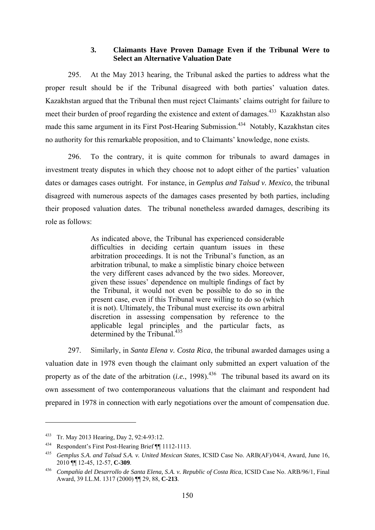## **3. Claimants Have Proven Damage Even if the Tribunal Were to Select an Alternative Valuation Date**

295. At the May 2013 hearing, the Tribunal asked the parties to address what the proper result should be if the Tribunal disagreed with both parties' valuation dates. Kazakhstan argued that the Tribunal then must reject Claimants' claims outright for failure to meet their burden of proof regarding the existence and extent of damages.<sup>433</sup> Kazakhstan also made this same argument in its First Post-Hearing Submission.<sup>434</sup> Notably, Kazakhstan cites no authority for this remarkable proposition, and to Claimants' knowledge, none exists.

296. To the contrary, it is quite common for tribunals to award damages in investment treaty disputes in which they choose not to adopt either of the parties' valuation dates or damages cases outright. For instance, in *Gemplus and Talsud v. Mexico*, the tribunal disagreed with numerous aspects of the damages cases presented by both parties, including their proposed valuation dates. The tribunal nonetheless awarded damages, describing its role as follows:

> As indicated above, the Tribunal has experienced considerable difficulties in deciding certain quantum issues in these arbitration proceedings. It is not the Tribunal's function, as an arbitration tribunal, to make a simplistic binary choice between the very different cases advanced by the two sides. Moreover, given these issues' dependence on multiple findings of fact by the Tribunal, it would not even be possible to do so in the present case, even if this Tribunal were willing to do so (which it is not). Ultimately, the Tribunal must exercise its own arbitral discretion in assessing compensation by reference to the applicable legal principles and the particular facts, as determined by the Tribunal.<sup>435</sup>

297. Similarly, in *Santa Elena v. Costa Rica*, the tribunal awarded damages using a valuation date in 1978 even though the claimant only submitted an expert valuation of the property as of the date of the arbitration  $(i.e., 1998)$ .<sup>436</sup> The tribunal based its award on its own assessment of two contemporaneous valuations that the claimant and respondent had prepared in 1978 in connection with early negotiations over the amount of compensation due.

<sup>433</sup> Tr. May 2013 Hearing, Day 2, 92:4-93:12.

<sup>434</sup> Respondent's First Post-Hearing Brief ¶¶ 1112-1113.

<sup>435</sup> *Gemplus S.A. and Talsud S.A. v. United Mexican States*, ICSID Case No. ARB(AF)/04/4, Award, June 16, 2010 ¶¶ 12-45, 12-57, **C-309**.

<sup>436</sup> *Compañía del Desarrollo de Santa Elena, S.A. v. Republic of Costa Rica*, ICSID Case No. ARB/96/1, Final Award, 39 I.L.M. 1317 (2000) ¶¶ 29, 88, **C-213**.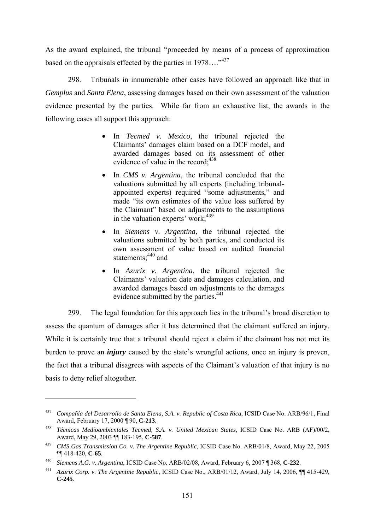As the award explained, the tribunal "proceeded by means of a process of approximation based on the appraisals effected by the parties in  $1978...$ <sup>437</sup>

298. Tribunals in innumerable other cases have followed an approach like that in *Gemplus* and *Santa Elena*, assessing damages based on their own assessment of the valuation evidence presented by the parties. While far from an exhaustive list, the awards in the following cases all support this approach:

- In *Tecmed v. Mexico*, the tribunal rejected the Claimants' damages claim based on a DCF model, and awarded damages based on its assessment of other evidence of value in the record;  $438$
- In *CMS v. Argentina*, the tribunal concluded that the valuations submitted by all experts (including tribunalappointed experts) required "some adjustments," and made "its own estimates of the value loss suffered by the Claimant" based on adjustments to the assumptions in the valuation experts' work;  $439$
- In *Siemens v. Argentina*, the tribunal rejected the valuations submitted by both parties, and conducted its own assessment of value based on audited financial statements;<sup>440</sup> and
- In *Azurix v. Argentina*, the tribunal rejected the Claimants' valuation date and damages calculation, and awarded damages based on adjustments to the damages evidence submitted by the parties.<sup>441</sup>

299. The legal foundation for this approach lies in the tribunal's broad discretion to assess the quantum of damages after it has determined that the claimant suffered an injury. While it is certainly true that a tribunal should reject a claim if the claimant has not met its burden to prove an *injury* caused by the state's wrongful actions, once an injury is proven, the fact that a tribunal disagrees with aspects of the Claimant's valuation of that injury is no basis to deny relief altogether.

<sup>437</sup> *Compañía del Desarrollo de Santa Elena, S.A. v. Republic of Costa Rica*, ICSID Case No. ARB/96/1, Final Award, February 17, 2000 ¶ 90, **C-213**.

<sup>438</sup> *Técnicas Medioambientales Tecmed, S.A. v. United Mexican States*, ICSID Case No. ARB (AF)/00/2, Award, May 29, 2003 ¶¶ 183-195, **C-587**.

<sup>439</sup> *CMS Gas Transmission Co. v. The Argentine Republic*, ICSID Case No. ARB/01/8, Award, May 22, 2005 ¶¶ 418-420, **C-65**. 440 *Siemens A.G. v. Argentina*, ICSID Case No. ARB/02/08, Award, February 6, 2007 ¶ 368, **C-232**.

<sup>441</sup> *Azurix Corp. v. The Argentine Republic*, ICSID Case No., ARB/01/12, Award, July 14, 2006, ¶¶ 415-429, **C-245**.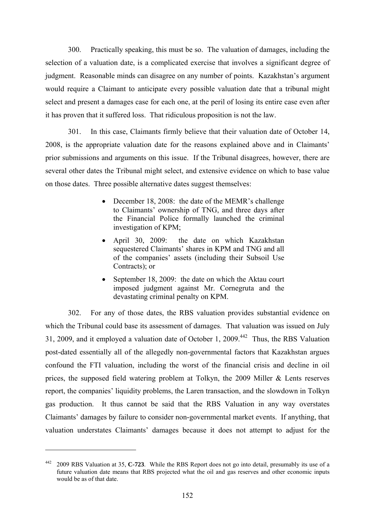300. Practically speaking, this must be so. The valuation of damages, including the selection of a valuation date, is a complicated exercise that involves a significant degree of judgment. Reasonable minds can disagree on any number of points. Kazakhstan's argument would require a Claimant to anticipate every possible valuation date that a tribunal might select and present a damages case for each one, at the peril of losing its entire case even after it has proven that it suffered loss. That ridiculous proposition is not the law.

301. In this case, Claimants firmly believe that their valuation date of October 14, 2008, is the appropriate valuation date for the reasons explained above and in Claimants' prior submissions and arguments on this issue. If the Tribunal disagrees, however, there are several other dates the Tribunal might select, and extensive evidence on which to base value on those dates. Three possible alternative dates suggest themselves:

- December 18, 2008: the date of the MEMR's challenge to Claimants' ownership of TNG, and three days after the Financial Police formally launched the criminal investigation of KPM;
- April 30, 2009: the date on which Kazakhstan sequestered Claimants' shares in KPM and TNG and all of the companies' assets (including their Subsoil Use Contracts); or
- September 18, 2009: the date on which the Aktau court imposed judgment against Mr. Cornegruta and the devastating criminal penalty on KPM.

302. For any of those dates, the RBS valuation provides substantial evidence on which the Tribunal could base its assessment of damages. That valuation was issued on July 31, 2009, and it employed a valuation date of October 1, 2009.442 Thus, the RBS Valuation post-dated essentially all of the allegedly non-governmental factors that Kazakhstan argues confound the FTI valuation, including the worst of the financial crisis and decline in oil prices, the supposed field watering problem at Tolkyn, the 2009 Miller & Lents reserves report, the companies' liquidity problems, the Laren transaction, and the slowdown in Tolkyn gas production. It thus cannot be said that the RBS Valuation in any way overstates Claimants' damages by failure to consider non-governmental market events. If anything, that valuation understates Claimants' damages because it does not attempt to adjust for the

<sup>442 2009</sup> RBS Valuation at 35, **C-723**. While the RBS Report does not go into detail, presumably its use of a future valuation date means that RBS projected what the oil and gas reserves and other economic inputs would be as of that date.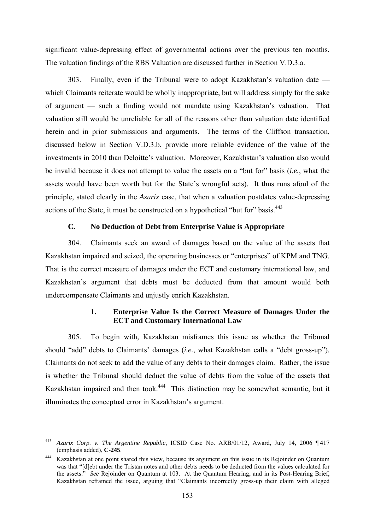significant value-depressing effect of governmental actions over the previous ten months. The valuation findings of the RBS Valuation are discussed further in Section V.D.3.a.

303. Finally, even if the Tribunal were to adopt Kazakhstan's valuation date which Claimants reiterate would be wholly inappropriate, but will address simply for the sake of argument — such a finding would not mandate using Kazakhstan's valuation. That valuation still would be unreliable for all of the reasons other than valuation date identified herein and in prior submissions and arguments. The terms of the Cliffson transaction, discussed below in Section V.D.3.b, provide more reliable evidence of the value of the investments in 2010 than Deloitte's valuation. Moreover, Kazakhstan's valuation also would be invalid because it does not attempt to value the assets on a "but for" basis (*i.e.*, what the assets would have been worth but for the State's wrongful acts). It thus runs afoul of the principle, stated clearly in the *Azurix* case, that when a valuation postdates value-depressing actions of the State, it must be constructed on a hypothetical "but for" basis.<sup>443</sup>

## **C. No Deduction of Debt from Enterprise Value is Appropriate**

304. Claimants seek an award of damages based on the value of the assets that Kazakhstan impaired and seized, the operating businesses or "enterprises" of KPM and TNG. That is the correct measure of damages under the ECT and customary international law, and Kazakhstan's argument that debts must be deducted from that amount would both undercompensate Claimants and unjustly enrich Kazakhstan.

## **1. Enterprise Value Is the Correct Measure of Damages Under the ECT and Customary International Law**

305. To begin with, Kazakhstan misframes this issue as whether the Tribunal should "add" debts to Claimants' damages (*i.e.*, what Kazakhstan calls a "debt gross-up"). Claimants do not seek to add the value of any debts to their damages claim. Rather, the issue is whether the Tribunal should deduct the value of debts from the value of the assets that Kazakhstan impaired and then took.<sup>444</sup> This distinction may be somewhat semantic, but it illuminates the conceptual error in Kazakhstan's argument.

<sup>443</sup> *Azurix Corp. v. The Argentine Republic*, ICSID Case No. ARB/01/12, Award, July 14, 2006 ¶ 417 (emphasis added), **C-245**.

<sup>444</sup> Kazakhstan at one point shared this view, because its argument on this issue in its Rejoinder on Quantum was that "[d]ebt under the Tristan notes and other debts needs to be deducted from the values calculated for the assets." *See* Rejoinder on Quantum at 103. At the Quantum Hearing, and in its Post-Hearing Brief, Kazakhstan reframed the issue, arguing that "Claimants incorrectly gross-up their claim with alleged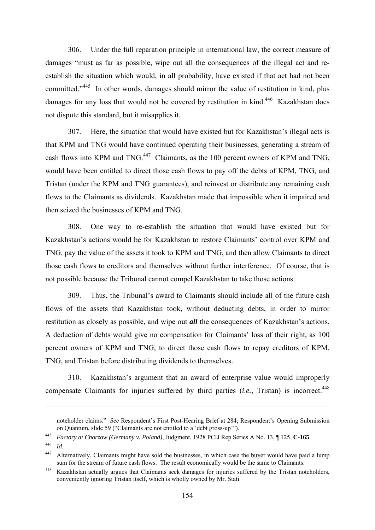306. Under the full reparation principle in international law, the correct measure of damages "must as far as possible, wipe out all the consequences of the illegal act and reestablish the situation which would, in all probability, have existed if that act had not been committed."<sup>445</sup> In other words, damages should mirror the value of restitution in kind, plus damages for any loss that would not be covered by restitution in kind.<sup>446</sup> Kazakhstan does not dispute this standard, but it misapplies it.

307. Here, the situation that would have existed but for Kazakhstan's illegal acts is that KPM and TNG would have continued operating their businesses, generating a stream of cash flows into KPM and TNG.<sup>447</sup> Claimants, as the 100 percent owners of KPM and TNG, would have been entitled to direct those cash flows to pay off the debts of KPM, TNG, and Tristan (under the KPM and TNG guarantees), and reinvest or distribute any remaining cash flows to the Claimants as dividends. Kazakhstan made that impossible when it impaired and then seized the businesses of KPM and TNG.

308. One way to re-establish the situation that would have existed but for Kazakhstan's actions would be for Kazakhstan to restore Claimants' control over KPM and TNG, pay the value of the assets it took to KPM and TNG, and then allow Claimants to direct those cash flows to creditors and themselves without further interference. Of course, that is not possible because the Tribunal cannot compel Kazakhstan to take those actions.

309. Thus, the Tribunal's award to Claimants should include all of the future cash flows of the assets that Kazakhstan took, without deducting debts, in order to mirror restitution as closely as possible, and wipe out *all* the consequences of Kazakhstan's actions. A deduction of debts would give no compensation for Claimants' loss of their right, as 100 percent owners of KPM and TNG, to direct those cash flows to repay creditors of KPM, TNG, and Tristan before distributing dividends to themselves.

310. Kazakhstan's argument that an award of enterprise value would improperly compensate Claimants for injuries suffered by third parties (*i.e.*, Tristan) is incorrect.<sup>448</sup>

noteholder claims." *See* Respondent's First Post-Hearing Brief at 284; Respondent's Opening Submission on Quantum, slide 59 ("Claimants are not entitled to a 'debt gross-up'"). 445 *Factory at Chorzow (Germany v. Poland)*, Judgment, 1928 PCIJ Rep Series A No. 13, ¶ 125, **C-165**.

<sup>446</sup> *Id.*

<sup>&</sup>lt;sup>447</sup> Alternatively, Claimants might have sold the businesses, in which case the buyer would have paid a lump sum for the stream of future cash flows. The result economically would be the same to Claimants.

<sup>448</sup> Kazakhstan actually argues that Claimants seek damages for injuries suffered by the Tristan noteholders, conveniently ignoring Tristan itself, which is wholly owned by Mr. Stati.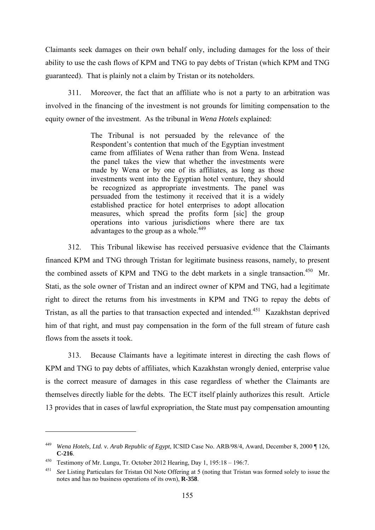Claimants seek damages on their own behalf only, including damages for the loss of their ability to use the cash flows of KPM and TNG to pay debts of Tristan (which KPM and TNG guaranteed). That is plainly not a claim by Tristan or its noteholders.

311. Moreover, the fact that an affiliate who is not a party to an arbitration was involved in the financing of the investment is not grounds for limiting compensation to the equity owner of the investment. As the tribunal in *Wena Hotels* explained:

> The Tribunal is not persuaded by the relevance of the Respondent's contention that much of the Egyptian investment came from affiliates of Wena rather than from Wena. Instead the panel takes the view that whether the investments were made by Wena or by one of its affiliates, as long as those investments went into the Egyptian hotel venture, they should be recognized as appropriate investments. The panel was persuaded from the testimony it received that it is a widely established practice for hotel enterprises to adopt allocation measures, which spread the profits form [sic] the group operations into various jurisdictions where there are tax advantages to the group as a whole.<sup>449</sup>

312. This Tribunal likewise has received persuasive evidence that the Claimants financed KPM and TNG through Tristan for legitimate business reasons, namely, to present the combined assets of KPM and TNG to the debt markets in a single transaction.<sup>450</sup> Mr. Stati, as the sole owner of Tristan and an indirect owner of KPM and TNG, had a legitimate right to direct the returns from his investments in KPM and TNG to repay the debts of Tristan, as all the parties to that transaction expected and intended.<sup>451</sup> Kazakhstan deprived him of that right, and must pay compensation in the form of the full stream of future cash flows from the assets it took.

313. Because Claimants have a legitimate interest in directing the cash flows of KPM and TNG to pay debts of affiliates, which Kazakhstan wrongly denied, enterprise value is the correct measure of damages in this case regardless of whether the Claimants are themselves directly liable for the debts. The ECT itself plainly authorizes this result. Article 13 provides that in cases of lawful expropriation, the State must pay compensation amounting

<sup>449</sup> *Wena Hotels, Ltd. v. Arab Republic of Egypt*, ICSID Case No. ARB/98/4, Award, December 8, 2000 ¶ 126,

<sup>&</sup>lt;sup>450</sup> Testimony of Mr. Lungu, Tr. October 2012 Hearing, Day 1, 195:18 - 196:7.

See Listing Particulars for Tristan Oil Note Offering at 5 (noting that Tristan was formed solely to issue the notes and has no business operations of its own), **R-358**.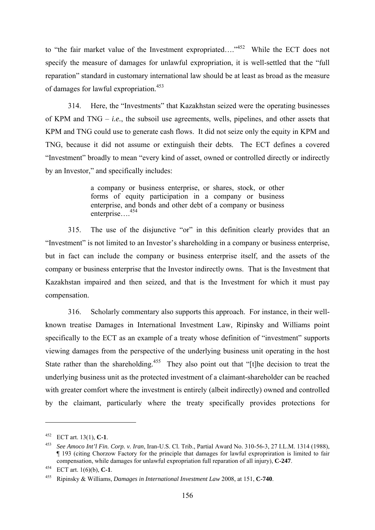to "the fair market value of the Investment expropriated...."<sup>452</sup> While the ECT does not specify the measure of damages for unlawful expropriation, it is well-settled that the "full reparation" standard in customary international law should be at least as broad as the measure of damages for lawful expropriation.453

314. Here, the "Investments" that Kazakhstan seized were the operating businesses of KPM and TNG – *i.e.*, the subsoil use agreements, wells, pipelines, and other assets that KPM and TNG could use to generate cash flows. It did not seize only the equity in KPM and TNG, because it did not assume or extinguish their debts. The ECT defines a covered "Investment" broadly to mean "every kind of asset, owned or controlled directly or indirectly by an Investor," and specifically includes:

> a company or business enterprise, or shares, stock, or other forms of equity participation in a company or business enterprise, and bonds and other debt of a company or business enterprise….454

315. The use of the disjunctive "or" in this definition clearly provides that an "Investment" is not limited to an Investor's shareholding in a company or business enterprise, but in fact can include the company or business enterprise itself, and the assets of the company or business enterprise that the Investor indirectly owns. That is the Investment that Kazakhstan impaired and then seized, and that is the Investment for which it must pay compensation.

316. Scholarly commentary also supports this approach. For instance, in their wellknown treatise Damages in International Investment Law, Ripinsky and Williams point specifically to the ECT as an example of a treaty whose definition of "investment" supports viewing damages from the perspective of the underlying business unit operating in the host State rather than the shareholding.<sup>455</sup> They also point out that "[t]he decision to treat the underlying business unit as the protected investment of a claimant-shareholder can be reached with greater comfort where the investment is entirely (albeit indirectly) owned and controlled by the claimant, particularly where the treaty specifically provides protections for

<sup>452</sup> ECT art. 13(1), **C-1**.

<sup>453</sup> *See Amoco Int'l Fin. Corp. v. Iran*, Iran-U.S. Cl. Trib., Partial Award No. 310-56-3, 27 I.L.M. 1314 (1988), ¶ 193 (citing Chorzow Factory for the principle that damages for lawful expropriration is limited to fair compensation, while damages for unlawful expropriation full reparation of all injury), **C-247**.

<sup>454</sup> ECT art. 1(6)(b), **C-1**. 455 Ripinsky & Williams, *Damages in International Investment Law* 2008, at 151, **C-740**.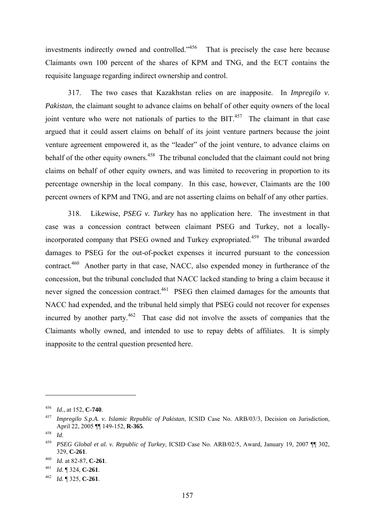investments indirectly owned and controlled."<sup>456</sup> That is precisely the case here because Claimants own 100 percent of the shares of KPM and TNG, and the ECT contains the requisite language regarding indirect ownership and control.

317. The two cases that Kazakhstan relies on are inapposite. In *Impregilo v. Pakistan*, the claimant sought to advance claims on behalf of other equity owners of the local joint venture who were not nationals of parties to the  $BIT<sub>457</sub>$  The claimant in that case argued that it could assert claims on behalf of its joint venture partners because the joint venture agreement empowered it, as the "leader" of the joint venture, to advance claims on behalf of the other equity owners.<sup>458</sup> The tribunal concluded that the claimant could not bring claims on behalf of other equity owners, and was limited to recovering in proportion to its percentage ownership in the local company. In this case, however, Claimants are the 100 percent owners of KPM and TNG, and are not asserting claims on behalf of any other parties.

318. Likewise, *PSEG v. Turkey* has no application here. The investment in that case was a concession contract between claimant PSEG and Turkey, not a locallyincorporated company that PSEG owned and Turkey expropriated.<sup>459</sup> The tribunal awarded damages to PSEG for the out-of-pocket expenses it incurred pursuant to the concession contract.<sup>460</sup> Another party in that case, NACC, also expended money in furtherance of the concession, but the tribunal concluded that NACC lacked standing to bring a claim because it never signed the concession contract.<sup>461</sup> PSEG then claimed damages for the amounts that NACC had expended, and the tribunal held simply that PSEG could not recover for expenses incurred by another party.<sup> $462$ </sup> That case did not involve the assets of companies that the Claimants wholly owned, and intended to use to repay debts of affiliates. It is simply inapposite to the central question presented here.

<sup>456</sup>*Id.*, at 152, **C-740**. 457 *Impregilo S.p.A. v. Islamic Republic of Pakistan*, ICSID Case No. ARB/03/3, Decision on Jurisdiction, April 22, 2005 ¶¶ 149-152, **R-365**. 458 *Id*.

<sup>459</sup> *PSEG Global et al. v. Republic of Turkey*, ICSID Case No. ARB/02/5, Award, January 19, 2007 ¶¶ 302, 329, **C-261**. 460 *Id.* at 82-87, **C-261**.

<sup>461</sup>*Id.* ¶ 324, **C-261**. 462 *Id.* ¶ 325, **C-261**.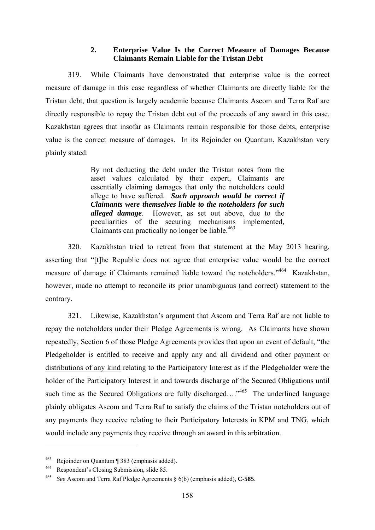## **2. Enterprise Value Is the Correct Measure of Damages Because Claimants Remain Liable for the Tristan Debt**

319. While Claimants have demonstrated that enterprise value is the correct measure of damage in this case regardless of whether Claimants are directly liable for the Tristan debt, that question is largely academic because Claimants Ascom and Terra Raf are directly responsible to repay the Tristan debt out of the proceeds of any award in this case. Kazakhstan agrees that insofar as Claimants remain responsible for those debts, enterprise value is the correct measure of damages. In its Rejoinder on Quantum, Kazakhstan very plainly stated:

> By not deducting the debt under the Tristan notes from the asset values calculated by their expert, Claimants are essentially claiming damages that only the noteholders could allege to have suffered. *Such approach would be correct if Claimants were themselves liable to the noteholders for such alleged damage*. However, as set out above, due to the peculiarities of the securing mechanisms implemented, Claimants can practically no longer be liable.<sup>463</sup>

320. Kazakhstan tried to retreat from that statement at the May 2013 hearing, asserting that "[t]he Republic does not agree that enterprise value would be the correct measure of damage if Claimants remained liable toward the noteholders."464 Kazakhstan, however, made no attempt to reconcile its prior unambiguous (and correct) statement to the contrary.

321. Likewise, Kazakhstan's argument that Ascom and Terra Raf are not liable to repay the noteholders under their Pledge Agreements is wrong. As Claimants have shown repeatedly, Section 6 of those Pledge Agreements provides that upon an event of default, "the Pledgeholder is entitled to receive and apply any and all dividend and other payment or distributions of any kind relating to the Participatory Interest as if the Pledgeholder were the holder of the Participatory Interest in and towards discharge of the Secured Obligations until such time as the Secured Obligations are fully discharged….<sup> $465$ </sup> The underlined language plainly obligates Ascom and Terra Raf to satisfy the claims of the Tristan noteholders out of any payments they receive relating to their Participatory Interests in KPM and TNG, which would include any payments they receive through an award in this arbitration.

<sup>463</sup> Rejoinder on Quantum ¶ 383 (emphasis added).

<sup>464</sup> Respondent's Closing Submission, slide 85. 465 *See* Ascom and Terra Raf Pledge Agreements § 6(b) (emphasis added), **C-585**.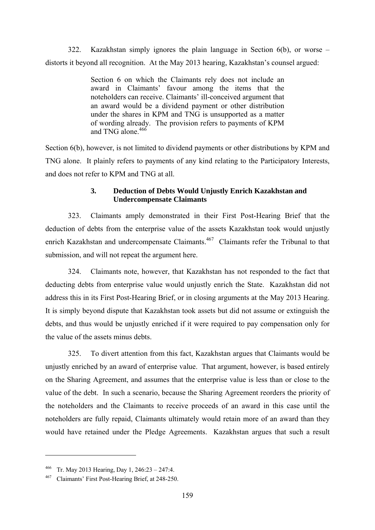322. Kazakhstan simply ignores the plain language in Section 6(b), or worse – distorts it beyond all recognition. At the May 2013 hearing, Kazakhstan's counsel argued:

> Section 6 on which the Claimants rely does not include an award in Claimants' favour among the items that the noteholders can receive. Claimants' ill-conceived argument that an award would be a dividend payment or other distribution under the shares in KPM and TNG is unsupported as a matter of wording already. The provision refers to payments of KPM and TNG alone  $466$

Section 6(b), however, is not limited to dividend payments or other distributions by KPM and TNG alone. It plainly refers to payments of any kind relating to the Participatory Interests, and does not refer to KPM and TNG at all.

# **3. Deduction of Debts Would Unjustly Enrich Kazakhstan and Undercompensate Claimants**

323. Claimants amply demonstrated in their First Post-Hearing Brief that the deduction of debts from the enterprise value of the assets Kazakhstan took would unjustly enrich Kazakhstan and undercompensate Claimants.<sup>467</sup> Claimants refer the Tribunal to that submission, and will not repeat the argument here.

324. Claimants note, however, that Kazakhstan has not responded to the fact that deducting debts from enterprise value would unjustly enrich the State. Kazakhstan did not address this in its First Post-Hearing Brief, or in closing arguments at the May 2013 Hearing. It is simply beyond dispute that Kazakhstan took assets but did not assume or extinguish the debts, and thus would be unjustly enriched if it were required to pay compensation only for the value of the assets minus debts.

325. To divert attention from this fact, Kazakhstan argues that Claimants would be unjustly enriched by an award of enterprise value. That argument, however, is based entirely on the Sharing Agreement, and assumes that the enterprise value is less than or close to the value of the debt. In such a scenario, because the Sharing Agreement reorders the priority of the noteholders and the Claimants to receive proceeds of an award in this case until the noteholders are fully repaid, Claimants ultimately would retain more of an award than they would have retained under the Pledge Agreements. Kazakhstan argues that such a result

<sup>466</sup> Tr. May 2013 Hearing, Day 1, 246:23 – 247:4.

<sup>467</sup> Claimants' First Post-Hearing Brief, at 248-250.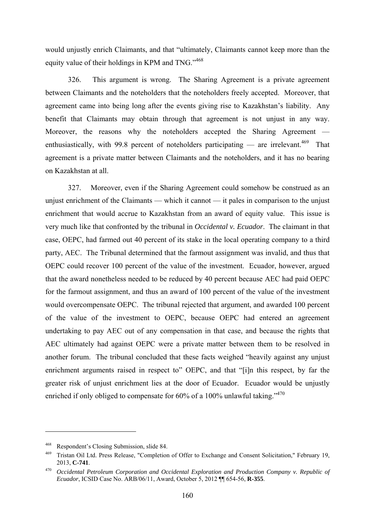would unjustly enrich Claimants, and that "ultimately, Claimants cannot keep more than the equity value of their holdings in KPM and TNG."<sup>468</sup>

326. This argument is wrong. The Sharing Agreement is a private agreement between Claimants and the noteholders that the noteholders freely accepted. Moreover, that agreement came into being long after the events giving rise to Kazakhstan's liability. Any benefit that Claimants may obtain through that agreement is not unjust in any way. Moreover, the reasons why the noteholders accepted the Sharing Agreement enthusiastically, with 99.8 percent of noteholders participating — are irrelevant.<sup>469</sup> That agreement is a private matter between Claimants and the noteholders, and it has no bearing on Kazakhstan at all.

327. Moreover, even if the Sharing Agreement could somehow be construed as an unjust enrichment of the Claimants — which it cannot — it pales in comparison to the unjust enrichment that would accrue to Kazakhstan from an award of equity value. This issue is very much like that confronted by the tribunal in *Occidental v. Ecuador*. The claimant in that case, OEPC, had farmed out 40 percent of its stake in the local operating company to a third party, AEC. The Tribunal determined that the farmout assignment was invalid, and thus that OEPC could recover 100 percent of the value of the investment. Ecuador, however, argued that the award nonetheless needed to be reduced by 40 percent because AEC had paid OEPC for the farmout assignment, and thus an award of 100 percent of the value of the investment would overcompensate OEPC. The tribunal rejected that argument, and awarded 100 percent of the value of the investment to OEPC, because OEPC had entered an agreement undertaking to pay AEC out of any compensation in that case, and because the rights that AEC ultimately had against OEPC were a private matter between them to be resolved in another forum. The tribunal concluded that these facts weighed "heavily against any unjust enrichment arguments raised in respect to" OEPC, and that "[i]n this respect, by far the greater risk of unjust enrichment lies at the door of Ecuador. Ecuador would be unjustly enriched if only obliged to compensate for  $60\%$  of a 100% unlawful taking.<sup> $3470$ </sup>

<sup>468</sup> Respondent's Closing Submission, slide 84.

<sup>469</sup> Tristan Oil Ltd. Press Release, "Completion of Offer to Exchange and Consent Solicitation," February 19, 2013, **C-741**.

<sup>470</sup> *Occidental Petroleum Corporation and Occidental Exploration and Production Company v. Republic of Ecuador*, ICSID Case No. ARB/06/11, Award, October 5, 2012 ¶¶ 654-56, **R-355**.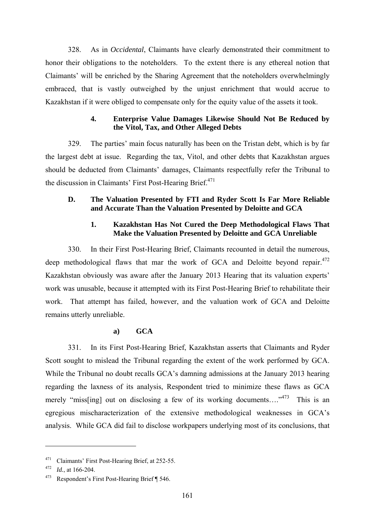328. As in *Occidental*, Claimants have clearly demonstrated their commitment to honor their obligations to the noteholders. To the extent there is any ethereal notion that Claimants' will be enriched by the Sharing Agreement that the noteholders overwhelmingly embraced, that is vastly outweighed by the unjust enrichment that would accrue to Kazakhstan if it were obliged to compensate only for the equity value of the assets it took.

## **4. Enterprise Value Damages Likewise Should Not Be Reduced by the Vitol, Tax, and Other Alleged Debts**

329. The parties' main focus naturally has been on the Tristan debt, which is by far the largest debt at issue. Regarding the tax, Vitol, and other debts that Kazakhstan argues should be deducted from Claimants' damages, Claimants respectfully refer the Tribunal to the discussion in Claimants' First Post-Hearing Brief.<sup>471</sup>

# **D. The Valuation Presented by FTI and Ryder Scott Is Far More Reliable and Accurate Than the Valuation Presented by Deloitte and GCA**

## **1. Kazakhstan Has Not Cured the Deep Methodological Flaws That Make the Valuation Presented by Deloitte and GCA Unreliable**

330. In their First Post-Hearing Brief, Claimants recounted in detail the numerous, deep methodological flaws that mar the work of GCA and Deloitte beyond repair.<sup>472</sup> Kazakhstan obviously was aware after the January 2013 Hearing that its valuation experts' work was unusable, because it attempted with its First Post-Hearing Brief to rehabilitate their work. That attempt has failed, however, and the valuation work of GCA and Deloitte remains utterly unreliable.

# **a) GCA**

331. In its First Post-Hearing Brief, Kazakhstan asserts that Claimants and Ryder Scott sought to mislead the Tribunal regarding the extent of the work performed by GCA. While the Tribunal no doubt recalls GCA's damning admissions at the January 2013 hearing regarding the laxness of its analysis, Respondent tried to minimize these flaws as GCA merely "miss[ing] out on disclosing a few of its working documents...."<sup>473</sup> This is an egregious mischaracterization of the extensive methodological weaknesses in GCA's analysis. While GCA did fail to disclose workpapers underlying most of its conclusions, that

<sup>471</sup> Claimants' First Post-Hearing Brief, at 252-55.

<sup>&</sup>lt;sup>472</sup> *Id.*, at 166-204.<br><sup>473</sup> Respondent's First Post-Hearing Brief ¶ 546.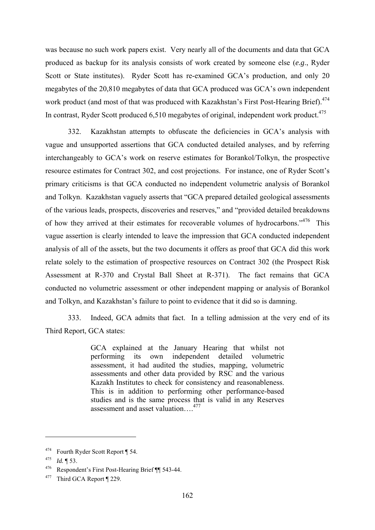was because no such work papers exist. Very nearly all of the documents and data that GCA produced as backup for its analysis consists of work created by someone else (*e.g*., Ryder Scott or State institutes). Ryder Scott has re-examined GCA's production, and only 20 megabytes of the 20,810 megabytes of data that GCA produced was GCA's own independent work product (and most of that was produced with Kazakhstan's First Post-Hearing Brief).<sup>474</sup> In contrast, Ryder Scott produced 6,510 megabytes of original, independent work product.<sup>475</sup>

332. Kazakhstan attempts to obfuscate the deficiencies in GCA's analysis with vague and unsupported assertions that GCA conducted detailed analyses, and by referring interchangeably to GCA's work on reserve estimates for Borankol/Tolkyn, the prospective resource estimates for Contract 302, and cost projections. For instance, one of Ryder Scott's primary criticisms is that GCA conducted no independent volumetric analysis of Borankol and Tolkyn. Kazakhstan vaguely asserts that "GCA prepared detailed geological assessments of the various leads, prospects, discoveries and reserves," and "provided detailed breakdowns of how they arrived at their estimates for recoverable volumes of hydrocarbons."476 This vague assertion is clearly intended to leave the impression that GCA conducted independent analysis of all of the assets, but the two documents it offers as proof that GCA did this work relate solely to the estimation of prospective resources on Contract 302 (the Prospect Risk Assessment at R-370 and Crystal Ball Sheet at R-371). The fact remains that GCA conducted no volumetric assessment or other independent mapping or analysis of Borankol and Tolkyn, and Kazakhstan's failure to point to evidence that it did so is damning.

333. Indeed, GCA admits that fact. In a telling admission at the very end of its Third Report, GCA states:

> GCA explained at the January Hearing that whilst not performing its own independent detailed volumetric assessment, it had audited the studies, mapping, volumetric assessments and other data provided by RSC and the various Kazakh Institutes to check for consistency and reasonableness. This is in addition to performing other performance-based studies and is the same process that is valid in any Reserves assessment and asset valuation….477

<sup>474</sup> Fourth Ryder Scott Report ¶ 54.

<sup>475</sup> *Id.* ¶ 53.

<sup>476</sup> Respondent's First Post-Hearing Brief ¶¶ 543-44.

<sup>477</sup> Third GCA Report ¶ 229.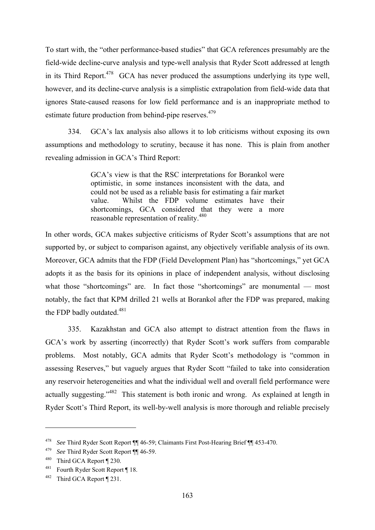To start with, the "other performance-based studies" that GCA references presumably are the field-wide decline-curve analysis and type-well analysis that Ryder Scott addressed at length in its Third Report.<sup>478</sup> GCA has never produced the assumptions underlying its type well, however, and its decline-curve analysis is a simplistic extrapolation from field-wide data that ignores State-caused reasons for low field performance and is an inappropriate method to estimate future production from behind-pipe reserves.<sup>479</sup>

334. GCA's lax analysis also allows it to lob criticisms without exposing its own assumptions and methodology to scrutiny, because it has none. This is plain from another revealing admission in GCA's Third Report:

> GCA's view is that the RSC interpretations for Borankol were optimistic, in some instances inconsistent with the data, and could not be used as a reliable basis for estimating a fair market value. Whilst the FDP volume estimates have their shortcomings, GCA considered that they were a more reasonable representation of reality.480

In other words, GCA makes subjective criticisms of Ryder Scott's assumptions that are not supported by, or subject to comparison against, any objectively verifiable analysis of its own. Moreover, GCA admits that the FDP (Field Development Plan) has "shortcomings," yet GCA adopts it as the basis for its opinions in place of independent analysis, without disclosing what those "shortcomings" are. In fact those "shortcomings" are monumental — most notably, the fact that KPM drilled 21 wells at Borankol after the FDP was prepared, making the FDP badly outdated.<sup>481</sup>

335. Kazakhstan and GCA also attempt to distract attention from the flaws in GCA's work by asserting (incorrectly) that Ryder Scott's work suffers from comparable problems. Most notably, GCA admits that Ryder Scott's methodology is "common in assessing Reserves," but vaguely argues that Ryder Scott "failed to take into consideration any reservoir heterogeneities and what the individual well and overall field performance were actually suggesting."<sup>482</sup> This statement is both ironic and wrong. As explained at length in Ryder Scott's Third Report, its well-by-well analysis is more thorough and reliable precisely

<sup>478</sup> *See* Third Ryder Scott Report ¶¶ 46-59; Claimants First Post-Hearing Brief ¶¶ 453-470.

<sup>479</sup>*See* Third Ryder Scott Report ¶¶ 46-59. 480 Third GCA Report ¶ 230.

<sup>481</sup> Fourth Ryder Scott Report ¶ 18.

<sup>482</sup> Third GCA Report ¶ 231.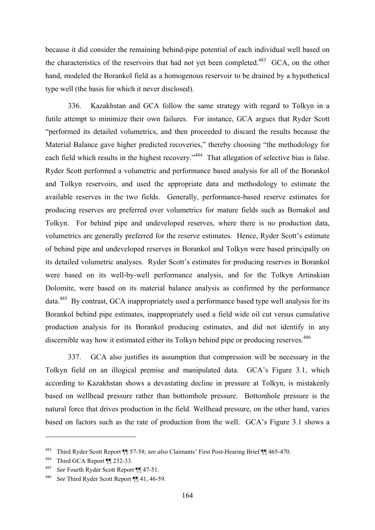because it did consider the remaining behind-pipe potential of each individual well based on the characteristics of the reservoirs that had not yet been completed.<sup>483</sup> GCA, on the other hand, modeled the Borankol field as a homogenous reservoir to be drained by a hypothetical type well (the basis for which it never disclosed).

336. Kazakhstan and GCA follow the same strategy with regard to Tolkyn in a futile attempt to minimize their own failures. For instance, GCA argues that Ryder Scott "performed its detailed volumetrics, and then proceeded to discard the results because the Material Balance gave higher predicted recoveries," thereby choosing "the methodology for each field which results in the highest recovery."<sup>484</sup> That allegation of selective bias is false. Ryder Scott performed a volumetric and performance based analysis for all of the Borankol and Tolkyn reservoirs, and used the appropriate data and methodology to estimate the available reserves in the two fields. Generally, performance-based reserve estimates for producing reserves are preferred over volumetrics for mature fields such as Bornakol and Tolkyn. For behind pipe and undeveloped reserves, where there is no production data, volumetrics are generally preferred for the reserve estimates. Hence, Ryder Scott's estimate of behind pipe and undeveloped reserves in Borankol and Tolkyn were based principally on its detailed volumetric analyses. Ryder Scott's estimates for producing reserves in Borankol were based on its well-by-well performance analysis, and for the Tolkyn Artinskian Dolomite, were based on its material balance analysis as confirmed by the performance data.485 By contrast, GCA inappropriately used a performance based type well analysis for its Borankol behind pipe estimates, inappropriately used a field wide oil cut versus cumulative production analysis for its Borankol producing estimates, and did not identify in any discernible way how it estimated either its Tolkyn behind pipe or producing reserves.<sup>486</sup>

337. GCA also justifies its assumption that compression will be necessary in the Tolkyn field on an illogical premise and manipulated data. GCA's Figure 3.1, which according to Kazakhstan shows a devastating decline in pressure at Tolkyn, is mistakenly based on wellhead pressure rather than bottomhole pressure. Bottomhole pressure is the natural force that drives production in the field. Wellhead pressure, on the other hand, varies based on factors such as the rate of production from the well. GCA's Figure 3.1 shows a

<sup>483</sup> Third Ryder Scott Report ¶¶ 57-58; *see also* Claimants' First Post-Hearing Brief ¶¶ 465-470. 484 Third GCA Report ¶¶ 232-33.

<sup>485</sup>*See* Fourth Ryder Scott Report ¶¶ 47-51. 486 *See* Third Ryder Scott Report ¶¶ 41, 46-59.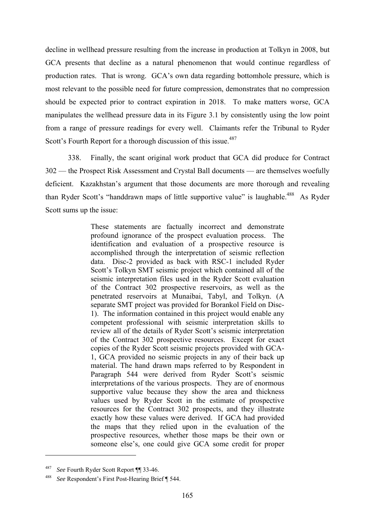decline in wellhead pressure resulting from the increase in production at Tolkyn in 2008, but GCA presents that decline as a natural phenomenon that would continue regardless of production rates. That is wrong. GCA's own data regarding bottomhole pressure, which is most relevant to the possible need for future compression, demonstrates that no compression should be expected prior to contract expiration in 2018. To make matters worse, GCA manipulates the wellhead pressure data in its Figure 3.1 by consistently using the low point from a range of pressure readings for every well. Claimants refer the Tribunal to Ryder Scott's Fourth Report for a thorough discussion of this issue.<sup>487</sup>

338. Finally, the scant original work product that GCA did produce for Contract 302 — the Prospect Risk Assessment and Crystal Ball documents — are themselves woefully deficient. Kazakhstan's argument that those documents are more thorough and revealing than Ryder Scott's "handdrawn maps of little supportive value" is laughable.<sup>488</sup> As Ryder Scott sums up the issue:

> These statements are factually incorrect and demonstrate profound ignorance of the prospect evaluation process. The identification and evaluation of a prospective resource is accomplished through the interpretation of seismic reflection data. Disc-2 provided as back with RSC-1 included Ryder Scott's Tolkyn SMT seismic project which contained all of the seismic interpretation files used in the Ryder Scott evaluation of the Contract 302 prospective reservoirs, as well as the penetrated reservoirs at Munaibai, Tabyl, and Tolkyn. (A separate SMT project was provided for Borankol Field on Disc-1). The information contained in this project would enable any competent professional with seismic interpretation skills to review all of the details of Ryder Scott's seismic interpretation of the Contract 302 prospective resources. Except for exact copies of the Ryder Scott seismic projects provided with GCA-1, GCA provided no seismic projects in any of their back up material. The hand drawn maps referred to by Respondent in Paragraph 544 were derived from Ryder Scott's seismic interpretations of the various prospects. They are of enormous supportive value because they show the area and thickness values used by Ryder Scott in the estimate of prospective resources for the Contract 302 prospects, and they illustrate exactly how these values were derived. If GCA had provided the maps that they relied upon in the evaluation of the prospective resources, whether those maps be their own or someone else's, one could give GCA some credit for proper

<sup>487</sup>*See* Fourth Ryder Scott Report ¶¶ 33-46. 488 *See* Respondent's First Post-Hearing Brief ¶ 544.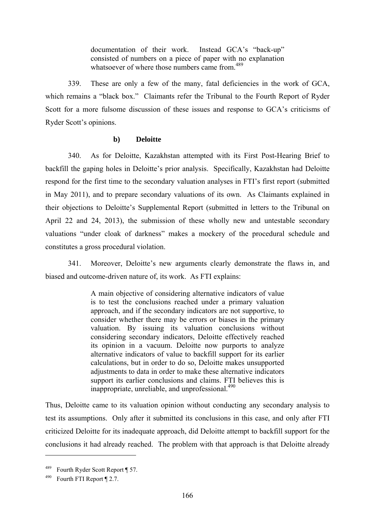documentation of their work. Instead GCA's "back-up" consisted of numbers on a piece of paper with no explanation whatsoever of where those numbers came from.<sup>489</sup>

339. These are only a few of the many, fatal deficiencies in the work of GCA, which remains a "black box." Claimants refer the Tribunal to the Fourth Report of Ryder Scott for a more fulsome discussion of these issues and response to GCA's criticisms of Ryder Scott's opinions.

## **b) Deloitte**

340. As for Deloitte, Kazakhstan attempted with its First Post-Hearing Brief to backfill the gaping holes in Deloitte's prior analysis. Specifically, Kazakhstan had Deloitte respond for the first time to the secondary valuation analyses in FTI's first report (submitted in May 2011), and to prepare secondary valuations of its own. As Claimants explained in their objections to Deloitte's Supplemental Report (submitted in letters to the Tribunal on April 22 and 24, 2013), the submission of these wholly new and untestable secondary valuations "under cloak of darkness" makes a mockery of the procedural schedule and constitutes a gross procedural violation.

341. Moreover, Deloitte's new arguments clearly demonstrate the flaws in, and biased and outcome-driven nature of, its work. As FTI explains:

> A main objective of considering alternative indicators of value is to test the conclusions reached under a primary valuation approach, and if the secondary indicators are not supportive, to consider whether there may be errors or biases in the primary valuation. By issuing its valuation conclusions without considering secondary indicators, Deloitte effectively reached its opinion in a vacuum. Deloitte now purports to analyze alternative indicators of value to backfill support for its earlier calculations, but in order to do so, Deloitte makes unsupported adjustments to data in order to make these alternative indicators support its earlier conclusions and claims. FTI believes this is inappropriate, unreliable, and unprofessional.<sup>490</sup>

Thus, Deloitte came to its valuation opinion without conducting any secondary analysis to test its assumptions. Only after it submitted its conclusions in this case, and only after FTI criticized Deloitte for its inadequate approach, did Deloitte attempt to backfill support for the conclusions it had already reached. The problem with that approach is that Deloitte already

Fourth Ryder Scott Report ¶ 57.

<sup>490</sup> Fourth FTI Report ¶ 2.7.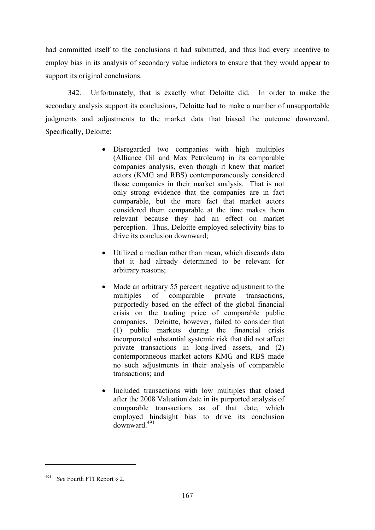had committed itself to the conclusions it had submitted, and thus had every incentive to employ bias in its analysis of secondary value indictors to ensure that they would appear to support its original conclusions.

342. Unfortunately, that is exactly what Deloitte did. In order to make the secondary analysis support its conclusions, Deloitte had to make a number of unsupportable judgments and adjustments to the market data that biased the outcome downward. Specifically, Deloitte:

- Disregarded two companies with high multiples (Alliance Oil and Max Petroleum) in its comparable companies analysis, even though it knew that market actors (KMG and RBS) contemporaneously considered those companies in their market analysis. That is not only strong evidence that the companies are in fact comparable, but the mere fact that market actors considered them comparable at the time makes them relevant because they had an effect on market perception. Thus, Deloitte employed selectivity bias to drive its conclusion downward;
- Utilized a median rather than mean, which discards data that it had already determined to be relevant for arbitrary reasons;
- Made an arbitrary 55 percent negative adjustment to the multiples of comparable private transactions, purportedly based on the effect of the global financial crisis on the trading price of comparable public companies. Deloitte, however, failed to consider that (1) public markets during the financial crisis incorporated substantial systemic risk that did not affect private transactions in long-lived assets, and (2) contemporaneous market actors KMG and RBS made no such adjustments in their analysis of comparable transactions; and
- Included transactions with low multiples that closed after the 2008 Valuation date in its purported analysis of comparable transactions as of that date, which employed hindsight bias to drive its conclusion downward.491

<sup>491</sup> *See* Fourth FTI Report § 2.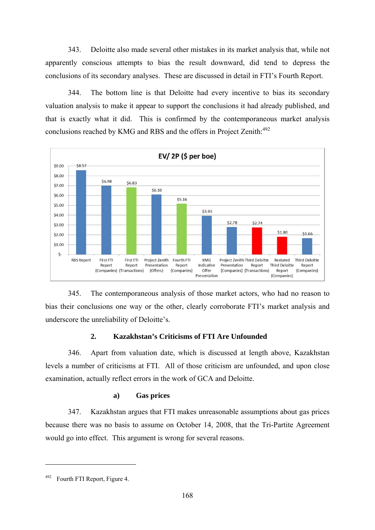343. Deloitte also made several other mistakes in its market analysis that, while not apparently conscious attempts to bias the result downward, did tend to depress the conclusions of its secondary analyses. These are discussed in detail in FTI's Fourth Report.

344. The bottom line is that Deloitte had every incentive to bias its secondary valuation analysis to make it appear to support the conclusions it had already published, and that is exactly what it did. This is confirmed by the contemporaneous market analysis conclusions reached by KMG and RBS and the offers in Project Zenith:<sup>492</sup>



345. The contemporaneous analysis of those market actors, who had no reason to bias their conclusions one way or the other, clearly corroborate FTI's market analysis and underscore the unreliability of Deloitte's.

# **2. Kazakhstan's Criticisms of FTI Are Unfounded**

346. Apart from valuation date, which is discussed at length above, Kazakhstan levels a number of criticisms at FTI. All of those criticism are unfounded, and upon close examination, actually reflect errors in the work of GCA and Deloitte.

# **a) Gas prices**

347. Kazakhstan argues that FTI makes unreasonable assumptions about gas prices because there was no basis to assume on October 14, 2008, that the Tri-Partite Agreement would go into effect. This argument is wrong for several reasons.

<sup>492</sup> Fourth FTI Report, Figure 4.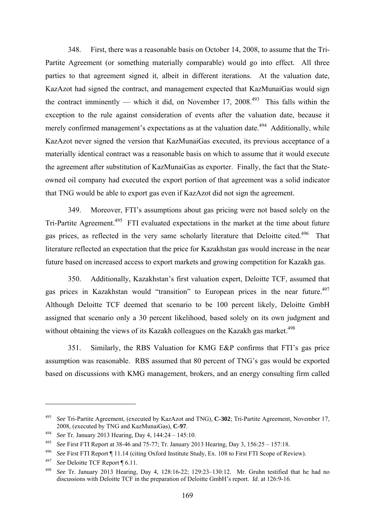348. First, there was a reasonable basis on October 14, 2008, to assume that the Tri-Partite Agreement (or something materially comparable) would go into effect. All three parties to that agreement signed it, albeit in different iterations. At the valuation date, KazAzot had signed the contract, and management expected that KazMunaiGas would sign the contract imminently — which it did, on November 17, 2008.<sup>493</sup> This falls within the exception to the rule against consideration of events after the valuation date, because it merely confirmed management's expectations as at the valuation date.<sup> $494$ </sup> Additionally, while KazAzot never signed the version that KazMunaiGas executed, its previous acceptance of a materially identical contract was a reasonable basis on which to assume that it would execute the agreement after substitution of KazMunaiGas as exporter. Finally, the fact that the Stateowned oil company had executed the export portion of that agreement was a solid indicator that TNG would be able to export gas even if KazAzot did not sign the agreement.

349. Moreover, FTI's assumptions about gas pricing were not based solely on the Tri-Partite Agreement.<sup>495</sup> FTI evaluated expectations in the market at the time about future gas prices, as reflected in the very same scholarly literature that Deloitte cited.<sup>496</sup> That literature reflected an expectation that the price for Kazakhstan gas would increase in the near future based on increased access to export markets and growing competition for Kazakh gas.

350. Additionally, Kazakhstan's first valuation expert, Deloitte TCF, assumed that gas prices in Kazakhstan would "transition" to European prices in the near future.<sup>497</sup> Although Deloitte TCF deemed that scenario to be 100 percent likely, Deloitte GmbH assigned that scenario only a 30 percent likelihood, based solely on its own judgment and without obtaining the views of its Kazakh colleagues on the Kazakh gas market.<sup>498</sup>

351. Similarly, the RBS Valuation for KMG E&P confirms that FTI's gas price assumption was reasonable. RBS assumed that 80 percent of TNG's gas would be exported based on discussions with KMG management, brokers, and an energy consulting firm called

<sup>493</sup> *See* Tri-Partite Agreement, (executed by KazAzot and TNG), **C-302**; Tri-Partite Agreement, November 17, 2008, (executed by TNG and KazMunaiGas), **C-97**. 494 *See* Tr. January 2013 Hearing, Day 4, 144:24 – 145:10.

<sup>495</sup> *See* First FTI Report at 38-46 and 75-77; Tr. January 2013 Hearing, Day 3, 156:25 – 157:18.

<sup>496</sup>*See* First FTI Report ¶ 11.14 (citing Oxford Institute Study, Ex. 108 to First FTI Scope of Review). 497 *See* Deloitte TCF Report ¶ 6.11.

<sup>498</sup> *See* Tr. January 2013 Hearing, Day 4, 128:16-22; 129:23–130:12. Mr. Gruhn testified that he had no discussions with Deloitte TCF in the preparation of Deloitte GmbH's report. *Id*. at 126:9-16.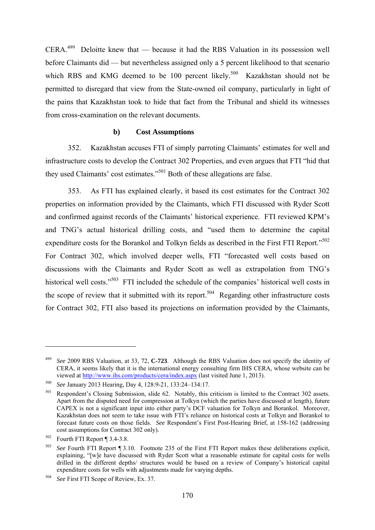$CERA<sup>499</sup>$  Deloitte knew that — because it had the RBS Valuation in its possession well before Claimants did — but nevertheless assigned only a 5 percent likelihood to that scenario which RBS and KMG deemed to be 100 percent likely.<sup>500</sup> Kazakhstan should not be permitted to disregard that view from the State-owned oil company, particularly in light of the pains that Kazakhstan took to hide that fact from the Tribunal and shield its witnesses from cross-examination on the relevant documents.

#### **b) Cost Assumptions**

352. Kazakhstan accuses FTI of simply parroting Claimants' estimates for well and infrastructure costs to develop the Contract 302 Properties, and even argues that FTI "hid that they used Claimants' cost estimates."<sup>501</sup> Both of these allegations are false.

353. As FTI has explained clearly, it based its cost estimates for the Contract 302 properties on information provided by the Claimants, which FTI discussed with Ryder Scott and confirmed against records of the Claimants' historical experience. FTI reviewed KPM's and TNG's actual historical drilling costs, and "used them to determine the capital expenditure costs for the Borankol and Tolkyn fields as described in the First FTI Report."<sup>502</sup> For Contract 302, which involved deeper wells, FTI "forecasted well costs based on discussions with the Claimants and Ryder Scott as well as extrapolation from TNG's historical well costs."<sup>503</sup> FTI included the schedule of the companies' historical well costs in the scope of review that it submitted with its report.<sup>504</sup> Regarding other infrastructure costs for Contract 302, FTI also based its projections on information provided by the Claimants,

<u>.</u>

<sup>499</sup> *See* 2009 RBS Valuation, at 33, 72, **C-723**. Although the RBS Valuation does not specify the identity of CERA, it seems likely that it is the international energy consulting firm IHS CERA, whose website can be viewed at http://www.ihs.com/products/cera/index.aspx (last visited June 1, 2013).

<sup>500</sup> *See* January 2013 Hearing, Day 4, 128:9-21, 133:24–134:17.

<sup>501</sup> Respondent's Closing Submission, slide 62. Notably, this criticism is limited to the Contract 302 assets. Apart from the disputed need for compression at Tolkyn (which the parties have discussed at length), future CAPEX is not a significant input into either party's DCF valuation for Tolkyn and Borankol. Moreover, Kazakhstan does not seem to take issue with FTI's reliance on historical costs at Tolkyn and Borankol to forecast future costs on those fields. *See* Respondent's First Post-Hearing Brief, at 158-162 (addressing cost assumptions for Contract 302 only).<br><sup>502</sup> Fourth FTI Report ¶ 3.4-3.8.

<sup>503</sup> *See* Fourth FTI Report ¶ 3.10. Footnote 235 of the First FTI Report makes these deliberations explicit, explaining, "[w]e have discussed with Ryder Scott what a reasonable estimate for capital costs for wells drilled in the different depths/ structures would be based on a review of Company's historical capital expenditure costs for wells with adjustments made for varying depths.

<sup>504</sup> *See* First FTI Scope of Review, Ex. 37.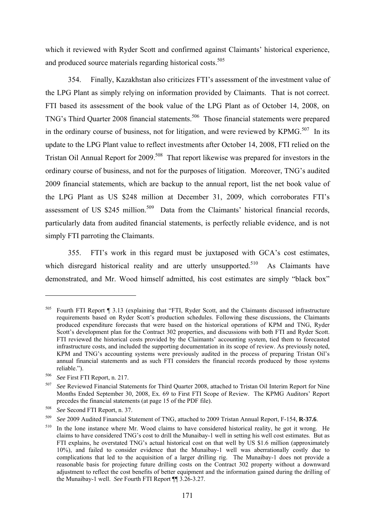which it reviewed with Ryder Scott and confirmed against Claimants' historical experience, and produced source materials regarding historical costs.<sup>505</sup>

354. Finally, Kazakhstan also criticizes FTI's assessment of the investment value of the LPG Plant as simply relying on information provided by Claimants. That is not correct. FTI based its assessment of the book value of the LPG Plant as of October 14, 2008, on TNG's Third Quarter 2008 financial statements.<sup>506</sup> Those financial statements were prepared in the ordinary course of business, not for litigation, and were reviewed by KPM $G$ <sup>507</sup>. In its update to the LPG Plant value to reflect investments after October 14, 2008, FTI relied on the Tristan Oil Annual Report for 2009.<sup>508</sup> That report likewise was prepared for investors in the ordinary course of business, and not for the purposes of litigation. Moreover, TNG's audited 2009 financial statements, which are backup to the annual report, list the net book value of the LPG Plant as US \$248 million at December 31, 2009, which corroborates FTI's assessment of US  $$245$  million.<sup>509</sup> Data from the Claimants' historical financial records, particularly data from audited financial statements, is perfectly reliable evidence, and is not simply FTI parroting the Claimants.

355. FTI's work in this regard must be juxtaposed with GCA's cost estimates, which disregard historical reality and are utterly unsupported.<sup>510</sup> As Claimants have demonstrated, and Mr. Wood himself admitted, his cost estimates are simply "black box"

<sup>505</sup> Fourth FTI Report ¶ 3.13 (explaining that "FTI, Ryder Scott, and the Claimants discussed infrastructure requirements based on Ryder Scott's production schedules. Following these discussions, the Claimants produced expenditure forecasts that were based on the historical operations of KPM and TNG, Ryder Scott's development plan for the Contract 302 properties, and discussions with both FTI and Ryder Scott. FTI reviewed the historical costs provided by the Claimants' accounting system, tied them to forecasted infrastructure costs, and included the supporting documentation in its scope of review. As previously noted, KPM and TNG's accounting systems were previously audited in the process of preparing Tristan Oil's annual financial statements and as such FTI considers the financial records produced by those systems reliable.").<br><sup>506</sup> *See* First FTI Report, n. 217.<br><sup>507</sup> *See* Reviewed Financial Statements for Third Ouarter 2008, attached to Tristan Oil Interim Report for Nine

Months Ended September 30, 2008, Ex. 69 to First FTI Scope of Review. The KPMG Auditors' Report precedes the financial statements (at page 15 of the PDF file).

<sup>508</sup>*See* Second FTI Report, n. 37. 509 *See* 2009 Audited Financial Statement of TNG, attached to 2009 Tristan Annual Report, F-154, **R-37.6**.

<sup>510</sup> In the lone instance where Mr. Wood claims to have considered historical reality, he got it wrong. He claims to have considered TNG's cost to drill the Munaibay-1 well in setting his well cost estimates. But as FTI explains, he overstated TNG's actual historical cost on that well by US \$1.6 million (approximately 10%), and failed to consider evidence that the Munaibay-1 well was aberrationally costly due to complications that led to the acquisition of a larger drilling rig. The Munaibay-1 does not provide a reasonable basis for projecting future drilling costs on the Contract 302 property without a downward adjustment to reflect the cost benefits of better equipment and the information gained during the drilling of the Munaibay-1 well. *See* Fourth FTI Report ¶¶ 3.26-3.27.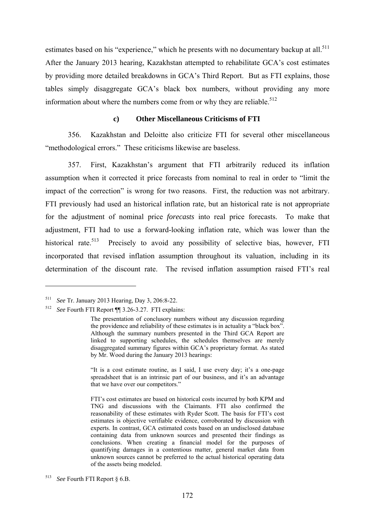estimates based on his "experience," which he presents with no documentary backup at all.<sup>511</sup> After the January 2013 hearing, Kazakhstan attempted to rehabilitate GCA's cost estimates by providing more detailed breakdowns in GCA's Third Report. But as FTI explains, those tables simply disaggregate GCA's black box numbers, without providing any more information about where the numbers come from or why they are reliable.<sup>512</sup>

#### **c) Other Miscellaneous Criticisms of FTI**

356. Kazakhstan and Deloitte also criticize FTI for several other miscellaneous "methodological errors." These criticisms likewise are baseless.

357. First, Kazakhstan's argument that FTI arbitrarily reduced its inflation assumption when it corrected it price forecasts from nominal to real in order to "limit the impact of the correction" is wrong for two reasons. First, the reduction was not arbitrary. FTI previously had used an historical inflation rate, but an historical rate is not appropriate for the adjustment of nominal price *forecasts* into real price forecasts. To make that adjustment, FTI had to use a forward-looking inflation rate, which was lower than the historical rate.<sup>513</sup> Precisely to avoid any possibility of selective bias, however, FTI incorporated that revised inflation assumption throughout its valuation, including in its determination of the discount rate. The revised inflation assumption raised FTI's real

<u>.</u>

"It is a cost estimate routine, as I said, I use every day; it's a one-page spreadsheet that is an intrinsic part of our business, and it's an advantage that we have over our competitors."

FTI's cost estimates are based on historical costs incurred by both KPM and TNG and discussions with the Claimants. FTI also confirmed the reasonability of these estimates with Ryder Scott. The basis for FTI's cost estimates is objective verifiable evidence, corroborated by discussion with experts. In contrast, GCA estimated costs based on an undisclosed database containing data from unknown sources and presented their findings as conclusions. When creating a financial model for the purposes of quantifying damages in a contentious matter, general market data from unknown sources cannot be preferred to the actual historical operating data of the assets being modeled.

<sup>511</sup> *See* Tr. January 2013 Hearing, Day 3, 206:8-22.

<sup>512</sup> *See* Fourth FTI Report ¶¶ 3.26-3.27. FTI explains:

The presentation of conclusory numbers without any discussion regarding the providence and reliability of these estimates is in actuality a "black box". Although the summary numbers presented in the Third GCA Report are linked to supporting schedules, the schedules themselves are merely disaggregated summary figures within GCA's proprietary format. As stated by Mr. Wood during the January 2013 hearings:

<sup>513</sup> *See* Fourth FTI Report § 6.B.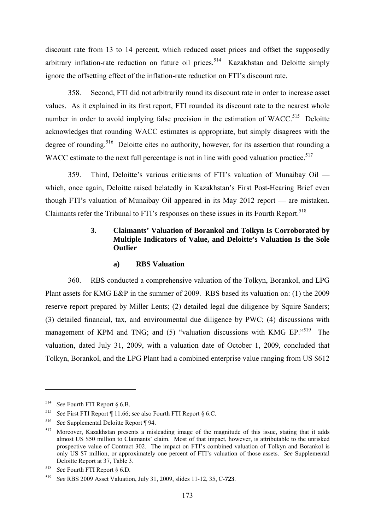discount rate from 13 to 14 percent, which reduced asset prices and offset the supposedly arbitrary inflation-rate reduction on future oil prices.<sup>514</sup> Kazakhstan and Deloitte simply ignore the offsetting effect of the inflation-rate reduction on FTI's discount rate.

358. Second, FTI did not arbitrarily round its discount rate in order to increase asset values. As it explained in its first report, FTI rounded its discount rate to the nearest whole number in order to avoid implying false precision in the estimation of WACC.<sup>515</sup> Deloitte acknowledges that rounding WACC estimates is appropriate, but simply disagrees with the degree of rounding.<sup>516</sup> Deloitte cites no authority, however, for its assertion that rounding a WACC estimate to the next full percentage is not in line with good valuation practice.<sup>517</sup>

359. Third, Deloitte's various criticisms of FTI's valuation of Munaibay Oil which, once again, Deloitte raised belatedly in Kazakhstan's First Post-Hearing Brief even though FTI's valuation of Munaibay Oil appeared in its May 2012 report — are mistaken. Claimants refer the Tribunal to FTI's responses on these issues in its Fourth Report.<sup>518</sup>

## **3. Claimants' Valuation of Borankol and Tolkyn Is Corroborated by Multiple Indicators of Value, and Deloitte's Valuation Is the Sole Outlier**

## **a) RBS Valuation**

360. RBS conducted a comprehensive valuation of the Tolkyn, Borankol, and LPG Plant assets for KMG E&P in the summer of 2009. RBS based its valuation on: (1) the 2009 reserve report prepared by Miller Lents; (2) detailed legal due diligence by Squire Sanders; (3) detailed financial, tax, and environmental due diligence by PWC; (4) discussions with management of KPM and TNG; and (5) "valuation discussions with KMG EP."<sup>519</sup> The valuation, dated July 31, 2009, with a valuation date of October 1, 2009, concluded that Tolkyn, Borankol, and the LPG Plant had a combined enterprise value ranging from US \$612

<sup>514</sup>*See* Fourth FTI Report § 6.B. 515 *See* First FTI Report ¶ 11.66; *see* also Fourth FTI Report § 6.C. 516 *See* Supplemental Deloitte Report ¶ 94.

<sup>517</sup> Moreover, Kazakhstan presents a misleading image of the magnitude of this issue, stating that it adds almost US \$50 million to Claimants' claim. Most of that impact, however, is attributable to the unrisked prospective value of Contract 302. The impact on FTI's combined valuation of Tolkyn and Borankol is only US \$7 million, or approximately one percent of FTI's valuation of those assets. *See* Supplemental Deloitte Report at 37, Table 3.

<sup>518</sup>*See* Fourth FTI Report § 6.D. 519 *See* RBS 2009 Asset Valuation, July 31, 2009, slides 11-12, 35, C-**723**.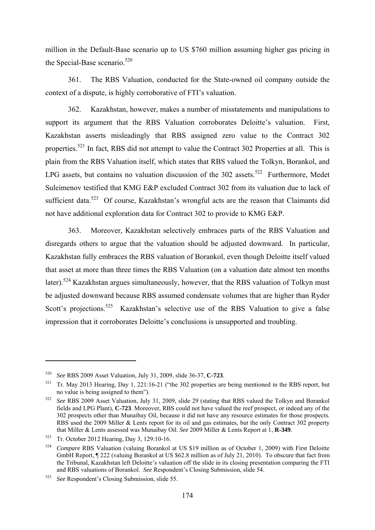million in the Default-Base scenario up to US \$760 million assuming higher gas pricing in the Special-Base scenario. $520$ 

361. The RBS Valuation, conducted for the State-owned oil company outside the context of a dispute, is highly corroborative of FTI's valuation.

362. Kazakhstan, however, makes a number of misstatements and manipulations to support its argument that the RBS Valuation corroborates Deloitte's valuation. First, Kazakhstan asserts misleadingly that RBS assigned zero value to the Contract 302 properties.<sup>521</sup> In fact, RBS did not attempt to value the Contract 302 Properties at all. This is plain from the RBS Valuation itself, which states that RBS valued the Tolkyn, Borankol, and LPG assets, but contains no valuation discussion of the  $302$  assets.<sup>522</sup> Furthermore, Medet Suleimenov testified that KMG E&P excluded Contract 302 from its valuation due to lack of sufficient data.<sup>523</sup> Of course, Kazakhstan's wrongful acts are the reason that Claimants did not have additional exploration data for Contract 302 to provide to KMG E&P.

363. Moreover, Kazakhstan selectively embraces parts of the RBS Valuation and disregards others to argue that the valuation should be adjusted downward. In particular, Kazakhstan fully embraces the RBS valuation of Borankol, even though Deloitte itself valued that asset at more than three times the RBS Valuation (on a valuation date almost ten months later).<sup>524</sup> Kazakhstan argues simultaneously, however, that the RBS valuation of Tolkyn must be adjusted downward because RBS assumed condensate volumes that are higher than Ryder Scott's projections.<sup>525</sup> Kazakhstan's selective use of the RBS Valuation to give a false impression that it corroborates Deloitte's conclusions is unsupported and troubling.

<sup>520</sup> *See* RBS 2009 Asset Valuation, July 31, 2009, slide 36-37, **C-723**.

<sup>&</sup>lt;sup>521</sup> Tr. May 2013 Hearing, Day 1, 221:16-21 ("the 302 properties are being mentioned in the RBS report, but no value is being assigned to them").

<sup>&</sup>lt;sup>522</sup> *See* RBS 2009 Asset Valuation, July 31, 2009, slide 29 (stating that RBS valued the Tolkyn and Borankol fields and LPG Plant), **C-723**. Moreover, RBS could not have valued the reef prospect, or indeed any of the 302 prospects other than Munaibay Oil, because it did not have any resource estimates for those prospects. RBS used the 2009 Miller & Lents report for its oil and gas estimates, but the only Contract 302 property that Miller & Lents assessed was Munaibay Oil. *See* 2009 Miller & Lents Report at 1, **R-349**. Tr. October 2012 Hearing, Day 3, 129:10-16.

<sup>524</sup> *Compare* RBS Valuation (valuing Borankol at US \$19 million as of October 1, 2009) with First Deloitte GmbH Report, ¶ 222 (valuing Borankol at US \$62.8 million as of July 21, 2010). To obscure that fact from the Tribunal, Kazakhstan left Deloitte's valuation off the slide in its closing presentation comparing the FTI and RBS valuations of Borankol. *See* Respondent's Closing Submission, slide 54.

<sup>525</sup> *See* Respondent's Closing Submission, slide 55.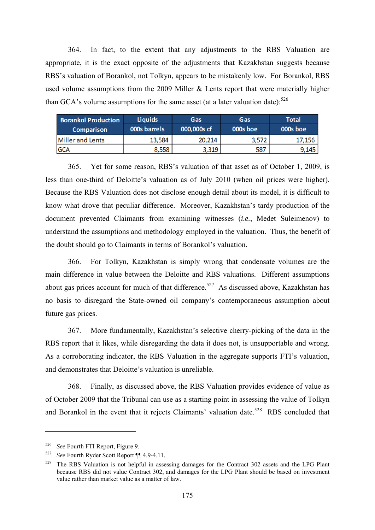364. In fact, to the extent that any adjustments to the RBS Valuation are appropriate, it is the exact opposite of the adjustments that Kazakhstan suggests because RBS's valuation of Borankol, not Tolkyn, appears to be mistakenly low. For Borankol, RBS used volume assumptions from the 2009 Miller & Lents report that were materially higher than GCA's volume assumptions for the same asset (at a later valuation date):  $526$ 

| <b>Borankol Production</b> | <b>Liquids</b> | Gas         | Gas      | <b>Total</b> |
|----------------------------|----------------|-------------|----------|--------------|
| <b>Comparison</b>          | 000s barrels   | 000,000s cf | 000s boe | 000s boe     |
| Miller and Lents           | 13,584         | 20,214      | 3,572    | 17,156       |
| <b>GCA</b>                 | 8,558          | 3,319       | 587      | 9.145        |

365. Yet for some reason, RBS's valuation of that asset as of October 1, 2009, is less than one-third of Deloitte's valuation as of July 2010 (when oil prices were higher). Because the RBS Valuation does not disclose enough detail about its model, it is difficult to know what drove that peculiar difference. Moreover, Kazakhstan's tardy production of the document prevented Claimants from examining witnesses (*i.e.*, Medet Suleimenov) to understand the assumptions and methodology employed in the valuation. Thus, the benefit of the doubt should go to Claimants in terms of Borankol's valuation.

366. For Tolkyn, Kazakhstan is simply wrong that condensate volumes are the main difference in value between the Deloitte and RBS valuations. Different assumptions about gas prices account for much of that difference.<sup>527</sup> As discussed above, Kazakhstan has no basis to disregard the State-owned oil company's contemporaneous assumption about future gas prices.

367. More fundamentally, Kazakhstan's selective cherry-picking of the data in the RBS report that it likes, while disregarding the data it does not, is unsupportable and wrong. As a corroborating indicator, the RBS Valuation in the aggregate supports FTI's valuation, and demonstrates that Deloitte's valuation is unreliable.

368. Finally, as discussed above, the RBS Valuation provides evidence of value as of October 2009 that the Tribunal can use as a starting point in assessing the value of Tolkyn and Borankol in the event that it rejects Claimants' valuation date.<sup>528</sup> RBS concluded that

<sup>526</sup> *See* Fourth FTI Report, Figure 9.

<sup>527</sup>*See* Fourth Ryder Scott Report ¶¶ 4.9-4.11. 528 The RBS Valuation is not helpful in assessing damages for the Contract 302 assets and the LPG Plant because RBS did not value Contract 302, and damages for the LPG Plant should be based on investment value rather than market value as a matter of law.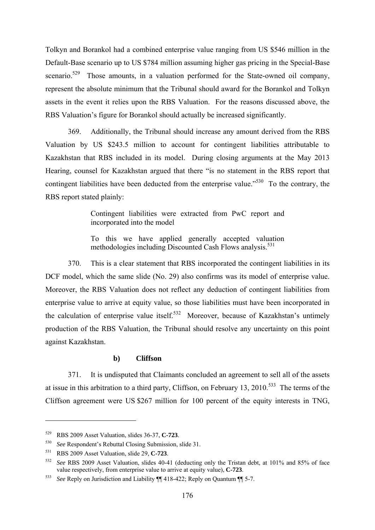Tolkyn and Borankol had a combined enterprise value ranging from US \$546 million in the Default-Base scenario up to US \$784 million assuming higher gas pricing in the Special-Base scenario.<sup>529</sup> Those amounts, in a valuation performed for the State-owned oil company, represent the absolute minimum that the Tribunal should award for the Borankol and Tolkyn assets in the event it relies upon the RBS Valuation. For the reasons discussed above, the RBS Valuation's figure for Borankol should actually be increased significantly.

369. Additionally, the Tribunal should increase any amount derived from the RBS Valuation by US \$243.5 million to account for contingent liabilities attributable to Kazakhstan that RBS included in its model. During closing arguments at the May 2013 Hearing, counsel for Kazakhstan argued that there "is no statement in the RBS report that contingent liabilities have been deducted from the enterprise value."<sup>530</sup> To the contrary, the RBS report stated plainly:

> Contingent liabilities were extracted from PwC report and incorporated into the model

> To this we have applied generally accepted valuation methodologies including Discounted Cash Flows analysis.<sup>531</sup>

370. This is a clear statement that RBS incorporated the contingent liabilities in its DCF model, which the same slide (No. 29) also confirms was its model of enterprise value. Moreover, the RBS Valuation does not reflect any deduction of contingent liabilities from enterprise value to arrive at equity value, so those liabilities must have been incorporated in the calculation of enterprise value itself.<sup>532</sup> Moreover, because of Kazakhstan's untimely production of the RBS Valuation, the Tribunal should resolve any uncertainty on this point against Kazakhstan.

#### **b) Cliffson**

371. It is undisputed that Claimants concluded an agreement to sell all of the assets at issue in this arbitration to a third party, Cliffson, on February 13, 2010.<sup>533</sup> The terms of the Cliffson agreement were US \$267 million for 100 percent of the equity interests in TNG,

<sup>529</sup> RBS 2009 Asset Valuation, slides 36-37, **C-723**.

<sup>530</sup> *See* Respondent's Rebuttal Closing Submission, slide 31.

<sup>531</sup> RBS 2009 Asset Valuation, slide 29, **C-723**. 532 *See* RBS 2009 Asset Valuation, slides 40-41 (deducting only the Tristan debt, at 101% and 85% of face value respectively, from enterprise value to arrive at equity value), **C-723**.

<sup>533</sup> *See* Reply on Jurisdiction and Liability ¶¶ 418-422; Reply on Quantum ¶¶ 5-7.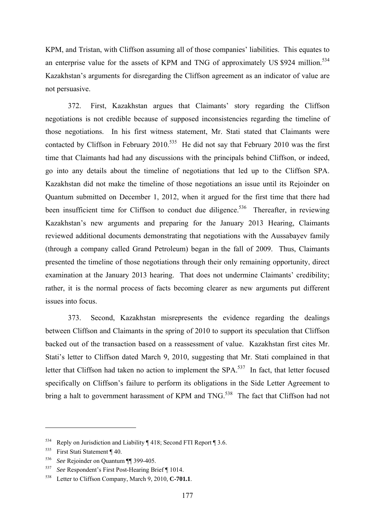KPM, and Tristan, with Cliffson assuming all of those companies' liabilities. This equates to an enterprise value for the assets of KPM and TNG of approximately US \$924 million.<sup>534</sup> Kazakhstan's arguments for disregarding the Cliffson agreement as an indicator of value are not persuasive.

372. First, Kazakhstan argues that Claimants' story regarding the Cliffson negotiations is not credible because of supposed inconsistencies regarding the timeline of those negotiations. In his first witness statement, Mr. Stati stated that Claimants were contacted by Cliffson in February 2010.<sup>535</sup> He did not say that February 2010 was the first time that Claimants had had any discussions with the principals behind Cliffson, or indeed, go into any details about the timeline of negotiations that led up to the Cliffson SPA. Kazakhstan did not make the timeline of those negotiations an issue until its Rejoinder on Quantum submitted on December 1, 2012, when it argued for the first time that there had been insufficient time for Cliffson to conduct due diligence.<sup>536</sup> Thereafter, in reviewing Kazakhstan's new arguments and preparing for the January 2013 Hearing, Claimants reviewed additional documents demonstrating that negotiations with the Aussabayev family (through a company called Grand Petroleum) began in the fall of 2009. Thus, Claimants presented the timeline of those negotiations through their only remaining opportunity, direct examination at the January 2013 hearing. That does not undermine Claimants' credibility; rather, it is the normal process of facts becoming clearer as new arguments put different issues into focus.

373. Second, Kazakhstan misrepresents the evidence regarding the dealings between Cliffson and Claimants in the spring of 2010 to support its speculation that Cliffson backed out of the transaction based on a reassessment of value. Kazakhstan first cites Mr. Stati's letter to Cliffson dated March 9, 2010, suggesting that Mr. Stati complained in that letter that Cliffson had taken no action to implement the SPA.<sup>537</sup> In fact, that letter focused specifically on Cliffson's failure to perform its obligations in the Side Letter Agreement to bring a halt to government harassment of KPM and TNG.<sup>538</sup> The fact that Cliffson had not

<sup>&</sup>lt;sup>534</sup> Reply on Jurisdiction and Liability  $\P$  418; Second FTI Report  $\P$  3.6.

<sup>535</sup> First Stati Statement ¶ 40.

<sup>536</sup> *See* Rejoinder on Quantum ¶¶ 399-405.

<sup>537</sup>*See* Respondent's First Post-Hearing Brief ¶ 1014. 538 Letter to Cliffson Company, March 9, 2010, **C-701.1**.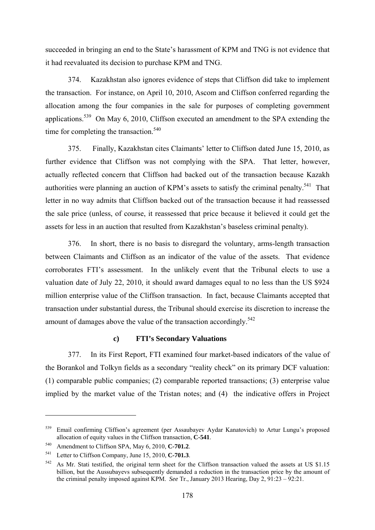succeeded in bringing an end to the State's harassment of KPM and TNG is not evidence that it had reevaluated its decision to purchase KPM and TNG.

374. Kazakhstan also ignores evidence of steps that Cliffson did take to implement the transaction. For instance, on April 10, 2010, Ascom and Cliffson conferred regarding the allocation among the four companies in the sale for purposes of completing government applications.<sup>539</sup> On May 6, 2010, Cliffson executed an amendment to the SPA extending the time for completing the transaction.<sup>540</sup>

375. Finally, Kazakhstan cites Claimants' letter to Cliffson dated June 15, 2010, as further evidence that Cliffson was not complying with the SPA. That letter, however, actually reflected concern that Cliffson had backed out of the transaction because Kazakh authorities were planning an auction of KPM's assets to satisfy the criminal penalty.<sup>541</sup> That letter in no way admits that Cliffson backed out of the transaction because it had reassessed the sale price (unless, of course, it reassessed that price because it believed it could get the assets for less in an auction that resulted from Kazakhstan's baseless criminal penalty).

376. In short, there is no basis to disregard the voluntary, arms-length transaction between Claimants and Cliffson as an indicator of the value of the assets. That evidence corroborates FTI's assessment. In the unlikely event that the Tribunal elects to use a valuation date of July 22, 2010, it should award damages equal to no less than the US \$924 million enterprise value of the Cliffson transaction. In fact, because Claimants accepted that transaction under substantial duress, the Tribunal should exercise its discretion to increase the amount of damages above the value of the transaction accordingly.<sup>542</sup>

### **c) FTI's Secondary Valuations**

377. In its First Report, FTI examined four market-based indicators of the value of the Borankol and Tolkyn fields as a secondary "reality check" on its primary DCF valuation: (1) comparable public companies; (2) comparable reported transactions; (3) enterprise value implied by the market value of the Tristan notes; and (4) the indicative offers in Project

<sup>539</sup> Email confirming Cliffson's agreement (per Assaubayev Aydar Kanatovich) to Artur Lungu's proposed allocation of equity values in the Cliffson transaction, **C-541**.

<sup>540</sup> Amendment to Cliffson SPA, May 6, 2010, **C-701.2**.

<sup>&</sup>lt;sup>541</sup> Letter to Cliffson Company, June 15, 2010, **C-701.3**.<br><sup>542</sup> As Mr. Stati testified, the original term sheet for the Cliffson transaction valued the assets at US \$1.15 billion, but the Aussubayevs subsequently demanded a reduction in the transaction price by the amount of the criminal penalty imposed against KPM. *See* Tr., January 2013 Hearing, Day 2, 91:23 – 92:21.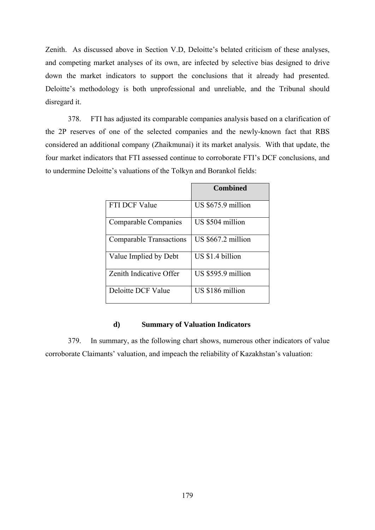Zenith. As discussed above in Section V.D, Deloitte's belated criticism of these analyses, and competing market analyses of its own, are infected by selective bias designed to drive down the market indicators to support the conclusions that it already had presented. Deloitte's methodology is both unprofessional and unreliable, and the Tribunal should disregard it.

378. FTI has adjusted its comparable companies analysis based on a clarification of the 2P reserves of one of the selected companies and the newly-known fact that RBS considered an additional company (Zhaikmunai) it its market analysis. With that update, the four market indicators that FTI assessed continue to corroborate FTI's DCF conclusions, and to undermine Deloitte's valuations of the Tolkyn and Borankol fields:

|                                | <b>Combined</b>     |
|--------------------------------|---------------------|
| FTI DCF Value                  | US $$675.9$ million |
| <b>Comparable Companies</b>    | US \$504 million    |
| <b>Comparable Transactions</b> | US \$667.2 million  |
| Value Implied by Debt          | US \$1.4 billion    |
| Zenith Indicative Offer        | US \$595.9 million  |
| Deloitte DCF Value             | US \$186 million    |

### **d) Summary of Valuation Indicators**

379. In summary, as the following chart shows, numerous other indicators of value corroborate Claimants' valuation, and impeach the reliability of Kazakhstan's valuation: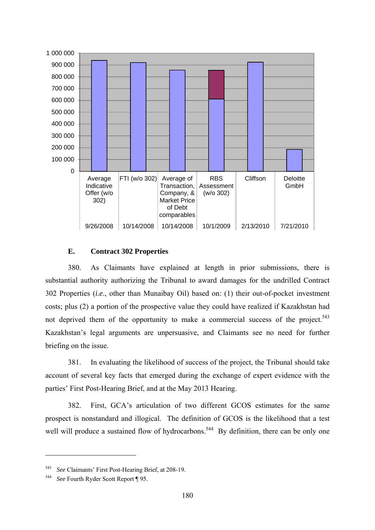

### **E. Contract 302 Properties**

380. As Claimants have explained at length in prior submissions, there is substantial authority authorizing the Tribunal to award damages for the undrilled Contract 302 Properties (*i.e*., other than Munaibay Oil) based on: (1) their out-of-pocket investment costs; plus (2) a portion of the prospective value they could have realized if Kazakhstan had not deprived them of the opportunity to make a commercial success of the project.<sup>543</sup> Kazakhstan's legal arguments are unpersuasive, and Claimants see no need for further briefing on the issue.

381. In evaluating the likelihood of success of the project, the Tribunal should take account of several key facts that emerged during the exchange of expert evidence with the parties' First Post-Hearing Brief, and at the May 2013 Hearing.

382. First, GCA's articulation of two different GCOS estimates for the same prospect is nonstandard and illogical. The definition of GCOS is the likelihood that a test well will produce a sustained flow of hydrocarbons.<sup>544</sup> By definition, there can be only one

<sup>543</sup>*See* Claimants' First Post-Hearing Brief, at 208-19. 544 *See* Fourth Ryder Scott Report ¶ 95.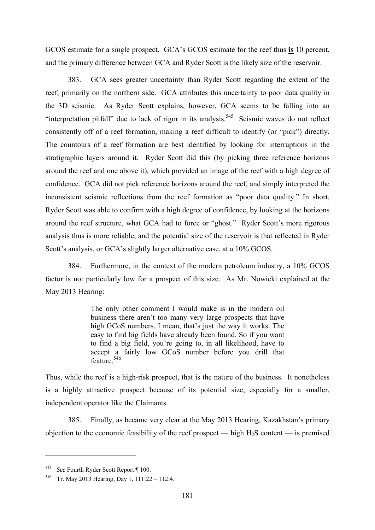GCOS estimate for a single prospect. GCA's GCOS estimate for the reef thus **is** 10 percent, and the primary difference between GCA and Ryder Scott is the likely size of the reservoir.

383. GCA sees greater uncertainty than Ryder Scott regarding the extent of the reef, primarily on the northern side. GCA attributes this uncertainty to poor data quality in the 3D seismic. As Ryder Scott explains, however, GCA seems to be falling into an "interpretation pitfall" due to lack of rigor in its analysis.<sup>545</sup> Seismic waves do not reflect consistently off of a reef formation, making a reef difficult to identify (or "pick") directly. The countours of a reef formation are best identified by looking for interruptions in the stratigraphic layers around it. Ryder Scott did this (by picking three reference horizons around the reef and one above it), which provided an image of the reef with a high degree of confidence. GCA did not pick reference horizons around the reef, and simply interpreted the inconsistent seismic reflections from the reef formation as "poor data quality." In short, Ryder Scott was able to confirm with a high degree of confidence, by looking at the horizons around the reef structure, what GCA had to force or "ghost." Ryder Scott's more rigorous analysis thus is more reliable, and the potential size of the reservoir is that reflected in Ryder Scott's analysis, or GCA's slightly larger alternative case, at a 10% GCOS.

384. Furthermore, in the context of the modern petroleum industry, a 10% GCOS factor is not particularly low for a prospect of this size. As Mr. Nowicki explained at the May 2013 Hearing:

> The only other comment I would make is in the modern oil business there aren't too many very large prospects that have high GCoS numbers. I mean, that's just the way it works. The easy to find big fields have already been found. So if you want to find a big field, you're going to, in all likelihood, have to accept a fairly low GCoS number before you drill that feature.<sup>546</sup>

Thus, while the reef is a high-risk prospect, that is the nature of the business. It nonetheless is a highly attractive prospect because of its potential size, especially for a smaller, independent operator like the Claimants.

385. Finally, as became very clear at the May 2013 Hearing, Kazakhstan's primary objection to the economic feasibility of the reef prospect — high  $H_2S$  content — is premised

<sup>545</sup>*See* Fourth Ryder Scott Report ¶ 100. 546 Tr. May 2013 Hearing, Day 1, 111:22 – 112:4.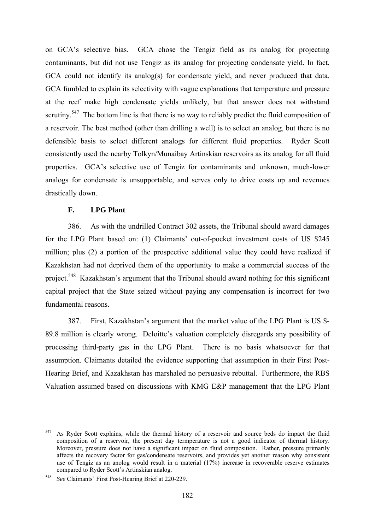on GCA's selective bias. GCA chose the Tengiz field as its analog for projecting contaminants, but did not use Tengiz as its analog for projecting condensate yield. In fact, GCA could not identify its analog(s) for condensate yield, and never produced that data. GCA fumbled to explain its selectivity with vague explanations that temperature and pressure at the reef make high condensate yields unlikely, but that answer does not withstand scrutiny.<sup>547</sup> The bottom line is that there is no way to reliably predict the fluid composition of a reservoir. The best method (other than drilling a well) is to select an analog, but there is no defensible basis to select different analogs for different fluid properties. Ryder Scott consistently used the nearby Tolkyn/Munaibay Artinskian reservoirs as its analog for all fluid properties. GCA's selective use of Tengiz for contaminants and unknown, much-lower analogs for condensate is unsupportable, and serves only to drive costs up and revenues drastically down.

### **F. LPG Plant**

386. As with the undrilled Contract 302 assets, the Tribunal should award damages for the LPG Plant based on: (1) Claimants' out-of-pocket investment costs of US \$245 million; plus (2) a portion of the prospective additional value they could have realized if Kazakhstan had not deprived them of the opportunity to make a commercial success of the project.<sup>548</sup> Kazakhstan's argument that the Tribunal should award nothing for this significant capital project that the State seized without paying any compensation is incorrect for two fundamental reasons.

387. First, Kazakhstan's argument that the market value of the LPG Plant is US \$- 89.8 million is clearly wrong. Deloitte's valuation completely disregards any possibility of processing third-party gas in the LPG Plant. There is no basis whatsoever for that assumption. Claimants detailed the evidence supporting that assumption in their First Post-Hearing Brief, and Kazakhstan has marshaled no persuasive rebuttal. Furthermore, the RBS Valuation assumed based on discussions with KMG E&P management that the LPG Plant

<sup>547</sup> As Ryder Scott explains, while the thermal history of a reservoir and source beds do impact the fluid composition of a reservoir, the present day termperature is not a good indicator of thermal history. Moreover, pressure does not have a significant impact on fluid composition. Rather, pressure primarily affects the recovery factor for gas/condensate reservoirs, and provides yet another reason why consistent use of Tengiz as an anolog would result in a material (17%) increase in recoverable reserve estimates compared to Ryder Scott's Artinskian analog.

<sup>548</sup> *See* Claimants' First Post-Hearing Brief at 220-229.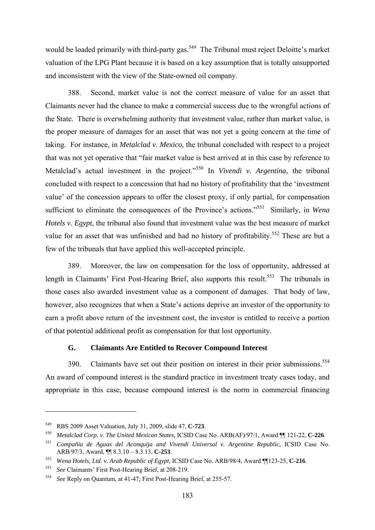would be loaded primarily with third-party gas.<sup>549</sup> The Tribunal must reject Deloitte's market valuation of the LPG Plant because it is based on a key assumption that is totally unsupported and inconsistent with the view of the State-owned oil company.

388. Second, market value is not the correct measure of value for an asset that Claimants never had the chance to make a commercial success due to the wrongful actions of the State. There is overwhelming authority that investment value, rather than market value, is the proper measure of damages for an asset that was not yet a going concern at the time of taking. For instance, in *Metalclad v. Mexico*, the tribunal concluded with respect to a project that was not yet operative that "fair market value is best arrived at in this case by reference to Metalclad's actual investment in the project."<sup>550</sup> In *Vivendi v. Argentina*, the tribunal concluded with respect to a concession that had no history of profitability that the 'investment value' of the concession appears to offer the closest proxy, if only partial, for compensation sufficient to eliminate the consequences of the Province's actions."551 Similarly, in *Wena Hotels v. Egypt*, the tribunal also found that investment value was the best measure of market value for an asset that was unfinished and had no history of profitability.<sup>552</sup> These are but a few of the tribunals that have applied this well-accepted principle.

389. Moreover, the law on compensation for the loss of opportunity, addressed at length in Claimants' First Post-Hearing Brief, also supports this result.<sup>553</sup> The tribunals in those cases also awarded investment value as a component of damages. That body of law, however, also recognizes that when a State's actions deprive an investor of the opportunity to earn a profit above return of the investment cost, the investor is entitled to receive a portion of that potential additional profit as compensation for that lost opportunity.

## **G. Claimants Are Entitled to Recover Compound Interest**

390. Claimants have set out their position on interest in their prior submissions.<sup>554</sup> An award of compound interest is the standard practice in investment treaty cases today, and appropriate in this case, because compound interest is the norm in commercial financing

<sup>549</sup> RBS 2009 Asset Valuation, July 31, 2009, slide 47, **C-723**. 550 *Metalclad Corp. v. The United Mexican States*, ICSID Case No. ARB(AF)/97/1, Award ¶¶ 121-22, **C-226**.

<sup>&</sup>lt;sup>551</sup> *Compañía de Aguas del Aconquija and Vivendi Universal v. Argentine Republic*, ICSID Case No.<br>ARB/97/3. Award.  $\P$  8.3.10 – 8.3.13. **C-253**.

<sup>&</sup>lt;sup>552</sup> *Wena Hotels, Ltd. v. Arab Republic of Egypt*, ICSID Case No. ARB/98/4, Award ¶[123-25, **C-216**.

<sup>553</sup>*See* Claimants' First Post-Hearing Brief, at 208-219. 554 *See* Reply on Quantum, at 41-47; First Post-Hearing Brief, at 255-57.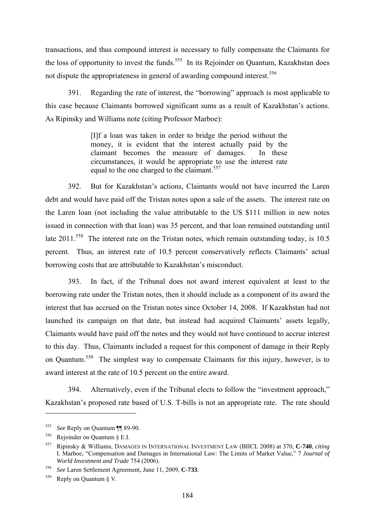transactions, and thus compound interest is necessary to fully compensate the Claimants for the loss of opportunity to invest the funds.<sup>555</sup> In its Rejoinder on Ouantum, Kazakhstan does not dispute the appropriateness in general of awarding compound interest.<sup>556</sup>

391. Regarding the rate of interest, the "borrowing" approach is most applicable to this case because Claimants borrowed significant sums as a result of Kazakhstan's actions. As Ripinsky and Williams note (citing Professor Marboe):

> [I]f a loan was taken in order to bridge the period without the money, it is evident that the interest actually paid by the claimant becomes the measure of damages. In these circumstances, it would be appropriate to use the interest rate equal to the one charged to the claimant.<sup>557</sup>

392. But for Kazakhstan's actions, Claimants would not have incurred the Laren debt and would have paid off the Tristan notes upon a sale of the assets. The interest rate on the Laren loan (not including the value attributable to the US \$111 million in new notes issued in connection with that loan) was 35 percent, and that loan remained outstanding until late 2011.<sup>558</sup> The interest rate on the Tristan notes, which remain outstanding today, is 10.5 percent. Thus, an interest rate of 10.5 percent conservatively reflects Claimants' actual borrowing costs that are attributable to Kazakhstan's misconduct.

393. In fact, if the Tribunal does not award interest equivalent at least to the borrowing rate under the Tristan notes, then it should include as a component of its award the interest that has accrued on the Tristan notes since October 14, 2008. If Kazakhstan had not launched its campaign on that date, but instead had acquired Claimants' assets legally, Claimants would have paid off the notes and they would not have continued to accrue interest to this day. Thus, Claimants included a request for this component of damage in their Reply on Quantum.559 The simplest way to compensate Claimants for this injury, however, is to award interest at the rate of 10.5 percent on the entire award.

394. Alternatively, even if the Tribunal elects to follow the "investment approach," Kazakhstan's proposed rate based of U.S. T-bills is not an appropriate rate. The rate should

<sup>555</sup>*See* Reply on Quantum ¶¶ 89-90. 556 Rejoinder on Quantum § E.I.

<sup>557</sup> Ripinsky & Williams, DAMAGES IN INTERNATIONAL INVESTMENT LAW (BIICL 2008) at 370, **C-740**, *citing* I. Marboe, "Compensation and Damages in International Law: The Limits of Market Value," 7 *Journal of World Investment and Trade* 754 (2006).

<sup>558</sup>*See* Laren Settlement Agreement, June 11, 2009, **C-733**. 559 Reply on Quantum § V.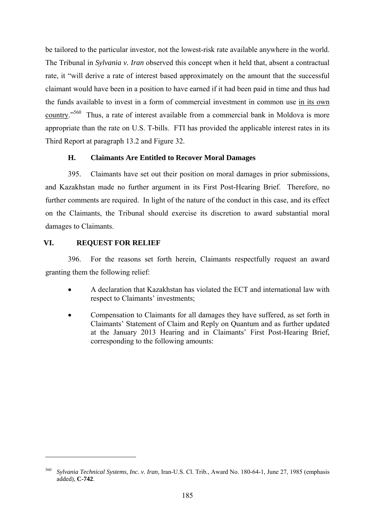be tailored to the particular investor, not the lowest-risk rate available anywhere in the world. The Tribunal in *Sylvania v. Iran* observed this concept when it held that, absent a contractual rate, it "will derive a rate of interest based approximately on the amount that the successful claimant would have been in a position to have earned if it had been paid in time and thus had the funds available to invest in a form of commercial investment in common use in its own country."560 Thus, a rate of interest available from a commercial bank in Moldova is more appropriate than the rate on U.S. T-bills. FTI has provided the applicable interest rates in its Third Report at paragraph 13.2 and Figure 32.

# **H. Claimants Are Entitled to Recover Moral Damages**

395. Claimants have set out their position on moral damages in prior submissions, and Kazakhstan made no further argument in its First Post-Hearing Brief. Therefore, no further comments are required. In light of the nature of the conduct in this case, and its effect on the Claimants, the Tribunal should exercise its discretion to award substantial moral damages to Claimants.

# **VI. REQUEST FOR RELIEF**

1

396. For the reasons set forth herein, Claimants respectfully request an award granting them the following relief:

- A declaration that Kazakhstan has violated the ECT and international law with respect to Claimants' investments;
- Compensation to Claimants for all damages they have suffered, as set forth in Claimants' Statement of Claim and Reply on Quantum and as further updated at the January 2013 Hearing and in Claimants' First Post-Hearing Brief, corresponding to the following amounts:

<sup>560</sup> *Sylvania Technical Systems, Inc. v. Iran*, Iran-U.S. Cl. Trib., Award No. 180-64-1, June 27, 1985 (emphasis added), **C-742**.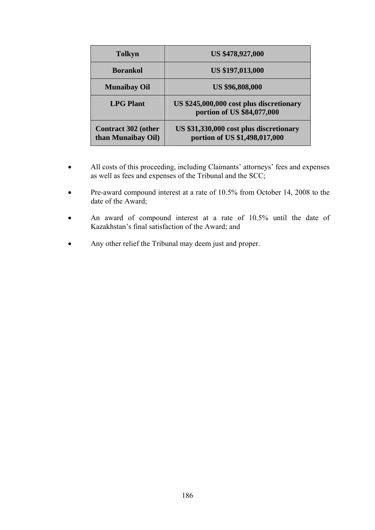| <b>Tolkyn</b>                                    | <b>US \$478,927,000</b>                                                  |
|--------------------------------------------------|--------------------------------------------------------------------------|
| <b>Borankol</b>                                  | <b>US \$197,013,000</b>                                                  |
| <b>Munaibay Oil</b>                              | <b>US \$96,808,000</b>                                                   |
| <b>LPG Plant</b>                                 | US \$245,000,000 cost plus discretionary<br>portion of US \$84,077,000   |
| <b>Contract 302 (other</b><br>than Munaibay Oil) | US \$31,330,000 cost plus discretionary<br>portion of US \$1,498,017,000 |

- All costs of this proceeding, including Claimants' attorneys' fees and expenses as well as fees and expenses of the Tribunal and the SCC;
- Pre-award compound interest at a rate of 10.5% from October 14, 2008 to the date of the Award;
- An award of compound interest at a rate of 10.5% until the date of Kazakhstan's final satisfaction of the Award; and
- Any other relief the Tribunal may deem just and proper.